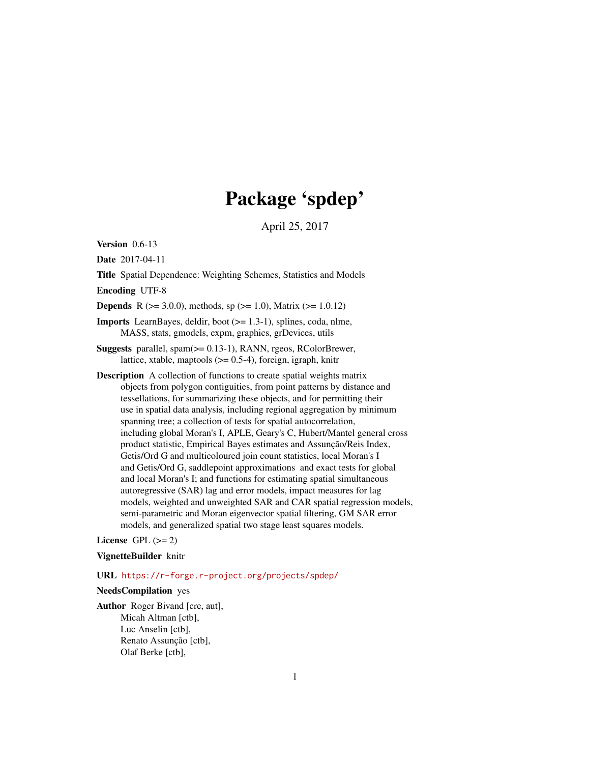# Package 'spdep'

April 25, 2017

<span id="page-0-0"></span>Version 0.6-13

Date 2017-04-11

Title Spatial Dependence: Weighting Schemes, Statistics and Models

Encoding UTF-8

**Depends** R ( $>= 3.0.0$ ), methods, sp ( $>= 1.0$ ), Matrix ( $>= 1.0.12$ )

Imports LearnBayes, deldir, boot (>= 1.3-1), splines, coda, nlme, MASS, stats, gmodels, expm, graphics, grDevices, utils

Suggests parallel, spam(>= 0.13-1), RANN, rgeos, RColorBrewer, lattice, xtable, maptools  $(>= 0.5-4)$ , foreign, igraph, knitr

Description A collection of functions to create spatial weights matrix objects from polygon contiguities, from point patterns by distance and tessellations, for summarizing these objects, and for permitting their use in spatial data analysis, including regional aggregation by minimum spanning tree; a collection of tests for spatial autocorrelation, including global Moran's I, APLE, Geary's C, Hubert/Mantel general cross product statistic, Empirical Bayes estimates and Assunção/Reis Index, Getis/Ord G and multicoloured join count statistics, local Moran's I and Getis/Ord G, saddlepoint approximations and exact tests for global and local Moran's I; and functions for estimating spatial simultaneous autoregressive (SAR) lag and error models, impact measures for lag models, weighted and unweighted SAR and CAR spatial regression models, semi-parametric and Moran eigenvector spatial filtering, GM SAR error models, and generalized spatial two stage least squares models.

License GPL  $(>= 2)$ 

VignetteBuilder knitr

URL <https://r-forge.r-project.org/projects/spdep/>

NeedsCompilation yes

Author Roger Bivand [cre, aut], Micah Altman [ctb], Luc Anselin [ctb], Renato Assunção [ctb], Olaf Berke [ctb],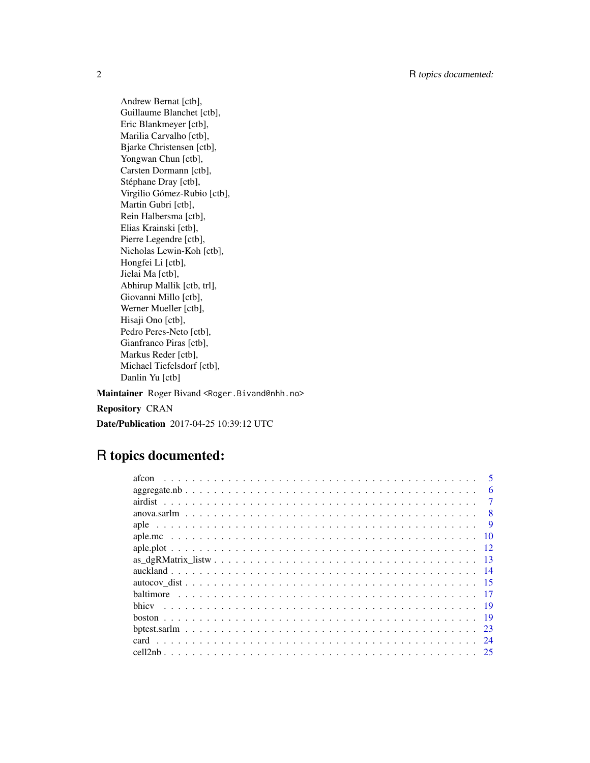Andrew Bernat [ctb], Guillaume Blanchet [ctb], Eric Blankmeyer [ctb], Marilia Carvalho [ctb], Bjarke Christensen [ctb], Yongwan Chun [ctb], Carsten Dormann [ctb], Stéphane Dray [ctb], Virgilio Gómez-Rubio [ctb], Martin Gubri [ctb], Rein Halbersma [ctb], Elias Krainski [ctb], Pierre Legendre [ctb], Nicholas Lewin-Koh [ctb], Hongfei Li [ctb], Jielai Ma [ctb], Abhirup Mallik [ctb, trl], Giovanni Millo [ctb], Werner Mueller [ctb], Hisaji Ono [ctb], Pedro Peres-Neto [ctb], Gianfranco Piras [ctb], Markus Reder [ctb], Michael Tiefelsdorf [ctb], Danlin Yu [ctb]

Maintainer Roger Bivand <Roger.Bivand@nhh.no>

Repository CRAN

Date/Publication 2017-04-25 10:39:12 UTC

# R topics documented:

|                 | 6            |
|-----------------|--------------|
|                 |              |
|                 | $\mathbf{R}$ |
|                 | -9           |
|                 | 10           |
|                 |              |
| $\overline{13}$ |              |
|                 |              |
|                 |              |
|                 |              |
| -19             |              |
|                 |              |
| 23              |              |
|                 | 24           |
| - 25            |              |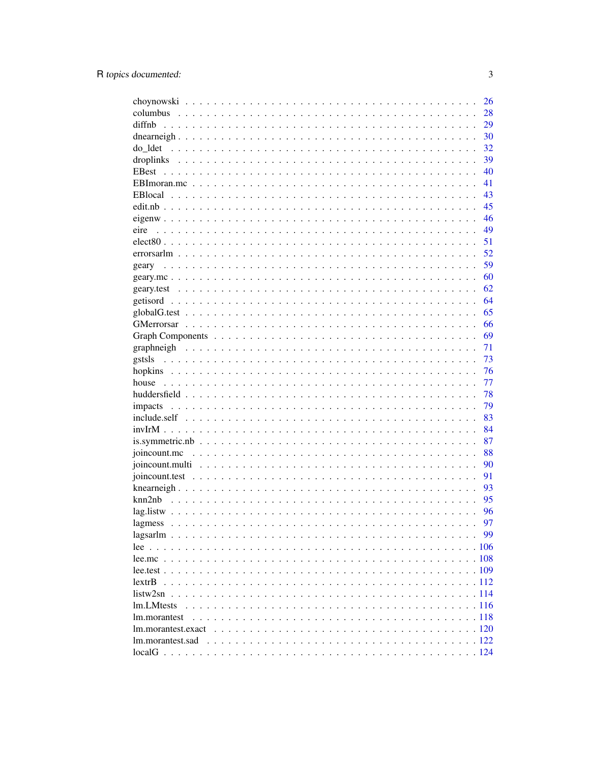| 28<br>diffnb<br>29<br>30<br>32<br>do ldet<br>39<br>40<br>41<br>43<br>45<br>46<br>49<br>eire<br>51<br>52<br>59<br>geary<br>60<br>62<br>64<br>65<br>66<br>69<br>71<br>73<br>76<br>77<br>78<br>79<br>83<br>84<br>87<br>joincount.mc $\dots \dots \dots \dots \dots \dots \dots \dots \dots \dots \dots \dots \dots \dots \dots \dots \dots$<br>88<br>90<br>91<br>93<br>95<br>96<br>97<br>99<br>lextrB<br>listw2sn<br>lm.LMtests<br>lm.morantest<br>lm.morantest.exact<br>lm.morantest.sad | 26 |
|----------------------------------------------------------------------------------------------------------------------------------------------------------------------------------------------------------------------------------------------------------------------------------------------------------------------------------------------------------------------------------------------------------------------------------------------------------------------------------------|----|
|                                                                                                                                                                                                                                                                                                                                                                                                                                                                                        |    |
|                                                                                                                                                                                                                                                                                                                                                                                                                                                                                        |    |
|                                                                                                                                                                                                                                                                                                                                                                                                                                                                                        |    |
|                                                                                                                                                                                                                                                                                                                                                                                                                                                                                        |    |
|                                                                                                                                                                                                                                                                                                                                                                                                                                                                                        |    |
|                                                                                                                                                                                                                                                                                                                                                                                                                                                                                        |    |
|                                                                                                                                                                                                                                                                                                                                                                                                                                                                                        |    |
|                                                                                                                                                                                                                                                                                                                                                                                                                                                                                        |    |
|                                                                                                                                                                                                                                                                                                                                                                                                                                                                                        |    |
|                                                                                                                                                                                                                                                                                                                                                                                                                                                                                        |    |
|                                                                                                                                                                                                                                                                                                                                                                                                                                                                                        |    |
|                                                                                                                                                                                                                                                                                                                                                                                                                                                                                        |    |
|                                                                                                                                                                                                                                                                                                                                                                                                                                                                                        |    |
|                                                                                                                                                                                                                                                                                                                                                                                                                                                                                        |    |
|                                                                                                                                                                                                                                                                                                                                                                                                                                                                                        |    |
|                                                                                                                                                                                                                                                                                                                                                                                                                                                                                        |    |
|                                                                                                                                                                                                                                                                                                                                                                                                                                                                                        |    |
|                                                                                                                                                                                                                                                                                                                                                                                                                                                                                        |    |
|                                                                                                                                                                                                                                                                                                                                                                                                                                                                                        |    |
|                                                                                                                                                                                                                                                                                                                                                                                                                                                                                        |    |
|                                                                                                                                                                                                                                                                                                                                                                                                                                                                                        |    |
|                                                                                                                                                                                                                                                                                                                                                                                                                                                                                        |    |
|                                                                                                                                                                                                                                                                                                                                                                                                                                                                                        |    |
|                                                                                                                                                                                                                                                                                                                                                                                                                                                                                        |    |
|                                                                                                                                                                                                                                                                                                                                                                                                                                                                                        |    |
|                                                                                                                                                                                                                                                                                                                                                                                                                                                                                        |    |
|                                                                                                                                                                                                                                                                                                                                                                                                                                                                                        |    |
|                                                                                                                                                                                                                                                                                                                                                                                                                                                                                        |    |
|                                                                                                                                                                                                                                                                                                                                                                                                                                                                                        |    |
|                                                                                                                                                                                                                                                                                                                                                                                                                                                                                        |    |
|                                                                                                                                                                                                                                                                                                                                                                                                                                                                                        |    |
|                                                                                                                                                                                                                                                                                                                                                                                                                                                                                        |    |
|                                                                                                                                                                                                                                                                                                                                                                                                                                                                                        |    |
|                                                                                                                                                                                                                                                                                                                                                                                                                                                                                        |    |
|                                                                                                                                                                                                                                                                                                                                                                                                                                                                                        |    |
|                                                                                                                                                                                                                                                                                                                                                                                                                                                                                        |    |
|                                                                                                                                                                                                                                                                                                                                                                                                                                                                                        |    |
|                                                                                                                                                                                                                                                                                                                                                                                                                                                                                        |    |
|                                                                                                                                                                                                                                                                                                                                                                                                                                                                                        |    |
|                                                                                                                                                                                                                                                                                                                                                                                                                                                                                        |    |
|                                                                                                                                                                                                                                                                                                                                                                                                                                                                                        |    |
|                                                                                                                                                                                                                                                                                                                                                                                                                                                                                        |    |
|                                                                                                                                                                                                                                                                                                                                                                                                                                                                                        |    |
|                                                                                                                                                                                                                                                                                                                                                                                                                                                                                        |    |
|                                                                                                                                                                                                                                                                                                                                                                                                                                                                                        |    |
|                                                                                                                                                                                                                                                                                                                                                                                                                                                                                        |    |
|                                                                                                                                                                                                                                                                                                                                                                                                                                                                                        |    |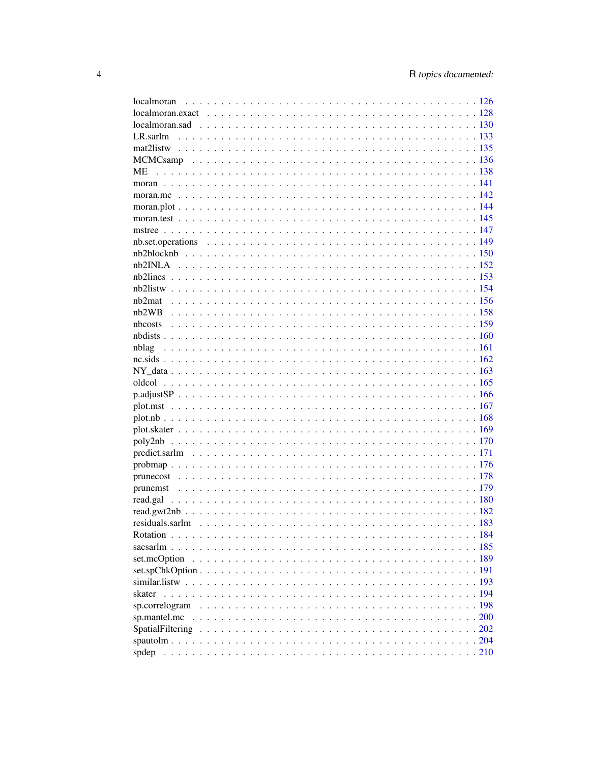| МE             |  |
|----------------|--|
|                |  |
|                |  |
|                |  |
|                |  |
|                |  |
|                |  |
|                |  |
|                |  |
|                |  |
|                |  |
|                |  |
|                |  |
|                |  |
|                |  |
|                |  |
|                |  |
|                |  |
|                |  |
|                |  |
|                |  |
|                |  |
|                |  |
|                |  |
|                |  |
|                |  |
|                |  |
|                |  |
|                |  |
|                |  |
|                |  |
|                |  |
|                |  |
| set.mcOption   |  |
|                |  |
|                |  |
| skater         |  |
| sp.correlogram |  |
|                |  |
|                |  |
|                |  |
| spdep          |  |
|                |  |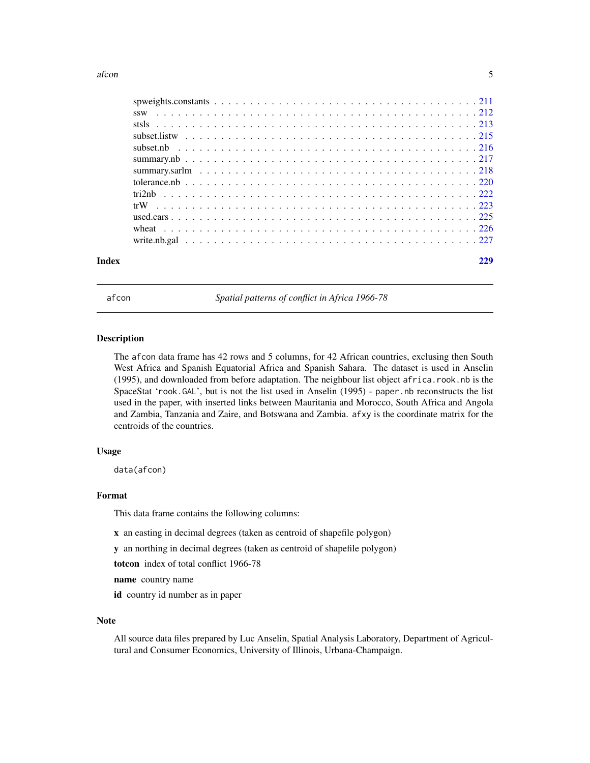<span id="page-4-0"></span>

| Index |  |
|-------|--|
|       |  |
|       |  |
|       |  |
|       |  |
|       |  |
|       |  |
|       |  |
|       |  |
|       |  |
|       |  |
|       |  |
|       |  |
|       |  |

afcon *Spatial patterns of conflict in Africa 1966-78*

# Description

The afcon data frame has 42 rows and 5 columns, for 42 African countries, exclusing then South West Africa and Spanish Equatorial Africa and Spanish Sahara. The dataset is used in Anselin (1995), and downloaded from before adaptation. The neighbour list object africa.rook.nb is the SpaceStat 'rook.GAL', but is not the list used in Anselin (1995) - paper.nb reconstructs the list used in the paper, with inserted links between Mauritania and Morocco, South Africa and Angola and Zambia, Tanzania and Zaire, and Botswana and Zambia. afxy is the coordinate matrix for the centroids of the countries.

# Usage

data(afcon)

#### Format

This data frame contains the following columns:

- x an easting in decimal degrees (taken as centroid of shapefile polygon)
- y an northing in decimal degrees (taken as centroid of shapefile polygon)

totcon index of total conflict 1966-78

name country name

id country id number as in paper

#### Note

All source data files prepared by Luc Anselin, Spatial Analysis Laboratory, Department of Agricultural and Consumer Economics, University of Illinois, Urbana-Champaign.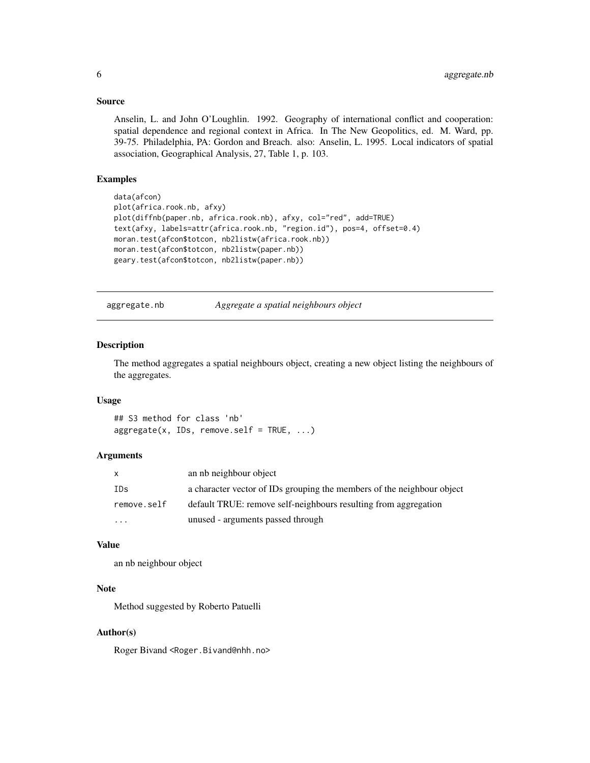#### Source

Anselin, L. and John O'Loughlin. 1992. Geography of international conflict and cooperation: spatial dependence and regional context in Africa. In The New Geopolitics, ed. M. Ward, pp. 39-75. Philadelphia, PA: Gordon and Breach. also: Anselin, L. 1995. Local indicators of spatial association, Geographical Analysis, 27, Table 1, p. 103.

# Examples

```
data(afcon)
plot(africa.rook.nb, afxy)
plot(diffnb(paper.nb, africa.rook.nb), afxy, col="red", add=TRUE)
text(afxy, labels=attr(africa.rook.nb, "region.id"), pos=4, offset=0.4)
moran.test(afcon$totcon, nb2listw(africa.rook.nb))
moran.test(afcon$totcon, nb2listw(paper.nb))
geary.test(afcon$totcon, nb2listw(paper.nb))
```
aggregate.nb *Aggregate a spatial neighbours object*

#### **Description**

The method aggregates a spatial neighbours object, creating a new object listing the neighbours of the aggregates.

#### Usage

## S3 method for class 'nb'  $aggregate(x, IDs, remove.self = TRUE, ...)$ 

# Arguments

| $\mathsf{x}$ | an nb neighbour object                                                 |
|--------------|------------------------------------------------------------------------|
| IDs          | a character vector of IDs grouping the members of the neighbour object |
| remove.self  | default TRUE: remove self-neighbours resulting from aggregation        |
| $\cdots$     | unused - arguments passed through                                      |

# Value

an nb neighbour object

# Note

Method suggested by Roberto Patuelli

#### Author(s)

Roger Bivand <Roger.Bivand@nhh.no>

<span id="page-5-0"></span>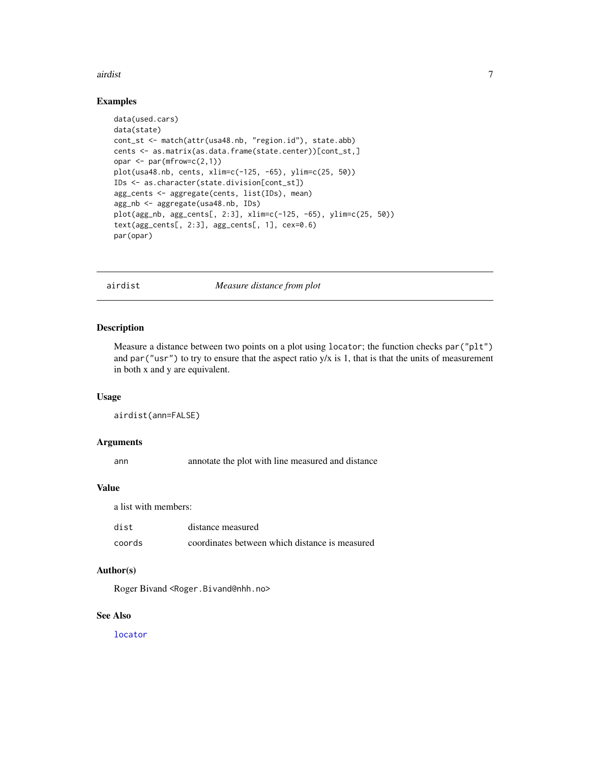#### <span id="page-6-0"></span>airdist 7 and 7 and 7 and 7 and 7 and 7 and 7 and 7 and 7 and 7 and 7 and 7 and 7 and 7 and 7 and 7 and 7 and 7

# Examples

```
data(used.cars)
data(state)
cont_st <- match(attr(usa48.nb, "region.id"), state.abb)
cents <- as.matrix(as.data.frame(state.center))[cont_st,]
opar \leq par(mfrow=c(2,1))
plot(usa48.nb, cents, xlim=c(-125, -65), ylim=c(25, 50))
IDs <- as.character(state.division[cont_st])
agg_cents <- aggregate(cents, list(IDs), mean)
agg_nb <- aggregate(usa48.nb, IDs)
plot(agg_nb, agg_cents[, 2:3], xlim=c(-125, -65), ylim=c(25, 50))
text(agg_cents[, 2:3], agg_cents[, 1], cex=0.6)
par(opar)
```
airdist *Measure distance from plot*

#### Description

Measure a distance between two points on a plot using locator; the function checks par ("plt") and par("usr") to try to ensure that the aspect ratio  $y/x$  is 1, that is that the units of measurement in both x and y are equivalent.

# Usage

```
airdist(ann=FALSE)
```
#### Arguments

ann annotate the plot with line measured and distance

# Value

a list with members:

| dist   | distance measured                              |
|--------|------------------------------------------------|
| coords | coordinates between which distance is measured |

# Author(s)

Roger Bivand <Roger.Bivand@nhh.no>

# See Also

[locator](#page-0-0)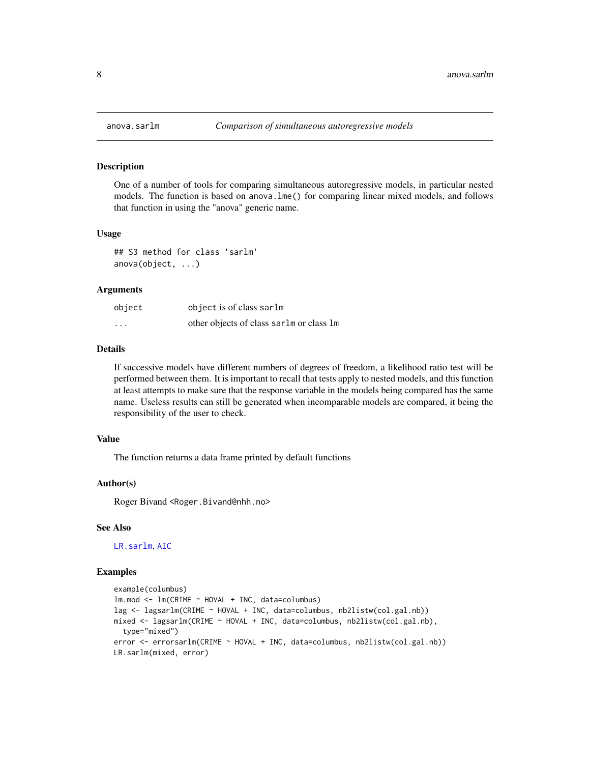#### **Description**

One of a number of tools for comparing simultaneous autoregressive models, in particular nested models. The function is based on anova.lme() for comparing linear mixed models, and follows that function in using the "anova" generic name.

#### Usage

```
## S3 method for class 'sarlm'
anova(object, ...)
```
#### Arguments

| object   | object is of class sarlm                 |
|----------|------------------------------------------|
| $\cdots$ | other objects of class sarlm or class 1m |

# Details

If successive models have different numbers of degrees of freedom, a likelihood ratio test will be performed between them. It is important to recall that tests apply to nested models, and this function at least attempts to make sure that the response variable in the models being compared has the same name. Useless results can still be generated when incomparable models are compared, it being the responsibility of the user to check.

# Value

The function returns a data frame printed by default functions

#### Author(s)

Roger Bivand <Roger.Bivand@nhh.no>

#### See Also

[LR.sarlm](#page-132-1), [AIC](#page-0-0)

# Examples

```
example(columbus)
lm.mod <- lm(CRIME ~ HOVAL + INC, data=columbus)
lag <- lagsarlm(CRIME ~ HOVAL + INC, data=columbus, nb2listw(col.gal.nb))
mixed <- lagsarlm(CRIME ~ HOVAL + INC, data=columbus, nb2listw(col.gal.nb),
  type="mixed")
error <- errorsarlm(CRIME ~ HOVAL + INC, data=columbus, nb2listw(col.gal.nb))
LR.sarlm(mixed, error)
```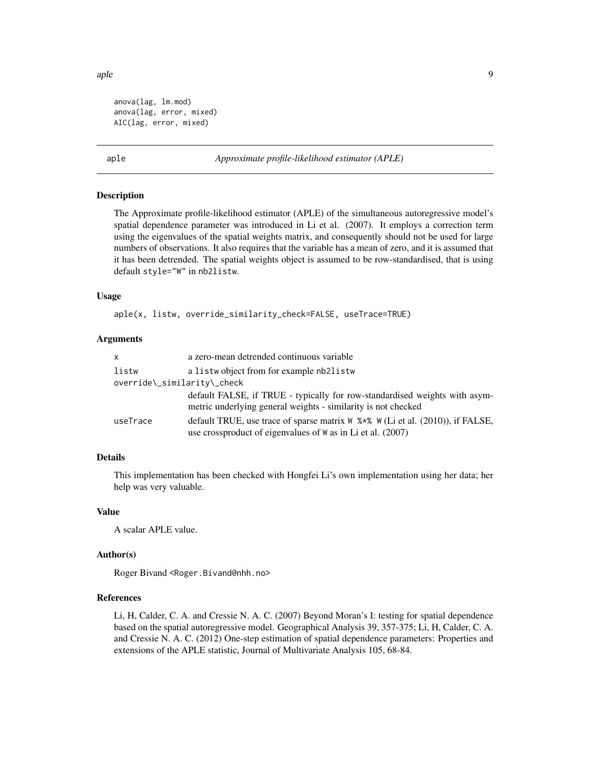<span id="page-8-0"></span>aple **9** apple 9

```
anova(lag, lm.mod)
anova(lag, error, mixed)
AIC(lag, error, mixed)
```
<span id="page-8-1"></span>aple *Approximate profile-likelihood estimator (APLE)*

#### Description

The Approximate profile-likelihood estimator (APLE) of the simultaneous autoregressive model's spatial dependence parameter was introduced in Li et al. (2007). It employs a correction term using the eigenvalues of the spatial weights matrix, and consequently should not be used for large numbers of observations. It also requires that the variable has a mean of zero, and it is assumed that it has been detrended. The spatial weights object is assumed to be row-standardised, that is using default style="W" in nb2listw.

# Usage

aple(x, listw, override\_similarity\_check=FALSE, useTrace=TRUE)

# Arguments

| x                           | a zero-mean detrended continuous variable                                                                                                           |
|-----------------------------|-----------------------------------------------------------------------------------------------------------------------------------------------------|
| listw                       | a listwo bject from for example nb2listw                                                                                                            |
| override\_similarity\_check |                                                                                                                                                     |
|                             | default FALSE, if TRUE - typically for row-standardised weights with asym-<br>metric underlying general weights - similarity is not checked         |
| useTrace                    | default TRUE, use trace of sparse matrix $W$ %*% $W$ (Li et al. (2010)), if FALSE,<br>use crossproduct of eigenvalues of $W$ as in Li et al. (2007) |

# Details

This implementation has been checked with Hongfei Li's own implementation using her data; her help was very valuable.

#### Value

A scalar APLE value.

#### Author(s)

Roger Bivand <Roger.Bivand@nhh.no>

#### References

Li, H, Calder, C. A. and Cressie N. A. C. (2007) Beyond Moran's I: testing for spatial dependence based on the spatial autoregressive model. Geographical Analysis 39, 357-375; Li, H, Calder, C. A. and Cressie N. A. C. (2012) One-step estimation of spatial dependence parameters: Properties and extensions of the APLE statistic, Journal of Multivariate Analysis 105, 68-84.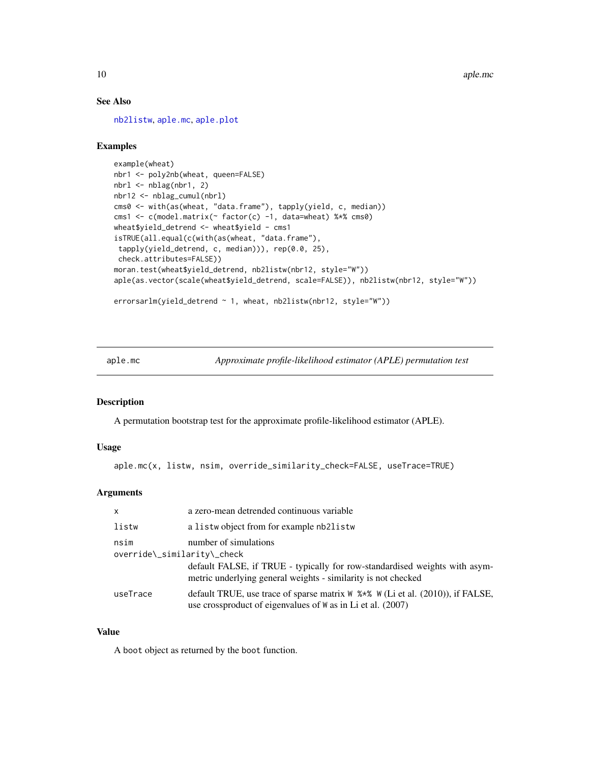# See Also

[nb2listw](#page-153-1), [aple.mc](#page-9-1), [aple.plot](#page-11-1)

# Examples

```
example(wheat)
nbr1 <- poly2nb(wheat, queen=FALSE)
nbrl <- nblag(nbr1, 2)
nbr12 <- nblag_cumul(nbrl)
cms0 <- with(as(wheat, "data.frame"), tapply(yield, c, median))
cms1 <- c(model.matrix(~ factor(c) -1, data=wheat) %*% cms0)
wheat$yield_detrend <- wheat$yield - cms1
isTRUE(all.equal(c(with(as(wheat, "data.frame"),
 tapply(yield_detrend, c, median))), rep(0.0, 25),
 check.attributes=FALSE))
moran.test(wheat$yield_detrend, nb2listw(nbr12, style="W"))
aple(as.vector(scale(wheat$yield_detrend, scale=FALSE)), nb2listw(nbr12, style="W"))
errorsarlm(yield_detrend ~ 1, wheat, nb2listw(nbr12, style="W"))
```
<span id="page-9-1"></span>aple.mc *Approximate profile-likelihood estimator (APLE) permutation test*

# Description

A permutation bootstrap test for the approximate profile-likelihood estimator (APLE).

#### Usage

aple.mc(x, listw, nsim, override\_similarity\_check=FALSE, useTrace=TRUE)

# Arguments

| $\mathsf{x}$                        | a zero-mean detrended continuous variable                                                                                                           |
|-------------------------------------|-----------------------------------------------------------------------------------------------------------------------------------------------------|
| listw                               | a listwo bject from for example nb2listw                                                                                                            |
| nsim<br>override\_similarity\_check | number of simulations                                                                                                                               |
|                                     | default FALSE, if TRUE - typically for row-standardised weights with asym-<br>metric underlying general weights - similarity is not checked         |
| useTrace                            | default TRUE, use trace of sparse matrix $W$ %*% $W$ (Li et al. (2010)), if FALSE,<br>use crossproduct of eigenvalues of $W$ as in Li et al. (2007) |

# Value

A boot object as returned by the boot function.

<span id="page-9-0"></span>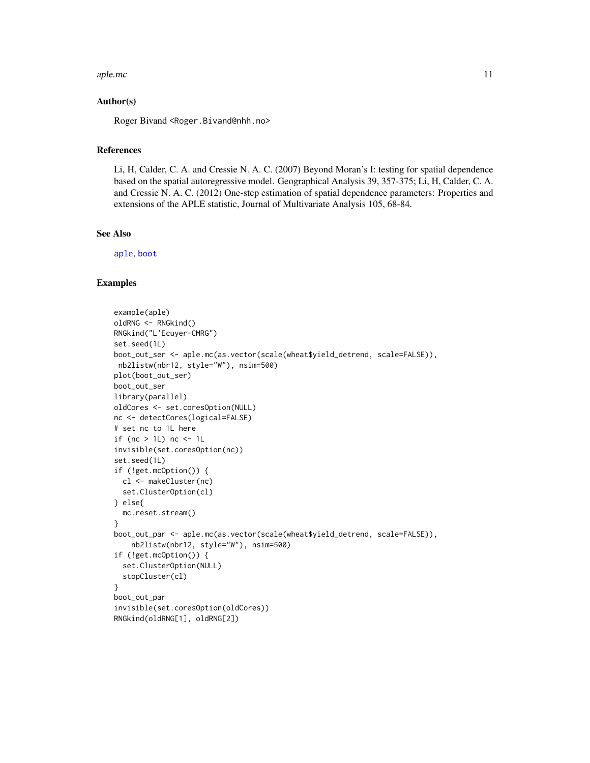#### aple.mc 11

### Author(s)

Roger Bivand <Roger.Bivand@nhh.no>

#### References

Li, H, Calder, C. A. and Cressie N. A. C. (2007) Beyond Moran's I: testing for spatial dependence based on the spatial autoregressive model. Geographical Analysis 39, 357-375; Li, H, Calder, C. A. and Cressie N. A. C. (2012) One-step estimation of spatial dependence parameters: Properties and extensions of the APLE statistic, Journal of Multivariate Analysis 105, 68-84.

#### See Also

[aple](#page-8-1), [boot](#page-0-0)

#### Examples

```
example(aple)
oldRNG <- RNGkind()
RNGkind("L'Ecuyer-CMRG")
set.seed(1L)
boot_out_ser <- aple.mc(as.vector(scale(wheat$yield_detrend, scale=FALSE)),
nb2listw(nbr12, style="W"), nsim=500)
plot(boot_out_ser)
boot_out_ser
library(parallel)
oldCores <- set.coresOption(NULL)
nc <- detectCores(logical=FALSE)
# set nc to 1L here
if (nc > 1L) nc <- 1L
invisible(set.coresOption(nc))
set.seed(1L)
if (!get.mcOption()) {
  cl <- makeCluster(nc)
  set.ClusterOption(cl)
} else{
  mc.reset.stream()
}
boot_out_par <- aple.mc(as.vector(scale(wheat$yield_detrend, scale=FALSE)),
   nb2listw(nbr12, style="W"), nsim=500)
if (!get.mcOption()) {
  set.ClusterOption(NULL)
  stopCluster(cl)
}
boot_out_par
invisible(set.coresOption(oldCores))
RNGkind(oldRNG[1], oldRNG[2])
```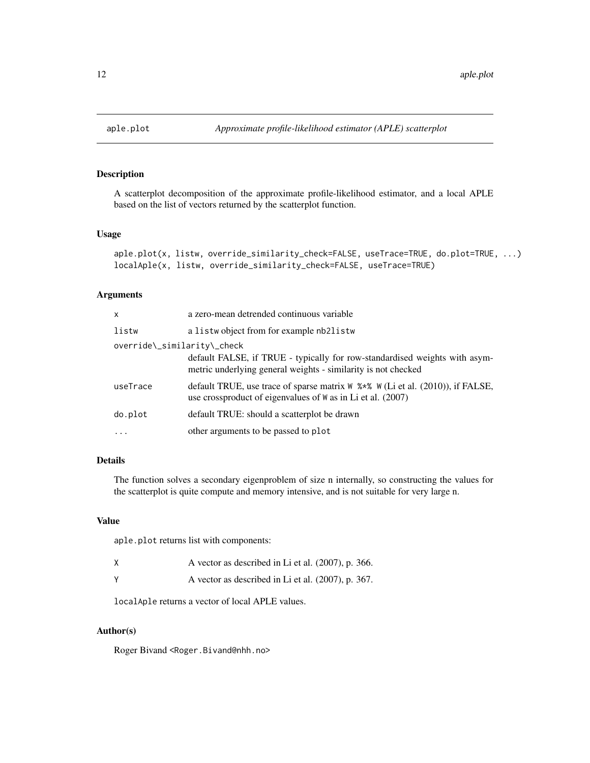<span id="page-11-1"></span><span id="page-11-0"></span>

# Description

A scatterplot decomposition of the approximate profile-likelihood estimator, and a local APLE based on the list of vectors returned by the scatterplot function.

# Usage

```
aple.plot(x, listw, override_similarity_check=FALSE, useTrace=TRUE, do.plot=TRUE, ...)
localAple(x, listw, override_similarity_check=FALSE, useTrace=TRUE)
```
### Arguments

| $\mathsf{x}$                | a zero-mean detrended continuous variable                                                                                                                 |
|-----------------------------|-----------------------------------------------------------------------------------------------------------------------------------------------------------|
| listw                       | a listwo bject from for example nb2listw                                                                                                                  |
| override\_similarity\_check | default FALSE, if TRUE - typically for row-standardised weights with asym-<br>metric underlying general weights - similarity is not checked               |
| useTrace                    | default TRUE, use trace of sparse matrix $W \rightarrow W$ (Li et al. (2010)), if FALSE,<br>use crossproduct of eigenvalues of $W$ as in Li et al. (2007) |
| do.plot                     | default TRUE: should a scatterplot be drawn                                                                                                               |
| $\ddotsc$                   | other arguments to be passed to plot                                                                                                                      |

# Details

The function solves a secondary eigenproblem of size n internally, so constructing the values for the scatterplot is quite compute and memory intensive, and is not suitable for very large n.

#### Value

aple.plot returns list with components:

| A vector as described in Li et al. (2007), p. 366. |  |
|----------------------------------------------------|--|
| A vector as described in Li et al. (2007), p. 367. |  |

localAple returns a vector of local APLE values.

# Author(s)

Roger Bivand <Roger.Bivand@nhh.no>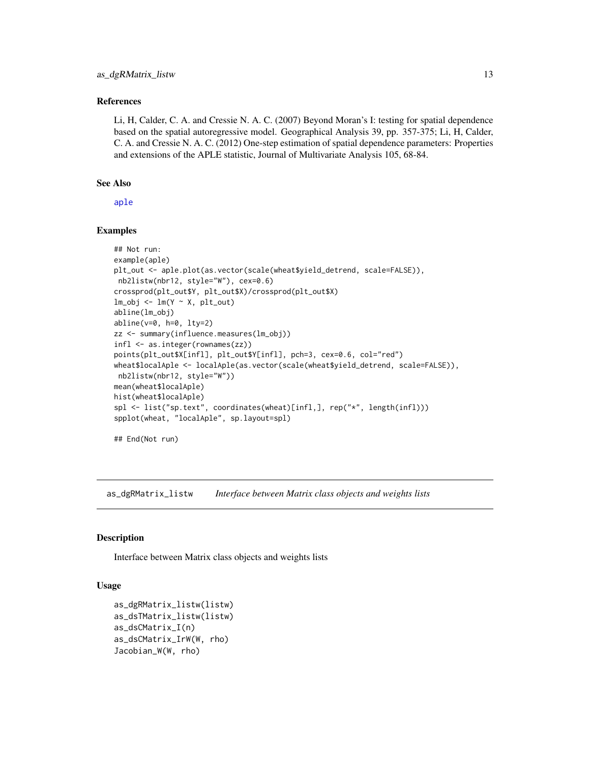#### <span id="page-12-0"></span>References

Li, H, Calder, C. A. and Cressie N. A. C. (2007) Beyond Moran's I: testing for spatial dependence based on the spatial autoregressive model. Geographical Analysis 39, pp. 357-375; Li, H, Calder, C. A. and Cressie N. A. C. (2012) One-step estimation of spatial dependence parameters: Properties and extensions of the APLE statistic, Journal of Multivariate Analysis 105, 68-84.

# See Also

[aple](#page-8-1)

#### Examples

```
## Not run:
example(aple)
plt_out <- aple.plot(as.vector(scale(wheat$yield_detrend, scale=FALSE)),
nb2listw(nbr12, style="W"), cex=0.6)
crossprod(plt_out$Y, plt_out$X)/crossprod(plt_out$X)
lm\_obj \leftarrow lm(Y \sim X, plt\_out)abline(lm_obj)
abline(v=0, h=0, lty=2)
zz <- summary(influence.measures(lm_obj))
infl <- as.integer(rownames(zz))
points(plt_out$X[infl], plt_out$Y[infl], pch=3, cex=0.6, col="red")
wheat$localAple <- localAple(as.vector(scale(wheat$yield_detrend, scale=FALSE)),
nb2listw(nbr12, style="W"))
mean(wheat$localAple)
hist(wheat$localAple)
spl <- list("sp.text", coordinates(wheat)[infl,], rep("*", length(infl)))
spplot(wheat, "localAple", sp.layout=spl)
## End(Not run)
```
as\_dgRMatrix\_listw *Interface between Matrix class objects and weights lists*

#### **Description**

Interface between Matrix class objects and weights lists

# Usage

```
as_dgRMatrix_listw(listw)
as_dsTMatrix_listw(listw)
as_dsCMatrix_I(n)
as_dsCMatrix_IrW(W, rho)
Jacobian_W(W, rho)
```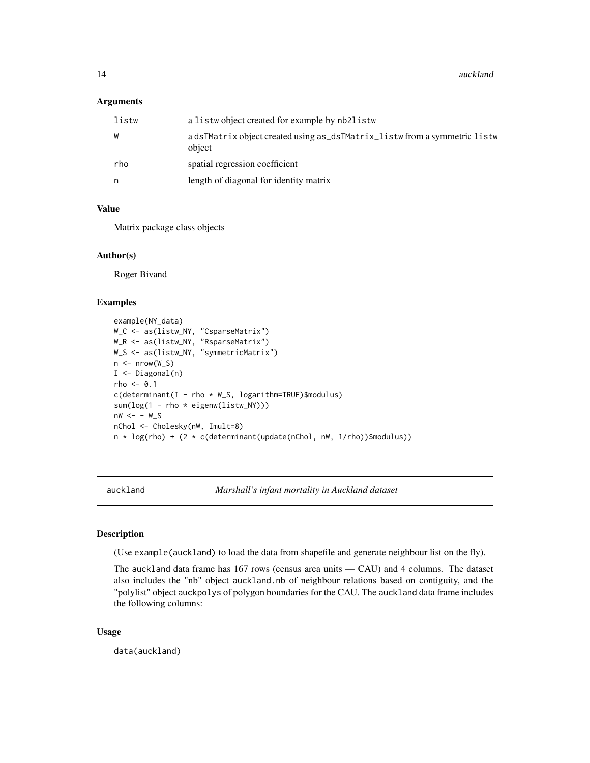#### <span id="page-13-0"></span>Arguments

| listw | a listwo bject created for example by nb2listw                                       |
|-------|--------------------------------------------------------------------------------------|
| W     | a dsTMatrix object created using as_dsTMatrix_listw from a symmetric listw<br>object |
| rho   | spatial regression coefficient                                                       |
| n     | length of diagonal for identity matrix                                               |

#### Value

Matrix package class objects

#### Author(s)

Roger Bivand

# Examples

```
example(NY_data)
W_C <- as(listw_NY, "CsparseMatrix")
W_R <- as(listw_NY, "RsparseMatrix")
W_S <- as(listw_NY, "symmetricMatrix")
n \leq -nrow(W_S)I \leftarrow Diagonal(n)rho \leq -0.1c(determinant(I - rho * W_S, logarithm=TRUE)$modulus)
sum(log(1 - rho * eigenw(listw_NY)))
nw < - - w_SnChol <- Cholesky(nW, Imult=8)
n * log(rho) + (2 * c(determinant(update(nChol, nW, 1/rho))$modulus))
```
auckland *Marshall's infant mortality in Auckland dataset*

#### Description

(Use example(auckland) to load the data from shapefile and generate neighbour list on the fly).

The auckland data frame has 167 rows (census area units — CAU) and 4 columns. The dataset also includes the "nb" object auckland.nb of neighbour relations based on contiguity, and the "polylist" object auckpolys of polygon boundaries for the CAU. The auckland data frame includes the following columns:

#### Usage

data(auckland)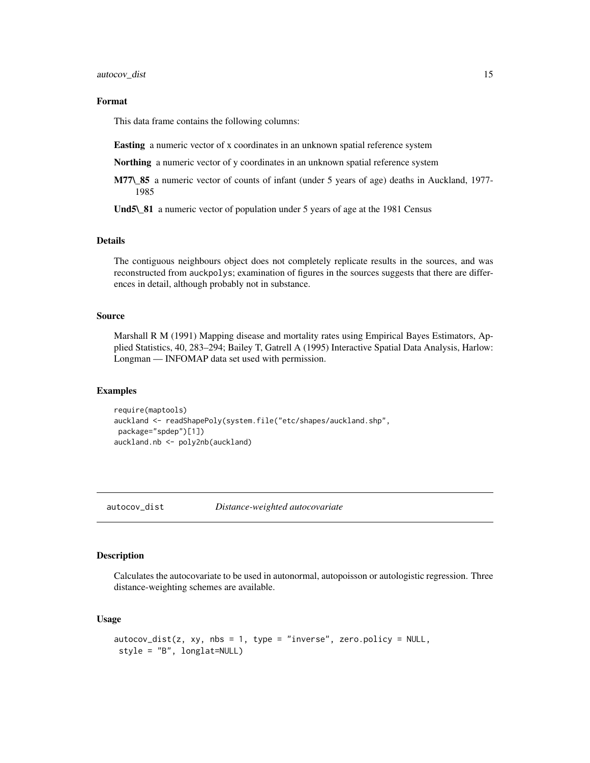# <span id="page-14-0"></span>Format

This data frame contains the following columns:

Easting a numeric vector of x coordinates in an unknown spatial reference system

**Northing** a numeric vector of y coordinates in an unknown spatial reference system

M77\\_85 a numeric vector of counts of infant (under 5 years of age) deaths in Auckland, 1977- 1985

Und5\\_81 a numeric vector of population under 5 years of age at the 1981 Census

#### Details

The contiguous neighbours object does not completely replicate results in the sources, and was reconstructed from auckpolys; examination of figures in the sources suggests that there are differences in detail, although probably not in substance.

#### Source

Marshall R M (1991) Mapping disease and mortality rates using Empirical Bayes Estimators, Applied Statistics, 40, 283–294; Bailey T, Gatrell A (1995) Interactive Spatial Data Analysis, Harlow: Longman — INFOMAP data set used with permission.

#### Examples

```
require(maptools)
auckland <- readShapePoly(system.file("etc/shapes/auckland.shp",
package="spdep")[1])
auckland.nb <- poly2nb(auckland)
```
autocov\_dist *Distance-weighted autocovariate*

# Description

Calculates the autocovariate to be used in autonormal, autopoisson or autologistic regression. Three distance-weighting schemes are available.

# Usage

```
autocov\_dist(z, xy, nbs = 1, type = "inverse", zero.policy = NULL,style = "B", longlat=NULL)
```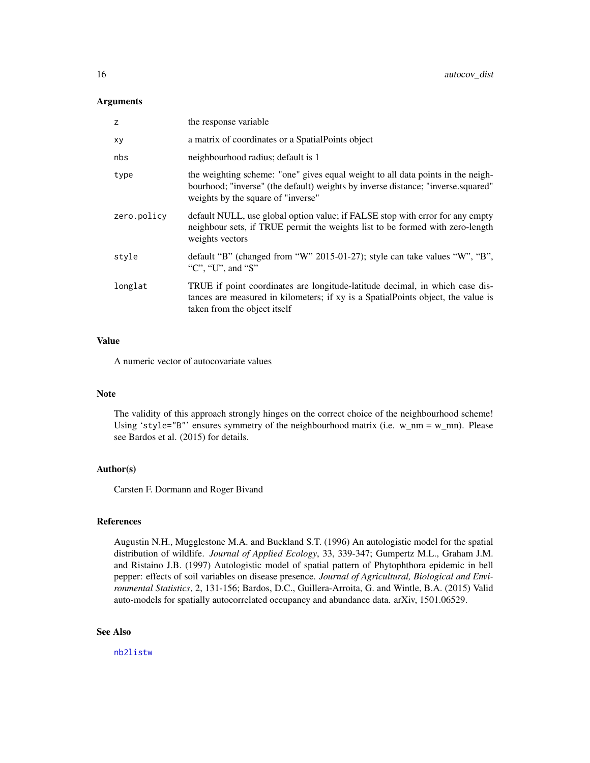#### Arguments

| z           | the response variable                                                                                                                                                                                     |
|-------------|-----------------------------------------------------------------------------------------------------------------------------------------------------------------------------------------------------------|
| xy          | a matrix of coordinates or a Spatial Points object                                                                                                                                                        |
| nbs         | neighbourhood radius; default is 1                                                                                                                                                                        |
| type        | the weighting scheme: "one" gives equal weight to all data points in the neigh-<br>bourhood; "inverse" (the default) weights by inverse distance; "inverse.squared"<br>weights by the square of "inverse" |
| zero.policy | default NULL, use global option value; if FALSE stop with error for any empty<br>neighbour sets, if TRUE permit the weights list to be formed with zero-length<br>weights vectors                         |
| style       | default "B" (changed from "W" 2015-01-27); style can take values "W", "B",<br>"C", "U", and "S"                                                                                                           |
| longlat     | TRUE if point coordinates are longitude-latitude decimal, in which case dis-<br>tances are measured in kilometers; if xy is a SpatialPoints object, the value is<br>taken from the object itself          |

#### Value

A numeric vector of autocovariate values

#### Note

The validity of this approach strongly hinges on the correct choice of the neighbourhood scheme! Using 'style="B"' ensures symmetry of the neighbourhood matrix (i.e.  $w_{\text{nm}} = w_{\text{nm}}$ ). Please see Bardos et al. (2015) for details.

#### Author(s)

Carsten F. Dormann and Roger Bivand

#### References

Augustin N.H., Mugglestone M.A. and Buckland S.T. (1996) An autologistic model for the spatial distribution of wildlife. *Journal of Applied Ecology*, 33, 339-347; Gumpertz M.L., Graham J.M. and Ristaino J.B. (1997) Autologistic model of spatial pattern of Phytophthora epidemic in bell pepper: effects of soil variables on disease presence. *Journal of Agricultural, Biological and Environmental Statistics*, 2, 131-156; Bardos, D.C., Guillera-Arroita, G. and Wintle, B.A. (2015) Valid auto-models for spatially autocorrelated occupancy and abundance data. arXiv, 1501.06529.

# See Also

[nb2listw](#page-153-1)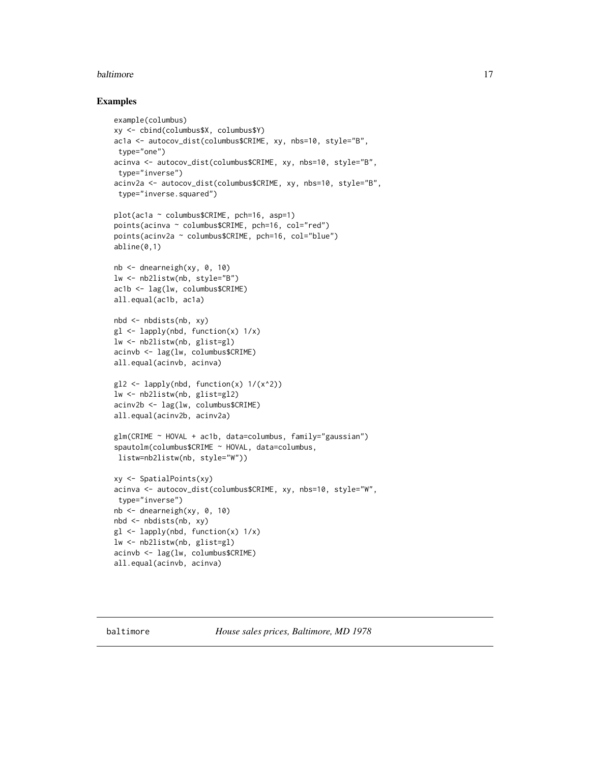#### <span id="page-16-0"></span>baltimore and the set of the set of the set of the set of the set of the set of the set of the set of the set of the set of the set of the set of the set of the set of the set of the set of the set of the set of the set of

#### Examples

```
example(columbus)
xy <- cbind(columbus$X, columbus$Y)
ac1a <- autocov_dist(columbus$CRIME, xy, nbs=10, style="B",
type="one")
acinva <- autocov_dist(columbus$CRIME, xy, nbs=10, style="B",
 type="inverse")
acinv2a <- autocov_dist(columbus$CRIME, xy, nbs=10, style="B",
type="inverse.squared")
plot(ac1a ~ columbus$CRIME, pch=16, asp=1)
points(acinva ~ columbus$CRIME, pch=16, col="red")
points(acinv2a ~ columbus$CRIME, pch=16, col="blue")
abline(0,1)nb \le - dnearneigh(xy, 0, 10)lw <- nb2listw(nb, style="B")
ac1b <- lag(lw, columbus$CRIME)
all.equal(ac1b, ac1a)
nbd <- nbdists(nb, xy)
gl \leftarrow lapply(nbd, function(x) 1/x)
lw <- nb2listw(nb, glist=gl)
acinvb <- lag(lw, columbus$CRIME)
all.equal(acinvb, acinva)
gl2 \leftarrow lapply(nbd, function(x) 1/(x^2))
lw <- nb2listw(nb, glist=gl2)
acinv2b <- lag(lw, columbus$CRIME)
all.equal(acinv2b, acinv2a)
glm(CRIME ~ HOVAL + ac1b, data=columbus, family="gaussian")
spautolm(columbus$CRIME ~ HOVAL, data=columbus,
listw=nb2listw(nb, style="W"))
xy <- SpatialPoints(xy)
acinva <- autocov_dist(columbus$CRIME, xy, nbs=10, style="W",
type="inverse")
nb <- dnearneigh(xy, 0, 10)
nbd <- nbdists(nb, xy)
gl \leftarrow lapply(nbd, function(x) 1/x)
lw <- nb2listw(nb, glist=gl)
acinvb <- lag(lw, columbus$CRIME)
all.equal(acinvb, acinva)
```
baltimore *House sales prices, Baltimore, MD 1978*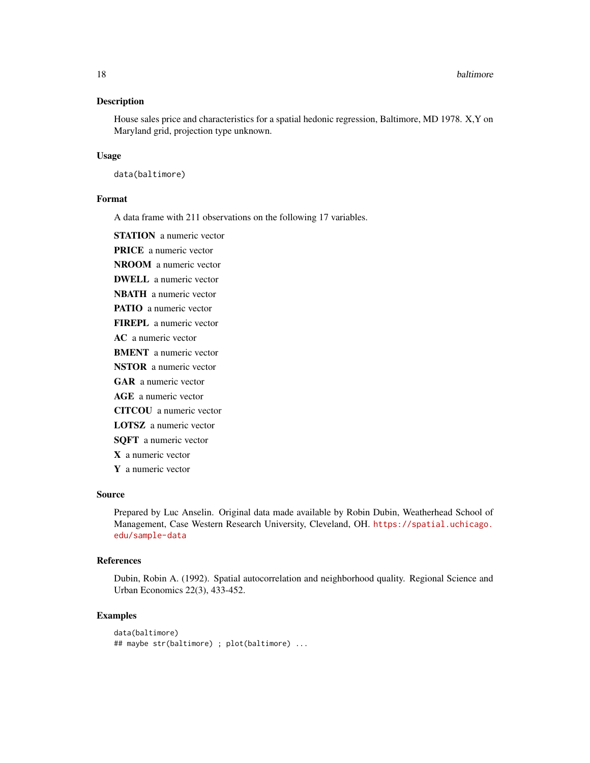#### Description

House sales price and characteristics for a spatial hedonic regression, Baltimore, MD 1978. X,Y on Maryland grid, projection type unknown.

#### Usage

data(baltimore)

#### Format

A data frame with 211 observations on the following 17 variables.

**STATION** a numeric vector

PRICE a numeric vector

NROOM a numeric vector

DWELL a numeric vector

NBATH a numeric vector PATIO a numeric vector

FIREPL a numeric vector

AC a numeric vector

BMENT a numeric vector

NSTOR a numeric vector

GAR a numeric vector

AGE a numeric vector

CITCOU a numeric vector

LOTSZ a numeric vector

SQFT a numeric vector

X a numeric vector

Y a numeric vector

# Source

Prepared by Luc Anselin. Original data made available by Robin Dubin, Weatherhead School of Management, Case Western Research University, Cleveland, OH. [https://spatial.uchicago.](https://spatial.uchicago.edu/sample-data) [edu/sample-data](https://spatial.uchicago.edu/sample-data)

#### References

Dubin, Robin A. (1992). Spatial autocorrelation and neighborhood quality. Regional Science and Urban Economics 22(3), 433-452.

#### Examples

```
data(baltimore)
## maybe str(baltimore) ; plot(baltimore) ...
```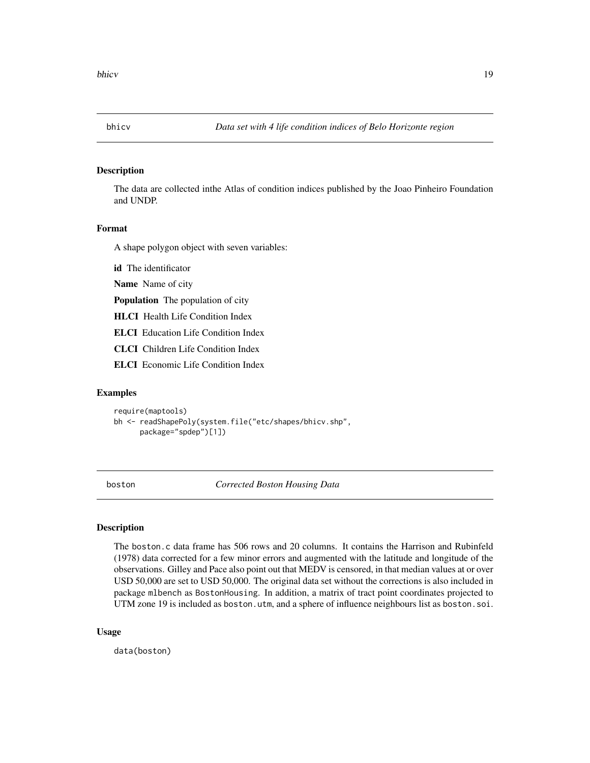<span id="page-18-0"></span>

# Description

The data are collected inthe Atlas of condition indices published by the Joao Pinheiro Foundation and UNDP.

# Format

A shape polygon object with seven variables:

id The identificator

Name Name of city

Population The population of city

HLCI Health Life Condition Index

ELCI Education Life Condition Index

CLCI Children Life Condition Index

ELCI Economic Life Condition Index

# Examples

```
require(maptools)
bh <- readShapePoly(system.file("etc/shapes/bhicv.shp",
      package="spdep")[1])
```
boston *Corrected Boston Housing Data*

#### Description

The boston.c data frame has 506 rows and 20 columns. It contains the Harrison and Rubinfeld (1978) data corrected for a few minor errors and augmented with the latitude and longitude of the observations. Gilley and Pace also point out that MEDV is censored, in that median values at or over USD 50,000 are set to USD 50,000. The original data set without the corrections is also included in package mlbench as BostonHousing. In addition, a matrix of tract point coordinates projected to UTM zone 19 is included as boston.utm, and a sphere of influence neighbours list as boston.soi.

#### Usage

data(boston)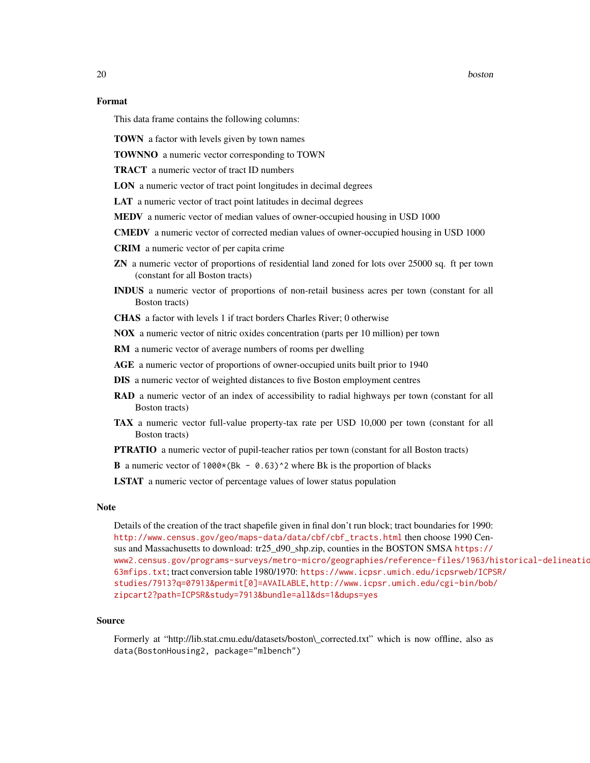20 boston boston boston boston boston boston boston boston boston boston boston boston boston boston boston boston boston boston boston boston boston boston boston boston boston boston boston boston boston boston boston bo

# Format

This data frame contains the following columns:

TOWN a factor with levels given by town names

TOWNNO a numeric vector corresponding to TOWN

TRACT a numeric vector of tract ID numbers

LON a numeric vector of tract point longitudes in decimal degrees

LAT a numeric vector of tract point latitudes in decimal degrees

MEDV a numeric vector of median values of owner-occupied housing in USD 1000

CMEDV a numeric vector of corrected median values of owner-occupied housing in USD 1000

CRIM a numeric vector of per capita crime

- ZN a numeric vector of proportions of residential land zoned for lots over 25000 sq. ft per town (constant for all Boston tracts)
- INDUS a numeric vector of proportions of non-retail business acres per town (constant for all Boston tracts)

CHAS a factor with levels 1 if tract borders Charles River; 0 otherwise

NOX a numeric vector of nitric oxides concentration (parts per 10 million) per town

RM a numeric vector of average numbers of rooms per dwelling

AGE a numeric vector of proportions of owner-occupied units built prior to 1940

DIS a numeric vector of weighted distances to five Boston employment centres

- RAD a numeric vector of an index of accessibility to radial highways per town (constant for all Boston tracts)
- TAX a numeric vector full-value property-tax rate per USD 10,000 per town (constant for all Boston tracts)

PTRATIO a numeric vector of pupil-teacher ratios per town (constant for all Boston tracts)

**B** a numeric vector of 1000 $*(Bk - 0.63)^2$  where Bk is the proportion of blacks

LSTAT a numeric vector of percentage values of lower status population

# **Note**

Details of the creation of the tract shapefile given in final don't run block; tract boundaries for 1990: [http://www.census.gov/geo/maps-data/data/cbf/cbf\\_tracts.html](http://www.census.gov/geo/maps-data/data/cbf/cbf_tracts.html) then choose 1990 Census and Massachusetts to download: tr25\_d90\_shp.zip, counties in the BOSTON SMSA [https://](https://www2.census.gov/programs-surveys/metro-micro/geographies/reference-files/1963/historical-delineation-files/63mfips.txt) [www2.census.gov/programs-surveys/metro-micro/geographies/reference-files/1963/h](https://www2.census.gov/programs-surveys/metro-micro/geographies/reference-files/1963/historical-delineation-files/63mfips.txt)istorical-delineatio [63mfips.txt](https://www2.census.gov/programs-surveys/metro-micro/geographies/reference-files/1963/historical-delineation-files/63mfips.txt); tract conversion table 1980/1970: [https://www.icpsr.umich.edu/icpsrweb/ICPS](https://www.icpsr.umich.edu/icpsrweb/ICPSR/studies/7913?q=07913&permit[0]=AVAILABLE)R/ [studies/7913?q=07913&permit\[0\]=AVAILABLE](https://www.icpsr.umich.edu/icpsrweb/ICPSR/studies/7913?q=07913&permit[0]=AVAILABLE), [http://www.icpsr.umich.edu/cgi-bin/bob/](http://www.icpsr.umich.edu/cgi-bin/bob/zipcart2?path=ICPSR&study=7913&bundle=all&ds=1&dups=yes) [zipcart2?path=ICPSR&study=7913&bundle=all&ds=1&dups=yes](http://www.icpsr.umich.edu/cgi-bin/bob/zipcart2?path=ICPSR&study=7913&bundle=all&ds=1&dups=yes)

#### Source

Formerly at "http://lib.stat.cmu.edu/datasets/boston\\_corrected.txt" which is now offline, also as data(BostonHousing2, package="mlbench")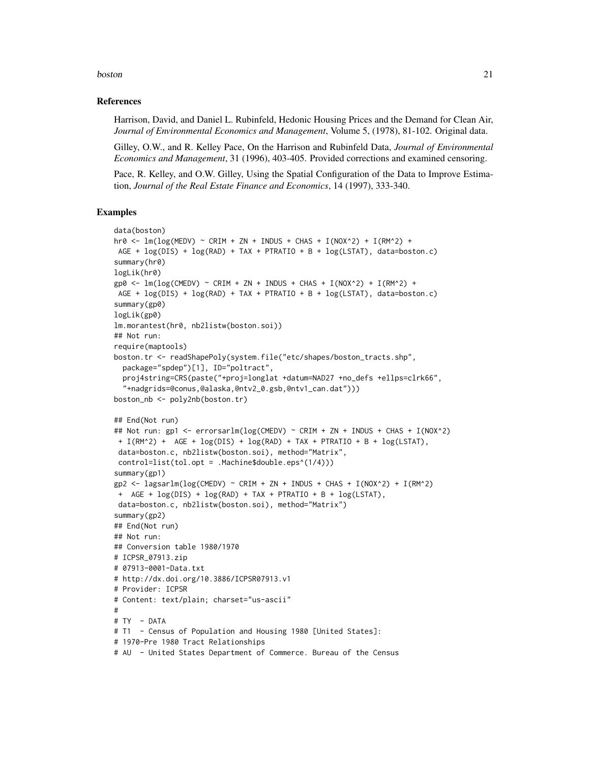#### boston 21

#### References

Harrison, David, and Daniel L. Rubinfeld, Hedonic Housing Prices and the Demand for Clean Air, *Journal of Environmental Economics and Management*, Volume 5, (1978), 81-102. Original data.

Gilley, O.W., and R. Kelley Pace, On the Harrison and Rubinfeld Data, *Journal of Environmental Economics and Management*, 31 (1996), 403-405. Provided corrections and examined censoring.

Pace, R. Kelley, and O.W. Gilley, Using the Spatial Configuration of the Data to Improve Estimation, *Journal of the Real Estate Finance and Economics*, 14 (1997), 333-340.

#### Examples

```
data(boston)
hr0 <- lm(log(MEDV) ~ CRIM + ZN + INDUS + CHAS + I(NOX^2) + I(RM^2) +
AGE + log(DIS) + log(RAD) + TAX + PTRATIO + B + log(LSTAT), data=boston.c)
summary(hr0)
logLik(hr0)
gp0 <- lm(log(CMEDV) ~ CRIM + ZN + INDUS + CHAS + I(NOX^2) + I(RM^2) +AGE + log(DIS) + log(RAD) + TAX + PTRATIO + B + log(LSTAT), data=boston.c)
summary(gp0)
logLik(gp0)
lm.morantest(hr0, nb2listw(boston.soi))
## Not run:
require(maptools)
boston.tr <- readShapePoly(system.file("etc/shapes/boston_tracts.shp",
  package="spdep")[1], ID="poltract",
  proj4string=CRS(paste("+proj=longlat +datum=NAD27 +no_defs +ellps=clrk66",
  "+nadgrids=@conus,@alaska,@ntv2_0.gsb,@ntv1_can.dat")))
boston_nb <- poly2nb(boston.tr)
## End(Not run)
## Not run: gp1 <- errorsarlm(log(CMEDV) ~ CRIM + ZN + INDUS + CHAS + I(NOX^2)
 + I(RM^2) + AGE + log(DIS) + log(RAD) + TAX + PTRATIO + B + log(LSTAT),
 data=boston.c, nb2listw(boston.soi), method="Matrix",
 control=list(tol.opt = .Machine$double.eps^(1/4)))
summary(gp1)
gp2 \leq - \text{lagsarlm}(\log(\text{CMEDV}) \approx \text{CRIM} + \text{ZN} + \text{INDUS} + \text{CHAS} + \text{I}(\text{NOX}^2) + \text{I}(\text{RM}^2)+ AGE + log(DIS) + log(RAD) + TAX + PTRATIO + B + log(LSTAT),
 data=boston.c, nb2listw(boston.soi), method="Matrix")
summary(gp2)
## End(Not run)
## Not run:
## Conversion table 1980/1970
# ICPSR_07913.zip
# 07913-0001-Data.txt
# http://dx.doi.org/10.3886/ICPSR07913.v1
# Provider: ICPSR
# Content: text/plain; charset="us-ascii"
#
# TY - DATA
# T1 - Census of Population and Housing 1980 [United States]:
# 1970-Pre 1980 Tract Relationships
# AU - United States Department of Commerce. Bureau of the Census
```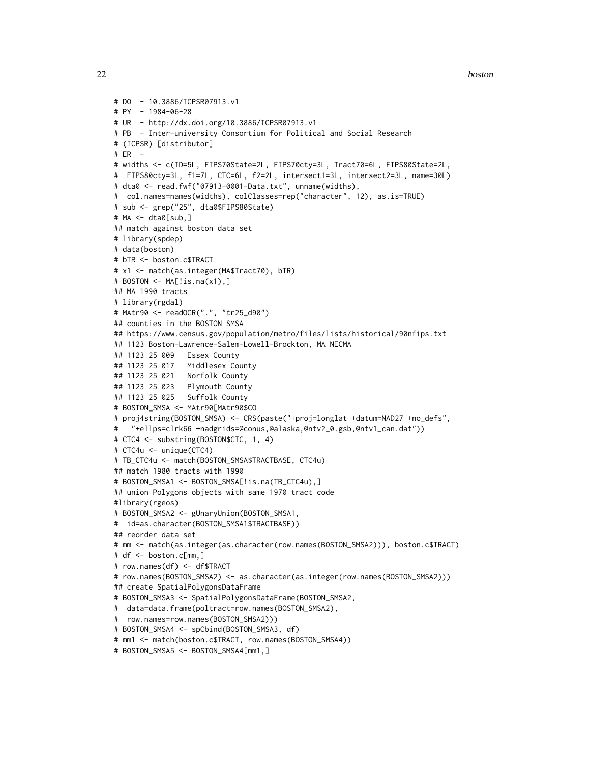22 boston boston and the contract of the contract of the contract of the contract of the contract of the contract of the contract of the contract of the contract of the contract of the contract of the contract of the contr

```
# DO - 10.3886/ICPSR07913.v1
# PY - 1984-06-28
# UR - http://dx.doi.org/10.3886/ICPSR07913.v1
# PB - Inter-university Consortium for Political and Social Research
# (ICPSR) [distributor]
# ER -
# widths <- c(ID=5L, FIPS70State=2L, FIPS70cty=3L, Tract70=6L, FIPS80State=2L,
# FIPS80cty=3L, f1=7L, CTC=6L, f2=2L, intersect1=3L, intersect2=3L, name=30L)
# dta0 <- read.fwf("07913-0001-Data.txt", unname(widths),
# col.names=names(widths), colClasses=rep("character", 12), as.is=TRUE)
# sub <- grep("25", dta0$FIPS80State)
# MA <- dta0[sub,]
## match against boston data set
# library(spdep)
# data(boston)
# bTR <- boston.c$TRACT
# x1 <- match(as.integer(MA$Tract70), bTR)
# BOSTON <- MA[!is.na(x1),]
## MA 1990 tracts
# library(rgdal)
# MAtr90 <- readOGR(".", "tr25_d90")
## counties in the BOSTON SMSA
## https://www.census.gov/population/metro/files/lists/historical/90nfips.txt
## 1123 Boston-Lawrence-Salem-Lowell-Brockton, MA NECMA
## 1123 25 009 Essex County
## 1123 25 017 Middlesex County
## 1123 25 021 Norfolk County
## 1123 25 023 Plymouth County
## 1123 25 025 Suffolk County
# BOSTON_SMSA <- MAtr90[MAtr90$CO
# proj4string(BOSTON_SMSA) <- CRS(paste("+proj=longlat +datum=NAD27 +no_defs",
# "+ellps=clrk66 +nadgrids=@conus,@alaska,@ntv2_0.gsb,@ntv1_can.dat"))
# CTC4 <- substring(BOSTON$CTC, 1, 4)
# CTC4u <- unique(CTC4)
# TB_CTC4u <- match(BOSTON_SMSA$TRACTBASE, CTC4u)
## match 1980 tracts with 1990
# BOSTON_SMSA1 <- BOSTON_SMSA[!is.na(TB_CTC4u),]
## union Polygons objects with same 1970 tract code
#library(rgeos)
# BOSTON_SMSA2 <- gUnaryUnion(BOSTON_SMSA1,
# id=as.character(BOSTON_SMSA1$TRACTBASE))
## reorder data set
# mm <- match(as.integer(as.character(row.names(BOSTON_SMSA2))), boston.c$TRACT)
# df <- boston.c[mm,]
# row.names(df) <- df$TRACT
# row.names(BOSTON_SMSA2) <- as.character(as.integer(row.names(BOSTON_SMSA2)))
## create SpatialPolygonsDataFrame
# BOSTON_SMSA3 <- SpatialPolygonsDataFrame(BOSTON_SMSA2,
# data=data.frame(poltract=row.names(BOSTON_SMSA2),
# row.names=row.names(BOSTON_SMSA2)))
# BOSTON_SMSA4 <- spCbind(BOSTON_SMSA3, df)
# mm1 <- match(boston.c$TRACT, row.names(BOSTON_SMSA4))
# BOSTON_SMSA5 <- BOSTON_SMSA4[mm1,]
```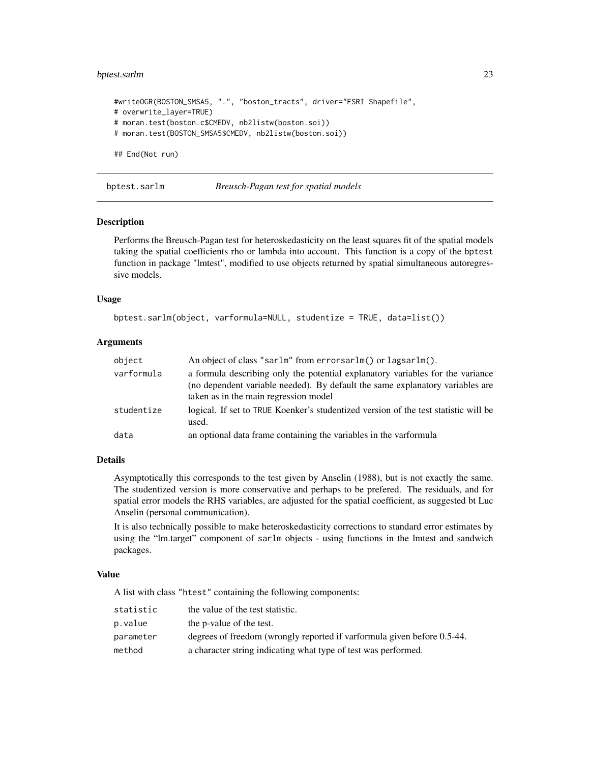# <span id="page-22-0"></span>bptest.sarlm 23

```
#writeOGR(BOSTON_SMSA5, ".", "boston_tracts", driver="ESRI Shapefile",
# overwrite_layer=TRUE)
# moran.test(boston.c$CMEDV, nb2listw(boston.soi))
# moran.test(BOSTON_SMSA5$CMEDV, nb2listw(boston.soi))
## End(Not run)
```
bptest.sarlm *Breusch-Pagan test for spatial models*

#### Description

Performs the Breusch-Pagan test for heteroskedasticity on the least squares fit of the spatial models taking the spatial coefficients rho or lambda into account. This function is a copy of the bptest function in package "lmtest", modified to use objects returned by spatial simultaneous autoregressive models.

#### Usage

```
bptest.sarlm(object, varformula=NULL, studentize = TRUE, data=list())
```
# Arguments

| object     | An object of class "sarlm" from errorsarlm() or lagsarlm().                                                                                                                                              |
|------------|----------------------------------------------------------------------------------------------------------------------------------------------------------------------------------------------------------|
| varformula | a formula describing only the potential explanatory variables for the variance<br>(no dependent variable needed). By default the same explanatory variables are<br>taken as in the main regression model |
| studentize | logical. If set to TRUE Koenker's studentized version of the test statistic will be<br>used.                                                                                                             |
| data       | an optional data frame containing the variables in the varformula                                                                                                                                        |

#### Details

Asymptotically this corresponds to the test given by Anselin (1988), but is not exactly the same. The studentized version is more conservative and perhaps to be prefered. The residuals, and for spatial error models the RHS variables, are adjusted for the spatial coefficient, as suggested bt Luc Anselin (personal communication).

It is also technically possible to make heteroskedasticity corrections to standard error estimates by using the "lm.target" component of sarlm objects - using functions in the lmtest and sandwich packages.

#### Value

A list with class "htest" containing the following components:

| statistic | the value of the test statistic.                                        |
|-----------|-------------------------------------------------------------------------|
| p.value   | the p-value of the test.                                                |
| parameter | degrees of freedom (wrongly reported if varformula given before 0.5-44. |
| method    | a character string indicating what type of test was performed.          |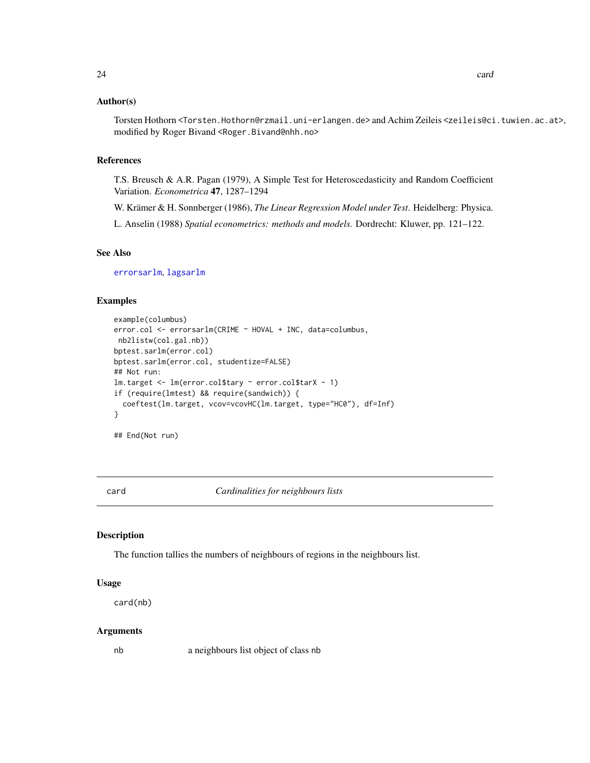#### <span id="page-23-0"></span>Author(s)

Torsten Hothorn <Torsten.Hothorn@rzmail.uni-erlangen.de> and Achim Zeileis <zeileis@ci.tuwien.ac.at>, modified by Roger Bivand <Roger.Bivand@nhh.no>

# References

T.S. Breusch & A.R. Pagan (1979), A Simple Test for Heteroscedasticity and Random Coefficient Variation. *Econometrica* 47, 1287–1294

W. Krämer & H. Sonnberger (1986), *The Linear Regression Model under Test*. Heidelberg: Physica.

L. Anselin (1988) *Spatial econometrics: methods and models.* Dordrecht: Kluwer, pp. 121–122.

# See Also

[errorsarlm](#page-51-1), [lagsarlm](#page-98-1)

# Examples

```
example(columbus)
error.col <- errorsarlm(CRIME ~ HOVAL + INC, data=columbus,
nb2listw(col.gal.nb))
bptest.sarlm(error.col)
bptest.sarlm(error.col, studentize=FALSE)
## Not run:
lm.target <- lm(error.col$tary ~ error.col$tarX - 1)
if (require(lmtest) && require(sandwich)) {
 coeftest(lm.target, vcov=vcovHC(lm.target, type="HC0"), df=Inf)
}
```
## End(Not run)

<span id="page-23-1"></span>card *Cardinalities for neighbours lists*

# **Description**

The function tallies the numbers of neighbours of regions in the neighbours list.

#### Usage

card(nb)

#### Arguments

nb a neighbours list object of class nb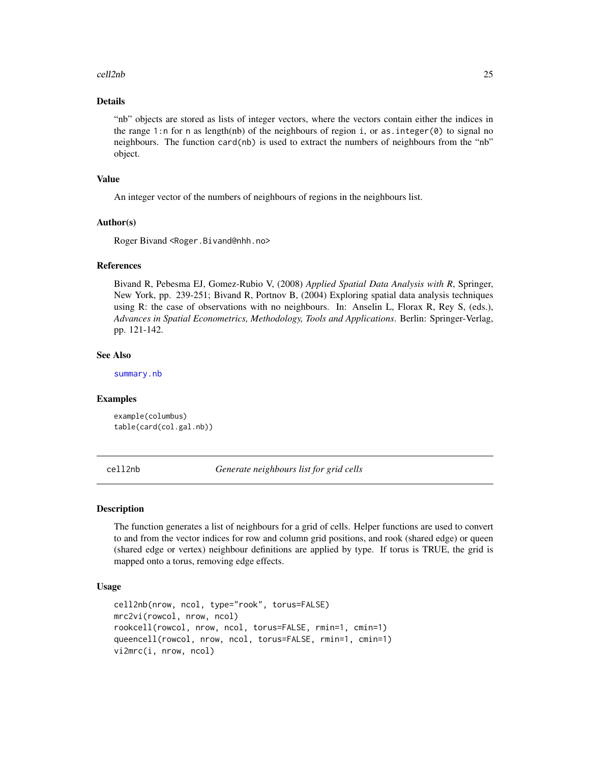#### <span id="page-24-0"></span>cell2nb 25

#### Details

"nb" objects are stored as lists of integer vectors, where the vectors contain either the indices in the range 1:n for n as length(nb) of the neighbours of region i, or as integer( $\theta$ ) to signal no neighbours. The function card(nb) is used to extract the numbers of neighbours from the "nb" object.

### Value

An integer vector of the numbers of neighbours of regions in the neighbours list.

#### Author(s)

Roger Bivand <Roger.Bivand@nhh.no>

# References

Bivand R, Pebesma EJ, Gomez-Rubio V, (2008) *Applied Spatial Data Analysis with R*, Springer, New York, pp. 239-251; Bivand R, Portnov B, (2004) Exploring spatial data analysis techniques using R: the case of observations with no neighbours. In: Anselin L, Florax R, Rey S, (eds.), *Advances in Spatial Econometrics, Methodology, Tools and Applications*. Berlin: Springer-Verlag, pp. 121-142.

## See Also

[summary.nb](#page-216-1)

#### Examples

```
example(columbus)
table(card(col.gal.nb))
```
cell2nb *Generate neighbours list for grid cells*

#### Description

The function generates a list of neighbours for a grid of cells. Helper functions are used to convert to and from the vector indices for row and column grid positions, and rook (shared edge) or queen (shared edge or vertex) neighbour definitions are applied by type. If torus is TRUE, the grid is mapped onto a torus, removing edge effects.

#### Usage

```
cell2nb(nrow, ncol, type="rook", torus=FALSE)
mrc2vi(rowcol, nrow, ncol)
rookcell(rowcol, nrow, ncol, torus=FALSE, rmin=1, cmin=1)
queencell(rowcol, nrow, ncol, torus=FALSE, rmin=1, cmin=1)
vi2mrc(i, nrow, ncol)
```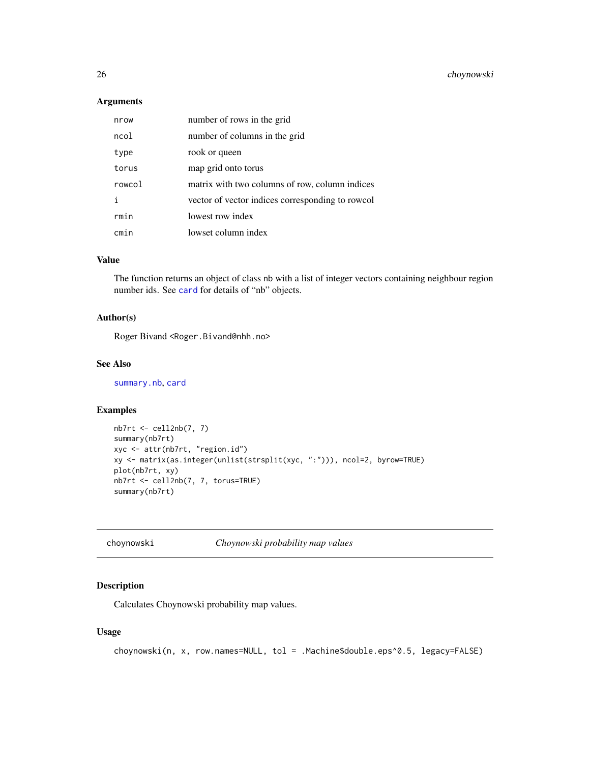# <span id="page-25-0"></span>Arguments

| nrow   | number of rows in the grid                       |
|--------|--------------------------------------------------|
| ncol   | number of columns in the grid                    |
| type   | rook or queen                                    |
| torus  | map grid onto torus                              |
| rowcol | matrix with two columns of row, column indices   |
| i      | vector of vector indices corresponding to rowcol |
| rmin   | lowest row index                                 |
| cmin   | lowset column index                              |

# Value

The function returns an object of class nb with a list of integer vectors containing neighbour region number ids. See [card](#page-23-1) for details of "nb" objects.

# Author(s)

Roger Bivand <Roger.Bivand@nhh.no>

#### See Also

[summary.nb](#page-216-1), [card](#page-23-1)

# Examples

```
nb7rt <- cell2nb(7, 7)
summary(nb7rt)
xyc <- attr(nb7rt, "region.id")
xy <- matrix(as.integer(unlist(strsplit(xyc, ":"))), ncol=2, byrow=TRUE)
plot(nb7rt, xy)
nb7rt <- cell2nb(7, 7, torus=TRUE)
summary(nb7rt)
```
choynowski *Choynowski probability map values*

# Description

Calculates Choynowski probability map values.

# Usage

```
choynowski(n, x, row.names=NULL, tol = .Machine$double.eps^0.5, legacy=FALSE)
```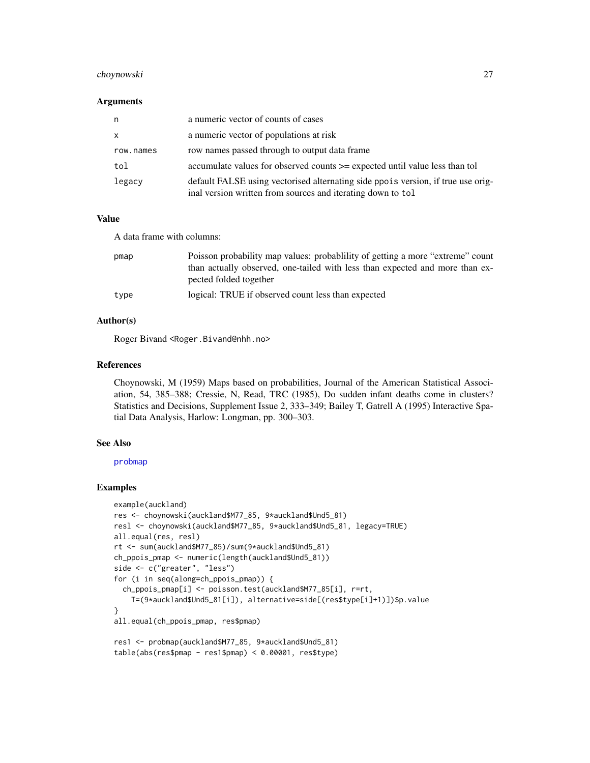# choynowski 27

#### Arguments

| n            | a numeric vector of counts of cases                                                                                                             |
|--------------|-------------------------------------------------------------------------------------------------------------------------------------------------|
| $\mathsf{x}$ | a numeric vector of populations at risk                                                                                                         |
| row.names    | row names passed through to output data frame                                                                                                   |
| tol          | accumulate values for observed counts >= expected until value less than tol                                                                     |
| legacy       | default FALSE using vectorised alternating side ppois version, if true use orig-<br>inal version written from sources and iterating down to tol |

#### Value

A data frame with columns:

| pmap | Poisson probability map values: probability of getting a more "extreme" count<br>than actually observed, one-tailed with less than expected and more than ex-<br>pected folded together |
|------|-----------------------------------------------------------------------------------------------------------------------------------------------------------------------------------------|
| type | logical: TRUE if observed count less than expected                                                                                                                                      |

# Author(s)

Roger Bivand <Roger.Bivand@nhh.no>

# References

Choynowski, M (1959) Maps based on probabilities, Journal of the American Statistical Association, 54, 385–388; Cressie, N, Read, TRC (1985), Do sudden infant deaths come in clusters? Statistics and Decisions, Supplement Issue 2, 333–349; Bailey T, Gatrell A (1995) Interactive Spatial Data Analysis, Harlow: Longman, pp. 300–303.

# See Also

[probmap](#page-175-1)

#### Examples

```
example(auckland)
res <- choynowski(auckland$M77_85, 9*auckland$Und5_81)
resl <- choynowski(auckland$M77_85, 9*auckland$Und5_81, legacy=TRUE)
all.equal(res, resl)
rt <- sum(auckland$M77_85)/sum(9*auckland$Und5_81)
ch_ppois_pmap <- numeric(length(auckland$Und5_81))
side <- c("greater", "less")
for (i in seq(along=ch_ppois_pmap)) {
  ch_ppois_pmap[i] <- poisson.test(auckland$M77_85[i], r=rt,
   T=(9*auckland$Und5_81[i]), alternative=side[(res$type[i]+1)])$p.value
}
all.equal(ch_ppois_pmap, res$pmap)
res1 <- probmap(auckland$M77_85, 9*auckland$Und5_81)
table(abs(res$pmap - res1$pmap) < 0.00001, res$type)
```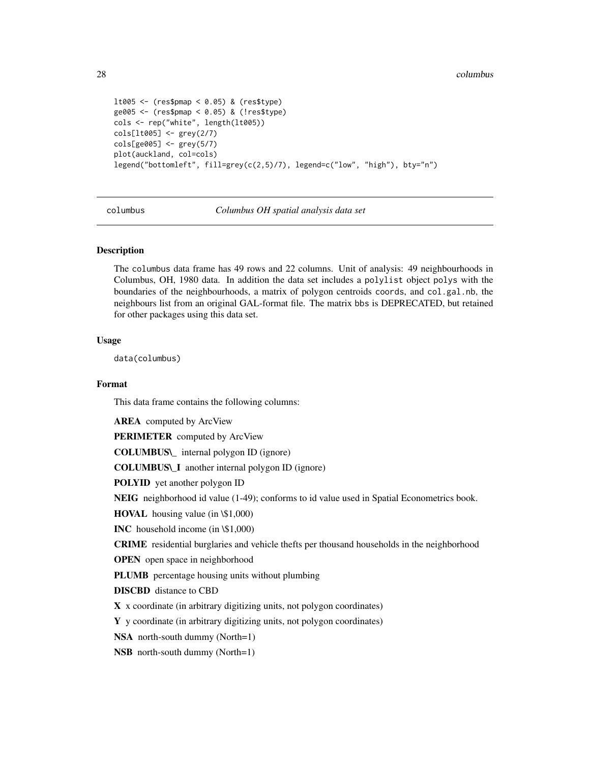```
lt005 <- (res$pmap < 0.05) & (res$type)
ge005 <- (res$pmap < 0.05) & (!res$type)
cols <- rep("white", length(lt005))
cols[lt005] <- grey(2/7)
cols[ge005] <- grey(5/7)
plot(auckland, col=cols)
legend("bottomleft", fill=grey(c(2,5)/7), legend=c("low", "high"), bty="n")
```
columbus *Columbus OH spatial analysis data set*

#### **Description**

The columbus data frame has 49 rows and 22 columns. Unit of analysis: 49 neighbourhoods in Columbus, OH, 1980 data. In addition the data set includes a polylist object polys with the boundaries of the neighbourhoods, a matrix of polygon centroids coords, and col.gal.nb, the neighbours list from an original GAL-format file. The matrix bbs is DEPRECATED, but retained for other packages using this data set.

#### Usage

data(columbus)

#### Format

This data frame contains the following columns:

**AREA** computed by ArcView

PERIMETER computed by ArcView

COLUMBUS\\_ internal polygon ID (ignore)

COLUMBUS\\_I another internal polygon ID (ignore)

POLYID yet another polygon ID

NEIG neighborhood id value (1-49); conforms to id value used in Spatial Econometrics book.

HOVAL housing value (in \\$1,000)

INC household income (in \\$1,000)

CRIME residential burglaries and vehicle thefts per thousand households in the neighborhood

OPEN open space in neighborhood

PLUMB percentage housing units without plumbing

DISCBD distance to CBD

X x coordinate (in arbitrary digitizing units, not polygon coordinates)

Y y coordinate (in arbitrary digitizing units, not polygon coordinates)

NSA north-south dummy (North=1)

NSB north-south dummy (North=1)

<span id="page-27-0"></span>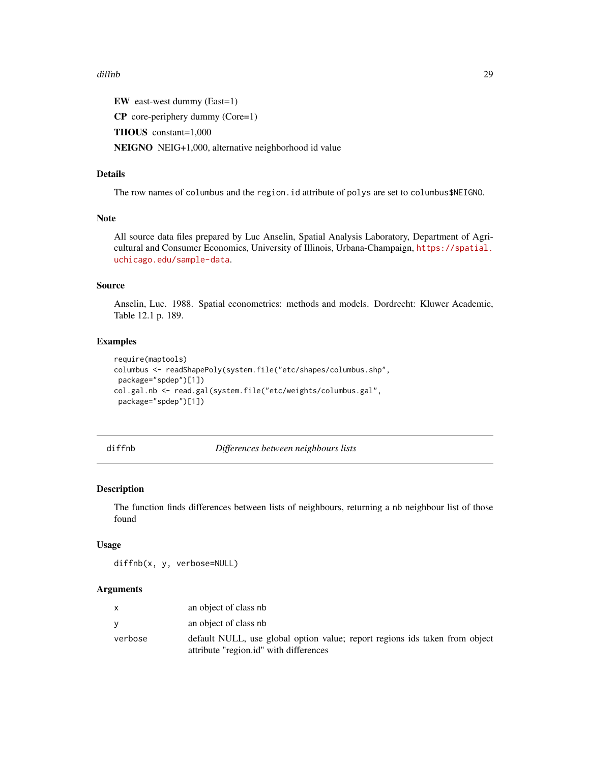#### <span id="page-28-0"></span>diffnb 29

EW east-west dummy (East=1)

CP core-periphery dummy (Core=1)

THOUS constant=1,000

NEIGNO NEIG+1,000, alternative neighborhood id value

# Details

The row names of columbus and the region.id attribute of polys are set to columbus\$NEIGNO.

#### Note

All source data files prepared by Luc Anselin, Spatial Analysis Laboratory, Department of Agricultural and Consumer Economics, University of Illinois, Urbana-Champaign, [https://spatial.](https://spatial.uchicago.edu/sample-data) [uchicago.edu/sample-data](https://spatial.uchicago.edu/sample-data).

# Source

Anselin, Luc. 1988. Spatial econometrics: methods and models. Dordrecht: Kluwer Academic, Table 12.1 p. 189.

#### Examples

```
require(maptools)
columbus <- readShapePoly(system.file("etc/shapes/columbus.shp",
package="spdep")[1])
col.gal.nb <- read.gal(system.file("etc/weights/columbus.gal",
package="spdep")[1])
```
#### diffnb *Differences between neighbours lists*

# Description

The function finds differences between lists of neighbours, returning a nb neighbour list of those found

### Usage

```
diffnb(x, y, verbose=NULL)
```
#### Arguments

|         | an object of class nb                                                                                                 |
|---------|-----------------------------------------------------------------------------------------------------------------------|
|         | an object of class nb                                                                                                 |
| verbose | default NULL, use global option value; report regions ids taken from object<br>attribute "region.id" with differences |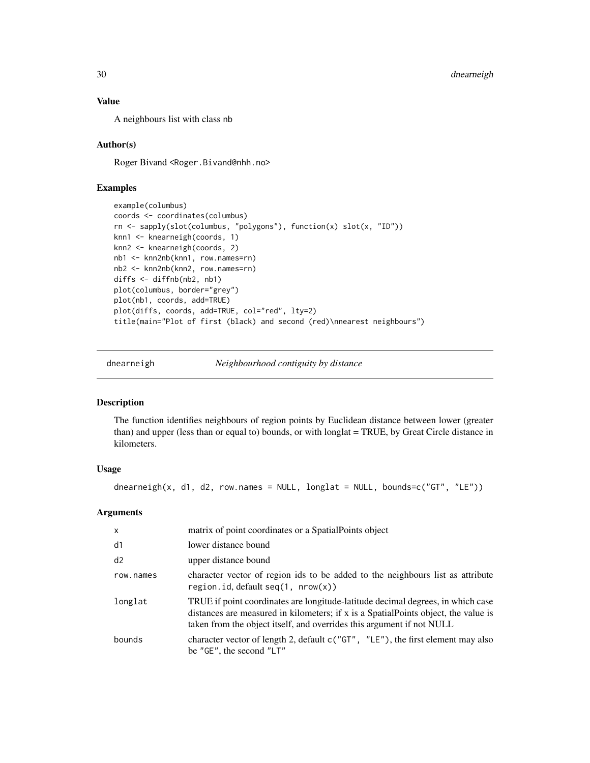# Value

A neighbours list with class nb

# Author(s)

Roger Bivand <Roger.Bivand@nhh.no>

# Examples

```
example(columbus)
coords <- coordinates(columbus)
rn <- sapply(slot(columbus, "polygons"), function(x) slot(x, "ID"))
knn1 <- knearneigh(coords, 1)
knn2 <- knearneigh(coords, 2)
nb1 <- knn2nb(knn1, row.names=rn)
nb2 <- knn2nb(knn2, row.names=rn)
diffs <- diffnb(nb2, nb1)
plot(columbus, border="grey")
plot(nb1, coords, add=TRUE)
plot(diffs, coords, add=TRUE, col="red", lty=2)
title(main="Plot of first (black) and second (red)\nnearest neighbours")
```
dnearneigh *Neighbourhood contiguity by distance*

# Description

The function identifies neighbours of region points by Euclidean distance between lower (greater than) and upper (less than or equal to) bounds, or with longlat = TRUE, by Great Circle distance in kilometers.

# Usage

dnearneigh(x, d1, d2, row.names = NULL,  $longlat = NULL$ ,  $bounds=c("GT", "LE"))$ 

#### Arguments

| $\mathsf{x}$ | matrix of point coordinates or a Spatial Points object                                                                                                                                                                                         |
|--------------|------------------------------------------------------------------------------------------------------------------------------------------------------------------------------------------------------------------------------------------------|
| d1           | lower distance bound                                                                                                                                                                                                                           |
| d2           | upper distance bound                                                                                                                                                                                                                           |
| row.names    | character vector of region ids to be added to the neighbours list as attribute<br>region.id, default seq(1, nrow(x))                                                                                                                           |
| longlat      | TRUE if point coordinates are longitude-latitude decimal degrees, in which case<br>distances are measured in kilometers; if x is a SpatialPoints object, the value is<br>taken from the object itself, and overrides this argument if not NULL |
| bounds       | character vector of length 2, default c("GT", "LE"), the first element may also<br>be "GE", the second "LT"                                                                                                                                    |

<span id="page-29-0"></span>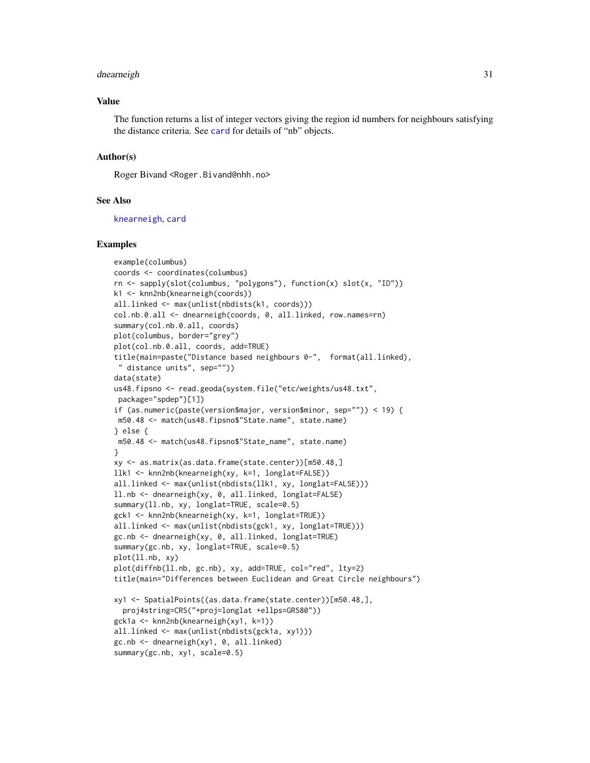#### dnearneigh 31

#### Value

The function returns a list of integer vectors giving the region id numbers for neighbours satisfying the distance criteria. See [card](#page-23-1) for details of "nb" objects.

# Author(s)

Roger Bivand <Roger.Bivand@nhh.no>

## See Also

[knearneigh](#page-92-1), [card](#page-23-1)

#### Examples

```
example(columbus)
coords <- coordinates(columbus)
rn <- sapply(slot(columbus, "polygons"), function(x) slot(x, "ID"))
k1 <- knn2nb(knearneigh(coords))
all.linked <- max(unlist(nbdists(k1, coords)))
col.nb.0.all <- dnearneigh(coords, 0, all.linked, row.names=rn)
summary(col.nb.0.all, coords)
plot(columbus, border="grey")
plot(col.nb.0.all, coords, add=TRUE)
title(main=paste("Distance based neighbours 0-", format(all.linked),
 " distance units", sep=""))
data(state)
us48.fipsno <- read.geoda(system.file("etc/weights/us48.txt",
 package="spdep")[1])
if (as.numeric(paste(version$major, version$minor, sep="")) < 19) {
m50.48 <- match(us48.fipsno$"State.name", state.name)
} else {
m50.48 <- match(us48.fipsno$"State_name", state.name)
}
xy <- as.matrix(as.data.frame(state.center))[m50.48,]
llk1 <- knn2nb(knearneigh(xy, k=1, longlat=FALSE))
all.linked <- max(unlist(nbdists(llk1, xy, longlat=FALSE)))
ll.nb <- dnearneigh(xy, 0, all.linked, longlat=FALSE)
summary(ll.nb, xy, longlat=TRUE, scale=0.5)
gck1 <- knn2nb(knearneigh(xy, k=1, longlat=TRUE))
all.linked <- max(unlist(nbdists(gck1, xy, longlat=TRUE)))
gc.nb <- dnearneigh(xy, 0, all.linked, longlat=TRUE)
summary(gc.nb, xy, longlat=TRUE, scale=0.5)
plot(ll.nb, xy)
plot(diffnb(ll.nb, gc.nb), xy, add=TRUE, col="red", lty=2)
title(main="Differences between Euclidean and Great Circle neighbours")
xy1 <- SpatialPoints((as.data.frame(state.center))[m50.48,],
  proj4string=CRS("+proj=longlat +ellps=GRS80"))
gck1a <- knn2nb(knearneigh(xy1, k=1))
all.linked <- max(unlist(nbdists(gck1a, xy1)))
gc.nb <- dnearneigh(xy1, 0, all.linked)
summary(gc.nb, xy1, scale=0.5)
```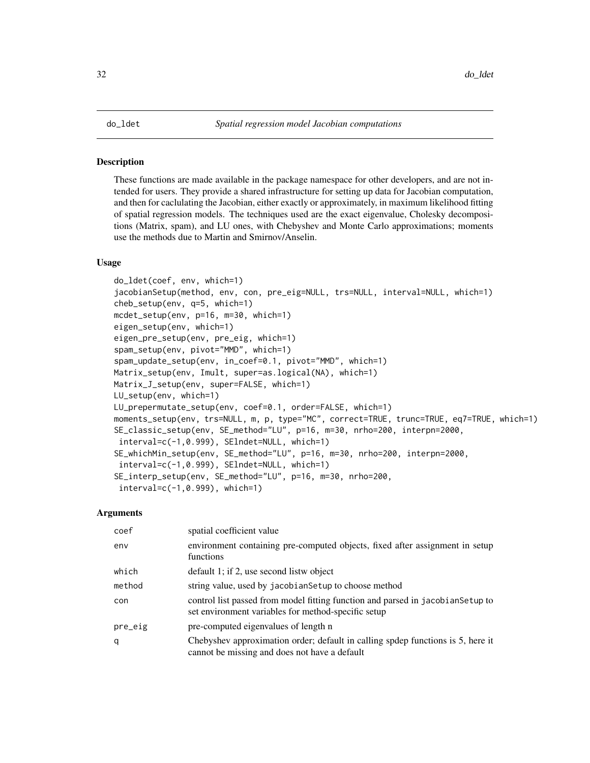#### <span id="page-31-0"></span>Description

These functions are made available in the package namespace for other developers, and are not intended for users. They provide a shared infrastructure for setting up data for Jacobian computation, and then for caclulating the Jacobian, either exactly or approximately, in maximum likelihood fitting of spatial regression models. The techniques used are the exact eigenvalue, Cholesky decompositions (Matrix, spam), and LU ones, with Chebyshev and Monte Carlo approximations; moments use the methods due to Martin and Smirnov/Anselin.

#### Usage

```
do_ldet(coef, env, which=1)
jacobianSetup(method, env, con, pre_eig=NULL, trs=NULL, interval=NULL, which=1)
cheb_setup(env, q=5, which=1)
mcdet_setup(env, p=16, m=30, which=1)
eigen_setup(env, which=1)
eigen_pre_setup(env, pre_eig, which=1)
spam_setup(env, pivot="MMD", which=1)
spam_update_setup(env, in_coef=0.1, pivot="MMD", which=1)
Matrix_setup(env, Imult, super=as.logical(NA), which=1)
Matrix_J_setup(env, super=FALSE, which=1)
LU_setup(env, which=1)
LU_prepermutate_setup(env, coef=0.1, order=FALSE, which=1)
moments_setup(env, trs=NULL, m, p, type="MC", correct=TRUE, trunc=TRUE, eq7=TRUE, which=1)
SE_classic_setup(env, SE_method="LU", p=16, m=30, nrho=200, interpn=2000,
interval=c(-1,0.999), SElndet=NULL, which=1)
SE_whichMin_setup(env, SE_method="LU", p=16, m=30, nrho=200, interpn=2000,
interval=c(-1,0.999), SElndet=NULL, which=1)
SE_interp_setup(env, SE_method="LU", p=16, m=30, nrho=200,
 interval=c(-1,0.999), which=1)
```
# Arguments

| coef    | spatial coefficient value                                                                                                              |
|---------|----------------------------------------------------------------------------------------------------------------------------------------|
| env     | environment containing pre-computed objects, fixed after assignment in setup<br>functions                                              |
| which   | default 1; if 2, use second listw object                                                                                               |
| method  | string value, used by jacobian Setup to choose method                                                                                  |
| con     | control list passed from model fitting function and parsed in jacobian Setup to<br>set environment variables for method-specific setup |
| pre_eig | pre-computed eigenvalues of length n                                                                                                   |
| q       | Chebyshev approximation order; default in calling spdep functions is 5, here it<br>cannot be missing and does not have a default       |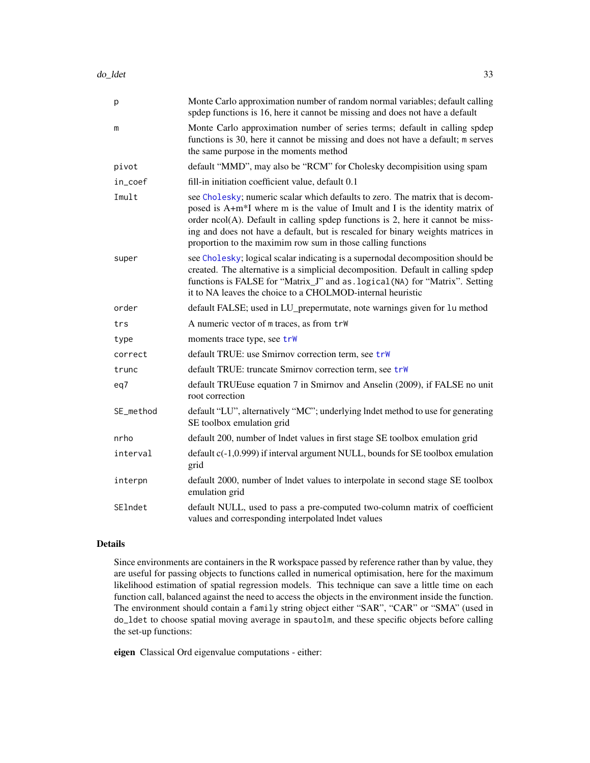| p         | Monte Carlo approximation number of random normal variables; default calling<br>spdep functions is 16, here it cannot be missing and does not have a default                                                                                                                                                                                                                                            |
|-----------|---------------------------------------------------------------------------------------------------------------------------------------------------------------------------------------------------------------------------------------------------------------------------------------------------------------------------------------------------------------------------------------------------------|
| m         | Monte Carlo approximation number of series terms; default in calling spdep<br>functions is 30, here it cannot be missing and does not have a default; m serves<br>the same purpose in the moments method                                                                                                                                                                                                |
| pivot     | default "MMD", may also be "RCM" for Cholesky decompisition using spam                                                                                                                                                                                                                                                                                                                                  |
| in_coef   | fill-in initiation coefficient value, default 0.1                                                                                                                                                                                                                                                                                                                                                       |
| Imult     | see Cholesky; numeric scalar which defaults to zero. The matrix that is decom-<br>posed is A+m*I where m is the value of Imult and I is the identity matrix of<br>order $ncol(A)$ . Default in calling spdep functions is 2, here it cannot be miss-<br>ing and does not have a default, but is rescaled for binary weights matrices in<br>proportion to the maximim row sum in those calling functions |
| super     | see Cholesky; logical scalar indicating is a supernodal decomposition should be<br>created. The alternative is a simplicial decomposition. Default in calling spdep<br>functions is FALSE for "Matrix_J" and as . logical (NA) for "Matrix". Setting<br>it to NA leaves the choice to a CHOLMOD-internal heuristic                                                                                      |
| order     | default FALSE; used in LU_prepermutate, note warnings given for lu method                                                                                                                                                                                                                                                                                                                               |
| trs       | A numeric vector of m traces, as from trw                                                                                                                                                                                                                                                                                                                                                               |
| type      | moments trace type, see trw                                                                                                                                                                                                                                                                                                                                                                             |
| correct   | default TRUE: use Smirnov correction term, see trw                                                                                                                                                                                                                                                                                                                                                      |
| trunc     | default TRUE: truncate Smirnov correction term, see trW                                                                                                                                                                                                                                                                                                                                                 |
| eq7       | default TRUEuse equation 7 in Smirnov and Anselin (2009), if FALSE no unit<br>root correction                                                                                                                                                                                                                                                                                                           |
| SE_method | default "LU", alternatively "MC"; underlying lndet method to use for generating<br>SE toolbox emulation grid                                                                                                                                                                                                                                                                                            |
| nrho      | default 200, number of lndet values in first stage SE toolbox emulation grid                                                                                                                                                                                                                                                                                                                            |
| interval  | default c(-1,0.999) if interval argument NULL, bounds for SE toolbox emulation<br>grid                                                                                                                                                                                                                                                                                                                  |
| interpn   | default 2000, number of lndet values to interpolate in second stage SE toolbox<br>emulation grid                                                                                                                                                                                                                                                                                                        |
| SElndet   | default NULL, used to pass a pre-computed two-column matrix of coefficient<br>values and corresponding interpolated lndet values                                                                                                                                                                                                                                                                        |

#### Details

Since environments are containers in the R workspace passed by reference rather than by value, they are useful for passing objects to functions called in numerical optimisation, here for the maximum likelihood estimation of spatial regression models. This technique can save a little time on each function call, balanced against the need to access the objects in the environment inside the function. The environment should contain a family string object either "SAR", "CAR" or "SMA" (used in do\_ldet to choose spatial moving average in spautolm, and these specific objects before calling the set-up functions:

eigen Classical Ord eigenvalue computations - either: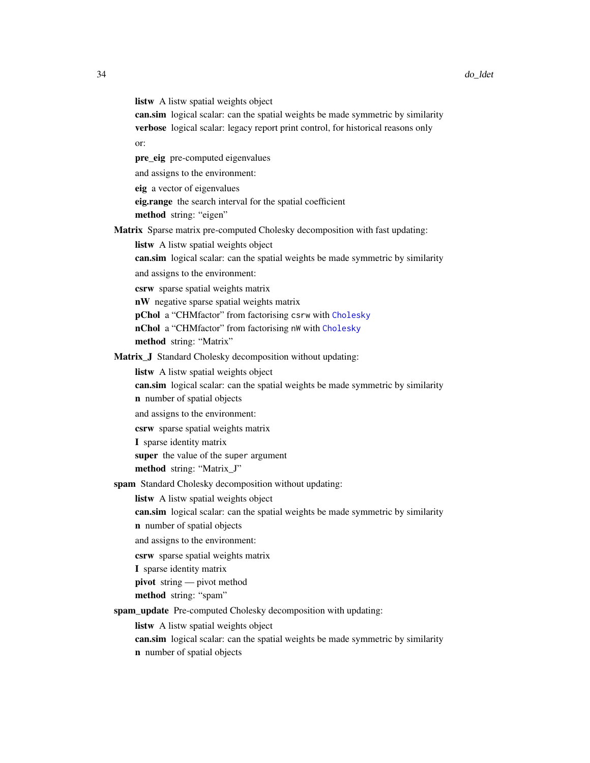listw A listw spatial weights object

can.sim logical scalar: can the spatial weights be made symmetric by similarity verbose logical scalar: legacy report print control, for historical reasons only or:

pre\_eig pre-computed eigenvalues

and assigns to the environment:

eig a vector of eigenvalues

eig.range the search interval for the spatial coefficient

method string: "eigen"

Matrix Sparse matrix pre-computed Cholesky decomposition with fast updating:

listw A listw spatial weights object

can.sim logical scalar: can the spatial weights be made symmetric by similarity

and assigns to the environment:

csrw sparse spatial weights matrix

nW negative sparse spatial weights matrix

pChol a "CHMfactor" from factorising csrw with [Cholesky](#page-0-0)

nChol a "CHMfactor" from factorising nW with [Cholesky](#page-0-0)

method string: "Matrix"

Matrix\_J Standard Cholesky decomposition without updating:

listw A listw spatial weights object

can.sim logical scalar: can the spatial weights be made symmetric by similarity

n number of spatial objects

and assigns to the environment:

csrw sparse spatial weights matrix

I sparse identity matrix

super the value of the super argument

method string: "Matrix\_J"

spam Standard Cholesky decomposition without updating:

listw A listw spatial weights object

can.sim logical scalar: can the spatial weights be made symmetric by similarity n number of spatial objects

and assigns to the environment:

csrw sparse spatial weights matrix

I sparse identity matrix

pivot string — pivot method

method string: "spam"

spam\_update Pre-computed Cholesky decomposition with updating:

listw A listw spatial weights object

can.sim logical scalar: can the spatial weights be made symmetric by similarity n number of spatial objects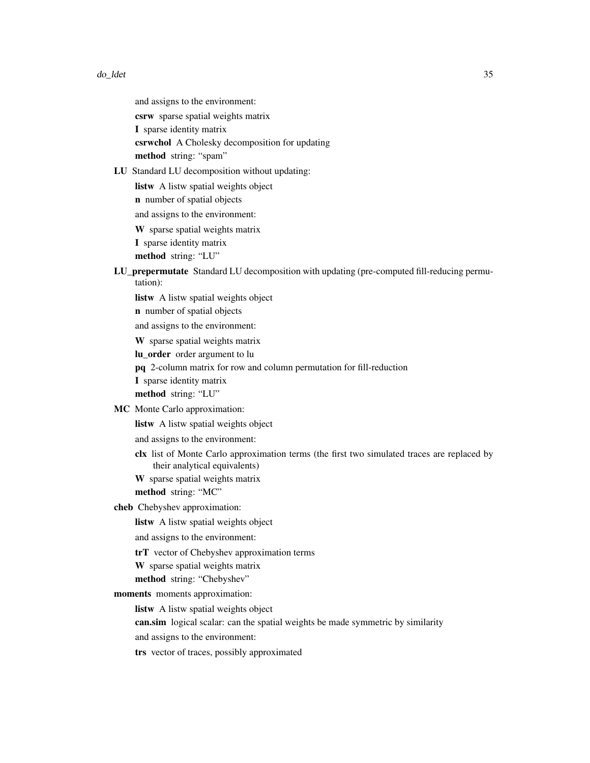and assigns to the environment:

csrw sparse spatial weights matrix

I sparse identity matrix

csrwchol A Cholesky decomposition for updating method string: "spam"

LU Standard LU decomposition without updating:

listw A listw spatial weights object

n number of spatial objects

and assigns to the environment:

W sparse spatial weights matrix

I sparse identity matrix

method string: "LU"

LU\_prepermutate Standard LU decomposition with updating (pre-computed fill-reducing permutation):

listw A listw spatial weights object

n number of spatial objects

and assigns to the environment:

W sparse spatial weights matrix

lu\_order order argument to lu

pq 2-column matrix for row and column permutation for fill-reduction

I sparse identity matrix

method string: "LU"

MC Monte Carlo approximation:

listw A listw spatial weights object

and assigns to the environment:

clx list of Monte Carlo approximation terms (the first two simulated traces are replaced by their analytical equivalents)

W sparse spatial weights matrix

method string: "MC"

cheb Chebyshev approximation:

listw A listw spatial weights object

and assigns to the environment:

trT vector of Chebyshev approximation terms

W sparse spatial weights matrix

method string: "Chebyshev"

moments moments approximation:

listw A listw spatial weights object

can.sim logical scalar: can the spatial weights be made symmetric by similarity

and assigns to the environment:

trs vector of traces, possibly approximated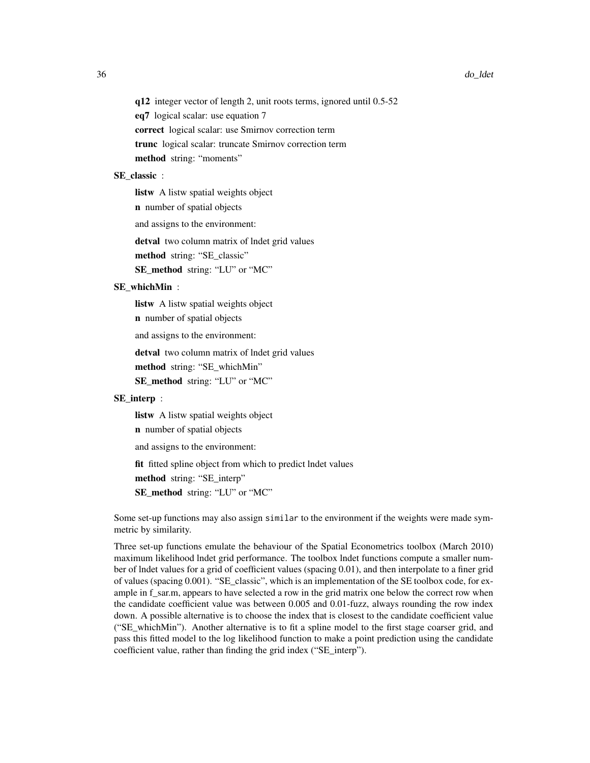q12 integer vector of length 2, unit roots terms, ignored until 0.5-52 eq7 logical scalar: use equation 7 correct logical scalar: use Smirnov correction term trunc logical scalar: truncate Smirnov correction term method string: "moments"

# SE\_classic :

listw A listw spatial weights object

n number of spatial objects

and assigns to the environment:

detval two column matrix of lndet grid values

method string: "SE\_classic"

SE\_method string: "LU" or "MC"

# SE\_whichMin :

listw A listw spatial weights object

n number of spatial objects

and assigns to the environment:

detval two column matrix of lndet grid values

method string: "SE\_whichMin"

SE\_method string: "LU" or "MC"

# SE\_interp :

listw A listw spatial weights object

n number of spatial objects

and assigns to the environment:

fit fitted spline object from which to predict lndet values

method string: "SE\_interp"

SE\_method string: "LU" or "MC"

Some set-up functions may also assign similar to the environment if the weights were made symmetric by similarity.

Three set-up functions emulate the behaviour of the Spatial Econometrics toolbox (March 2010) maximum likelihood lndet grid performance. The toolbox lndet functions compute a smaller number of lndet values for a grid of coefficient values (spacing 0.01), and then interpolate to a finer grid of values (spacing 0.001). "SE\_classic", which is an implementation of the SE toolbox code, for example in f\_sar.m, appears to have selected a row in the grid matrix one below the correct row when the candidate coefficient value was between 0.005 and 0.01-fuzz, always rounding the row index down. A possible alternative is to choose the index that is closest to the candidate coefficient value ("SE\_whichMin"). Another alternative is to fit a spline model to the first stage coarser grid, and pass this fitted model to the log likelihood function to make a point prediction using the candidate coefficient value, rather than finding the grid index ("SE\_interp").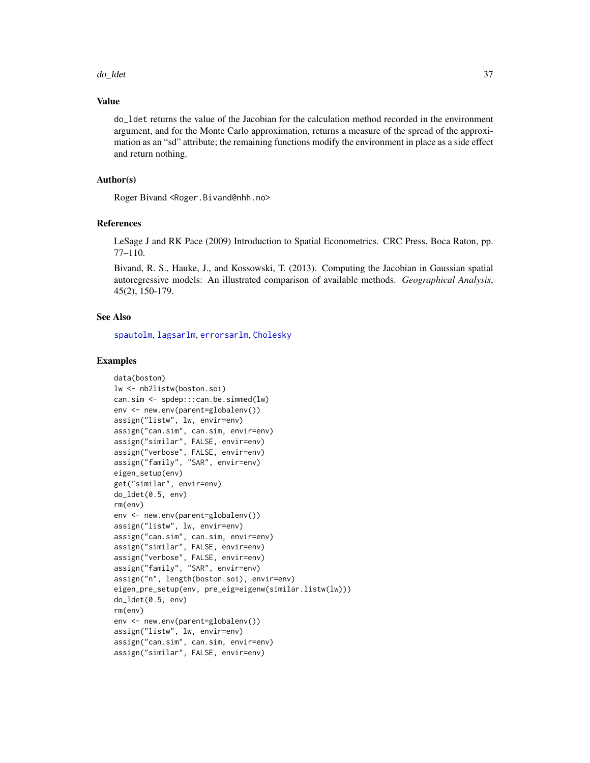do\_ldet 37

### Value

do\_ldet returns the value of the Jacobian for the calculation method recorded in the environment argument, and for the Monte Carlo approximation, returns a measure of the spread of the approximation as an "sd" attribute; the remaining functions modify the environment in place as a side effect and return nothing.

## Author(s)

Roger Bivand <Roger.Bivand@nhh.no>

### References

LeSage J and RK Pace (2009) Introduction to Spatial Econometrics. CRC Press, Boca Raton, pp. 77–110.

Bivand, R. S., Hauke, J., and Kossowski, T. (2013). Computing the Jacobian in Gaussian spatial autoregressive models: An illustrated comparison of available methods. *Geographical Analysis*, 45(2), 150-179.

## See Also

[spautolm](#page-203-0), [lagsarlm](#page-98-0), [errorsarlm](#page-51-0), [Cholesky](#page-0-0)

```
data(boston)
lw <- nb2listw(boston.soi)
can.sim <- spdep:::can.be.simmed(lw)
env <- new.env(parent=globalenv())
assign("listw", lw, envir=env)
assign("can.sim", can.sim, envir=env)
assign("similar", FALSE, envir=env)
assign("verbose", FALSE, envir=env)
assign("family", "SAR", envir=env)
eigen_setup(env)
get("similar", envir=env)
do_ldet(0.5, env)
rm(env)
env <- new.env(parent=globalenv())
assign("listw", lw, envir=env)
assign("can.sim", can.sim, envir=env)
assign("similar", FALSE, envir=env)
assign("verbose", FALSE, envir=env)
assign("family", "SAR", envir=env)
assign("n", length(boston.soi), envir=env)
eigen_pre_setup(env, pre_eig=eigenw(similar.listw(lw)))
do_ldet(0.5, env)
rm(env)
env <- new.env(parent=globalenv())
assign("listw", lw, envir=env)
assign("can.sim", can.sim, envir=env)
assign("similar", FALSE, envir=env)
```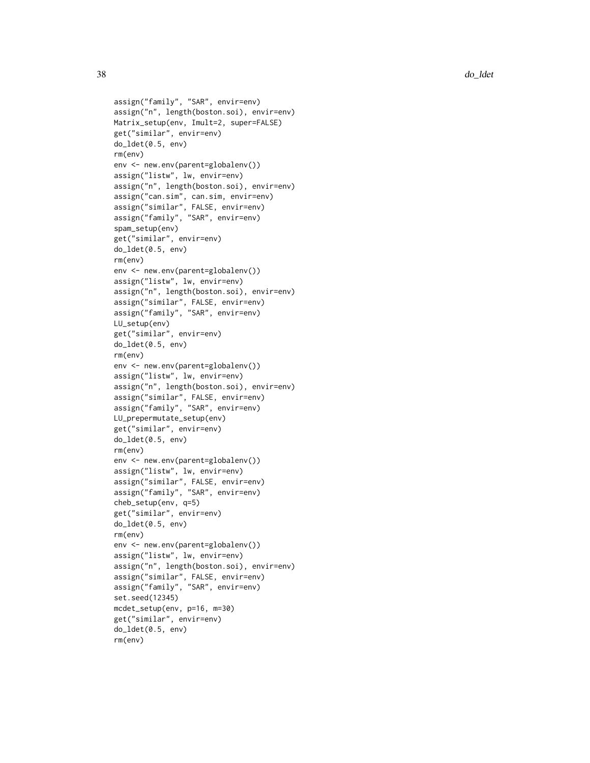```
assign("family", "SAR", envir=env)
```

```
assign("n", length(boston.soi), envir=env)
Matrix_setup(env, Imult=2, super=FALSE)
get("similar", envir=env)
do_ldet(0.5, env)
rm(env)
env <- new.env(parent=globalenv())
assign("listw", lw, envir=env)
assign("n", length(boston.soi), envir=env)
assign("can.sim", can.sim, envir=env)
assign("similar", FALSE, envir=env)
assign("family", "SAR", envir=env)
spam_setup(env)
get("similar", envir=env)
do_ldet(0.5, env)
rm(env)
env <- new.env(parent=globalenv())
assign("listw", lw, envir=env)
assign("n", length(boston.soi), envir=env)
assign("similar", FALSE, envir=env)
assign("family", "SAR", envir=env)
LU_setup(env)
get("similar", envir=env)
do_ldet(0.5, env)
rm(env)
env <- new.env(parent=globalenv())
assign("listw", lw, envir=env)
assign("n", length(boston.soi), envir=env)
assign("similar", FALSE, envir=env)
assign("family", "SAR", envir=env)
LU_prepermutate_setup(env)
get("similar", envir=env)
do_ldet(0.5, env)
rm(env)
env <- new.env(parent=globalenv())
assign("listw", lw, envir=env)
assign("similar", FALSE, envir=env)
assign("family", "SAR", envir=env)
cheb_setup(env, q=5)
get("similar", envir=env)
do_ldet(0.5, env)
rm(env)
env <- new.env(parent=globalenv())
assign("listw", lw, envir=env)
assign("n", length(boston.soi), envir=env)
assign("similar", FALSE, envir=env)
assign("family", "SAR", envir=env)
set.seed(12345)
mcdet_setup(env, p=16, m=30)
get("similar", envir=env)
do_ldet(0.5, env)
rm(env)
```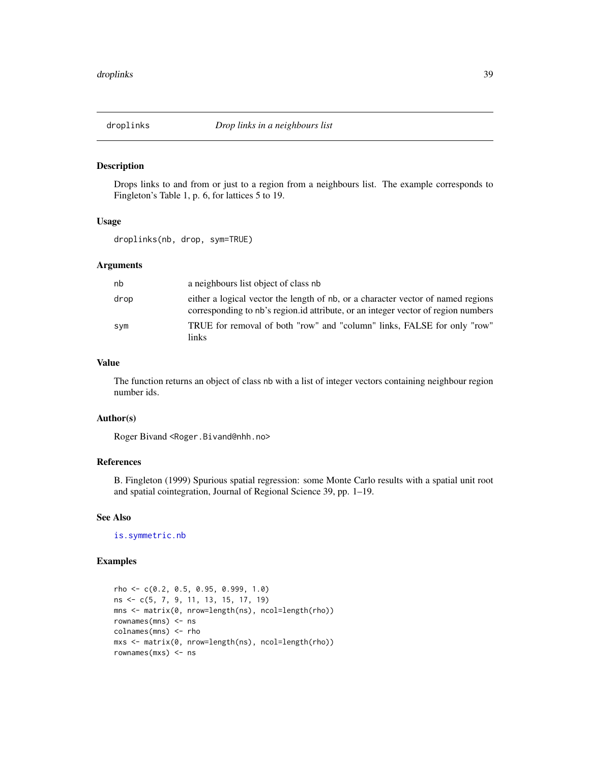#### Description

Drops links to and from or just to a region from a neighbours list. The example corresponds to Fingleton's Table 1, p. 6, for lattices 5 to 19.

## Usage

droplinks(nb, drop, sym=TRUE)

## Arguments

| nb   | a neighbours list object of class nb                                                                                                                                  |
|------|-----------------------------------------------------------------------------------------------------------------------------------------------------------------------|
| drop | either a logical vector the length of nb, or a character vector of named regions<br>corresponding to nb's region id attribute, or an integer vector of region numbers |
| svm  | TRUE for removal of both "row" and "column" links, FALSE for only "row"<br>links.                                                                                     |

### Value

The function returns an object of class nb with a list of integer vectors containing neighbour region number ids.

## Author(s)

Roger Bivand <Roger.Bivand@nhh.no>

### References

B. Fingleton (1999) Spurious spatial regression: some Monte Carlo results with a spatial unit root and spatial cointegration, Journal of Regional Science 39, pp. 1–19.

## See Also

[is.symmetric.nb](#page-86-0)

```
rho <- c(0.2, 0.5, 0.95, 0.999, 1.0)
ns <- c(5, 7, 9, 11, 13, 15, 17, 19)
mns <- matrix(0, nrow=length(ns), ncol=length(rho))
rownames(mns) <- ns
colnames(mns) <- rho
mxs <- matrix(0, nrow=length(ns), ncol=length(rho))
rownames(mxs) <- ns
```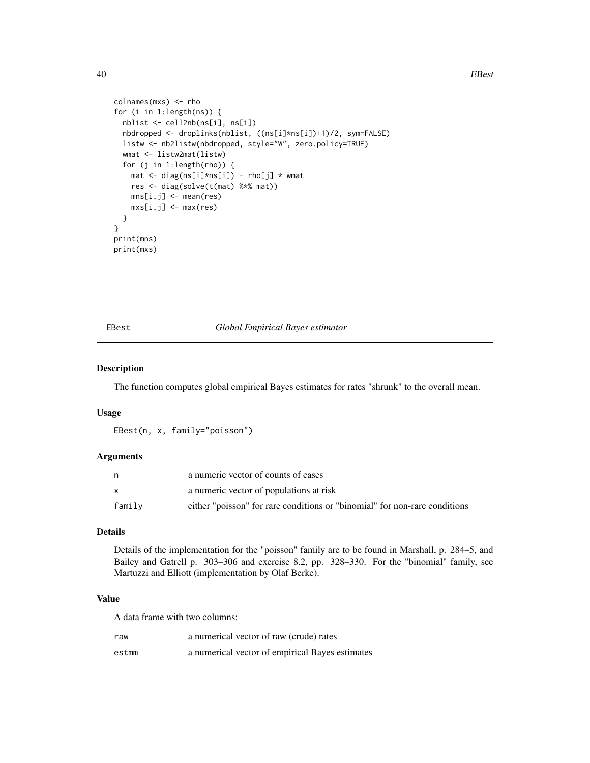#### 40 EBest

```
colnames(mxs) <- rho
for (i in 1:length(ns)) {
 nblist <- cell2nb(ns[i], ns[i])
 nbdropped <- droplinks(nblist, ((ns[i]*ns[i])+1)/2, sym=FALSE)
 listw <- nb2listw(nbdropped, style="W", zero.policy=TRUE)
 wmat <- listw2mat(listw)
 for (j in 1:length(rho)) {
   mat <- diag(ns[i]*ns[i]) - rho[j] * wmat
   res <- diag(solve(t(mat) %*% mat))
   mns[i,j] <- mean(res)
   mxs[i,j] <- max(res)
 }
}
print(mns)
print(mxs)
```
### <span id="page-39-0"></span>EBest *Global Empirical Bayes estimator*

#### Description

The function computes global empirical Bayes estimates for rates "shrunk" to the overall mean.

## Usage

EBest(n, x, family="poisson")

## Arguments

|        | a numeric vector of counts of cases                                        |
|--------|----------------------------------------------------------------------------|
|        | a numeric vector of populations at risk                                    |
| family | either "poisson" for rare conditions or "binomial" for non-rare conditions |

### Details

Details of the implementation for the "poisson" family are to be found in Marshall, p. 284–5, and Bailey and Gatrell p. 303–306 and exercise 8.2, pp. 328–330. For the "binomial" family, see Martuzzi and Elliott (implementation by Olaf Berke).

## Value

A data frame with two columns:

| raw   | a numerical vector of raw (crude) rates         |
|-------|-------------------------------------------------|
| estmm | a numerical vector of empirical Bayes estimates |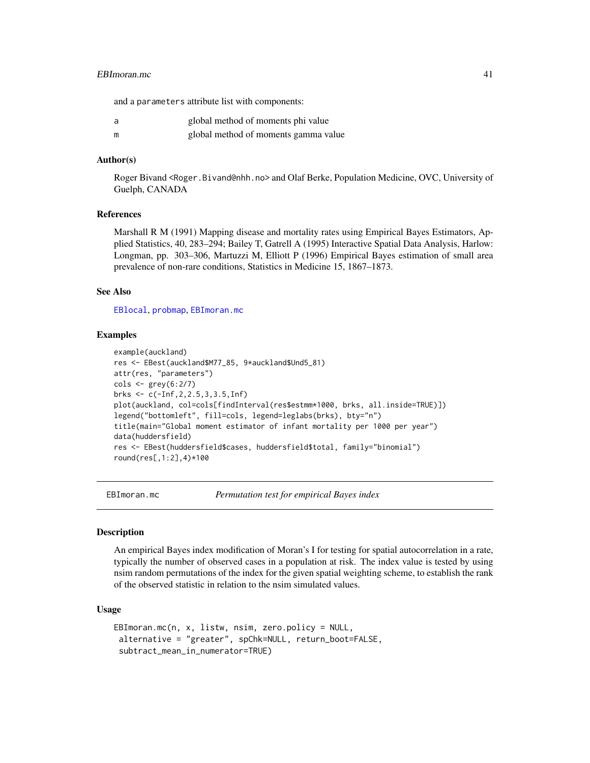### EBImoran.mc 41

and a parameters attribute list with components:

|   | global method of moments phi value   |
|---|--------------------------------------|
| m | global method of moments gamma value |

## Author(s)

Roger Bivand <Roger.Bivand@nhh.no> and Olaf Berke, Population Medicine, OVC, University of Guelph, CANADA

## References

Marshall R M (1991) Mapping disease and mortality rates using Empirical Bayes Estimators, Applied Statistics, 40, 283–294; Bailey T, Gatrell A (1995) Interactive Spatial Data Analysis, Harlow: Longman, pp. 303–306, Martuzzi M, Elliott P (1996) Empirical Bayes estimation of small area prevalence of non-rare conditions, Statistics in Medicine 15, 1867–1873.

## See Also

[EBlocal](#page-42-0), [probmap](#page-175-0), [EBImoran.mc](#page-40-0)

### Examples

```
example(auckland)
res <- EBest(auckland$M77_85, 9*auckland$Und5_81)
attr(res, "parameters")
\text{cols} \leq \text{grey}(6:2/7)brks <- c(-Inf,2,2.5,3,3.5,Inf)
plot(auckland, col=cols[findInterval(res$estmm*1000, brks, all.inside=TRUE)])
legend("bottomleft", fill=cols, legend=leglabs(brks), bty="n")
title(main="Global moment estimator of infant mortality per 1000 per year")
data(huddersfield)
res <- EBest(huddersfield$cases, huddersfield$total, family="binomial")
round(res[,1:2],4)*100
```
<span id="page-40-0"></span>

EBImoran.mc *Permutation test for empirical Bayes index*

#### Description

An empirical Bayes index modification of Moran's I for testing for spatial autocorrelation in a rate, typically the number of observed cases in a population at risk. The index value is tested by using nsim random permutations of the index for the given spatial weighting scheme, to establish the rank of the observed statistic in relation to the nsim simulated values.

### Usage

```
EBImoran.mc(n, x, listw, nsim, zero.policy = NULL,
alternative = "greater", spChk=NULL, return_boot=FALSE,
 subtract_mean_in_numerator=TRUE)
```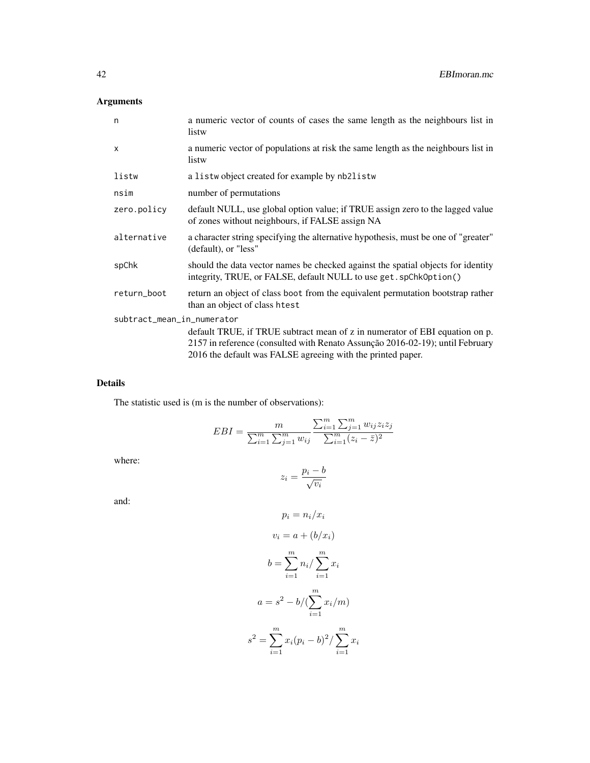# Arguments

| n                          | a numeric vector of counts of cases the same length as the neighbours list in<br>listw                                                                |  |
|----------------------------|-------------------------------------------------------------------------------------------------------------------------------------------------------|--|
| $\times$                   | a numeric vector of populations at risk the same length as the neighbours list in<br>listw                                                            |  |
| listw                      | a listwobject created for example by nb2listw                                                                                                         |  |
| nsim                       | number of permutations                                                                                                                                |  |
| zero.policy                | default NULL, use global option value; if TRUE assign zero to the lagged value<br>of zones without neighbours, if FALSE assign NA                     |  |
| alternative                | a character string specifying the alternative hypothesis, must be one of "greater"<br>(default), or "less"                                            |  |
| spChk                      | should the data vector names be checked against the spatial objects for identity<br>integrity, TRUE, or FALSE, default NULL to use get. spChk0ption() |  |
| return_boot                | return an object of class boot from the equivalent permutation bootstrap rather<br>than an object of class htest                                      |  |
| subtract_mean_in_numerator |                                                                                                                                                       |  |
|                            | default TRUE, if TRUE subtract mean of z in numerator of EBI equation on p.                                                                           |  |
|                            | 2157 in reference (consulted with Renato Assunção 2016-02-19); until February                                                                         |  |
|                            | 2016 the default was FALSE agreeing with the printed paper.                                                                                           |  |

# Details

The statistic used is (m is the number of observations):

$$
EBI = \frac{m}{\sum_{i=1}^{m} \sum_{j=1}^{m} w_{ij}} \frac{\sum_{i=1}^{m} \sum_{j=1}^{m} w_{ij} z_i z_j}{\sum_{i=1}^{m} (z_i - \bar{z})^2}
$$

where:

$$
z_i = \frac{p_i - b}{\sqrt{v_i}}
$$

and:

$$
p_i = n_i/x_i
$$
  
\n
$$
v_i = a + (b/x_i)
$$
  
\n
$$
b = \sum_{i=1}^{m} n_i / \sum_{i=1}^{m} x_i
$$
  
\n
$$
a = s^2 - b / (\sum_{i=1}^{m} x_i / m)
$$
  
\n
$$
s^2 = \sum_{i=1}^{m} x_i (p_i - b)^2 / \sum_{i=1}^{m} x_i
$$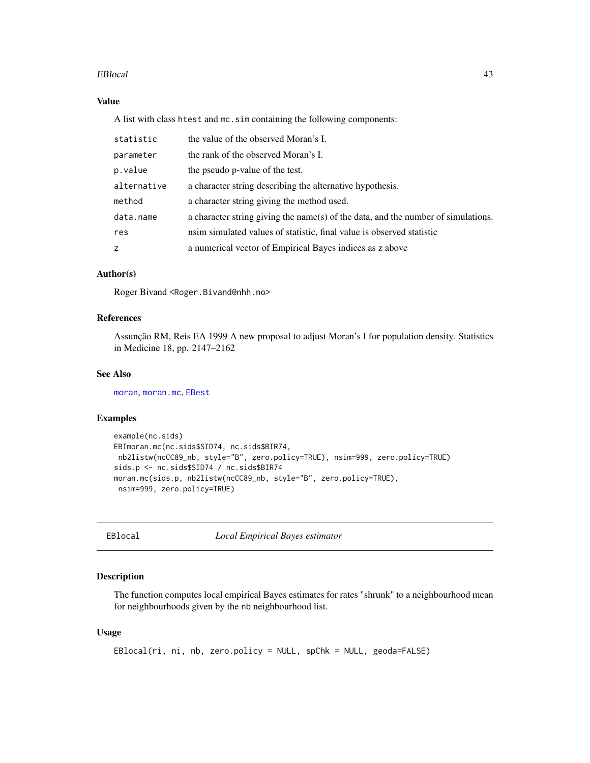### EBlocal 43

## Value

A list with class htest and mc.sim containing the following components:

| statistic   | the value of the observed Moran's I.                                              |
|-------------|-----------------------------------------------------------------------------------|
| parameter   | the rank of the observed Moran's I.                                               |
| p.value     | the pseudo p-value of the test.                                                   |
| alternative | a character string describing the alternative hypothesis.                         |
| method      | a character string giving the method used.                                        |
| data.name   | a character string giving the name(s) of the data, and the number of simulations. |
| res         | nsim simulated values of statistic, final value is observed statistic             |
| Z           | a numerical vector of Empirical Bayes indices as z above                          |

## Author(s)

Roger Bivand <Roger.Bivand@nhh.no>

## References

Assunção RM, Reis EA 1999 A new proposal to adjust Moran's I for population density. Statistics in Medicine 18, pp. 2147–2162

## See Also

[moran](#page-140-0), [moran.mc](#page-141-0), [EBest](#page-39-0)

## Examples

```
example(nc.sids)
EBImoran.mc(nc.sids$SID74, nc.sids$BIR74,
nb2listw(ncCC89_nb, style="B", zero.policy=TRUE), nsim=999, zero.policy=TRUE)
sids.p <- nc.sids$SID74 / nc.sids$BIR74
moran.mc(sids.p, nb2listw(ncCC89_nb, style="B", zero.policy=TRUE),
nsim=999, zero.policy=TRUE)
```
<span id="page-42-0"></span>EBlocal *Local Empirical Bayes estimator*

## Description

The function computes local empirical Bayes estimates for rates "shrunk" to a neighbourhood mean for neighbourhoods given by the nb neighbourhood list.

## Usage

```
EBlocal(ri, ni, nb, zero.policy = NULL, spChk = NULL, geoda=FALSE)
```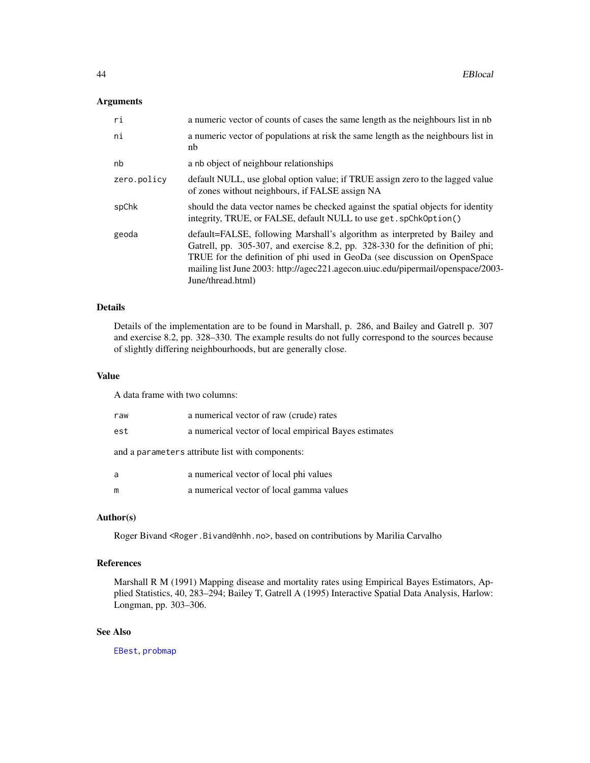## Arguments

| ri          | a numeric vector of counts of cases the same length as the neighbours list in nb                                                                                                                                                                                                                                                                   |
|-------------|----------------------------------------------------------------------------------------------------------------------------------------------------------------------------------------------------------------------------------------------------------------------------------------------------------------------------------------------------|
| ni          | a numeric vector of populations at risk the same length as the neighbours list in<br>nb                                                                                                                                                                                                                                                            |
| nb          | a nb object of neighbour relationships                                                                                                                                                                                                                                                                                                             |
| zero.policy | default NULL, use global option value; if TRUE assign zero to the lagged value<br>of zones without neighbours, if FALSE assign NA                                                                                                                                                                                                                  |
| spChk       | should the data vector names be checked against the spatial objects for identity<br>integrity, TRUE, or FALSE, default NULL to use get. spChk0ption()                                                                                                                                                                                              |
| geoda       | default=FALSE, following Marshall's algorithm as interpreted by Bailey and<br>Gatrell, pp. 305-307, and exercise 8.2, pp. 328-330 for the definition of phi;<br>TRUE for the definition of phi used in GeoDa (see discussion on OpenSpace<br>mailing list June 2003: http://agec221.agecon.uiuc.edu/pipermail/openspace/2003-<br>June/thread.html) |

## Details

Details of the implementation are to be found in Marshall, p. 286, and Bailey and Gatrell p. 307 and exercise 8.2, pp. 328–330. The example results do not fully correspond to the sources because of slightly differing neighbourhoods, but are generally close.

## Value

A data frame with two columns:

| raw | a numerical vector of raw (crude) rates               |
|-----|-------------------------------------------------------|
| est | a numerical vector of local empirical Bayes estimates |
|     | and a parameters attribute list with components:      |
| a   | a numerical vector of local phi values                |
| m   | a numerical vector of local gamma values              |

## Author(s)

Roger Bivand <Roger.Bivand@nhh.no>, based on contributions by Marilia Carvalho

## References

Marshall R M (1991) Mapping disease and mortality rates using Empirical Bayes Estimators, Applied Statistics, 40, 283–294; Bailey T, Gatrell A (1995) Interactive Spatial Data Analysis, Harlow: Longman, pp. 303–306.

## See Also

[EBest](#page-39-0), [probmap](#page-175-0)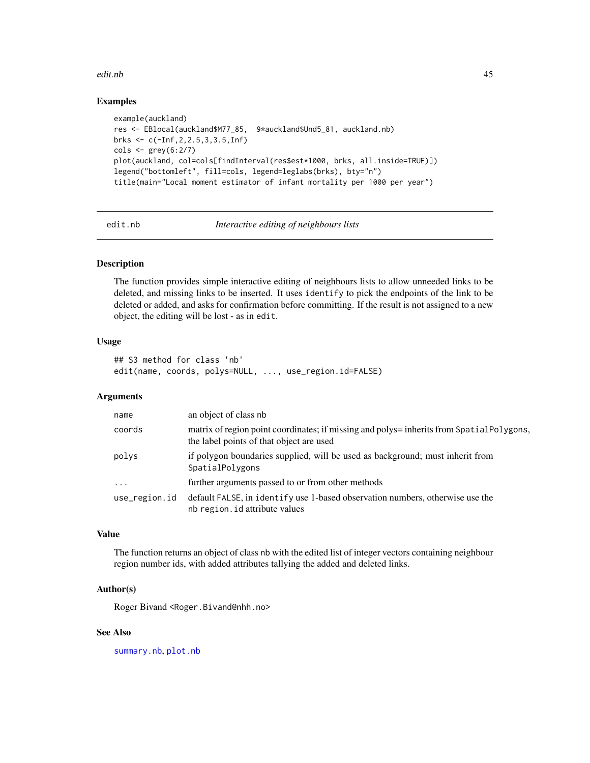#### edit.nb 45

## Examples

```
example(auckland)
res <- EBlocal(auckland$M77_85, 9*auckland$Und5_81, auckland.nb)
brks <- c(-Inf,2,2.5,3,3.5,Inf)
\text{cols} \leq \text{grey}(6:2/7)plot(auckland, col=cols[findInterval(res$est*1000, brks, all.inside=TRUE)])
legend("bottomleft", fill=cols, legend=leglabs(brks), bty="n")
title(main="Local moment estimator of infant mortality per 1000 per year")
```
edit.nb *Interactive editing of neighbours lists*

## Description

The function provides simple interactive editing of neighbours lists to allow unneeded links to be deleted, and missing links to be inserted. It uses identify to pick the endpoints of the link to be deleted or added, and asks for confirmation before committing. If the result is not assigned to a new object, the editing will be lost - as in edit.

### Usage

```
## S3 method for class 'nb'
edit(name, coords, polys=NULL, ..., use_region.id=FALSE)
```
## Arguments

| name          | an object of class nb                                                                                                                |
|---------------|--------------------------------------------------------------------------------------------------------------------------------------|
| coords        | matrix of region point coordinates; if missing and polys= inherits from SpatialPolygons,<br>the label points of that object are used |
| polys         | if polygon boundaries supplied, will be used as background; must inherit from<br>SpatialPolygons                                     |
| $\ddots$ .    | further arguments passed to or from other methods                                                                                    |
| use_region.id | default FALSE, in identify use 1-based observation numbers, otherwise use the<br>nb region. id attribute values                      |

## Value

The function returns an object of class nb with the edited list of integer vectors containing neighbour region number ids, with added attributes tallying the added and deleted links.

## Author(s)

Roger Bivand <Roger.Bivand@nhh.no>

### See Also

[summary.nb](#page-216-0), [plot.nb](#page-167-0)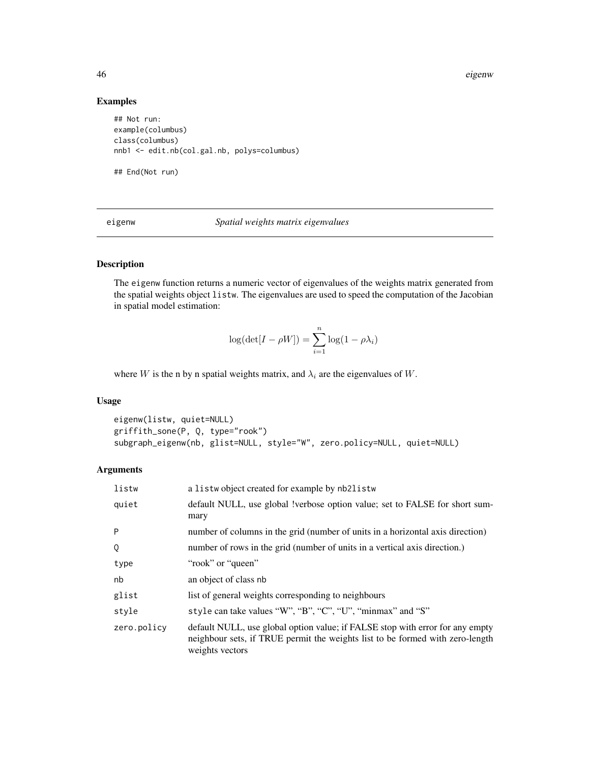46 eigenw

## Examples

```
## Not run:
example(columbus)
class(columbus)
nnb1 <- edit.nb(col.gal.nb, polys=columbus)
```
## End(Not run)

eigenw *Spatial weights matrix eigenvalues*

## Description

The eigenw function returns a numeric vector of eigenvalues of the weights matrix generated from the spatial weights object listw. The eigenvalues are used to speed the computation of the Jacobian in spatial model estimation:

$$
\log(\det[I - \rho W]) = \sum_{i=1}^{n} \log(1 - \rho \lambda_i)
$$

where W is the n by n spatial weights matrix, and  $\lambda_i$  are the eigenvalues of W.

## Usage

```
eigenw(listw, quiet=NULL)
griffith_sone(P, Q, type="rook")
subgraph_eigenw(nb, glist=NULL, style="W", zero.policy=NULL, quiet=NULL)
```
## Arguments

| listw       | a listwo bject created for example by nb2listw                                                                                                                                    |
|-------------|-----------------------------------------------------------------------------------------------------------------------------------------------------------------------------------|
| quiet       | default NULL, use global !verbose option value; set to FALSE for short sum-<br>mary                                                                                               |
| P           | number of columns in the grid (number of units in a horizontal axis direction)                                                                                                    |
| Q           | number of rows in the grid (number of units in a vertical axis direction.)                                                                                                        |
| type        | "rook" or "queen"                                                                                                                                                                 |
| nb          | an object of class nb                                                                                                                                                             |
| glist       | list of general weights corresponding to neighbours                                                                                                                               |
| style       | style can take values "W", "B", "C", "U", "minmax" and "S"                                                                                                                        |
| zero.policy | default NULL, use global option value; if FALSE stop with error for any empty<br>neighbour sets, if TRUE permit the weights list to be formed with zero-length<br>weights vectors |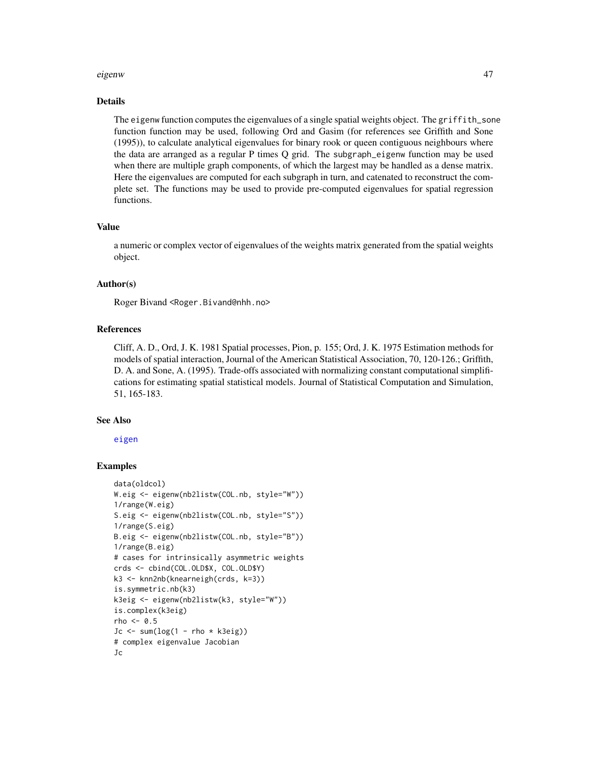#### eigenw 47

### Details

The eigenw function computes the eigenvalues of a single spatial weights object. The griffith\_sone function function may be used, following Ord and Gasim (for references see Griffith and Sone (1995)), to calculate analytical eigenvalues for binary rook or queen contiguous neighbours where the data are arranged as a regular P times Q grid. The subgraph\_eigenw function may be used when there are multiple graph components, of which the largest may be handled as a dense matrix. Here the eigenvalues are computed for each subgraph in turn, and catenated to reconstruct the complete set. The functions may be used to provide pre-computed eigenvalues for spatial regression functions.

## Value

a numeric or complex vector of eigenvalues of the weights matrix generated from the spatial weights object.

#### Author(s)

Roger Bivand <Roger.Bivand@nhh.no>

## References

Cliff, A. D., Ord, J. K. 1981 Spatial processes, Pion, p. 155; Ord, J. K. 1975 Estimation methods for models of spatial interaction, Journal of the American Statistical Association, 70, 120-126.; Griffith, D. A. and Sone, A. (1995). Trade-offs associated with normalizing constant computational simplifications for estimating spatial statistical models. Journal of Statistical Computation and Simulation, 51, 165-183.

#### See Also

[eigen](#page-0-0)

```
data(oldcol)
W.eig <- eigenw(nb2listw(COL.nb, style="W"))
1/range(W.eig)
S.eig <- eigenw(nb2listw(COL.nb, style="S"))
1/range(S.eig)
B.eig <- eigenw(nb2listw(COL.nb, style="B"))
1/range(B.eig)
# cases for intrinsically asymmetric weights
crds <- cbind(COL.OLD$X, COL.OLD$Y)
k3 <- knn2nb(knearneigh(crds, k=3))
is.symmetric.nb(k3)
k3eig <- eigenw(nb2listw(k3, style="W"))
is.complex(k3eig)
rho <-0.5Jc \le sum(log(1 - rho * k3eig))
# complex eigenvalue Jacobian
Jc
```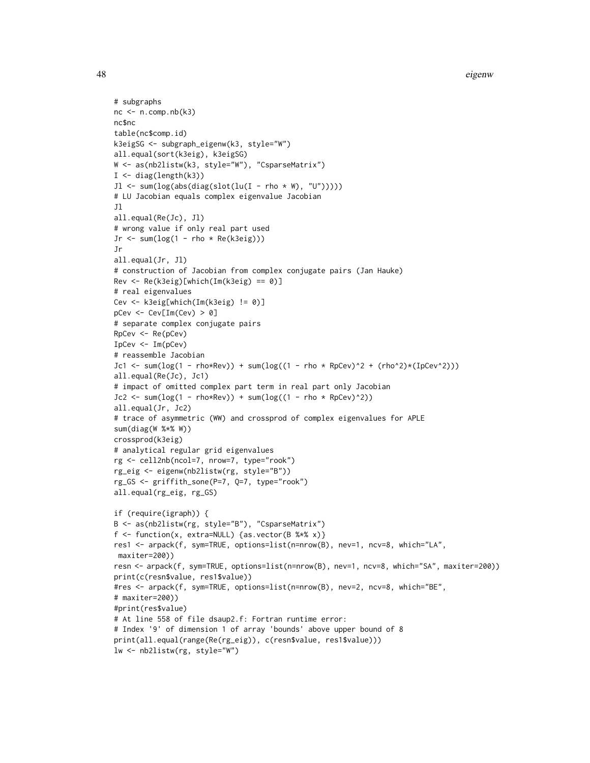48 eigenw

```
# subgraphs
nc < -n.comp.nb( k3)nc$nc
table(nc$comp.id)
k3eigSG <- subgraph_eigenw(k3, style="W")
all.equal(sort(k3eig), k3eigSG)
W <- as(nb2listw(k3, style="W"), "CsparseMatrix")
I \leftarrow diag(length(k3))Jl \leq sum(log(abs(diag(slot(lu(I - rho * W), "U")))))
# LU Jacobian equals complex eigenvalue Jacobian
Jl
all.equal(Re(Jc), Jl)
# wrong value if only real part used
Jr \le sum(log(1 - rho * Re(k3eig)))
Jr
all.equal(Jr, Jl)
# construction of Jacobian from complex conjugate pairs (Jan Hauke)
Rev <- Re(k3eig)[which(Im(k3eig) == 0)]
# real eigenvalues
Cev <- k3eig[which(Im(k3eig) != 0)]
pCev <- Cev[Im(Cev) > 0]
# separate complex conjugate pairs
RpCev <- Re(pCev)
IpCev <- Im(pCev)
# reassemble Jacobian
Jc1 <- sum(log(1 - rho*Rev)) + sum(log((1 - rho * Rpcev)^2 + (rho^2)*(IpCev^2)))all.equal(Re(Jc), Jc1)
# impact of omitted complex part term in real part only Jacobian
Jc2 <- sum(log(1 - rho*Rev)) + sum(log((1 - rho * RpCev)^2))
all.equal(Jr, Jc2)
# trace of asymmetric (WW) and crossprod of complex eigenvalues for APLE
sum(diag(W %*% W))
crossprod(k3eig)
# analytical regular grid eigenvalues
rg <- cell2nb(ncol=7, nrow=7, type="rook")
rg_eig <- eigenw(nb2listw(rg, style="B"))
rg_GS <- griffith_sone(P=7, Q=7, type="rook")
all.equal(rg_eig, rg_GS)
if (require(igraph)) {
B <- as(nb2listw(rg, style="B"), "CsparseMatrix")
f <- function(x, extra=NULL) {as.vector(B %*% x)}
res1 <- arpack(f, sym=TRUE, options=list(n=nrow(B), nev=1, ncv=8, which="LA",
maxiter=200))
resn <- arpack(f, sym=TRUE, options=list(n=nrow(B), nev=1, ncv=8, which="SA", maxiter=200))
print(c(resn$value, res1$value))
#res <- arpack(f, sym=TRUE, options=list(n=nrow(B), nev=2, ncv=8, which="BE",
# maxiter=200))
#print(res$value)
# At line 558 of file dsaup2.f: Fortran runtime error:
# Index '9' of dimension 1 of array 'bounds' above upper bound of 8
print(all.equal(range(Re(rg_eig)), c(resn$value, res1$value)))
lw <- nb2listw(rg, style="W")
```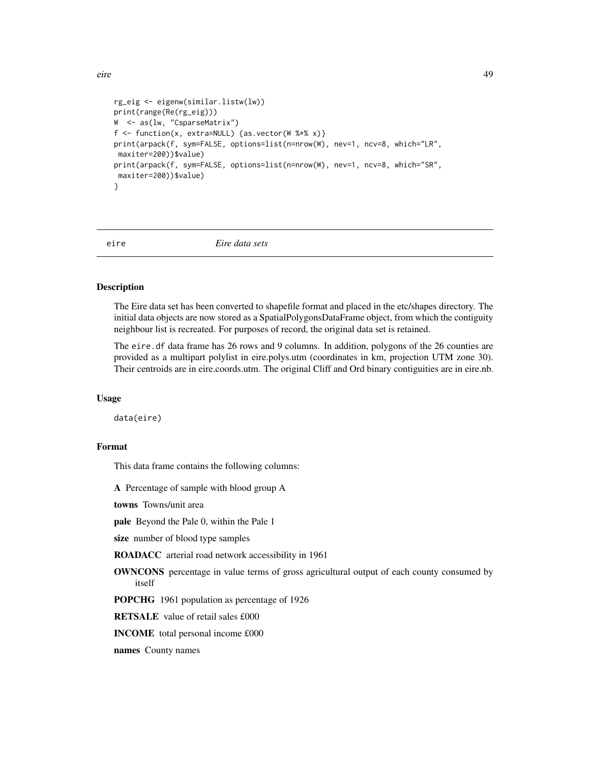eire 49

```
rg_eig <- eigenw(similar.listw(lw))
print(range(Re(rg_eig)))
W <- as(lw, "CsparseMatrix")
f <- function(x, extra=NULL) {as.vector(W %*% x)}
print(arpack(f, sym=FALSE, options=list(n=nrow(W), nev=1, ncv=8, which="LR",
maxiter=200))$value)
print(arpack(f, sym=FALSE, options=list(n=nrow(W), nev=1, ncv=8, which="SR",
maxiter=200))$value)
}
```
eire *Eire data sets*

### Description

The Eire data set has been converted to shapefile format and placed in the etc/shapes directory. The initial data objects are now stored as a SpatialPolygonsDataFrame object, from which the contiguity neighbour list is recreated. For purposes of record, the original data set is retained.

The eire. df data frame has 26 rows and 9 columns. In addition, polygons of the 26 counties are provided as a multipart polylist in eire.polys.utm (coordinates in km, projection UTM zone 30). Their centroids are in eire.coords.utm. The original Cliff and Ord binary contiguities are in eire.nb.

#### Usage

data(eire)

## Format

This data frame contains the following columns:

A Percentage of sample with blood group A

towns Towns/unit area

pale Beyond the Pale 0, within the Pale 1

size number of blood type samples

ROADACC arterial road network accessibility in 1961

OWNCONS percentage in value terms of gross agricultural output of each county consumed by itself

POPCHG 1961 population as percentage of 1926

RETSALE value of retail sales £000

INCOME total personal income £000

names County names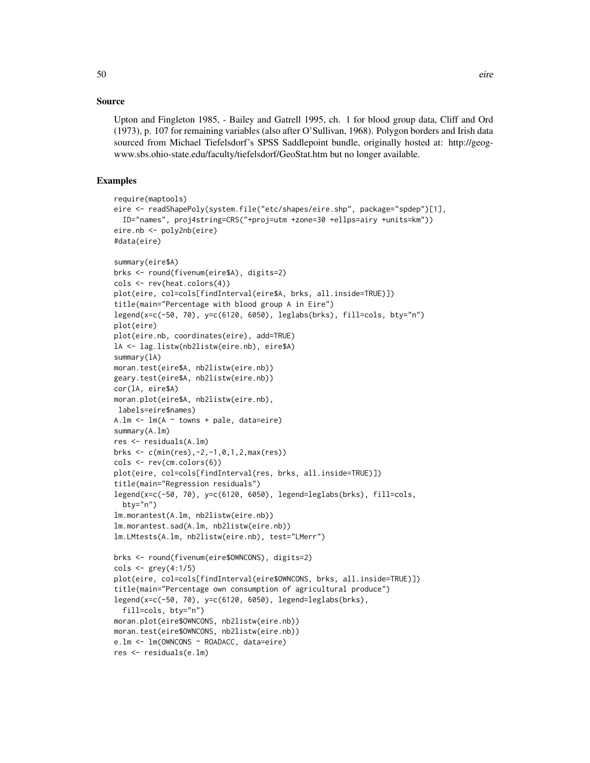Upton and Fingleton 1985, - Bailey and Gatrell 1995, ch. 1 for blood group data, Cliff and Ord (1973), p. 107 for remaining variables (also after O'Sullivan, 1968). Polygon borders and Irish data sourced from Michael Tiefelsdorf's SPSS Saddlepoint bundle, originally hosted at: http://geogwww.sbs.ohio-state.edu/faculty/tiefelsdorf/GeoStat.htm but no longer available.

```
require(maptools)
eire <- readShapePoly(system.file("etc/shapes/eire.shp", package="spdep")[1],
  ID="names", proj4string=CRS("+proj=utm +zone=30 +ellps=airy +units=km"))
eire.nb <- poly2nb(eire)
#data(eire)
summary(eire$A)
brks <- round(fivenum(eire$A), digits=2)
cols <- rev(heat.colors(4))
plot(eire, col=cols[findInterval(eire$A, brks, all.inside=TRUE)])
title(main="Percentage with blood group A in Eire")
legend(x=c(-50, 70), y=c(6120, 6050), leglabs(brks), fill=cols, bty="n")
plot(eire)
plot(eire.nb, coordinates(eire), add=TRUE)
lA <- lag.listw(nb2listw(eire.nb), eire$A)
summary(lA)
moran.test(eire$A, nb2listw(eire.nb))
geary.test(eire$A, nb2listw(eire.nb))
cor(lA, eire$A)
moran.plot(eire$A, nb2listw(eire.nb),
labels=eire$names)
A.lm <- lm(A ~ towns + pale, data=eire)
summary(A.lm)
res <- residuals(A.lm)
brks <- c(min(res),-2,-1,0,1,2,max(res))
cols <- rev(cm.colors(6))
plot(eire, col=cols[findInterval(res, brks, all.inside=TRUE)])
title(main="Regression residuals")
legend(x=c(-50, 70), y=c(6120, 6050), legend=leglabs(brks), fill=cols,
  bty="n")
lm.morantest(A.lm, nb2listw(eire.nb))
lm.morantest.sad(A.lm, nb2listw(eire.nb))
lm.LMtests(A.lm, nb2listw(eire.nb), test="LMerr")
brks <- round(fivenum(eire$OWNCONS), digits=2)
cols <- grey(4:1/5)
plot(eire, col=cols[findInterval(eire$OWNCONS, brks, all.inside=TRUE)])
title(main="Percentage own consumption of agricultural produce")
legend(x=c(-50, 70), y=c(6120, 6050), legend=leglabs(brks),
  fill=cols, bty="n")
moran.plot(eire$OWNCONS, nb2listw(eire.nb))
moran.test(eire$OWNCONS, nb2listw(eire.nb))
e.lm <- lm(OWNCONS ~ ROADACC, data=eire)
res <- residuals(e.lm)
```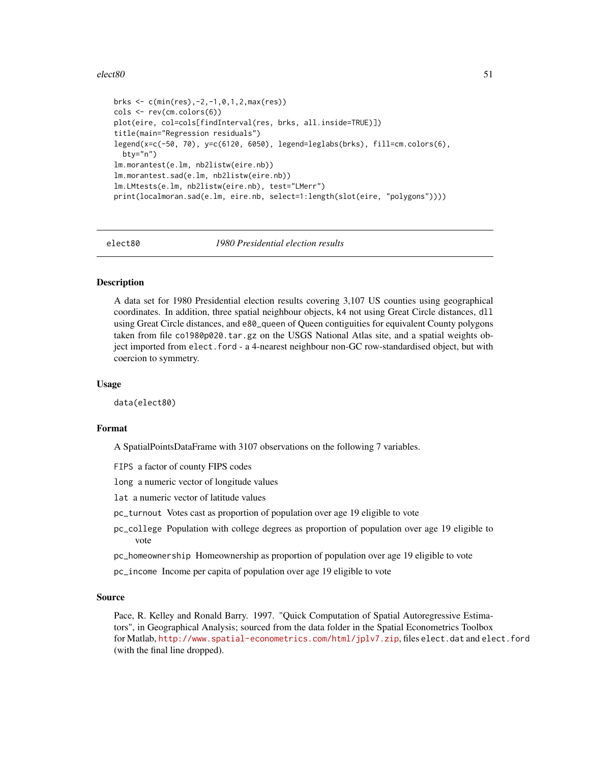### $e$ lect $80$  51

```
brks <- c(min(res),-2,-1,0,1,2,max(res))
cols <- rev(cm.colors(6))
plot(eire, col=cols[findInterval(res, brks, all.inside=TRUE)])
title(main="Regression residuals")
legend(x=c(-50, 70), y=c(6120, 6050), legend=leglabs(brks), fill=cm.colors(6),
 bty="n")
lm.morantest(e.lm, nb2listw(eire.nb))
lm.morantest.sad(e.lm, nb2listw(eire.nb))
lm.LMtests(e.lm, nb2listw(eire.nb), test="LMerr")
print(localmoran.sad(e.lm, eire.nb, select=1:length(slot(eire, "polygons"))))
```
elect80 *1980 Presidential election results*

## **Description**

A data set for 1980 Presidential election results covering 3,107 US counties using geographical coordinates. In addition, three spatial neighbour objects, k4 not using Great Circle distances, dll using Great Circle distances, and e80\_queen of Queen contiguities for equivalent County polygons taken from file co1980p020.tar.gz on the USGS National Atlas site, and a spatial weights object imported from elect.ford - a 4-nearest neighbour non-GC row-standardised object, but with coercion to symmetry.

### Usage

data(elect80)

### Format

A SpatialPointsDataFrame with 3107 observations on the following 7 variables.

FIPS a factor of county FIPS codes

long a numeric vector of longitude values

- lat a numeric vector of latitude values
- pc\_turnout Votes cast as proportion of population over age 19 eligible to vote
- pc\_college Population with college degrees as proportion of population over age 19 eligible to vote
- pc\_homeownership Homeownership as proportion of population over age 19 eligible to vote
- pc\_income Income per capita of population over age 19 eligible to vote

#### Source

Pace, R. Kelley and Ronald Barry. 1997. "Quick Computation of Spatial Autoregressive Estimators", in Geographical Analysis; sourced from the data folder in the Spatial Econometrics Toolbox for Matlab, <http://www.spatial-econometrics.com/html/jplv7.zip>, files elect.dat and elect.ford (with the final line dropped).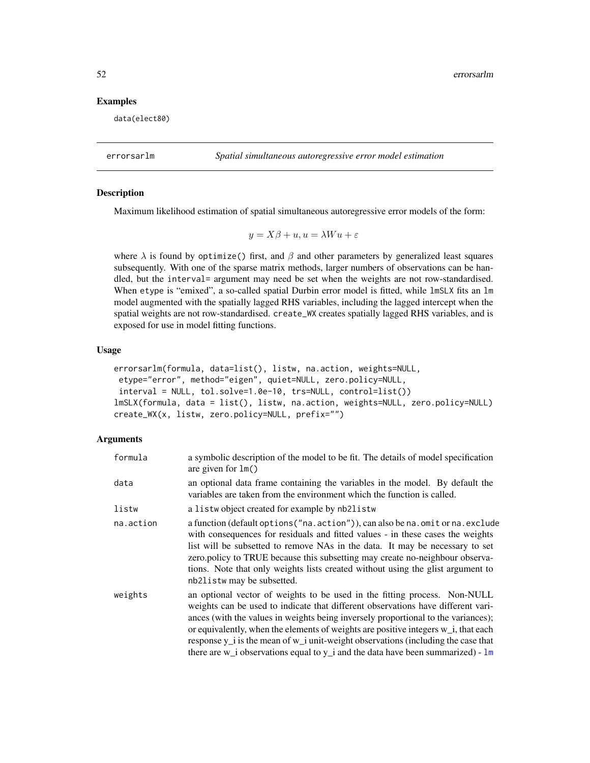## Examples

data(elect80)

<span id="page-51-0"></span>errorsarlm *Spatial simultaneous autoregressive error model estimation*

## Description

Maximum likelihood estimation of spatial simultaneous autoregressive error models of the form:

$$
y = X\beta + u, u = \lambda W u + \varepsilon
$$

where  $\lambda$  is found by optimize() first, and  $\beta$  and other parameters by generalized least squares subsequently. With one of the sparse matrix methods, larger numbers of observations can be handled, but the interval= argument may need be set when the weights are not row-standardised. When etype is "emixed", a so-called spatial Durbin error model is fitted, while lmSLX fits an lm model augmented with the spatially lagged RHS variables, including the lagged intercept when the spatial weights are not row-standardised. create\_WX creates spatially lagged RHS variables, and is exposed for use in model fitting functions.

## Usage

```
errorsarlm(formula, data=list(), listw, na.action, weights=NULL,
etype="error", method="eigen", quiet=NULL, zero.policy=NULL,
interval = NULL, tol.solve=1.0e-10, trs=NULL, control=list())
lmSLX(formula, data = list(), listw, na.action, weights=NULL, zero.policy=NULL)
create_WX(x, listw, zero.policy=NULL, prefix="")
```
### Arguments

| formula   | a symbolic description of the model to be fit. The details of model specification<br>are given for $lm()$                                                                                                                                                                                                                                                                                                                                                                                                                  |
|-----------|----------------------------------------------------------------------------------------------------------------------------------------------------------------------------------------------------------------------------------------------------------------------------------------------------------------------------------------------------------------------------------------------------------------------------------------------------------------------------------------------------------------------------|
| data      | an optional data frame containing the variables in the model. By default the<br>variables are taken from the environment which the function is called.                                                                                                                                                                                                                                                                                                                                                                     |
| listw     | a listwo bject created for example by nb2listw                                                                                                                                                                                                                                                                                                                                                                                                                                                                             |
| na.action | a function (default options ("na. action")), can also be na. omit or na. exclude<br>with consequences for residuals and fitted values - in these cases the weights<br>list will be subsetted to remove NAs in the data. It may be necessary to set<br>zero.policy to TRUE because this subsetting may create no-neighbour observa-<br>tions. Note that only weights lists created without using the glist argument to<br>nb21 is tw may be subsetted.                                                                      |
| weights   | an optional vector of weights to be used in the fitting process. Non-NULL<br>weights can be used to indicate that different observations have different vari-<br>ances (with the values in weights being inversely proportional to the variances);<br>or equivalently, when the elements of weights are positive integers w_i, that each<br>response $y_i$ is the mean of $w_i$ unit-weight observations (including the case that<br>there are $w_i$ observations equal to $y_i$ and the data have been summarized) - $lm$ |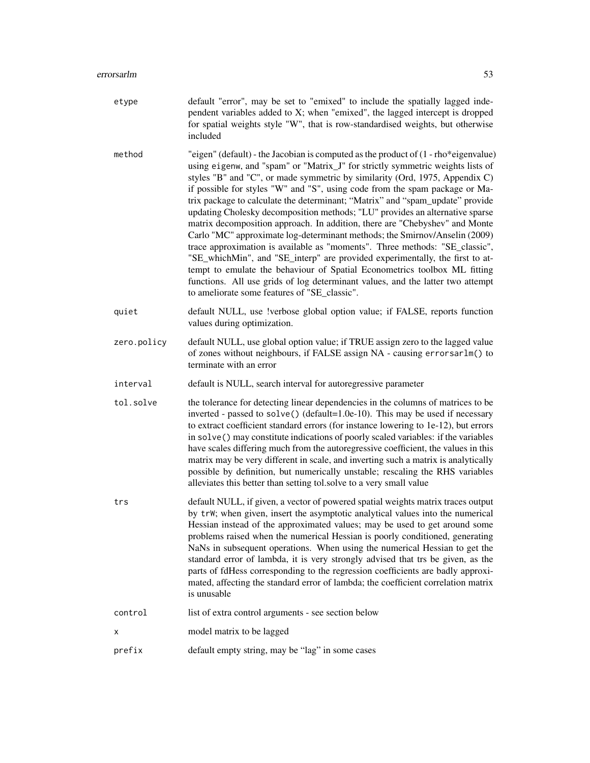- etype default "error", may be set to "emixed" to include the spatially lagged independent variables added to X; when "emixed", the lagged intercept is dropped for spatial weights style "W", that is row-standardised weights, but otherwise included
- method "eigen" (default) the Jacobian is computed as the product of (1 rho\*eigenvalue) using eigenw, and "spam" or "Matrix\_J" for strictly symmetric weights lists of styles "B" and "C", or made symmetric by similarity (Ord, 1975, Appendix C) if possible for styles "W" and "S", using code from the spam package or Matrix package to calculate the determinant; "Matrix" and "spam\_update" provide updating Cholesky decomposition methods; "LU" provides an alternative sparse matrix decomposition approach. In addition, there are "Chebyshev" and Monte Carlo "MC" approximate log-determinant methods; the Smirnov/Anselin (2009) trace approximation is available as "moments". Three methods: "SE\_classic", "SE\_whichMin", and "SE\_interp" are provided experimentally, the first to attempt to emulate the behaviour of Spatial Econometrics toolbox ML fitting functions. All use grids of log determinant values, and the latter two attempt to ameliorate some features of "SE\_classic".
- quiet default NULL, use !verbose global option value; if FALSE, reports function values during optimization.
- zero.policy default NULL, use global option value; if TRUE assign zero to the lagged value of zones without neighbours, if FALSE assign NA - causing errorsarlm() to terminate with an error
- interval default is NULL, search interval for autoregressive parameter
- tol. solve the tolerance for detecting linear dependencies in the columns of matrices to be inverted - passed to solve() (default=1.0e-10). This may be used if necessary to extract coefficient standard errors (for instance lowering to 1e-12), but errors in solve() may constitute indications of poorly scaled variables: if the variables have scales differing much from the autoregressive coefficient, the values in this matrix may be very different in scale, and inverting such a matrix is analytically possible by definition, but numerically unstable; rescaling the RHS variables alleviates this better than setting tol.solve to a very small value
- trs default NULL, if given, a vector of powered spatial weights matrix traces output by trW; when given, insert the asymptotic analytical values into the numerical Hessian instead of the approximated values; may be used to get around some problems raised when the numerical Hessian is poorly conditioned, generating NaNs in subsequent operations. When using the numerical Hessian to get the standard error of lambda, it is very strongly advised that trs be given, as the parts of fdHess corresponding to the regression coefficients are badly approximated, affecting the standard error of lambda; the coefficient correlation matrix is unusable
- control list of extra control arguments see section below
- x model matrix to be lagged
- prefix default empty string, may be "lag" in some cases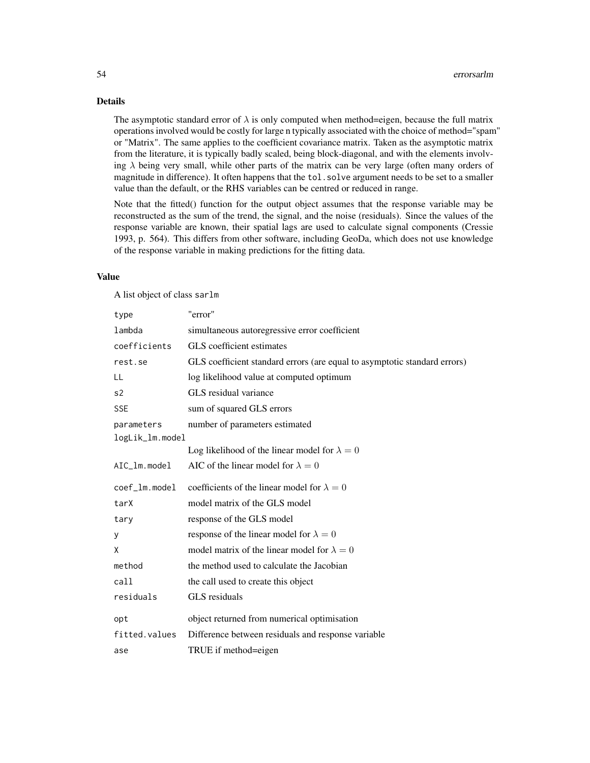## Details

The asymptotic standard error of  $\lambda$  is only computed when method=eigen, because the full matrix operations involved would be costly for large n typically associated with the choice of method="spam" or "Matrix". The same applies to the coefficient covariance matrix. Taken as the asymptotic matrix from the literature, it is typically badly scaled, being block-diagonal, and with the elements involving  $\lambda$  being very small, while other parts of the matrix can be very large (often many orders of magnitude in difference). It often happens that the tol.solve argument needs to be set to a smaller value than the default, or the RHS variables can be centred or reduced in range.

Note that the fitted() function for the output object assumes that the response variable may be reconstructed as the sum of the trend, the signal, and the noise (residuals). Since the values of the response variable are known, their spatial lags are used to calculate signal components (Cressie 1993, p. 564). This differs from other software, including GeoDa, which does not use knowledge of the response variable in making predictions for the fitting data.

### Value

A list object of class sarlm

| "error"                                                                   |
|---------------------------------------------------------------------------|
| simultaneous autoregressive error coefficient                             |
| GLS coefficient estimates                                                 |
| GLS coefficient standard errors (are equal to asymptotic standard errors) |
| log likelihood value at computed optimum                                  |
| GLS residual variance                                                     |
| sum of squared GLS errors                                                 |
| number of parameters estimated                                            |
| logLik_lm.model                                                           |
| Log likelihood of the linear model for $\lambda = 0$                      |
| AIC of the linear model for $\lambda = 0$                                 |
| coefficients of the linear model for $\lambda = 0$                        |
| model matrix of the GLS model                                             |
| response of the GLS model                                                 |
| response of the linear model for $\lambda = 0$                            |
| model matrix of the linear model for $\lambda = 0$                        |
| the method used to calculate the Jacobian                                 |
|                                                                           |
| the call used to create this object                                       |
| GLS residuals                                                             |
| object returned from numerical optimisation                               |
| Difference between residuals and response variable                        |
|                                                                           |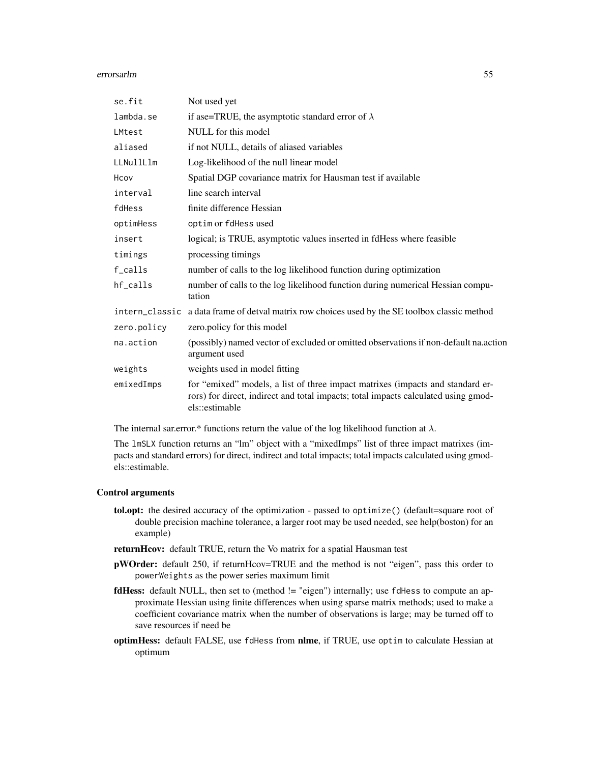#### errorsarlm 55

| se.fit      | Not used yet                                                                                                                                                                           |
|-------------|----------------------------------------------------------------------------------------------------------------------------------------------------------------------------------------|
| lambda.se   | if ase=TRUE, the asymptotic standard error of $\lambda$                                                                                                                                |
| LMtest      | NULL for this model                                                                                                                                                                    |
| aliased     | if not NULL, details of aliased variables                                                                                                                                              |
| LLNullLlm   | Log-likelihood of the null linear model                                                                                                                                                |
| Hcov        | Spatial DGP covariance matrix for Hausman test if available                                                                                                                            |
| interval    | line search interval                                                                                                                                                                   |
| fdHess      | finite difference Hessian                                                                                                                                                              |
| optimHess   | optim or fdHess used                                                                                                                                                                   |
| insert      | logical; is TRUE, asymptotic values inserted in fdHess where feasible                                                                                                                  |
| timings     | processing timings                                                                                                                                                                     |
| f_calls     | number of calls to the log likelihood function during optimization                                                                                                                     |
| hf_calls    | number of calls to the log likelihood function during numerical Hessian compu-<br>tation                                                                                               |
|             | intern_classic a data frame of detval matrix row choices used by the SE toolbox classic method                                                                                         |
| zero.policy | zero.policy for this model                                                                                                                                                             |
| na.action   | (possibly) named vector of excluded or omitted observations if non-default na.action<br>argument used                                                                                  |
| weights     | weights used in model fitting                                                                                                                                                          |
| emixedImps  | for "emixed" models, a list of three impact matrixes (impacts and standard er-<br>rors) for direct, indirect and total impacts; total impacts calculated using gmod-<br>els::estimable |

The internal sar.error.\* functions return the value of the log likelihood function at  $\lambda$ .

The lmSLX function returns an "lm" object with a "mixedImps" list of three impact matrixes (impacts and standard errors) for direct, indirect and total impacts; total impacts calculated using gmodels::estimable.

#### Control arguments

- tol.opt: the desired accuracy of the optimization passed to optimize() (default=square root of double precision machine tolerance, a larger root may be used needed, see help(boston) for an example)
- returnHcov: default TRUE, return the Vo matrix for a spatial Hausman test
- pWOrder: default 250, if returnHcov=TRUE and the method is not "eigen", pass this order to powerWeights as the power series maximum limit
- fdHess: default NULL, then set to (method != "eigen") internally; use fdHess to compute an approximate Hessian using finite differences when using sparse matrix methods; used to make a coefficient covariance matrix when the number of observations is large; may be turned off to save resources if need be
- optimHess: default FALSE, use fdHess from nlme, if TRUE, use optim to calculate Hessian at optimum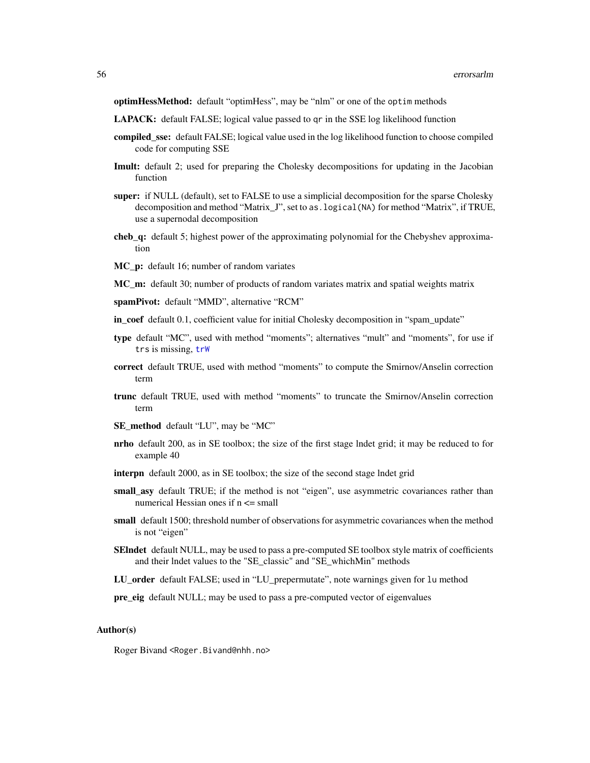optimHessMethod: default "optimHess", may be "nlm" or one of the optim methods

- LAPACK: default FALSE; logical value passed to qr in the SSE log likelihood function
- compiled\_sse: default FALSE; logical value used in the log likelihood function to choose compiled code for computing SSE
- Imult: default 2; used for preparing the Cholesky decompositions for updating in the Jacobian function
- super: if NULL (default), set to FALSE to use a simplicial decomposition for the sparse Cholesky decomposition and method "Matrix\_J", set to as.logical(NA) for method "Matrix", if TRUE, use a supernodal decomposition
- cheb\_q: default 5; highest power of the approximating polynomial for the Chebyshev approximation
- **MC\_p:** default 16; number of random variates
- MC\_m: default 30; number of products of random variates matrix and spatial weights matrix
- spamPivot: default "MMD", alternative "RCM"
- in coef default 0.1, coefficient value for initial Cholesky decomposition in "spam\_update"
- type default "MC", used with method "moments"; alternatives "mult" and "moments", for use if trs is missing, [trW](#page-222-0)
- correct default TRUE, used with method "moments" to compute the Smirnov/Anselin correction term
- trunc default TRUE, used with method "moments" to truncate the Smirnov/Anselin correction term
- SE\_method default "LU", may be "MC"
- nrho default 200, as in SE toolbox; the size of the first stage lndet grid; it may be reduced to for example 40
- interpn default 2000, as in SE toolbox; the size of the second stage lndet grid
- small\_asy default TRUE; if the method is not "eigen", use asymmetric covariances rather than numerical Hessian ones if n <= small
- small default 1500; threshold number of observations for asymmetric covariances when the method is not "eigen"
- SEIndet default NULL, may be used to pass a pre-computed SE toolbox style matrix of coefficients and their lndet values to the "SE\_classic" and "SE\_whichMin" methods
- LU\_order default FALSE; used in "LU\_prepermutate", note warnings given for lu method
- pre\_eig default NULL; may be used to pass a pre-computed vector of eigenvalues

## Author(s)

Roger Bivand <Roger.Bivand@nhh.no>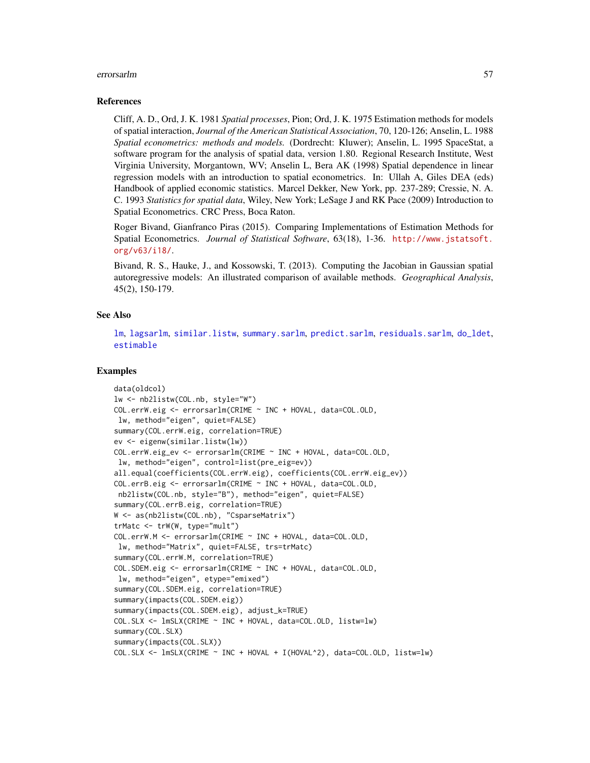#### errorsarlm 57

#### References

Cliff, A. D., Ord, J. K. 1981 *Spatial processes*, Pion; Ord, J. K. 1975 Estimation methods for models of spatial interaction, *Journal of the American Statistical Association*, 70, 120-126; Anselin, L. 1988 *Spatial econometrics: methods and models.* (Dordrecht: Kluwer); Anselin, L. 1995 SpaceStat, a software program for the analysis of spatial data, version 1.80. Regional Research Institute, West Virginia University, Morgantown, WV; Anselin L, Bera AK (1998) Spatial dependence in linear regression models with an introduction to spatial econometrics. In: Ullah A, Giles DEA (eds) Handbook of applied economic statistics. Marcel Dekker, New York, pp. 237-289; Cressie, N. A. C. 1993 *Statistics for spatial data*, Wiley, New York; LeSage J and RK Pace (2009) Introduction to Spatial Econometrics. CRC Press, Boca Raton.

Roger Bivand, Gianfranco Piras (2015). Comparing Implementations of Estimation Methods for Spatial Econometrics. *Journal of Statistical Software*, 63(18), 1-36. [http://www.jstatsoft.](http://www.jstatsoft.org/v63/i18/) [org/v63/i18/](http://www.jstatsoft.org/v63/i18/).

Bivand, R. S., Hauke, J., and Kossowski, T. (2013). Computing the Jacobian in Gaussian spatial autoregressive models: An illustrated comparison of available methods. *Geographical Analysis*, 45(2), 150-179.

## See Also

[lm](#page-0-0), [lagsarlm](#page-98-0), [similar.listw](#page-192-0), [summary.sarlm](#page-217-0), [predict.sarlm](#page-170-0), [residuals.sarlm](#page-182-0), [do\\_ldet](#page-31-0), [estimable](#page-0-0)

```
data(oldcol)
lw <- nb2listw(COL.nb, style="W")
COL.errW.eig <- errorsarlm(CRIME ~ INC + HOVAL, data=COL.OLD,
lw, method="eigen", quiet=FALSE)
summary(COL.errW.eig, correlation=TRUE)
ev <- eigenw(similar.listw(lw))
COL.errW.eig_ev <- errorsarlm(CRIME ~ INC + HOVAL, data=COL.OLD,
lw, method="eigen", control=list(pre_eig=ev))
all.equal(coefficients(COL.errW.eig), coefficients(COL.errW.eig_ev))
COL.errB.eig <- errorsarlm(CRIME ~ INC + HOVAL, data=COL.OLD,
nb2listw(COL.nb, style="B"), method="eigen", quiet=FALSE)
summary(COL.errB.eig, correlation=TRUE)
W <- as(nb2listw(COL.nb), "CsparseMatrix")
trMatc <- trW(W, type="mult")
COL.errW.M <- errorsarlm(CRIME ~ INC + HOVAL, data=COL.OLD,
lw, method="Matrix", quiet=FALSE, trs=trMatc)
summary(COL.errW.M, correlation=TRUE)
COL.SDEM.eig <- errorsarlm(CRIME ~ INC + HOVAL, data=COL.OLD,
lw, method="eigen", etype="emixed")
summary(COL.SDEM.eig, correlation=TRUE)
summary(impacts(COL.SDEM.eig))
summary(impacts(COL.SDEM.eig), adjust_k=TRUE)
COL.SLX <- lmSLX(CRIME ~ INC + HOVAL, data=COL.OLD, listw=lw)
summary(COL.SLX)
summary(impacts(COL.SLX))
COL.SLX <- lmSLX(CRIME ~ INC + HOVAL + I(HOVAL^2), data=COL.OLD, listw=lw)
```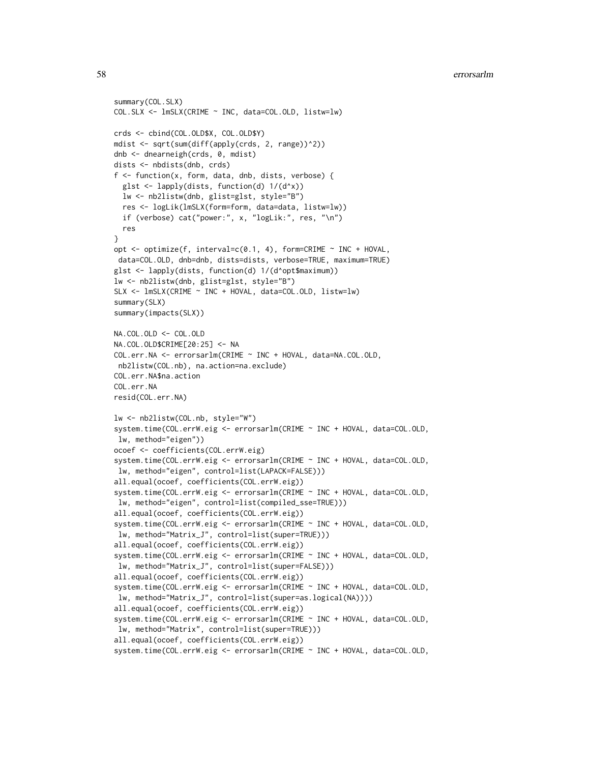```
summary(COL.SLX)
COL.SLX <- lmSLX(CRIME ~ INC, data=COL.OLD, listw=lw)
crds <- cbind(COL.OLD$X, COL.OLD$Y)
mdist <- sqrt(sum(diff(apply(crds, 2, range))^2))
dnb <- dnearneigh(crds, 0, mdist)
dists <- nbdists(dnb, crds)
f \leftarrow function(x, form, data, dnb, dists, verbose) {
 glst \leftarrow lapply(dists, function(d) 1/(d^{\wedge}x))lw <- nb2listw(dnb, glist=glst, style="B")
 res <- logLik(lmSLX(form=form, data=data, listw=lw))
 if (verbose) cat("power:", x, "logLik:", res, "\n")
 res
}
opt <- optimize(f, interval=c(0.1, 4), form=CRIME ~ INC + HOVAL,
data=COL.OLD, dnb=dnb, dists=dists, verbose=TRUE, maximum=TRUE)
glst <- lapply(dists, function(d) 1/(d^opt$maximum))
lw <- nb2listw(dnb, glist=glst, style="B")
SLX <- lmSLX(CRIME ~ INC + HOVAL, data=COL.OLD, listw=lw)
summary(SLX)
summary(impacts(SLX))
NA.COL.OLD <- COL.OLD
NA.COL.OLD$CRIME[20:25] <- NA
COL.err.NA <- errorsarlm(CRIME ~ INC + HOVAL, data=NA.COL.OLD,
nb2listw(COL.nb), na.action=na.exclude)
COL.err.NA$na.action
COL.err.NA
resid(COL.err.NA)
lw <- nb2listw(COL.nb, style="W")
system.time(COL.errW.eig <- errorsarlm(CRIME ~ INC + HOVAL, data=COL.OLD,
lw, method="eigen"))
ocoef <- coefficients(COL.errW.eig)
system.time(COL.errW.eig <- errorsarlm(CRIME ~ INC + HOVAL, data=COL.OLD,
lw, method="eigen", control=list(LAPACK=FALSE)))
all.equal(ocoef, coefficients(COL.errW.eig))
system.time(COL.errW.eig <- errorsarlm(CRIME ~ INC + HOVAL, data=COL.OLD,
lw, method="eigen", control=list(compiled_sse=TRUE)))
all.equal(ocoef, coefficients(COL.errW.eig))
system.time(COL.errW.eig <- errorsarlm(CRIME ~ INC + HOVAL, data=COL.OLD,
lw, method="Matrix_J", control=list(super=TRUE)))
all.equal(ocoef, coefficients(COL.errW.eig))
system.time(COL.errW.eig <- errorsarlm(CRIME ~ INC + HOVAL, data=COL.OLD,
lw, method="Matrix_J", control=list(super=FALSE)))
all.equal(ocoef, coefficients(COL.errW.eig))
system.time(COL.errW.eig <- errorsarlm(CRIME ~ INC + HOVAL, data=COL.OLD,
lw, method="Matrix_J", control=list(super=as.logical(NA))))
all.equal(ocoef, coefficients(COL.errW.eig))
system.time(COL.errW.eig <- errorsarlm(CRIME ~ INC + HOVAL, data=COL.OLD,
lw, method="Matrix", control=list(super=TRUE)))
all.equal(ocoef, coefficients(COL.errW.eig))
system.time(COL.errW.eig <- errorsarlm(CRIME ~ INC + HOVAL, data=COL.OLD,
```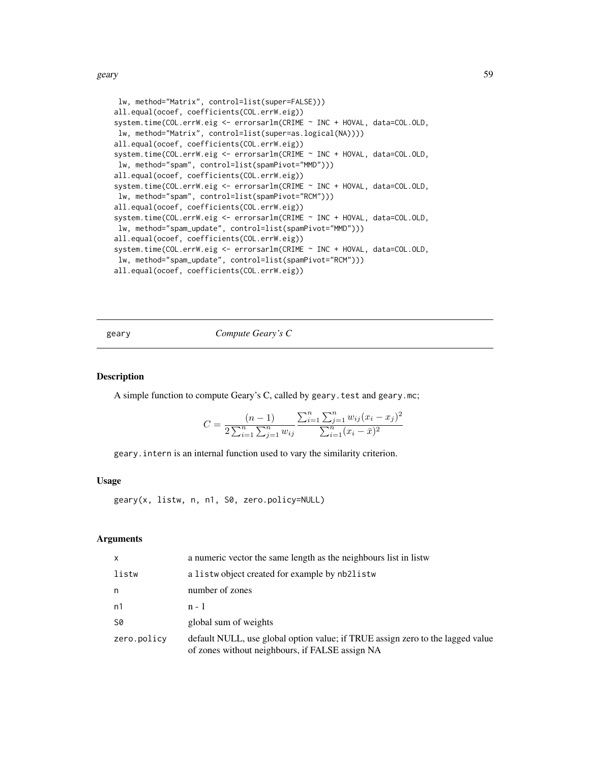geary 59

```
lw, method="Matrix", control=list(super=FALSE)))
all.equal(ocoef, coefficients(COL.errW.eig))
system.time(COL.errW.eig <- errorsarlm(CRIME ~ INC + HOVAL, data=COL.OLD,
lw, method="Matrix", control=list(super=as.logical(NA))))
all.equal(ocoef, coefficients(COL.errW.eig))
system.time(COL.errW.eig <- errorsarlm(CRIME ~ INC + HOVAL, data=COL.OLD,
lw, method="spam", control=list(spamPivot="MMD")))
all.equal(ocoef, coefficients(COL.errW.eig))
system.time(COL.errW.eig <- errorsarlm(CRIME ~ INC + HOVAL, data=COL.OLD,
lw, method="spam", control=list(spamPivot="RCM")))
all.equal(ocoef, coefficients(COL.errW.eig))
system.time(COL.errW.eig <- errorsarlm(CRIME ~ INC + HOVAL, data=COL.OLD,
lw, method="spam_update", control=list(spamPivot="MMD")))
all.equal(ocoef, coefficients(COL.errW.eig))
system.time(COL.errW.eig <- errorsarlm(CRIME ~ INC + HOVAL, data=COL.OLD,
lw, method="spam_update", control=list(spamPivot="RCM")))
all.equal(ocoef, coefficients(COL.errW.eig))
```
<span id="page-58-0"></span>geary *Compute Geary's C*

## Description

A simple function to compute Geary's C, called by geary.test and geary.mc;

$$
C = \frac{(n-1)}{2\sum_{i=1}^{n}\sum_{j=1}^{n}w_{ij}}\frac{\sum_{i=1}^{n}\sum_{j=1}^{n}w_{ij}(x_i - x_j)^2}{\sum_{i=1}^{n}(x_i - \bar{x})^2}
$$

geary.intern is an internal function used to vary the similarity criterion.

## Usage

geary(x, listw, n, n1, S0, zero.policy=NULL)

### Arguments

| $\mathsf{x}$ | a numeric vector the same length as the neighbours list in listw                                                                  |
|--------------|-----------------------------------------------------------------------------------------------------------------------------------|
| listw        | a listwo bject created for example by nb2listw                                                                                    |
| n            | number of zones                                                                                                                   |
| n1           | $n - 1$                                                                                                                           |
| S0           | global sum of weights                                                                                                             |
| zero.policy  | default NULL, use global option value; if TRUE assign zero to the lagged value<br>of zones without neighbours, if FALSE assign NA |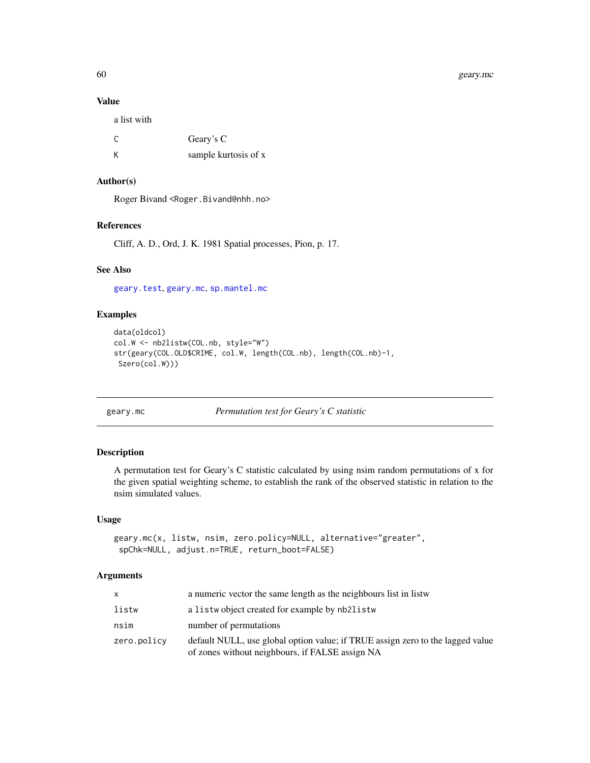## Value

| Geary's C            |
|----------------------|
| sample kurtosis of x |
|                      |

## Author(s)

Roger Bivand <Roger.Bivand@nhh.no>

## References

Cliff, A. D., Ord, J. K. 1981 Spatial processes, Pion, p. 17.

## See Also

[geary.test](#page-61-0), [geary.mc](#page-59-0), [sp.mantel.mc](#page-199-0)

## Examples

```
data(oldcol)
col.W <- nb2listw(COL.nb, style="W")
str(geary(COL.OLD$CRIME, col.W, length(COL.nb), length(COL.nb)-1,
Szero(col.W)))
```
<span id="page-59-0"></span>geary.mc *Permutation test for Geary's C statistic*

### Description

A permutation test for Geary's C statistic calculated by using nsim random permutations of x for the given spatial weighting scheme, to establish the rank of the observed statistic in relation to the nsim simulated values.

## Usage

```
geary.mc(x, listw, nsim, zero.policy=NULL, alternative="greater",
spChk=NULL, adjust.n=TRUE, return_boot=FALSE)
```
## Arguments

| X.          | a numeric vector the same length as the neighbours list in listw                                                                  |
|-------------|-----------------------------------------------------------------------------------------------------------------------------------|
| listw       | a listwo bject created for example by nb2listw                                                                                    |
| nsim        | number of permutations                                                                                                            |
| zero.policy | default NULL, use global option value; if TRUE assign zero to the lagged value<br>of zones without neighbours, if FALSE assign NA |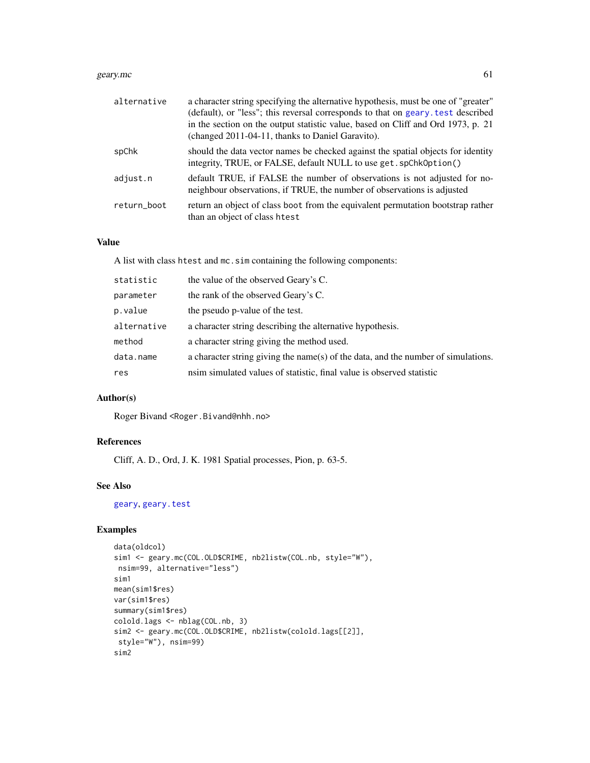#### geary.mc 61

| alternative | a character string specifying the alternative hypothesis, must be one of "greater"<br>(default), or "less"; this reversal corresponds to that on geary. test described<br>in the section on the output statistic value, based on Cliff and Ord 1973, p. 21<br>(changed 2011-04-11, thanks to Daniel Garavito). |
|-------------|----------------------------------------------------------------------------------------------------------------------------------------------------------------------------------------------------------------------------------------------------------------------------------------------------------------|
| spChk       | should the data vector names be checked against the spatial objects for identity<br>integrity, TRUE, or FALSE, default NULL to use get. spChk0ption()                                                                                                                                                          |
| adjust.n    | default TRUE, if FALSE the number of observations is not adjusted for no-<br>neighbour observations, if TRUE, the number of observations is adjusted                                                                                                                                                           |
| return_boot | return an object of class boot from the equivalent permutation bootstrap rather<br>than an object of class htest                                                                                                                                                                                               |

## Value

A list with class htest and mc.sim containing the following components:

| the rank of the observed Geary's C.<br>parameter<br>p.value<br>the pseudo p-value of the test.<br>alternative<br>a character string describing the alternative hypothesis.<br>a character string giving the method used.<br>method<br>data.name<br>nsim simulated values of statistic, final value is observed statistic<br>res | statistic | the value of the observed Geary's C.                                              |
|---------------------------------------------------------------------------------------------------------------------------------------------------------------------------------------------------------------------------------------------------------------------------------------------------------------------------------|-----------|-----------------------------------------------------------------------------------|
|                                                                                                                                                                                                                                                                                                                                 |           |                                                                                   |
|                                                                                                                                                                                                                                                                                                                                 |           |                                                                                   |
|                                                                                                                                                                                                                                                                                                                                 |           |                                                                                   |
|                                                                                                                                                                                                                                                                                                                                 |           |                                                                                   |
|                                                                                                                                                                                                                                                                                                                                 |           | a character string giving the name(s) of the data, and the number of simulations. |
|                                                                                                                                                                                                                                                                                                                                 |           |                                                                                   |

# Author(s)

Roger Bivand <Roger.Bivand@nhh.no>

### References

Cliff, A. D., Ord, J. K. 1981 Spatial processes, Pion, p. 63-5.

## See Also

[geary](#page-58-0), [geary.test](#page-61-0)

```
data(oldcol)
sim1 <- geary.mc(COL.OLD$CRIME, nb2listw(COL.nb, style="W"),
nsim=99, alternative="less")
sim1
mean(sim1$res)
var(sim1$res)
summary(sim1$res)
colold.lags <- nblag(COL.nb, 3)
sim2 <- geary.mc(COL.OLD$CRIME, nb2listw(colold.lags[[2]],
style="W"), nsim=99)
sim2
```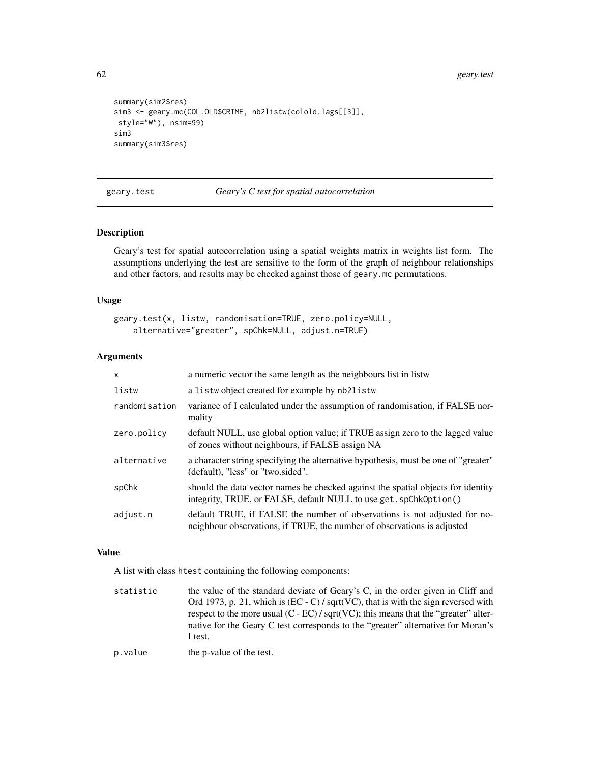```
summary(sim2$res)
sim3 <- geary.mc(COL.OLD$CRIME, nb2listw(colold.lags[[3]],
style="W"), nsim=99)
sim3
summary(sim3$res)
```
<span id="page-61-0"></span>geary.test *Geary's C test for spatial autocorrelation*

## **Description**

Geary's test for spatial autocorrelation using a spatial weights matrix in weights list form. The assumptions underlying the test are sensitive to the form of the graph of neighbour relationships and other factors, and results may be checked against those of geary.mc permutations.

### Usage

```
geary.test(x, listw, randomisation=TRUE, zero.policy=NULL,
    alternative="greater", spChk=NULL, adjust.n=TRUE)
```
## Arguments

| a numeric vector the same length as the neighbours list in listw                                                                                      |
|-------------------------------------------------------------------------------------------------------------------------------------------------------|
| a listwobject created for example by nb2listw                                                                                                         |
| variance of I calculated under the assumption of randomisation, if FALSE nor-<br>mality                                                               |
| default NULL, use global option value; if TRUE assign zero to the lagged value<br>of zones without neighbours, if FALSE assign NA                     |
| a character string specifying the alternative hypothesis, must be one of "greater"<br>(default), "less" or "two.sided".                               |
| should the data vector names be checked against the spatial objects for identity<br>integrity, TRUE, or FALSE, default NULL to use get. spChk0ption() |
| default TRUE, if FALSE the number of observations is not adjusted for no-<br>neighbour observations, if TRUE, the number of observations is adjusted  |
|                                                                                                                                                       |

### Value

A list with class htest containing the following components:

| statistic | the value of the standard deviate of Geary's C, in the order given in Cliff and            |
|-----------|--------------------------------------------------------------------------------------------|
|           | Ord 1973, p. 21, which is (EC - C) / sqrt(VC), that is with the sign reversed with         |
|           | respect to the more usual $(C - EC) / \sqrt{S}$ (VC); this means that the "greater" alter- |
|           | native for the Geary C test corresponds to the "greater" alternative for Moran's           |
|           | I test.                                                                                    |
|           |                                                                                            |

```
p.value the p-value of the test.
```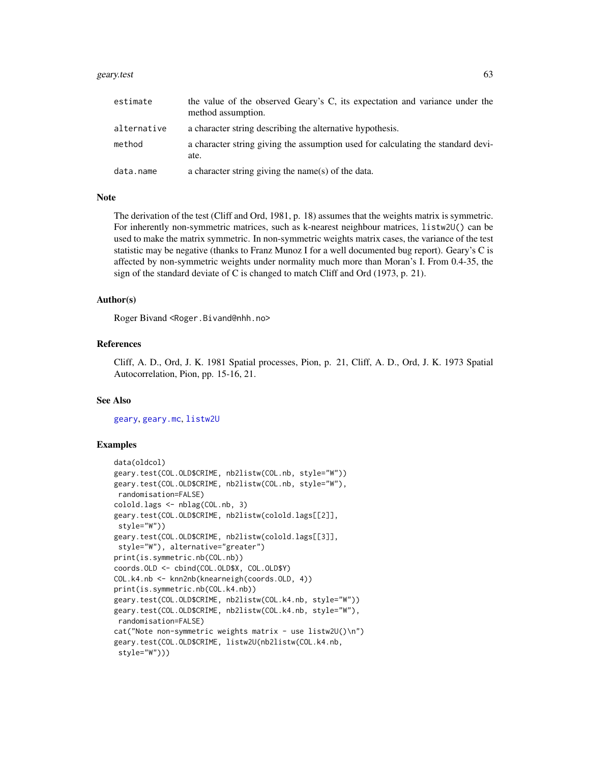#### geary.test 63

| estimate    | the value of the observed Geary's C, its expectation and variance under the<br>method assumption. |
|-------------|---------------------------------------------------------------------------------------------------|
| alternative | a character string describing the alternative hypothesis.                                         |
| method      | a character string giving the assumption used for calculating the standard devi-<br>ate.          |
| data.name   | a character string giving the name(s) of the data.                                                |

#### Note

The derivation of the test (Cliff and Ord, 1981, p. 18) assumes that the weights matrix is symmetric. For inherently non-symmetric matrices, such as k-nearest neighbour matrices, listw2U() can be used to make the matrix symmetric. In non-symmetric weights matrix cases, the variance of the test statistic may be negative (thanks to Franz Munoz I for a well documented bug report). Geary's C is affected by non-symmetric weights under normality much more than Moran's I. From 0.4-35, the sign of the standard deviate of C is changed to match Cliff and Ord (1973, p. 21).

#### Author(s)

Roger Bivand <Roger.Bivand@nhh.no>

## References

Cliff, A. D., Ord, J. K. 1981 Spatial processes, Pion, p. 21, Cliff, A. D., Ord, J. K. 1973 Spatial Autocorrelation, Pion, pp. 15-16, 21.

## See Also

[geary](#page-58-0), [geary.mc](#page-59-0), [listw2U](#page-117-0)

```
data(oldcol)
geary.test(COL.OLD$CRIME, nb2listw(COL.nb, style="W"))
geary.test(COL.OLD$CRIME, nb2listw(COL.nb, style="W"),
randomisation=FALSE)
colold.lags <- nblag(COL.nb, 3)
geary.test(COL.OLD$CRIME, nb2listw(colold.lags[[2]],
style="W"))
geary.test(COL.OLD$CRIME, nb2listw(colold.lags[[3]],
style="W"), alternative="greater")
print(is.symmetric.nb(COL.nb))
coords.OLD <- cbind(COL.OLD$X, COL.OLD$Y)
COL.k4.nb <- knn2nb(knearneigh(coords.OLD, 4))
print(is.symmetric.nb(COL.k4.nb))
geary.test(COL.OLD$CRIME, nb2listw(COL.k4.nb, style="W"))
geary.test(COL.OLD$CRIME, nb2listw(COL.k4.nb, style="W"),
randomisation=FALSE)
cat("Note non-symmetric weights matrix - use listw2U()\n")
geary.test(COL.OLD$CRIME, listw2U(nb2listw(COL.k4.nb,
style="W")))
```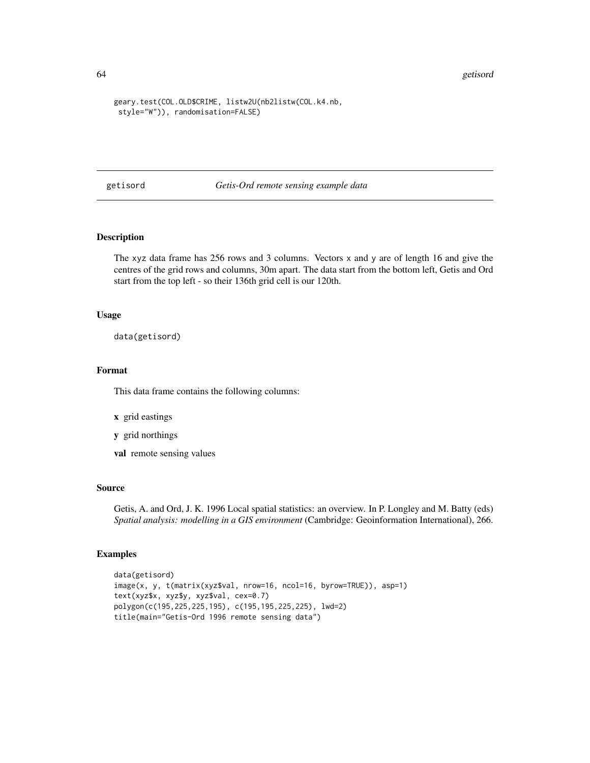64 getisord

```
geary.test(COL.OLD$CRIME, listw2U(nb2listw(COL.k4.nb,
style="W")), randomisation=FALSE)
```
getisord *Getis-Ord remote sensing example data*

## Description

The xyz data frame has 256 rows and 3 columns. Vectors x and y are of length 16 and give the centres of the grid rows and columns, 30m apart. The data start from the bottom left, Getis and Ord start from the top left - so their 136th grid cell is our 120th.

### Usage

data(getisord)

## Format

This data frame contains the following columns:

- x grid eastings
- y grid northings
- val remote sensing values

#### Source

Getis, A. and Ord, J. K. 1996 Local spatial statistics: an overview. In P. Longley and M. Batty (eds) *Spatial analysis: modelling in a GIS environment* (Cambridge: Geoinformation International), 266.

```
data(getisord)
image(x, y, t(matrix(xyz$val, nrow=16, ncol=16, byrow=TRUE)), asp=1)
text(xyz$x, xyz$y, xyz$val, cex=0.7)
polygon(c(195,225,225,195), c(195,195,225,225), lwd=2)
title(main="Getis-Ord 1996 remote sensing data")
```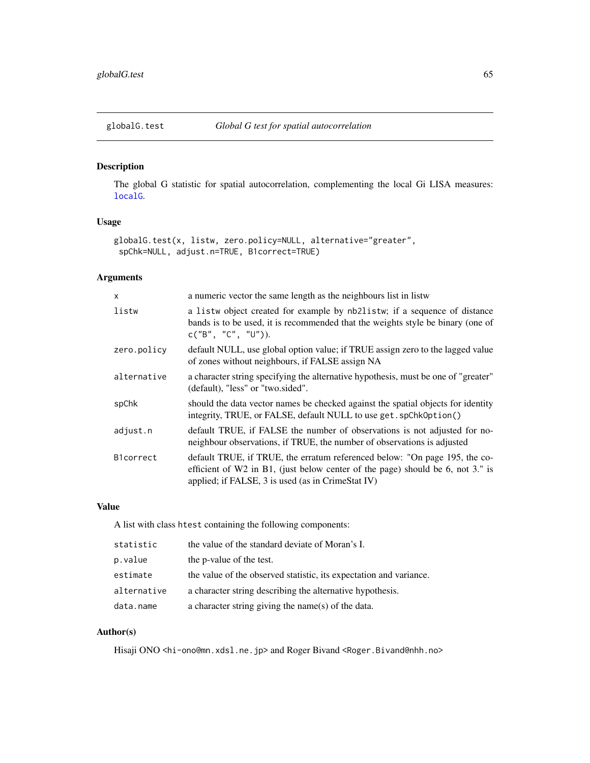## Description

The global G statistic for spatial autocorrelation, complementing the local Gi LISA measures: [localG](#page-123-0).

# Usage

```
globalG.test(x, listw, zero.policy=NULL, alternative="greater",
spChk=NULL, adjust.n=TRUE, B1correct=TRUE)
```
## Arguments

| X           | a numeric vector the same length as the neighbours list in listw                                                                                                                                                  |
|-------------|-------------------------------------------------------------------------------------------------------------------------------------------------------------------------------------------------------------------|
| listw       | a listw object created for example by nb2listw; if a sequence of distance<br>bands is to be used, it is recommended that the weights style be binary (one of<br>c("B", "C", "U").                                 |
| zero.policy | default NULL, use global option value; if TRUE assign zero to the lagged value<br>of zones without neighbours, if FALSE assign NA                                                                                 |
| alternative | a character string specifying the alternative hypothesis, must be one of "greater"<br>(default), "less" or "two.sided".                                                                                           |
| spChk       | should the data vector names be checked against the spatial objects for identity<br>integrity, TRUE, or FALSE, default NULL to use get. spChk0ption()                                                             |
| adjust.n    | default TRUE, if FALSE the number of observations is not adjusted for no-<br>neighbour observations, if TRUE, the number of observations is adjusted                                                              |
| B1correct   | default TRUE, if TRUE, the erratum referenced below: "On page 195, the co-<br>efficient of W2 in B1, (just below center of the page) should be 6, not 3." is<br>applied; if FALSE, 3 is used (as in CrimeStat IV) |

## Value

A list with class htest containing the following components:

| statistic   | the value of the standard deviate of Moran's I.                    |
|-------------|--------------------------------------------------------------------|
| p.value     | the p-value of the test.                                           |
| estimate    | the value of the observed statistic, its expectation and variance. |
| alternative | a character string describing the alternative hypothesis.          |
| data.name   | a character string giving the name(s) of the data.                 |

## Author(s)

Hisaji ONO <hi-ono@mn.xdsl.ne.jp> and Roger Bivand <Roger.Bivand@nhh.no>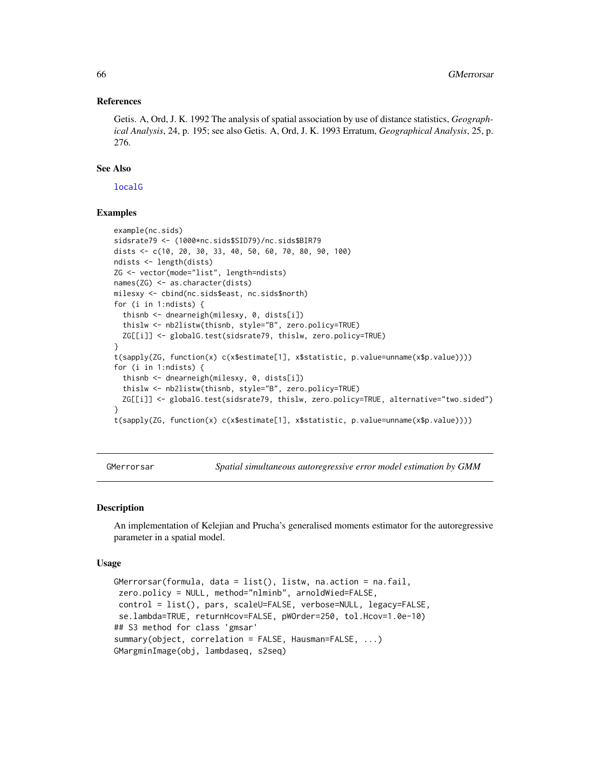### References

Getis. A, Ord, J. K. 1992 The analysis of spatial association by use of distance statistics, *Geographical Analysis*, 24, p. 195; see also Getis. A, Ord, J. K. 1993 Erratum, *Geographical Analysis*, 25, p. 276.

## See Also

[localG](#page-123-0)

## Examples

```
example(nc.sids)
sidsrate79 <- (1000*nc.sids$SID79)/nc.sids$BIR79
dists <- c(10, 20, 30, 33, 40, 50, 60, 70, 80, 90, 100)
ndists <- length(dists)
ZG <- vector(mode="list", length=ndists)
names(ZG) <- as.character(dists)
milesxy <- cbind(nc.sids$east, nc.sids$north)
for (i in 1:ndists) {
  thisnb <- dnearneigh(milesxy, 0, dists[i])
  thislw <- nb2listw(thisnb, style="B", zero.policy=TRUE)
  ZG[[i]] <- globalG.test(sidsrate79, thislw, zero.policy=TRUE)
}
t(sapply(ZG, function(x) c(x$estimate[1], x$statistic, p.value=unname(x$p.value))))
for (i in 1:ndists) {
  thisnb <- dnearneigh(milesxy, 0, dists[i])
  thislw <- nb2listw(thisnb, style="B", zero.policy=TRUE)
  ZG[[i]] <- globalG.test(sidsrate79, thislw, zero.policy=TRUE, alternative="two.sided")
}
t(sapply(ZG, function(x) c(x$estimate[1], x$statistic, p.value=unname(x$p.value))))
```
GMerrorsar *Spatial simultaneous autoregressive error model estimation by GMM*

## **Description**

An implementation of Kelejian and Prucha's generalised moments estimator for the autoregressive parameter in a spatial model.

#### Usage

```
GMerrorsar(formula, data = list(), listw, na.action = na.fail,
zero.policy = NULL, method="nlminb", arnoldWied=FALSE,
control = list(), pars, scaleU=FALSE, verbose=NULL, legacy=FALSE,
se.lambda=TRUE, returnHcov=FALSE, pWOrder=250, tol.Hcov=1.0e-10)
## S3 method for class 'gmsar'
summary(object, correlation = FALSE, Hausman=FALSE, ...)
GMargminImage(obj, lambdaseq, s2seq)
```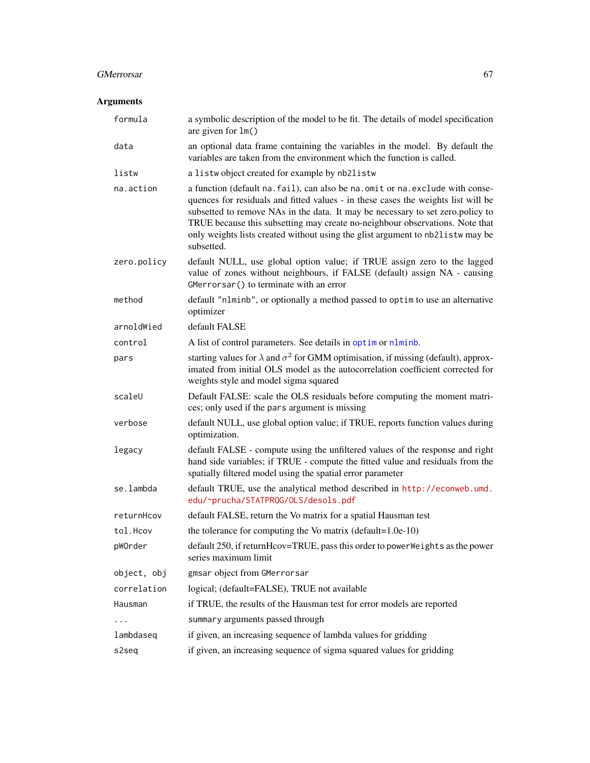# GMerrorsar 67

## Arguments

| formula     | a symbolic description of the model to be fit. The details of model specification<br>are given for $lm()$                                                                                                                                                                                                                                                                                                                             |
|-------------|---------------------------------------------------------------------------------------------------------------------------------------------------------------------------------------------------------------------------------------------------------------------------------------------------------------------------------------------------------------------------------------------------------------------------------------|
| data        | an optional data frame containing the variables in the model. By default the<br>variables are taken from the environment which the function is called.                                                                                                                                                                                                                                                                                |
| listw       | a listwobject created for example by nb2listw                                                                                                                                                                                                                                                                                                                                                                                         |
| na.action   | a function (default na. fail), can also be na. omit or na. exclude with conse-<br>quences for residuals and fitted values - in these cases the weights list will be<br>subsetted to remove NAs in the data. It may be necessary to set zero.policy to<br>TRUE because this subsetting may create no-neighbour observations. Note that<br>only weights lists created without using the glist argument to nb2listw may be<br>subsetted. |
| zero.policy | default NULL, use global option value; if TRUE assign zero to the lagged<br>value of zones without neighbours, if FALSE (default) assign NA - causing<br>GMerrorsar() to terminate with an error                                                                                                                                                                                                                                      |
| method      | default "nlminb", or optionally a method passed to optim to use an alternative<br>optimizer                                                                                                                                                                                                                                                                                                                                           |
| arnoldWied  | default FALSE                                                                                                                                                                                                                                                                                                                                                                                                                         |
| control     | A list of control parameters. See details in optim or nlminb.                                                                                                                                                                                                                                                                                                                                                                         |
| pars        | starting values for $\lambda$ and $\sigma^2$ for GMM optimisation, if missing (default), approx-<br>imated from initial OLS model as the autocorrelation coefficient corrected for<br>weights style and model sigma squared                                                                                                                                                                                                           |
| scaleU      | Default FALSE: scale the OLS residuals before computing the moment matri-<br>ces; only used if the pars argument is missing                                                                                                                                                                                                                                                                                                           |
| verbose     | default NULL, use global option value; if TRUE, reports function values during<br>optimization.                                                                                                                                                                                                                                                                                                                                       |
| legacy      | default FALSE - compute using the unfiltered values of the response and right<br>hand side variables; if TRUE - compute the fitted value and residuals from the<br>spatially filtered model using the spatial error parameter                                                                                                                                                                                                         |
| se.lambda   | default TRUE, use the analytical method described in http://econweb.umd.<br>edu/~prucha/STATPROG/OLS/desols.pdf                                                                                                                                                                                                                                                                                                                       |
| returnHcov  | default FALSE, return the Vo matrix for a spatial Hausman test                                                                                                                                                                                                                                                                                                                                                                        |
| tol.Hcov    | the tolerance for computing the Vo matrix (default= $1.0e-10$ )                                                                                                                                                                                                                                                                                                                                                                       |
| pWOrder     | default 250, if returnHcov=TRUE, pass this order to powerWeights as the power<br>series maximum limit                                                                                                                                                                                                                                                                                                                                 |
| object, obj | gmsar object from GMerrorsar                                                                                                                                                                                                                                                                                                                                                                                                          |
| correlation | logical; (default=FALSE), TRUE not available                                                                                                                                                                                                                                                                                                                                                                                          |
| Hausman     | if TRUE, the results of the Hausman test for error models are reported                                                                                                                                                                                                                                                                                                                                                                |
| .           | summary arguments passed through                                                                                                                                                                                                                                                                                                                                                                                                      |
| lambdaseq   | if given, an increasing sequence of lambda values for gridding                                                                                                                                                                                                                                                                                                                                                                        |
| s2seq       | if given, an increasing sequence of sigma squared values for gridding                                                                                                                                                                                                                                                                                                                                                                 |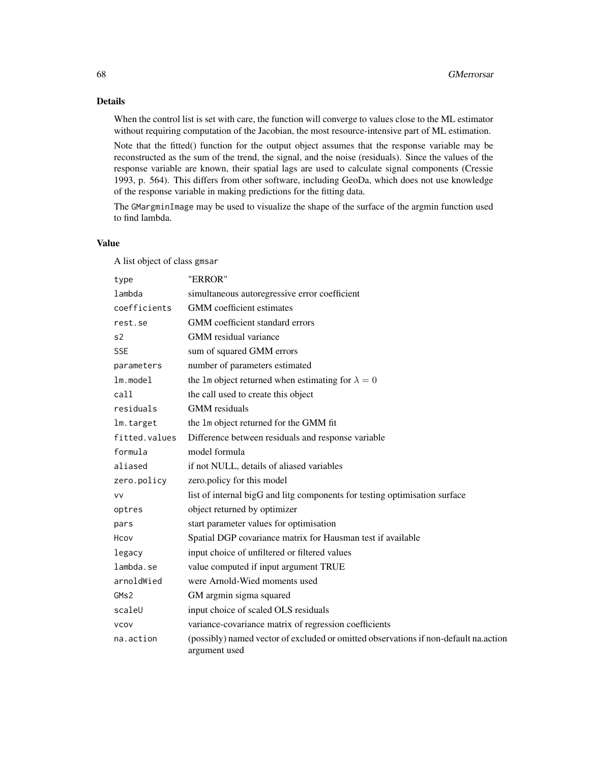## Details

When the control list is set with care, the function will converge to values close to the ML estimator without requiring computation of the Jacobian, the most resource-intensive part of ML estimation.

Note that the fitted() function for the output object assumes that the response variable may be reconstructed as the sum of the trend, the signal, and the noise (residuals). Since the values of the response variable are known, their spatial lags are used to calculate signal components (Cressie 1993, p. 564). This differs from other software, including GeoDa, which does not use knowledge of the response variable in making predictions for the fitting data.

The GMargminImage may be used to visualize the shape of the surface of the argmin function used to find lambda.

## Value

A list object of class gmsar

| type           | "ERROR"                                                                                               |
|----------------|-------------------------------------------------------------------------------------------------------|
| lambda         | simultaneous autoregressive error coefficient                                                         |
| coefficients   | GMM coefficient estimates                                                                             |
| rest.se        | GMM coefficient standard errors                                                                       |
| s <sub>2</sub> | GMM residual variance                                                                                 |
| <b>SSE</b>     | sum of squared GMM errors                                                                             |
| parameters     | number of parameters estimated                                                                        |
| $lm$ . model   | the 1m object returned when estimating for $\lambda = 0$                                              |
| cal1           | the call used to create this object                                                                   |
| residuals      | <b>GMM</b> residuals                                                                                  |
| lm.target      | the 1m object returned for the GMM fit                                                                |
| fitted.values  | Difference between residuals and response variable                                                    |
| formula        | model formula                                                                                         |
| aliased        | if not NULL, details of aliased variables                                                             |
| zero.policy    | zero.policy for this model                                                                            |
| <b>VV</b>      | list of internal bigG and litg components for testing optimisation surface                            |
| optres         | object returned by optimizer                                                                          |
| pars           | start parameter values for optimisation                                                               |
| Hcov           | Spatial DGP covariance matrix for Hausman test if available                                           |
| legacy         | input choice of unfiltered or filtered values                                                         |
| lambda.se      | value computed if input argument TRUE                                                                 |
| arnoldWied     | were Arnold-Wied moments used                                                                         |
| GMS2           | GM argmin sigma squared                                                                               |
| scaleU         | input choice of scaled OLS residuals                                                                  |
| <b>VCOV</b>    | variance-covariance matrix of regression coefficients                                                 |
| na.action      | (possibly) named vector of excluded or omitted observations if non-default na.action<br>argument used |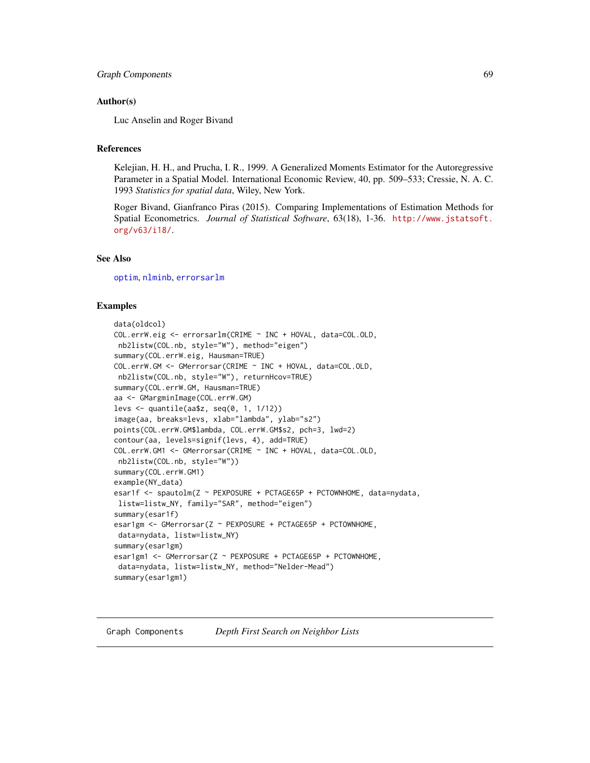## Author(s)

Luc Anselin and Roger Bivand

## References

Kelejian, H. H., and Prucha, I. R., 1999. A Generalized Moments Estimator for the Autoregressive Parameter in a Spatial Model. International Economic Review, 40, pp. 509–533; Cressie, N. A. C. 1993 *Statistics for spatial data*, Wiley, New York.

Roger Bivand, Gianfranco Piras (2015). Comparing Implementations of Estimation Methods for Spatial Econometrics. *Journal of Statistical Software*, 63(18), 1-36. [http://www.jstatsoft.](http://www.jstatsoft.org/v63/i18/) [org/v63/i18/](http://www.jstatsoft.org/v63/i18/).

## See Also

[optim](#page-0-0), [nlminb](#page-0-0), [errorsarlm](#page-51-0)

## Examples

```
data(oldcol)
COL.errW.eig <- errorsarlm(CRIME ~ INC + HOVAL, data=COL.OLD,
nb2listw(COL.nb, style="W"), method="eigen")
summary(COL.errW.eig, Hausman=TRUE)
COL.errW.GM <- GMerrorsar(CRIME ~ INC + HOVAL, data=COL.OLD,
nb2listw(COL.nb, style="W"), returnHcov=TRUE)
summary(COL.errW.GM, Hausman=TRUE)
aa <- GMargminImage(COL.errW.GM)
levs <- quantile(aa$z, seq(0, 1, 1/12))
image(aa, breaks=levs, xlab="lambda", ylab="s2")
points(COL.errW.GM$lambda, COL.errW.GM$s2, pch=3, lwd=2)
contour(aa, levels=signif(levs, 4), add=TRUE)
COL.errW.GM1 <- GMerrorsar(CRIME ~ INC + HOVAL, data=COL.OLD,
nb2listw(COL.nb, style="W"))
summary(COL.errW.GM1)
example(NY_data)
esar1f <- spautolm(Z ~ PEXPOSURE + PCTAGE65P + PCTOWNHOME, data=nydata,
listw=listw_NY, family="SAR", method="eigen")
summary(esar1f)
esar1gm <- GMerrorsar(Z ~ PEXPOSURE + PCTAGE65P + PCTOWNHOME,
data=nydata, listw=listw_NY)
summary(esar1gm)
esar1gm1 <- GMerrorsar(Z ~ PEXPOSURE + PCTAGE65P + PCTOWNHOME,
data=nydata, listw=listw_NY, method="Nelder-Mead")
summary(esar1gm1)
```
#### Graph Components *Depth First Search on Neighbor Lists*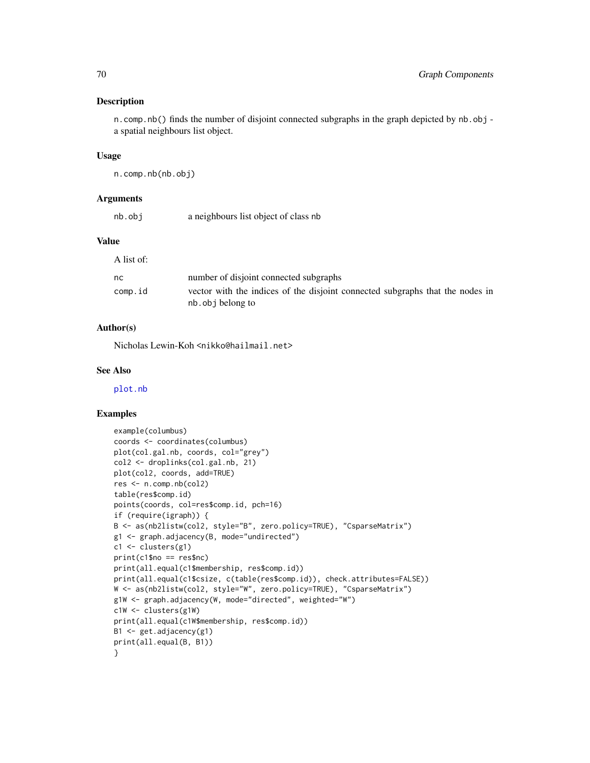## Description

n.comp.nb() finds the number of disjoint connected subgraphs in the graph depicted by nb.obj a spatial neighbours list object.

### Usage

```
n.comp.nb(nb.obj)
```
## Arguments

| nb.obj | a neighbours list object of class nb |
|--------|--------------------------------------|
|        |                                      |

## Value

| A list of:    |                                                                                                    |
|---------------|----------------------------------------------------------------------------------------------------|
| <sub>nc</sub> | number of disjoint connected subgraphs                                                             |
| comp.id       | vector with the indices of the disjoint connected subgraphs that the nodes in<br>nb. obj belong to |

## Author(s)

Nicholas Lewin-Koh <nikko@hailmail.net>

## See Also

[plot.nb](#page-167-0)

```
example(columbus)
coords <- coordinates(columbus)
plot(col.gal.nb, coords, col="grey")
col2 <- droplinks(col.gal.nb, 21)
plot(col2, coords, add=TRUE)
res <- n.comp.nb(col2)
table(res$comp.id)
points(coords, col=res$comp.id, pch=16)
if (require(igraph)) {
B <- as(nb2listw(col2, style="B", zero.policy=TRUE), "CsparseMatrix")
g1 <- graph.adjacency(B, mode="undirected")
c1 <- clusters(g1)
print(c1$no == res$nc)
print(all.equal(c1$membership, res$comp.id))
print(all.equal(c1$csize, c(table(res$comp.id)), check.attributes=FALSE))
W <- as(nb2listw(col2, style="W", zero.policy=TRUE), "CsparseMatrix")
g1W <- graph.adjacency(W, mode="directed", weighted="W")
c1W <- clusters(g1W)
print(all.equal(c1W$membership, res$comp.id))
B1 <- get.adjacency(g1)
print(all.equal(B, B1))
}
```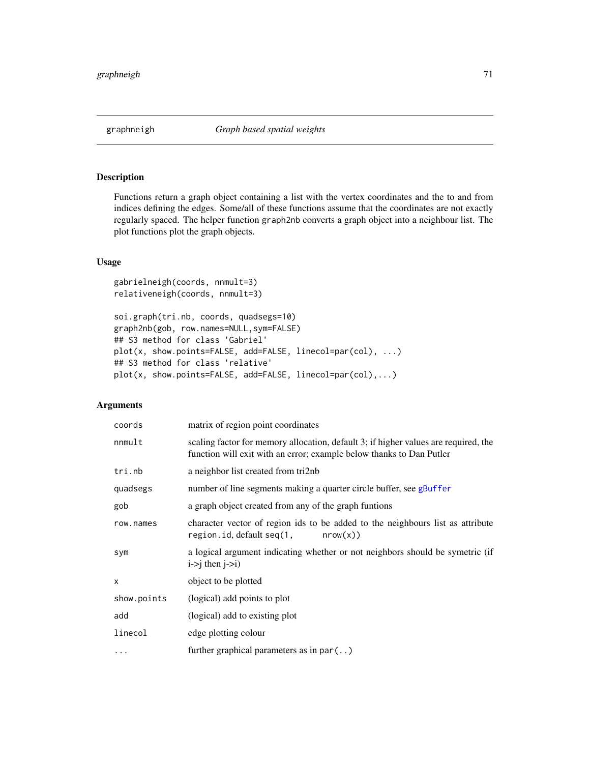## Description

Functions return a graph object containing a list with the vertex coordinates and the to and from indices defining the edges. Some/all of these functions assume that the coordinates are not exactly regularly spaced. The helper function graph2nb converts a graph object into a neighbour list. The plot functions plot the graph objects.

## Usage

```
gabrielneigh(coords, nnmult=3)
relativeneigh(coords, nnmult=3)
```

```
soi.graph(tri.nb, coords, quadsegs=10)
graph2nb(gob, row.names=NULL,sym=FALSE)
## S3 method for class 'Gabriel'
plot(x, show.points=FALSE, add=FALSE, linecol=par(col), ...)
## S3 method for class 'relative'
plot(x, show.points=FALSE, add=FALSE, linecol=par(col),...)
```
## Arguments

| coords       | matrix of region point coordinates                                                                                                                          |
|--------------|-------------------------------------------------------------------------------------------------------------------------------------------------------------|
| nnmult       | scaling factor for memory allocation, default 3; if higher values are required, the<br>function will exit with an error; example below thanks to Dan Putler |
| tri.nb       | a neighbor list created from tri2nb                                                                                                                         |
| quadsegs     | number of line segments making a quarter circle buffer, see gBuffer                                                                                         |
| gob          | a graph object created from any of the graph funtions                                                                                                       |
| row.names    | character vector of region ids to be added to the neighbours list as attribute<br>region.id, default seq(1,<br>nrow(x)                                      |
| sym          | a logical argument indicating whether or not neighbors should be symetric (if<br>$i \rightarrow j$ then $j \rightarrow i$ )                                 |
| $\mathsf{x}$ | object to be plotted                                                                                                                                        |
| show.points  | (logical) add points to plot                                                                                                                                |
| add          | (logical) add to existing plot                                                                                                                              |
| linecol      | edge plotting colour                                                                                                                                        |
| .            | further graphical parameters as in $par($ )                                                                                                                 |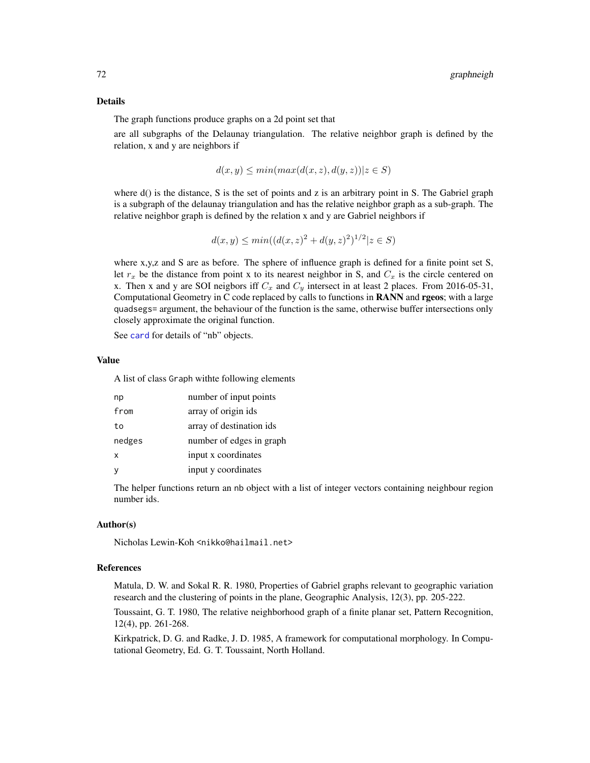#### Details

The graph functions produce graphs on a 2d point set that

are all subgraphs of the Delaunay triangulation. The relative neighbor graph is defined by the relation, x and y are neighbors if

$$
d(x, y) \le \min(\max(d(x, z), d(y, z)) | z \in S)
$$

where  $d()$  is the distance, S is the set of points and z is an arbitrary point in S. The Gabriel graph is a subgraph of the delaunay triangulation and has the relative neighbor graph as a sub-graph. The relative neighbor graph is defined by the relation x and y are Gabriel neighbors if

$$
d(x, y) \le \min((d(x, z)^2 + d(y, z)^2)^{1/2} | z \in S)
$$

where x,y,z and S are as before. The sphere of influence graph is defined for a finite point set S, let  $r_x$  be the distance from point x to its nearest neighbor in S, and  $C_x$  is the circle centered on x. Then x and y are SOI neigbors iff  $C_x$  and  $C_y$  intersect in at least 2 places. From 2016-05-31, Computational Geometry in C code replaced by calls to functions in RANN and rgeos; with a large quadsegs= argument, the behaviour of the function is the same, otherwise buffer intersections only closely approximate the original function.

See [card](#page-23-0) for details of "nb" objects.

### Value

A list of class Graph withte following elements

| np     | number of input points   |
|--------|--------------------------|
| from   | array of origin ids      |
| to     | array of destination ids |
| nedges | number of edges in graph |
| x      | input x coordinates      |
| У      | input y coordinates      |

The helper functions return an nb object with a list of integer vectors containing neighbour region number ids.

## Author(s)

Nicholas Lewin-Koh <nikko@hailmail.net>

## References

Matula, D. W. and Sokal R. R. 1980, Properties of Gabriel graphs relevant to geographic variation research and the clustering of points in the plane, Geographic Analysis, 12(3), pp. 205-222.

Toussaint, G. T. 1980, The relative neighborhood graph of a finite planar set, Pattern Recognition, 12(4), pp. 261-268.

Kirkpatrick, D. G. and Radke, J. D. 1985, A framework for computational morphology. In Computational Geometry, Ed. G. T. Toussaint, North Holland.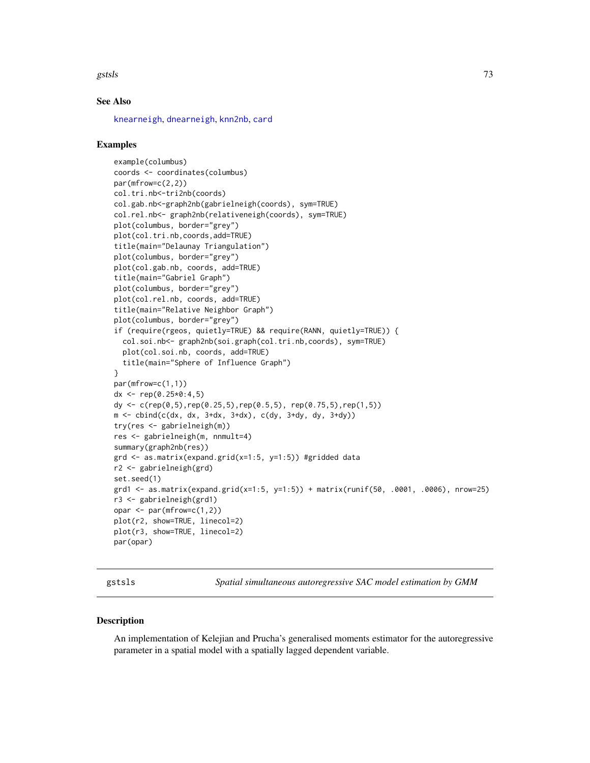#### gstsls i 1338 steden 1338 steden 1338 steden 1338 steden 1338 steden 1338 steden 1338 steden 1338 steden 1338

## See Also

[knearneigh](#page-92-0), [dnearneigh](#page-29-0), [knn2nb](#page-94-0), [card](#page-23-0)

## Examples

```
example(columbus)
coords <- coordinates(columbus)
par(mfrow=c(2,2))
col.tri.nb<-tri2nb(coords)
col.gab.nb<-graph2nb(gabrielneigh(coords), sym=TRUE)
col.rel.nb<- graph2nb(relativeneigh(coords), sym=TRUE)
plot(columbus, border="grey")
plot(col.tri.nb,coords,add=TRUE)
title(main="Delaunay Triangulation")
plot(columbus, border="grey")
plot(col.gab.nb, coords, add=TRUE)
title(main="Gabriel Graph")
plot(columbus, border="grey")
plot(col.rel.nb, coords, add=TRUE)
title(main="Relative Neighbor Graph")
plot(columbus, border="grey")
if (require(rgeos, quietly=TRUE) && require(RANN, quietly=TRUE)) {
  col.soi.nb<- graph2nb(soi.graph(col.tri.nb,coords), sym=TRUE)
  plot(col.soi.nb, coords, add=TRUE)
  title(main="Sphere of Influence Graph")
}
par(mfrow=c(1,1))
dx <- rep(0.25*0:4.5)dy <- c(rep(0,5),rep(0.25,5),rep(0.5,5), rep(0.75,5),rep(1,5))
m \le - cbind(c(dx, dx, 3+dx, 3+dx), c(dy, 3+dy, dy, 3+dy))
try(res <- gabrielneigh(m))
res <- gabrielneigh(m, nnmult=4)
summary(graph2nb(res))
grd <- as.matrix(expand.grid(x=1:5, y=1:5)) #gridded data
r2 <- gabrielneigh(grd)
set.seed(1)
grd1 <- as.matrix(expand.grid(x=1:5, y=1:5)) + matrix(runif(50, .0001, .0006), nrow=25)
r3 <- gabrielneigh(grd1)
opar \leq par(mfrow=c(1,2))
plot(r2, show=TRUE, linecol=2)
plot(r3, show=TRUE, linecol=2)
par(opar)
```
gstsls *Spatial simultaneous autoregressive SAC model estimation by GMM*

## Description

An implementation of Kelejian and Prucha's generalised moments estimator for the autoregressive parameter in a spatial model with a spatially lagged dependent variable.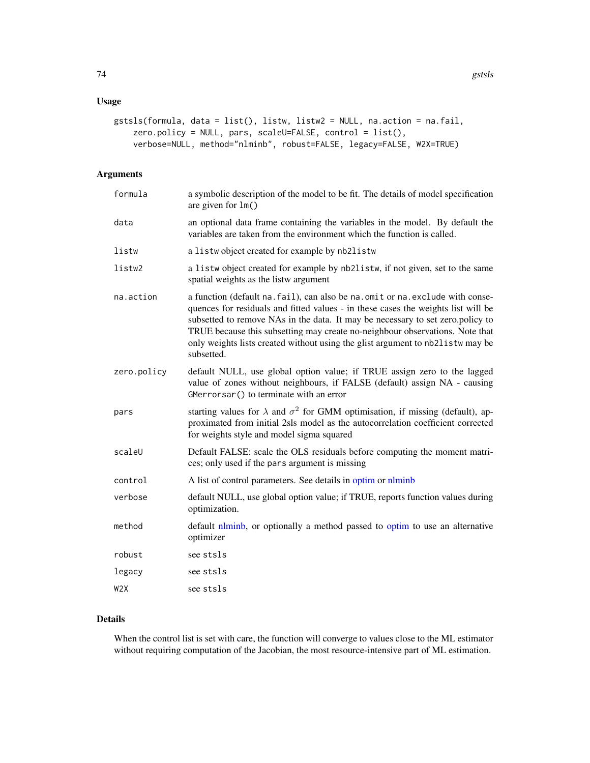# Usage

```
gstsls(formula, data = list(), listw, listw2 = NULL, na.action = na.fail,
    zero.policy = NULL, pars, scaleU=FALSE, control = list(),
    verbose=NULL, method="nlminb", robust=FALSE, legacy=FALSE, W2X=TRUE)
```
# Arguments

| formula     | a symbolic description of the model to be fit. The details of model specification<br>are given for $lm()$                                                                                                                                                                                                                                                                                                                             |
|-------------|---------------------------------------------------------------------------------------------------------------------------------------------------------------------------------------------------------------------------------------------------------------------------------------------------------------------------------------------------------------------------------------------------------------------------------------|
| data        | an optional data frame containing the variables in the model. By default the<br>variables are taken from the environment which the function is called.                                                                                                                                                                                                                                                                                |
| listw       | a listwobject created for example by nb2listw                                                                                                                                                                                                                                                                                                                                                                                         |
| listw2      | a listw object created for example by nb2listw, if not given, set to the same<br>spatial weights as the listw argument                                                                                                                                                                                                                                                                                                                |
| na.action   | a function (default na. fail), can also be na. omit or na. exclude with conse-<br>quences for residuals and fitted values - in these cases the weights list will be<br>subsetted to remove NAs in the data. It may be necessary to set zero.policy to<br>TRUE because this subsetting may create no-neighbour observations. Note that<br>only weights lists created without using the glist argument to nb2listw may be<br>subsetted. |
| zero.policy | default NULL, use global option value; if TRUE assign zero to the lagged<br>value of zones without neighbours, if FALSE (default) assign NA - causing<br>GMerrorsar() to terminate with an error                                                                                                                                                                                                                                      |
| pars        | starting values for $\lambda$ and $\sigma^2$ for GMM optimisation, if missing (default), ap-<br>proximated from initial 2sls model as the autocorrelation coefficient corrected<br>for weights style and model sigma squared                                                                                                                                                                                                          |
| scaleU      | Default FALSE: scale the OLS residuals before computing the moment matri-<br>ces; only used if the pars argument is missing                                                                                                                                                                                                                                                                                                           |
| control     | A list of control parameters. See details in optim or nlminb                                                                                                                                                                                                                                                                                                                                                                          |
| verbose     | default NULL, use global option value; if TRUE, reports function values during<br>optimization.                                                                                                                                                                                                                                                                                                                                       |
| method      | default nlminb, or optionally a method passed to optim to use an alternative<br>optimizer                                                                                                                                                                                                                                                                                                                                             |
| robust      | see stsls                                                                                                                                                                                                                                                                                                                                                                                                                             |
| legacy      | see stsls                                                                                                                                                                                                                                                                                                                                                                                                                             |
| W2X         | see stsls                                                                                                                                                                                                                                                                                                                                                                                                                             |

# Details

When the control list is set with care, the function will converge to values close to the ML estimator without requiring computation of the Jacobian, the most resource-intensive part of ML estimation.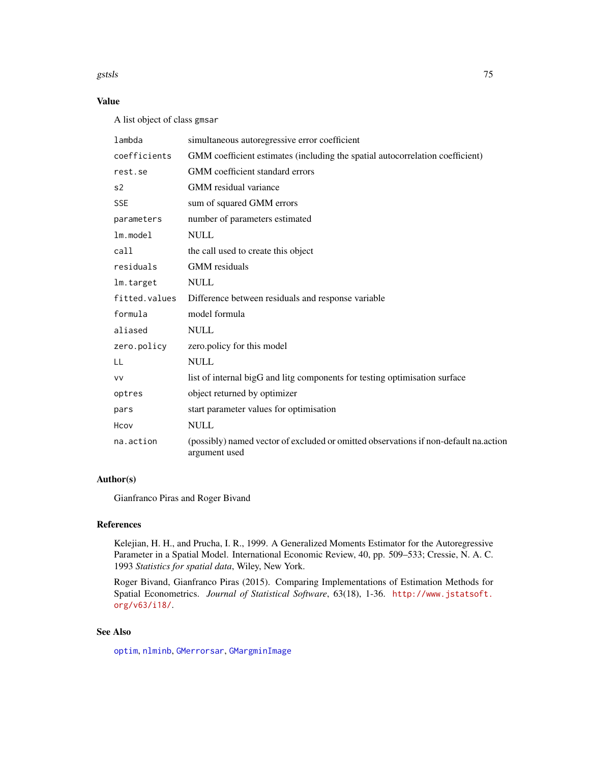#### gstsls i 150 meters og 150 meters og 150 meters og 150 meters og 150 meters og 150 meters og 150 meters og 15

# Value

A list object of class gmsar

| lambda        | simultaneous autoregressive error coefficient                                                         |
|---------------|-------------------------------------------------------------------------------------------------------|
| coefficients  | GMM coefficient estimates (including the spatial autocorrelation coefficient)                         |
| rest.se       | GMM coefficient standard errors                                                                       |
| s2            | GMM residual variance                                                                                 |
| <b>SSE</b>    | sum of squared GMM errors                                                                             |
| parameters    | number of parameters estimated                                                                        |
| $lm$ . model  | <b>NULL</b>                                                                                           |
| call          | the call used to create this object                                                                   |
| residuals     | <b>GMM</b> residuals                                                                                  |
| lm.target     | <b>NULL</b>                                                                                           |
| fitted.values | Difference between residuals and response variable                                                    |
| formula       | model formula                                                                                         |
| aliased       | <b>NULL</b>                                                                                           |
| zero.policy   | zero.policy for this model                                                                            |
| LL            | <b>NULL</b>                                                                                           |
| <b>VV</b>     | list of internal bigG and litg components for testing optimisation surface                            |
| optres        | object returned by optimizer                                                                          |
| pars          | start parameter values for optimisation                                                               |
| Hcov          | <b>NULL</b>                                                                                           |
| na.action     | (possibly) named vector of excluded or omitted observations if non-default na.action<br>argument used |

# Author(s)

Gianfranco Piras and Roger Bivand

# References

Kelejian, H. H., and Prucha, I. R., 1999. A Generalized Moments Estimator for the Autoregressive Parameter in a Spatial Model. International Economic Review, 40, pp. 509–533; Cressie, N. A. C. 1993 *Statistics for spatial data*, Wiley, New York.

Roger Bivand, Gianfranco Piras (2015). Comparing Implementations of Estimation Methods for Spatial Econometrics. *Journal of Statistical Software*, 63(18), 1-36. [http://www.jstatsoft.](http://www.jstatsoft.org/v63/i18/) [org/v63/i18/](http://www.jstatsoft.org/v63/i18/).

# See Also

[optim](#page-0-0), [nlminb](#page-0-0), [GMerrorsar](#page-65-0), [GMargminImage](#page-65-1)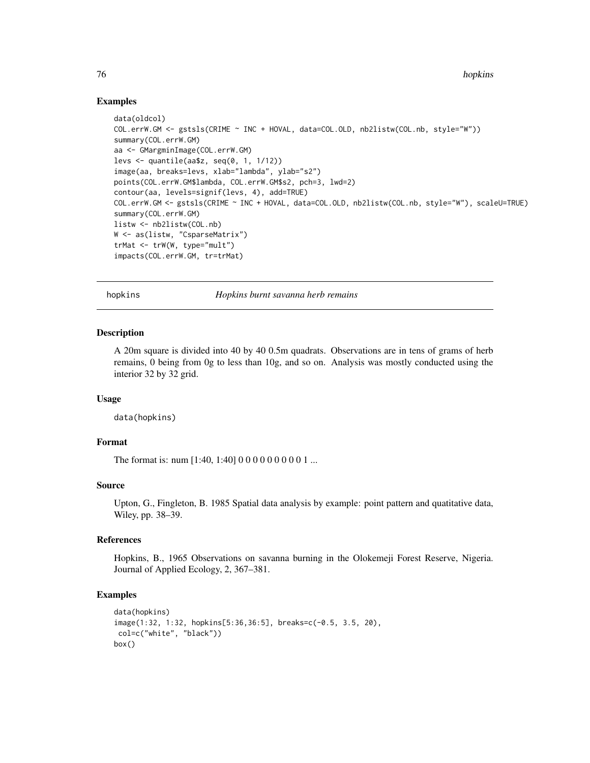## Examples

```
data(oldcol)
COL.errW.GM <- gstsls(CRIME ~ INC + HOVAL, data=COL.OLD, nb2listw(COL.nb, style="W"))
summary(COL.errW.GM)
aa <- GMargminImage(COL.errW.GM)
levs \leq quantile(aa$z, seq(0, 1, 1/12))
image(aa, breaks=levs, xlab="lambda", ylab="s2")
points(COL.errW.GM$lambda, COL.errW.GM$s2, pch=3, lwd=2)
contour(aa, levels=signif(levs, 4), add=TRUE)
COL.errW.GM <- gstsls(CRIME ~ INC + HOVAL, data=COL.OLD, nb2listw(COL.nb, style="W"), scaleU=TRUE)
summary(COL.errW.GM)
listw <- nb2listw(COL.nb)
W <- as(listw, "CsparseMatrix")
trMat <- trW(W, type="mult")
impacts(COL.errW.GM, tr=trMat)
```
hopkins *Hopkins burnt savanna herb remains*

## **Description**

A 20m square is divided into 40 by 40 0.5m quadrats. Observations are in tens of grams of herb remains, 0 being from 0g to less than 10g, and so on. Analysis was mostly conducted using the interior 32 by 32 grid.

#### Usage

data(hopkins)

## Format

The format is: num [1:40, 1:40] 0 0 0 0 0 0 0 0 0 1 ...

#### Source

Upton, G., Fingleton, B. 1985 Spatial data analysis by example: point pattern and quatitative data, Wiley, pp. 38–39.

# References

Hopkins, B., 1965 Observations on savanna burning in the Olokemeji Forest Reserve, Nigeria. Journal of Applied Ecology, 2, 367–381.

```
data(hopkins)
image(1:32, 1:32, hopkins[5:36,36:5], breaks=c(-0.5, 3.5, 20),
col=c("white", "black"))
box()
```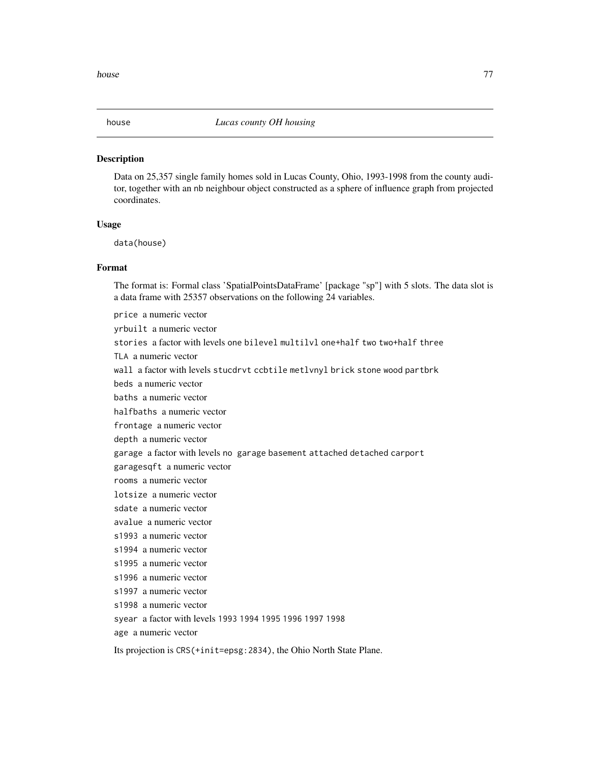Data on 25,357 single family homes sold in Lucas County, Ohio, 1993-1998 from the county auditor, together with an nb neighbour object constructed as a sphere of influence graph from projected coordinates.

#### Usage

data(house)

# Format

The format is: Formal class 'SpatialPointsDataFrame' [package "sp"] with 5 slots. The data slot is a data frame with 25357 observations on the following 24 variables.

price a numeric vector yrbuilt a numeric vector stories a factor with levels one bilevel multilvl one+half two two+half three TLA a numeric vector wall a factor with levels stucdrvt ccbtile metlvnyl brick stone wood partbrk beds a numeric vector baths a numeric vector halfbaths a numeric vector frontage a numeric vector depth a numeric vector garage a factor with levels no garage basement attached detached carport garagesqft a numeric vector rooms a numeric vector lotsize a numeric vector sdate a numeric vector avalue a numeric vector s1993 a numeric vector s1994 a numeric vector s1995 a numeric vector s1996 a numeric vector s1997 a numeric vector s1998 a numeric vector syear a factor with levels 1993 1994 1995 1996 1997 1998 age a numeric vector

Its projection is CRS(+init=epsg:2834), the Ohio North State Plane.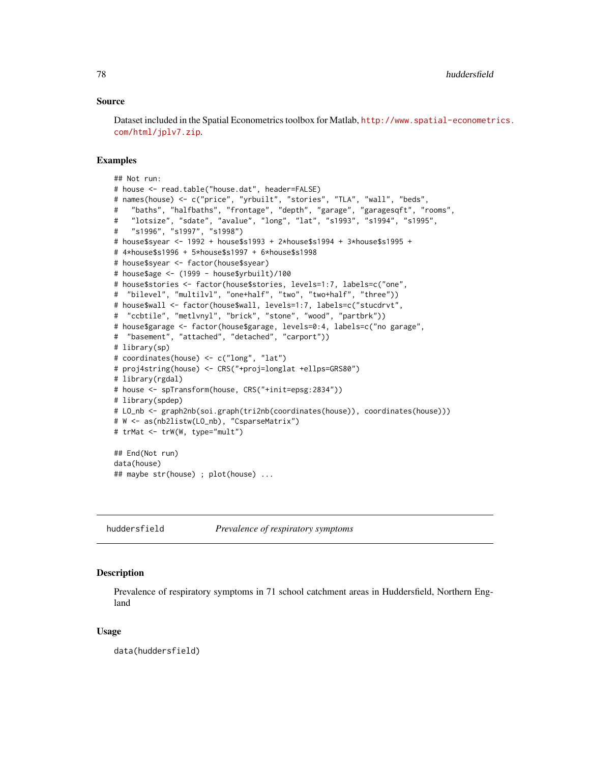### Source

Dataset included in the Spatial Econometrics toolbox for Matlab, [http://www.spatial-econometr](http://www.spatial-econometrics.com/html/jplv7.zip)ics. [com/html/jplv7.zip](http://www.spatial-econometrics.com/html/jplv7.zip).

#### Examples

```
## Not run:
# house <- read.table("house.dat", header=FALSE)
# names(house) <- c("price", "yrbuilt", "stories", "TLA", "wall", "beds",
# "baths", "halfbaths", "frontage", "depth", "garage", "garagesqft", "rooms",
# "lotsize", "sdate", "avalue", "long", "lat", "s1993", "s1994", "s1995",
# "s1996", "s1997", "s1998")
# house$syear <- 1992 + house$s1993 + 2*house$s1994 + 3*house$s1995 +
# 4*house$s1996 + 5*house$s1997 + 6*house$s1998
# house$syear <- factor(house$syear)
# house$age <- (1999 - house$yrbuilt)/100
# house$stories <- factor(house$stories, levels=1:7, labels=c("one",
# "bilevel", "multilvl", "one+half", "two", "two+half", "three"))
# house$wall <- factor(house$wall, levels=1:7, labels=c("stucdrvt",
# "ccbtile", "metlvnyl", "brick", "stone", "wood", "partbrk"))
# house$garage <- factor(house$garage, levels=0:4, labels=c("no garage",
# "basement", "attached", "detached", "carport"))
# library(sp)
# coordinates(house) <- c("long", "lat")
# proj4string(house) <- CRS("+proj=longlat +ellps=GRS80")
# library(rgdal)
# house <- spTransform(house, CRS("+init=epsg:2834"))
# library(spdep)
# LO_nb <- graph2nb(soi.graph(tri2nb(coordinates(house)), coordinates(house)))
# W <- as(nb2listw(LO_nb), "CsparseMatrix")
# trMat <- trW(W, type="mult")
## End(Not run)
data(house)
## maybe str(house) ; plot(house) ...
```
huddersfield *Prevalence of respiratory symptoms*

# Description

Prevalence of respiratory symptoms in 71 school catchment areas in Huddersfield, Northern England

#### Usage

data(huddersfield)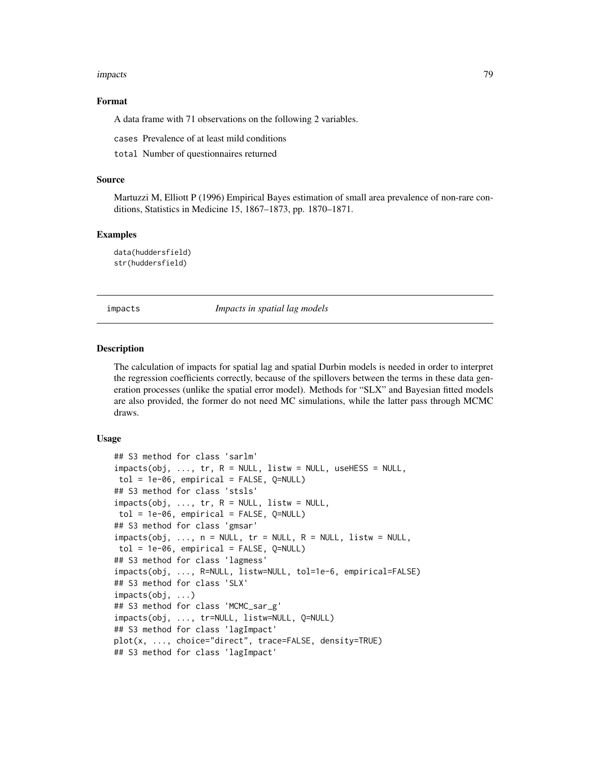#### impacts **79**

## Format

A data frame with 71 observations on the following 2 variables.

cases Prevalence of at least mild conditions

total Number of questionnaires returned

#### Source

Martuzzi M, Elliott P (1996) Empirical Bayes estimation of small area prevalence of non-rare conditions, Statistics in Medicine 15, 1867–1873, pp. 1870–1871.

## Examples

data(huddersfield) str(huddersfield)

impacts *Impacts in spatial lag models*

#### <span id="page-78-0"></span>Description

The calculation of impacts for spatial lag and spatial Durbin models is needed in order to interpret the regression coefficients correctly, because of the spillovers between the terms in these data generation processes (unlike the spatial error model). Methods for "SLX" and Bayesian fitted models are also provided, the former do not need MC simulations, while the latter pass through MCMC draws.

#### Usage

```
## S3 method for class 'sarlm'
impacts(obj, ..., tr, R = NULL, listw = NULL, use HESS = NULL,tol = 1e-06, empirical = FALSE, Q=NULL)
## S3 method for class 'stsls'
imparts(obj, ..., tr, R = NULL, listw = NULL,tol = 1e-06, empirical = FALSE, Q=NULL)
## S3 method for class 'gmsar'
impacts(obj, ..., n = NULL, tr = NULL, R = NULL, listw = NULL,tol = 1e-06, empirical = FALSE, Q=NULL)
## S3 method for class 'lagmess'
impacts(obj, ..., R=NULL, listw=NULL, tol=1e-6, empirical=FALSE)
## S3 method for class 'SLX'
impacts(obj, ...)
## S3 method for class 'MCMC_sar_g'
impacts(obj, ..., tr=NULL, listw=NULL, Q=NULL)
## S3 method for class 'lagImpact'
plot(x, ..., choice="direct", trace=FALSE, density=TRUE)
## S3 method for class 'lagImpact'
```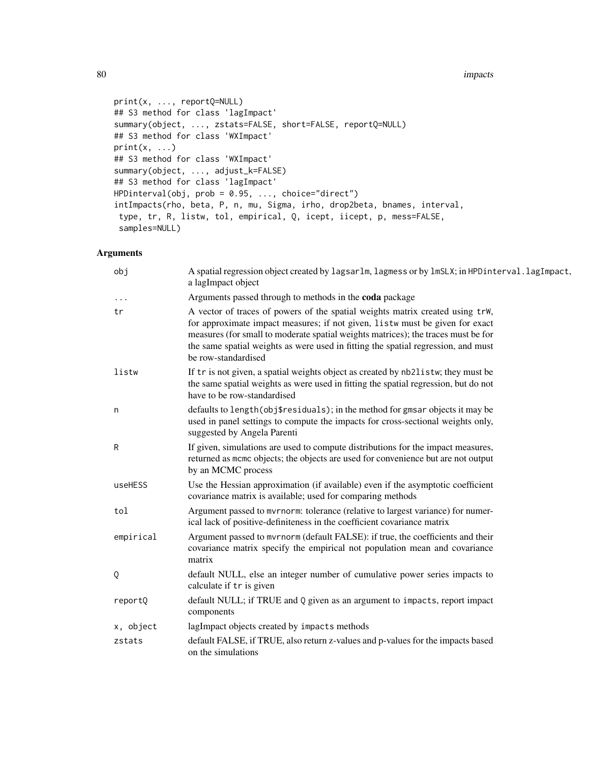#### 80 impacts

```
print(x, ..., reportQ=NULL)
## S3 method for class 'lagImpact'
summary(object, ..., zstats=FALSE, short=FALSE, reportQ=NULL)
## S3 method for class 'WXImpact'
print(x, \ldots)## S3 method for class 'WXImpact'
summary(object, ..., adjust_k=FALSE)
## S3 method for class 'lagImpact'
HPDinterval(obj, prob = 0.95, ..., choice="direct")
intImpacts(rho, beta, P, n, mu, Sigma, irho, drop2beta, bnames, interval,
type, tr, R, listw, tol, empirical, Q, icept, iicept, p, mess=FALSE,
 samples=NULL)
```
# Arguments

| obj       | A spatial regression object created by lagsarlm, lagmess or by lmSLX; in HPDinterval. lagImpact,<br>a lagImpact object                                                                                                                                                                                                                                         |
|-----------|----------------------------------------------------------------------------------------------------------------------------------------------------------------------------------------------------------------------------------------------------------------------------------------------------------------------------------------------------------------|
| $\cdot$   | Arguments passed through to methods in the coda package                                                                                                                                                                                                                                                                                                        |
| tr        | A vector of traces of powers of the spatial weights matrix created using trW,<br>for approximate impact measures; if not given, listw must be given for exact<br>measures (for small to moderate spatial weights matrices); the traces must be for<br>the same spatial weights as were used in fitting the spatial regression, and must<br>be row-standardised |
| listw     | If tr is not given, a spatial weights object as created by nb2listw; they must be<br>the same spatial weights as were used in fitting the spatial regression, but do not<br>have to be row-standardised                                                                                                                                                        |
| n         | defaults to length(obj\$residuals); in the method for gmsar objects it may be<br>used in panel settings to compute the impacts for cross-sectional weights only,<br>suggested by Angela Parenti                                                                                                                                                                |
| R         | If given, simulations are used to compute distributions for the impact measures,<br>returned as mcmc objects; the objects are used for convenience but are not output<br>by an MCMC process                                                                                                                                                                    |
| useHESS   | Use the Hessian approximation (if available) even if the asymptotic coefficient<br>covariance matrix is available; used for comparing methods                                                                                                                                                                                                                  |
| tol       | Argument passed to mvrnorm: tolerance (relative to largest variance) for numer-<br>ical lack of positive-definiteness in the coefficient covariance matrix                                                                                                                                                                                                     |
| empirical | Argument passed to mvrnorm (default FALSE): if true, the coefficients and their<br>covariance matrix specify the empirical not population mean and covariance<br>matrix                                                                                                                                                                                        |
| Q         | default NULL, else an integer number of cumulative power series impacts to<br>calculate if tr is given                                                                                                                                                                                                                                                         |
| reportQ   | default NULL; if TRUE and Q given as an argument to impacts, report impact<br>components                                                                                                                                                                                                                                                                       |
| x, object | lagImpact objects created by impacts methods                                                                                                                                                                                                                                                                                                                   |
| zstats    | default FALSE, if TRUE, also return z-values and p-values for the impacts based<br>on the simulations                                                                                                                                                                                                                                                          |
|           |                                                                                                                                                                                                                                                                                                                                                                |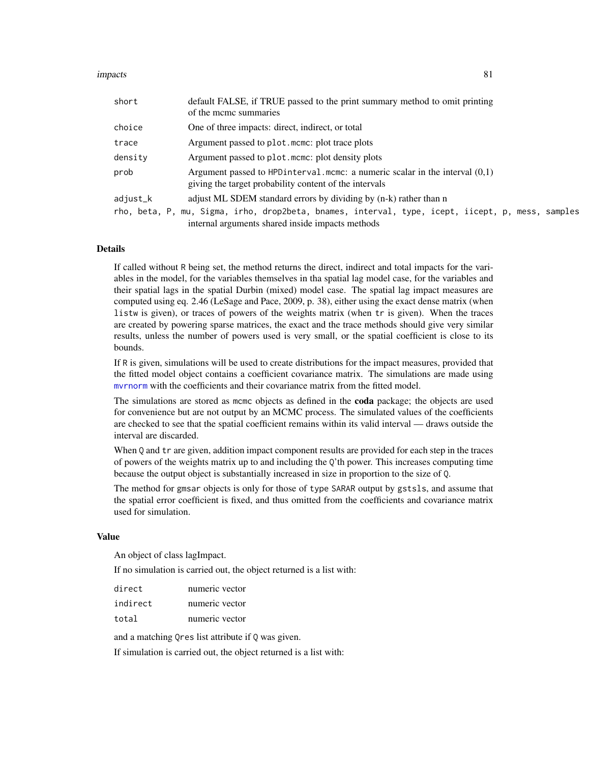#### impacts 81

| short    | default FALSE, if TRUE passed to the print summary method to omit printing<br>of the mcmc summaries                                      |
|----------|------------------------------------------------------------------------------------------------------------------------------------------|
| choice   | One of three impacts: direct, indirect, or total                                                                                         |
| trace    | Argument passed to plot.mcmc: plot trace plots                                                                                           |
| density  | Argument passed to plot. mome: plot density plots                                                                                        |
| prob     | Argument passed to HPD interval.mcmc: a numeric scalar in the interval $(0,1)$<br>giving the target probability content of the intervals |
| adjust_k | adjust ML SDEM standard errors by dividing by (n-k) rather than n                                                                        |
|          | rho, beta, P, mu, Sigma, irho, drop2beta, bnames, interval, type, icept, iicept, p, mess, samples                                        |
|          | internal arguments shared inside impacts methods                                                                                         |

#### Details

If called without R being set, the method returns the direct, indirect and total impacts for the variables in the model, for the variables themselves in tha spatial lag model case, for the variables and their spatial lags in the spatial Durbin (mixed) model case. The spatial lag impact measures are computed using eq. 2.46 (LeSage and Pace, 2009, p. 38), either using the exact dense matrix (when listw is given), or traces of powers of the weights matrix (when tr is given). When the traces are created by powering sparse matrices, the exact and the trace methods should give very similar results, unless the number of powers used is very small, or the spatial coefficient is close to its bounds.

If R is given, simulations will be used to create distributions for the impact measures, provided that the fitted model object contains a coefficient covariance matrix. The simulations are made using [mvrnorm](#page-0-0) with the coefficients and their covariance matrix from the fitted model.

The simulations are stored as mcmc objects as defined in the **coda** package; the objects are used for convenience but are not output by an MCMC process. The simulated values of the coefficients are checked to see that the spatial coefficient remains within its valid interval — draws outside the interval are discarded.

When Q and tr are given, addition impact component results are provided for each step in the traces of powers of the weights matrix up to and including the Q'th power. This increases computing time because the output object is substantially increased in size in proportion to the size of Q.

The method for gmsar objects is only for those of type SARAR output by gstsls, and assume that the spatial error coefficient is fixed, and thus omitted from the coefficients and covariance matrix used for simulation.

## Value

An object of class lagImpact.

If no simulation is carried out, the object returned is a list with:

| direct   | numeric vector |
|----------|----------------|
| indirect | numeric vector |
| total    | numeric vector |

and a matching Qres list attribute if Q was given.

If simulation is carried out, the object returned is a list with: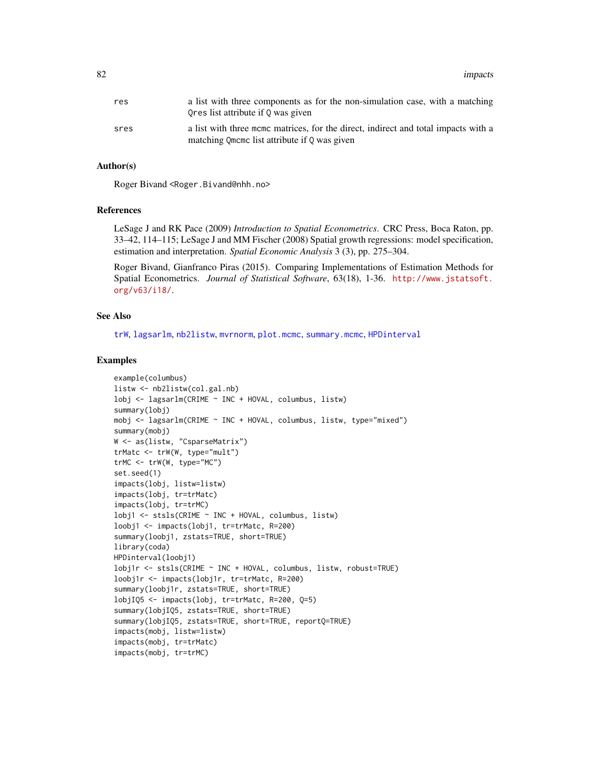82 impacts and the contract of the contract of the contract of the contract of the contract of the contract of the contract of the contract of the contract of the contract of the contract of the contract of the contract of

| res  | a list with three components as for the non-simulation case, with a matching<br>Ores list attribute if 0 was given                 |
|------|------------------------------------------------------------------------------------------------------------------------------------|
| sres | a list with three mome matrices, for the direct, indirect and total impacts with a<br>matching Omeme list attribute if 0 was given |

## Author(s)

Roger Bivand <Roger.Bivand@nhh.no>

## References

LeSage J and RK Pace (2009) *Introduction to Spatial Econometrics*. CRC Press, Boca Raton, pp. 33–42, 114–115; LeSage J and MM Fischer (2008) Spatial growth regressions: model specification, estimation and interpretation. *Spatial Economic Analysis* 3 (3), pp. 275–304.

Roger Bivand, Gianfranco Piras (2015). Comparing Implementations of Estimation Methods for Spatial Econometrics. *Journal of Statistical Software*, 63(18), 1-36. [http://www.jstatsoft.](http://www.jstatsoft.org/v63/i18/) [org/v63/i18/](http://www.jstatsoft.org/v63/i18/).

## See Also

[trW](#page-222-0), [lagsarlm](#page-98-0), [nb2listw](#page-153-0), [mvrnorm](#page-0-0), [plot.mcmc](#page-0-0), [summary.mcmc](#page-0-0), [HPDinterval](#page-0-0)

```
example(columbus)
listw <- nb2listw(col.gal.nb)
lobj <- lagsarlm(CRIME ~ INC + HOVAL, columbus, listw)
summary(lobj)
mobj <- lagsarlm(CRIME ~ INC + HOVAL, columbus, listw, type="mixed")
summary(mobj)
W <- as(listw, "CsparseMatrix")
trMatc <- trW(W, type="mult")
trMC \leftarrow trW(W, type="MC")set.seed(1)
impacts(lobj, listw=listw)
impacts(lobj, tr=trMatc)
impacts(lobj, tr=trMC)
lobj1 <- stsls(CRIME ~ INC + HOVAL, columbus, listw)
loobj1 <- impacts(lobj1, tr=trMatc, R=200)
summary(loobj1, zstats=TRUE, short=TRUE)
library(coda)
HPDinterval(loobj1)
lobj1r <- stsls(CRIME ~ INC + HOVAL, columbus, listw, robust=TRUE)
loobj1r <- impacts(lobj1r, tr=trMatc, R=200)
summary(loobj1r, zstats=TRUE, short=TRUE)
lobjIQ5 <- impacts(lobj, tr=trMatc, R=200, Q=5)
summary(lobjIQ5, zstats=TRUE, short=TRUE)
summary(lobjIQ5, zstats=TRUE, short=TRUE, reportQ=TRUE)
impacts(mobj, listw=listw)
impacts(mobj, tr=trMatc)
impacts(mobj, tr=trMC)
```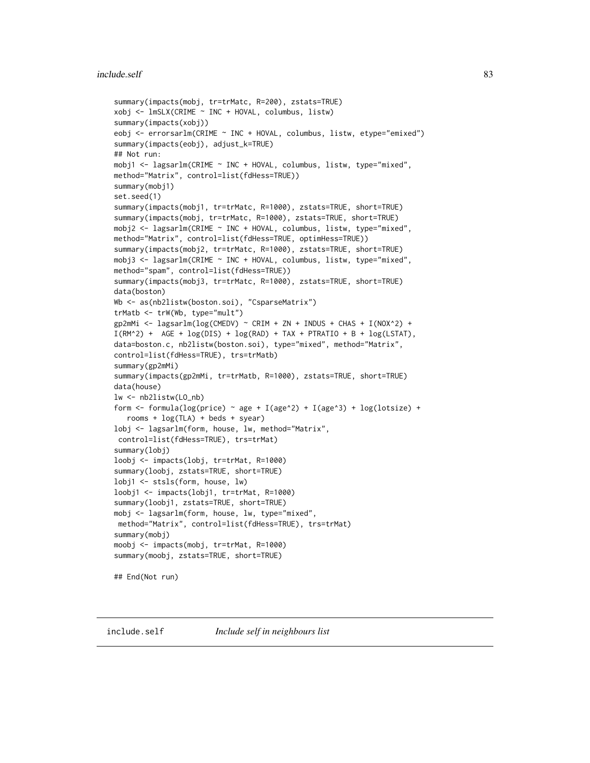## include.self 83

```
summary(impacts(mobj, tr=trMatc, R=200), zstats=TRUE)
xobj <- lmSLX(CRIME ~ INC + HOVAL, columbus, listw)
summary(impacts(xobj))
eobj <- errorsarlm(CRIME ~ INC + HOVAL, columbus, listw, etype="emixed")
summary(impacts(eobj), adjust_k=TRUE)
## Not run:
mobj1 <- lagsarlm(CRIME ~ INC + HOVAL, columbus, listw, type="mixed",
method="Matrix", control=list(fdHess=TRUE))
summary(mobj1)
set.seed(1)
summary(impacts(mobj1, tr=trMatc, R=1000), zstats=TRUE, short=TRUE)
summary(impacts(mobj, tr=trMatc, R=1000), zstats=TRUE, short=TRUE)
mobj2 <- lagsarlm(CRIME ~ INC + HOVAL, columbus, listw, type="mixed",
method="Matrix", control=list(fdHess=TRUE, optimHess=TRUE))
summary(impacts(mobj2, tr=trMatc, R=1000), zstats=TRUE, short=TRUE)
mobj3 <- lagsarlm(CRIME ~ INC + HOVAL, columbus, listw, type="mixed",
method="spam", control=list(fdHess=TRUE))
summary(impacts(mobj3, tr=trMatc, R=1000), zstats=TRUE, short=TRUE)
data(boston)
Wb <- as(nb2listw(boston.soi), "CsparseMatrix")
trMatb <- trW(Wb, type="mult")
gp2mMi <- lagsarlm(log(CMEDV) ~ CRIM + ZN + INDUS + CHAS + I(NOX^2) +
I(RM^2) + AGE + log(DIS) + log(RAD) + TAX + PTRATIO + B + log(LSTAT),
data=boston.c, nb2listw(boston.soi), type="mixed", method="Matrix",
control=list(fdHess=TRUE), trs=trMatb)
summary(gp2mMi)
summary(impacts(gp2mMi, tr=trMatb, R=1000), zstats=TRUE, short=TRUE)
data(house)
lw <- nb2listw(LO_nb)
form <- formula(log(price) ~ age + I(age^2) + I(age^3) + log(lotsize) +
  rooms + log(TLA) + beds + syear)
lobj <- lagsarlm(form, house, lw, method="Matrix",
control=list(fdHess=TRUE), trs=trMat)
summary(lobj)
loobj <- impacts(lobj, tr=trMat, R=1000)
summary(loobj, zstats=TRUE, short=TRUE)
lobj1 <- stsls(form, house, lw)
loobj1 <- impacts(lobj1, tr=trMat, R=1000)
summary(loobj1, zstats=TRUE, short=TRUE)
mobj <- lagsarlm(form, house, lw, type="mixed",
method="Matrix", control=list(fdHess=TRUE), trs=trMat)
summary(mobj)
moobj <- impacts(mobj, tr=trMat, R=1000)
summary(moobj, zstats=TRUE, short=TRUE)
## End(Not run)
```
include.self *Include self in neighbours list*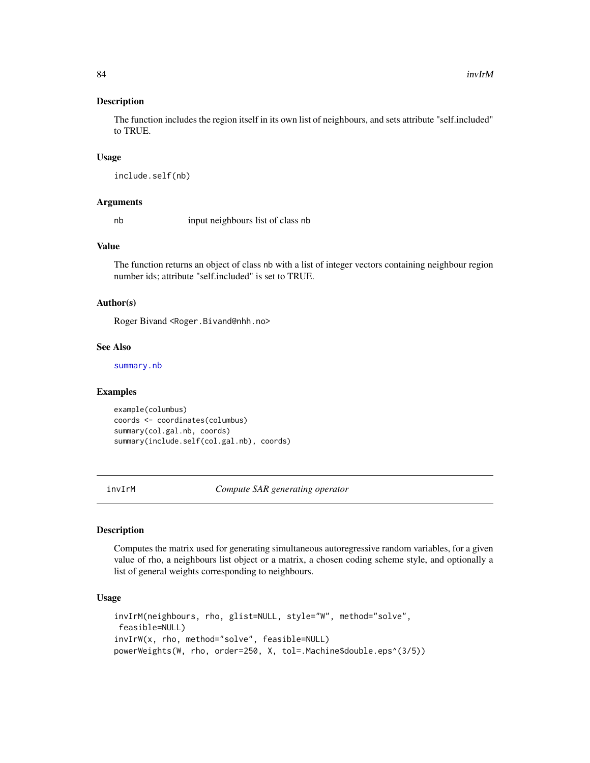The function includes the region itself in its own list of neighbours, and sets attribute "self.included" to TRUE.

#### Usage

include.self(nb)

#### Arguments

nb input neighbours list of class nb

#### Value

The function returns an object of class nb with a list of integer vectors containing neighbour region number ids; attribute "self.included" is set to TRUE.

#### Author(s)

Roger Bivand <Roger.Bivand@nhh.no>

#### See Also

[summary.nb](#page-216-0)

## Examples

example(columbus) coords <- coordinates(columbus) summary(col.gal.nb, coords) summary(include.self(col.gal.nb), coords)

invIrM *Compute SAR generating operator*

# Description

Computes the matrix used for generating simultaneous autoregressive random variables, for a given value of rho, a neighbours list object or a matrix, a chosen coding scheme style, and optionally a list of general weights corresponding to neighbours.

## Usage

```
invIrM(neighbours, rho, glist=NULL, style="W", method="solve",
feasible=NULL)
invIrW(x, rho, method="solve", feasible=NULL)
powerWeights(W, rho, order=250, X, tol=.Machine$double.eps^(3/5))
```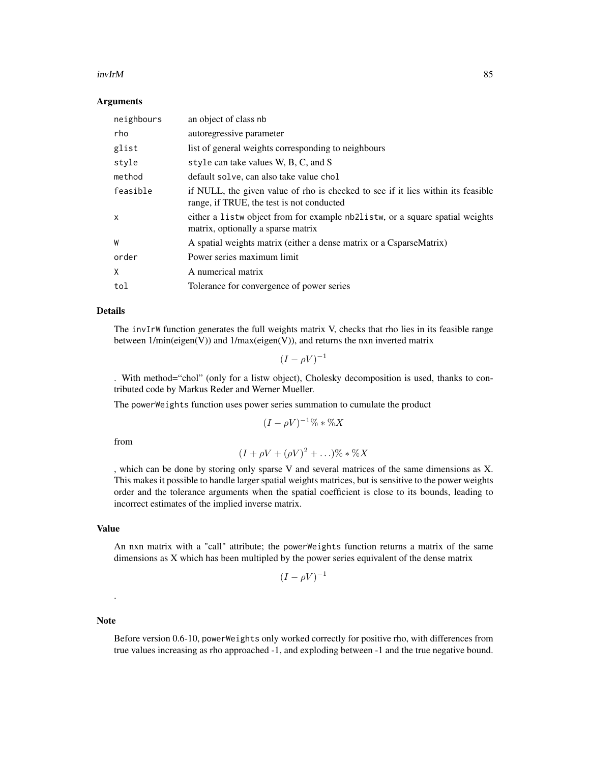#### $invIrM$  85

### Arguments

| neighbours | an object of class nb                                                                                                         |
|------------|-------------------------------------------------------------------------------------------------------------------------------|
| rho        | autoregressive parameter                                                                                                      |
| glist      | list of general weights corresponding to neighbours                                                                           |
| style      | style can take values W, B, C, and S                                                                                          |
| method     | default solve, can also take value chol                                                                                       |
| feasible   | if NULL, the given value of rho is checked to see if it lies within its feasible<br>range, if TRUE, the test is not conducted |
| X          | either a list wo object from for example nb2list w, or a square spatial weights<br>matrix, optionally a sparse matrix         |
| W          | A spatial weights matrix (either a dense matrix or a CsparseMatrix)                                                           |
| order      | Power series maximum limit                                                                                                    |
| X          | A numerical matrix                                                                                                            |
| tol        | Tolerance for convergence of power series                                                                                     |

## Details

The invIrW function generates the full weights matrix V, checks that rho lies in its feasible range between 1/min(eigen(V)) and 1/max(eigen(V)), and returns the nxn inverted matrix

 $(I - \rho V)^{-1}$ 

. With method="chol" (only for a listw object), Cholesky decomposition is used, thanks to contributed code by Markus Reder and Werner Mueller.

The powerWeights function uses power series summation to cumulate the product

$$
(I - \rho V)^{-1} \% * \% X
$$

from

$$
(I + \rho V + (\rho V)^2 + \ldots)\% * \%X
$$

, which can be done by storing only sparse V and several matrices of the same dimensions as X. This makes it possible to handle larger spatial weights matrices, but is sensitive to the power weights order and the tolerance arguments when the spatial coefficient is close to its bounds, leading to incorrect estimates of the implied inverse matrix.

## Value

An nxn matrix with a "call" attribute; the powerWeights function returns a matrix of the same dimensions as X which has been multipled by the power series equivalent of the dense matrix

$$
(I - \rho V)^{-1}
$$

## Note

.

Before version 0.6-10, powerWeights only worked correctly for positive rho, with differences from true values increasing as rho approached -1, and exploding between -1 and the true negative bound.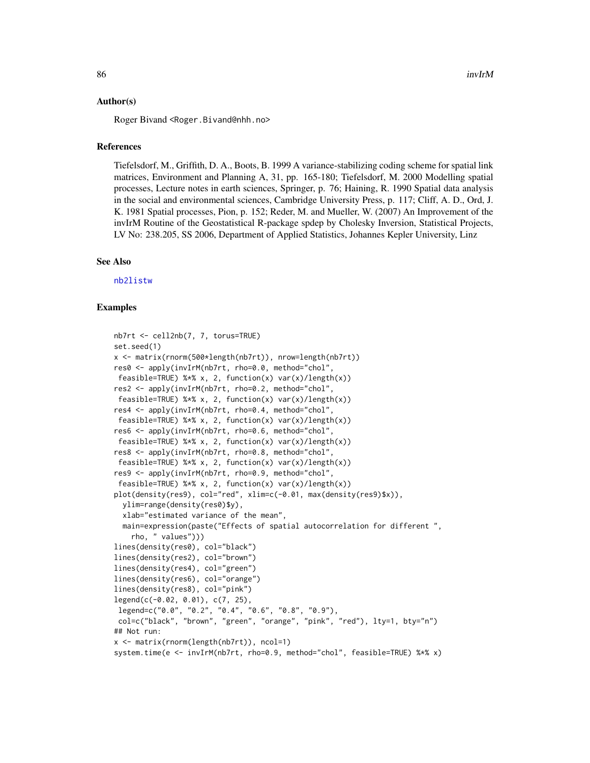Roger Bivand <Roger.Bivand@nhh.no>

## References

Tiefelsdorf, M., Griffith, D. A., Boots, B. 1999 A variance-stabilizing coding scheme for spatial link matrices, Environment and Planning A, 31, pp. 165-180; Tiefelsdorf, M. 2000 Modelling spatial processes, Lecture notes in earth sciences, Springer, p. 76; Haining, R. 1990 Spatial data analysis in the social and environmental sciences, Cambridge University Press, p. 117; Cliff, A. D., Ord, J. K. 1981 Spatial processes, Pion, p. 152; Reder, M. and Mueller, W. (2007) An Improvement of the invIrM Routine of the Geostatistical R-package spdep by Cholesky Inversion, Statistical Projects, LV No: 238.205, SS 2006, Department of Applied Statistics, Johannes Kepler University, Linz

### See Also

[nb2listw](#page-153-0)

```
nb7rt <- cell2nb(7, 7, torus=TRUE)
set.seed(1)
x <- matrix(rnorm(500*length(nb7rt)), nrow=length(nb7rt))
res0 <- apply(invIrM(nb7rt, rho=0.0, method="chol",
feasible=TRUE) %*% x, 2, function(x) var(x)/length(x))
res2 <- apply(invIrM(nb7rt, rho=0.2, method="chol",
feasible=TRUE) % x, 2, function(x) var(x)/length(x))
res4 <- apply(invIrM(nb7rt, rho=0.4, method="chol",
feasible=TRUE) %*% x, 2, function(x) var(x)/length(x))
res6 <- apply(invIrM(nb7rt, rho=0.6, method="chol",
feasible=TRUE) % x, 2, function(x) var(x)/length(x))
res8 <- apply(invIrM(nb7rt, rho=0.8, method="chol",
feasible=TRUE) %*% x, 2, function(x) var(x)/length(x))
res9 <- apply(invIrM(nb7rt, rho=0.9, method="chol",
feasible=TRUE) %*% x, 2, function(x) var(x)/length(x))
plot(density(res9), col="red", xlim=c(-0.01, max(density(res9)$x)),
 ylim=range(density(res0)$y),
 xlab="estimated variance of the mean",
 main=expression(paste("Effects of spatial autocorrelation for different ",
    rho, " values")))
lines(density(res0), col="black")
lines(density(res2), col="brown")
lines(density(res4), col="green")
lines(density(res6), col="orange")
lines(density(res8), col="pink")
legend(c(-0.02, 0.01), c(7, 25),
legend=c("0.0", "0.2", "0.4", "0.6", "0.8", "0.9"),
col=c("black", "brown", "green", "orange", "pink", "red"), lty=1, bty="n")
## Not run:
x <- matrix(rnorm(length(nb7rt)), ncol=1)
system.time(e <- invIrM(nb7rt, rho=0.9, method="chol", feasible=TRUE) %*% x)
```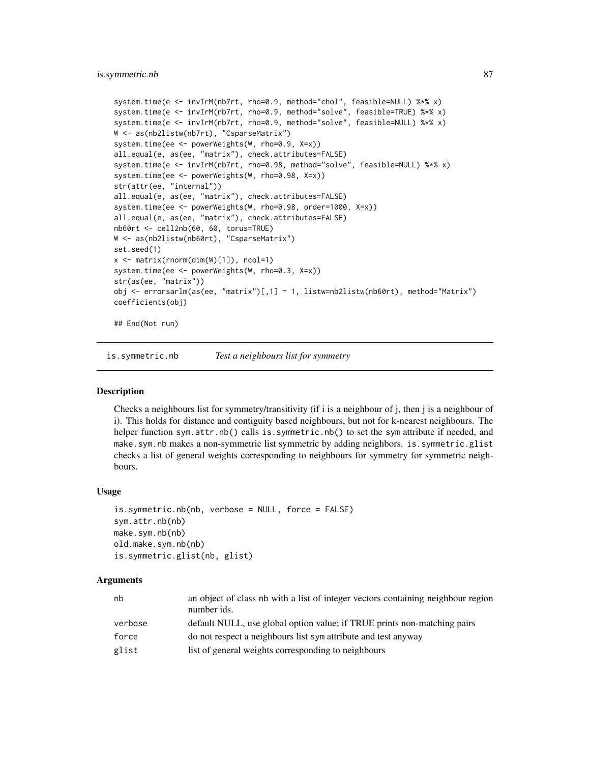## is.symmetric.nb 87

```
system.time(e <- invIrM(nb7rt, rho=0.9, method="chol", feasible=NULL) %*% x)
system.time(e <- invIrM(nb7rt, rho=0.9, method="solve", feasible=TRUE) %*% x)
system.time(e <- invIrM(nb7rt, rho=0.9, method="solve", feasible=NULL) %*% x)
W <- as(nb2listw(nb7rt), "CsparseMatrix")
system.time(ee <- powerWeights(W, rho=0.9, X=x))
all.equal(e, as(ee, "matrix"), check.attributes=FALSE)
system.time(e <- invIrM(nb7rt, rho=0.98, method="solve", feasible=NULL) %*% x)
system.time(ee <- powerWeights(W, rho=0.98, X=x))
str(attr(ee, "internal"))
all.equal(e, as(ee, "matrix"), check.attributes=FALSE)
system.time(ee <- powerWeights(W, rho=0.98, order=1000, X=x))
all.equal(e, as(ee, "matrix"), check.attributes=FALSE)
nb60rt <- cell2nb(60, 60, torus=TRUE)
W <- as(nb2listw(nb60rt), "CsparseMatrix")
set.seed(1)
x <- matrix(rnorm(dim(W)[1]), ncol=1)
system.time(ee <- powerWeights(W, rho=0.3, X=x))
str(as(ee, "matrix"))
obj <- errorsarlm(as(ee, "matrix")[,1] ~ 1, listw=nb2listw(nb60rt), method="Matrix")
coefficients(obj)
```
## End(Not run)

is.symmetric.nb *Test a neighbours list for symmetry*

#### **Description**

Checks a neighbours list for symmetry/transitivity (if i is a neighbour of j, then j is a neighbour of i). This holds for distance and contiguity based neighbours, but not for k-nearest neighbours. The helper function sym.attr.nb() calls is.symmetric.nb() to set the sym attribute if needed, and make.sym.nb makes a non-symmetric list symmetric by adding neighbors. is.symmetric.glist checks a list of general weights corresponding to neighbours for symmetry for symmetric neighbours.

# Usage

```
is.symmetric.nb(nb, verbose = NULL, force = FALSE)
sym.attr.nb(nb)
make.sym.nb(nb)
old.make.sym.nb(nb)
is.symmetric.glist(nb, glist)
```
## **Arguments**

| nb      | an object of class nb with a list of integer vectors containing neighbour region<br>number ids. |
|---------|-------------------------------------------------------------------------------------------------|
| verbose | default NULL, use global option value; if TRUE prints non-matching pairs                        |
| force   | do not respect a neighbours list sympattribute and test anyway                                  |
| glist   | list of general weights corresponding to neighbours                                             |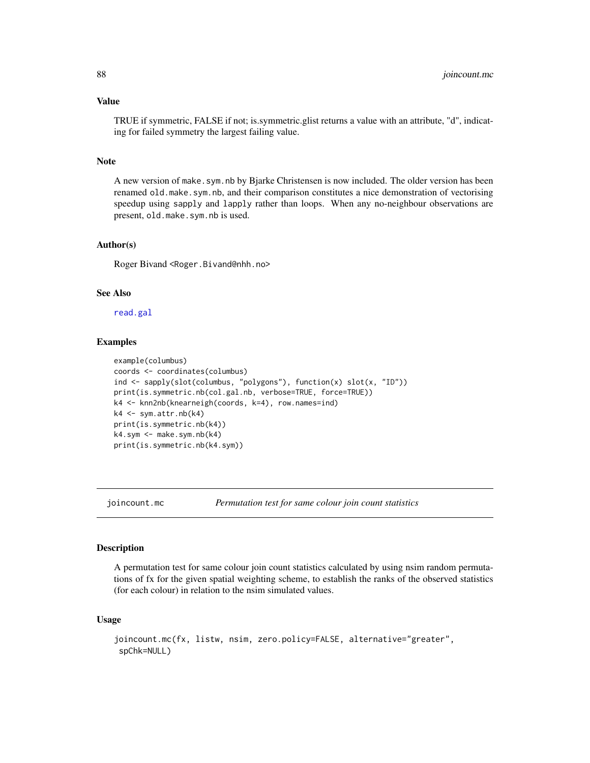## Value

TRUE if symmetric, FALSE if not; is.symmetric.glist returns a value with an attribute, "d", indicating for failed symmetry the largest failing value.

# Note

A new version of make.sym.nb by Bjarke Christensen is now included. The older version has been renamed old.make.sym.nb, and their comparison constitutes a nice demonstration of vectorising speedup using sapply and lapply rather than loops. When any no-neighbour observations are present, old.make.sym.nb is used.

## Author(s)

Roger Bivand <Roger.Bivand@nhh.no>

# See Also

[read.gal](#page-179-0)

## Examples

```
example(columbus)
coords <- coordinates(columbus)
ind <- sapply(slot(columbus, "polygons"), function(x) slot(x, "ID"))
print(is.symmetric.nb(col.gal.nb, verbose=TRUE, force=TRUE))
k4 <- knn2nb(knearneigh(coords, k=4), row.names=ind)
k4 <- sym.attr.nb(k4)
print(is.symmetric.nb(k4))
k4.sym < - make.sym.nb(k4)print(is.symmetric.nb(k4.sym))
```
<span id="page-87-0"></span>

joincount.mc *Permutation test for same colour join count statistics*

### Description

A permutation test for same colour join count statistics calculated by using nsim random permutations of fx for the given spatial weighting scheme, to establish the ranks of the observed statistics (for each colour) in relation to the nsim simulated values.

### Usage

```
joincount.mc(fx, listw, nsim, zero.policy=FALSE, alternative="greater",
spChk=NULL)
```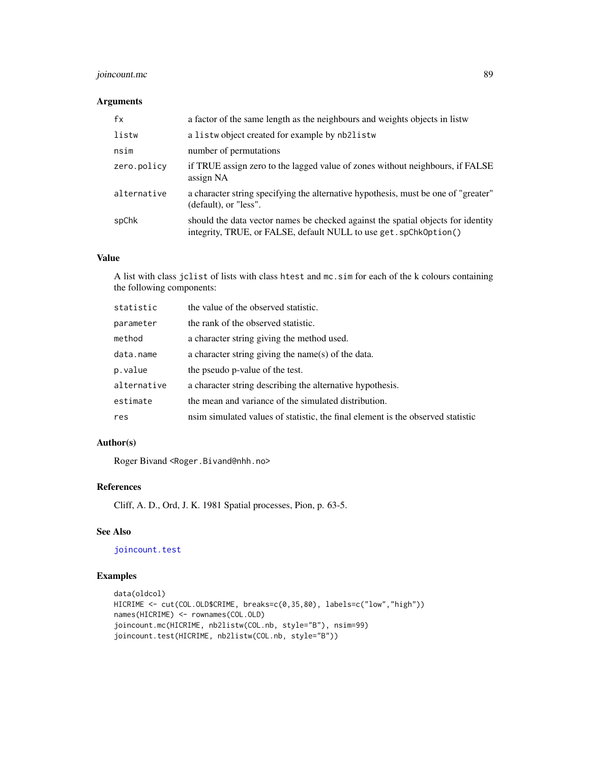# joincount.mc 89

## Arguments

| fx          | a factor of the same length as the neighbours and weights objects in listw                                                                            |
|-------------|-------------------------------------------------------------------------------------------------------------------------------------------------------|
| listw       | a listwo bject created for example by nb2listw                                                                                                        |
| nsim        | number of permutations                                                                                                                                |
| zero.policy | if TRUE assign zero to the lagged value of zones without neighbours, if FALSE<br>assign NA                                                            |
| alternative | a character string specifying the alternative hypothesis, must be one of "greater"<br>(default), or "less".                                           |
| spChk       | should the data vector names be checked against the spatial objects for identity<br>integrity, TRUE, or FALSE, default NULL to use get. spChk0ption() |

# Value

A list with class jclist of lists with class htest and mc.sim for each of the k colours containing the following components:

| statistic   | the value of the observed statistic.                                            |
|-------------|---------------------------------------------------------------------------------|
| parameter   | the rank of the observed statistic.                                             |
| method      | a character string giving the method used.                                      |
| data.name   | a character string giving the name(s) of the data.                              |
| p.value     | the pseudo p-value of the test.                                                 |
| alternative | a character string describing the alternative hypothesis.                       |
| estimate    | the mean and variance of the simulated distribution.                            |
| res         | nsim simulated values of statistic, the final element is the observed statistic |
|             |                                                                                 |

## Author(s)

Roger Bivand <Roger.Bivand@nhh.no>

# References

Cliff, A. D., Ord, J. K. 1981 Spatial processes, Pion, p. 63-5.

# See Also

[joincount.test](#page-90-0)

```
data(oldcol)
HICRIME <- cut(COL.OLD$CRIME, breaks=c(0,35,80), labels=c("low","high"))
names(HICRIME) <- rownames(COL.OLD)
joincount.mc(HICRIME, nb2listw(COL.nb, style="B"), nsim=99)
joincount.test(HICRIME, nb2listw(COL.nb, style="B"))
```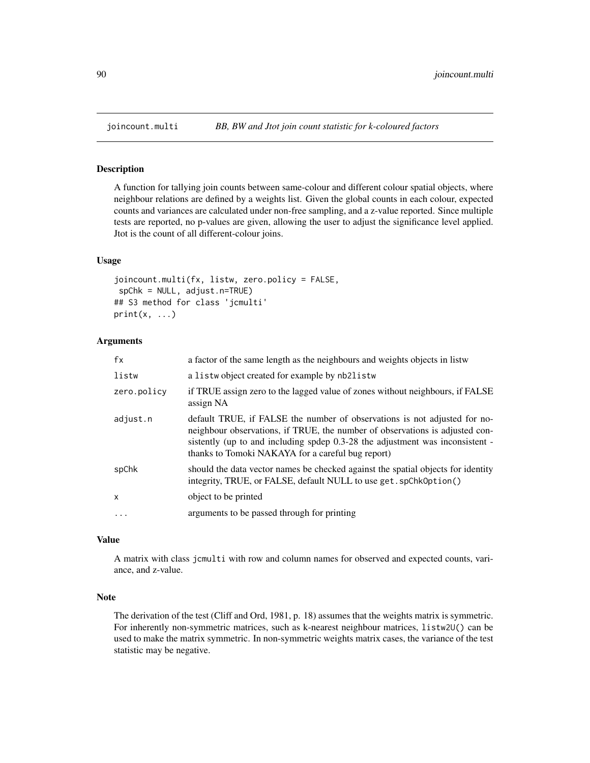<span id="page-89-0"></span>

A function for tallying join counts between same-colour and different colour spatial objects, where neighbour relations are defined by a weights list. Given the global counts in each colour, expected counts and variances are calculated under non-free sampling, and a z-value reported. Since multiple tests are reported, no p-values are given, allowing the user to adjust the significance level applied. Jtot is the count of all different-colour joins.

#### Usage

```
joincount.multi(fx, listw, zero.policy = FALSE,
spChk = NULL, adjust.n=TRUE)
## S3 method for class 'jcmulti'
print(x, \ldots)
```
## **Arguments**

| fx                | a factor of the same length as the neighbours and weights objects in listw                                                                                                                                                                                                                      |
|-------------------|-------------------------------------------------------------------------------------------------------------------------------------------------------------------------------------------------------------------------------------------------------------------------------------------------|
| listw             | a listwobject created for example by nb2listw                                                                                                                                                                                                                                                   |
| zero.policy       | if TRUE assign zero to the lagged value of zones without neighbours, if FALSE<br>assign NA                                                                                                                                                                                                      |
| adjust.n          | default TRUE, if FALSE the number of observations is not adjusted for no-<br>neighbour observations, if TRUE, the number of observations is adjusted con-<br>sistently (up to and including spdep 0.3-28 the adjustment was inconsistent -<br>thanks to Tomoki NAKAYA for a careful bug report) |
| spChk             | should the data vector names be checked against the spatial objects for identity<br>integrity, TRUE, or FALSE, default NULL to use get. spChk0ption()                                                                                                                                           |
| X                 | object to be printed                                                                                                                                                                                                                                                                            |
| $\cdot\cdot\cdot$ | arguments to be passed through for printing                                                                                                                                                                                                                                                     |

## Value

A matrix with class jcmulti with row and column names for observed and expected counts, variance, and z-value.

#### Note

The derivation of the test (Cliff and Ord, 1981, p. 18) assumes that the weights matrix is symmetric. For inherently non-symmetric matrices, such as k-nearest neighbour matrices, listw2U() can be used to make the matrix symmetric. In non-symmetric weights matrix cases, the variance of the test statistic may be negative.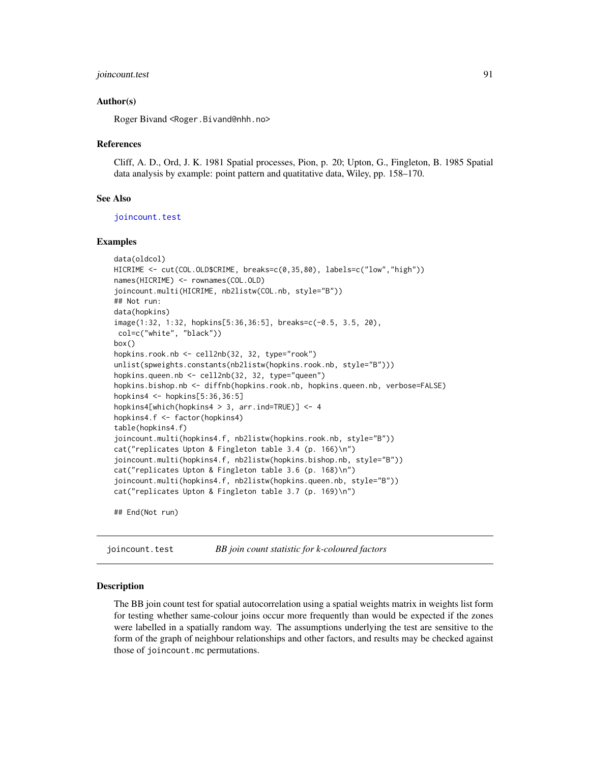## joincount.test 91

#### Author(s)

Roger Bivand <Roger.Bivand@nhh.no>

#### References

Cliff, A. D., Ord, J. K. 1981 Spatial processes, Pion, p. 20; Upton, G., Fingleton, B. 1985 Spatial data analysis by example: point pattern and quatitative data, Wiley, pp. 158–170.

#### See Also

[joincount.test](#page-90-0)

## Examples

```
data(oldcol)
HICRIME <- cut(COL.OLD$CRIME, breaks=c(0,35,80), labels=c("low","high"))
names(HICRIME) <- rownames(COL.OLD)
joincount.multi(HICRIME, nb2listw(COL.nb, style="B"))
## Not run:
data(hopkins)
image(1:32, 1:32, hopkins[5:36,36:5], breaks=c(-0.5, 3.5, 20),
col=c("white", "black"))
box()
hopkins.rook.nb <- cell2nb(32, 32, type="rook")
unlist(spweights.constants(nb2listw(hopkins.rook.nb, style="B")))
hopkins.queen.nb <- cell2nb(32, 32, type="queen")
hopkins.bishop.nb <- diffnb(hopkins.rook.nb, hopkins.queen.nb, verbose=FALSE)
hopkins4 <- hopkins[5:36,36:5]
hopkins4[which(hopkins4 > 3, arr.ind=TRUE)] <- 4
hopkins4.f <- factor(hopkins4)
table(hopkins4.f)
joincount.multi(hopkins4.f, nb2listw(hopkins.rook.nb, style="B"))
cat("replicates Upton & Fingleton table 3.4 (p. 166)\n")
joincount.multi(hopkins4.f, nb2listw(hopkins.bishop.nb, style="B"))
cat("replicates Upton & Fingleton table 3.6 (p. 168)\n")
joincount.multi(hopkins4.f, nb2listw(hopkins.queen.nb, style="B"))
cat("replicates Upton & Fingleton table 3.7 (p. 169)\n")
```
## End(Not run)

<span id="page-90-0"></span>joincount.test *BB join count statistic for k-coloured factors*

#### Description

The BB join count test for spatial autocorrelation using a spatial weights matrix in weights list form for testing whether same-colour joins occur more frequently than would be expected if the zones were labelled in a spatially random way. The assumptions underlying the test are sensitive to the form of the graph of neighbour relationships and other factors, and results may be checked against those of joincount.mc permutations.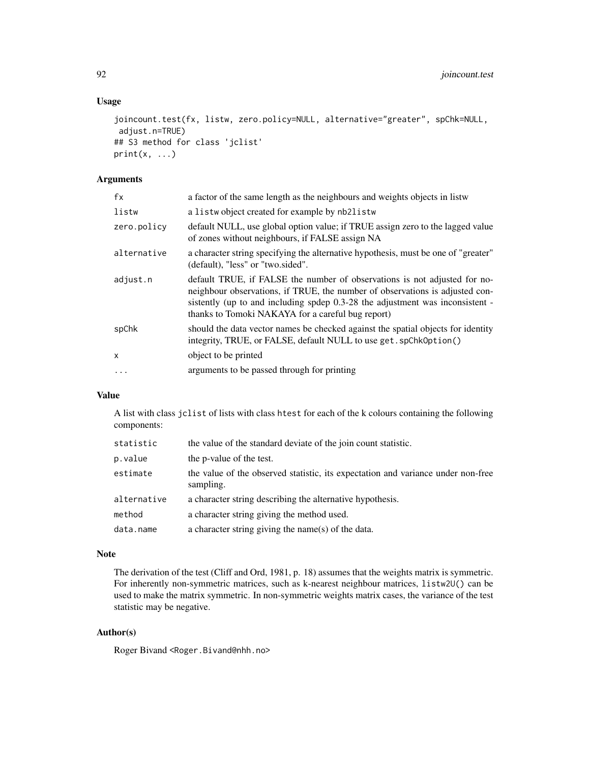# Usage

```
joincount.test(fx, listw, zero.policy=NULL, alternative="greater", spChk=NULL,
adjust.n=TRUE)
## S3 method for class 'jclist'
print(x, \ldots)
```
# Arguments

| fx          | a factor of the same length as the neighbours and weights objects in listw                                                                                                                                                                                                                      |
|-------------|-------------------------------------------------------------------------------------------------------------------------------------------------------------------------------------------------------------------------------------------------------------------------------------------------|
| listw       | a listwobject created for example by nb2listw                                                                                                                                                                                                                                                   |
| zero.policy | default NULL, use global option value; if TRUE assign zero to the lagged value<br>of zones without neighbours, if FALSE assign NA                                                                                                                                                               |
| alternative | a character string specifying the alternative hypothesis, must be one of "greater"<br>(default), "less" or "two.sided".                                                                                                                                                                         |
| adjust.n    | default TRUE, if FALSE the number of observations is not adjusted for no-<br>neighbour observations, if TRUE, the number of observations is adjusted con-<br>sistently (up to and including spdep 0.3-28 the adjustment was inconsistent -<br>thanks to Tomoki NAKAYA for a careful bug report) |
| spChk       | should the data vector names be checked against the spatial objects for identity<br>integrity, TRUE, or FALSE, default NULL to use get. spChk0ption()                                                                                                                                           |
| X           | object to be printed                                                                                                                                                                                                                                                                            |
| $\ddots$    | arguments to be passed through for printing                                                                                                                                                                                                                                                     |
|             |                                                                                                                                                                                                                                                                                                 |

# Value

A list with class jclist of lists with class htest for each of the k colours containing the following components:

| statistic   | the value of the standard deviate of the join count statistic.                                |
|-------------|-----------------------------------------------------------------------------------------------|
| p.value     | the p-value of the test.                                                                      |
| estimate    | the value of the observed statistic, its expectation and variance under non-free<br>sampling. |
| alternative | a character string describing the alternative hypothesis.                                     |
| method      | a character string giving the method used.                                                    |
| data.name   | a character string giving the name(s) of the data.                                            |

#### Note

The derivation of the test (Cliff and Ord, 1981, p. 18) assumes that the weights matrix is symmetric. For inherently non-symmetric matrices, such as k-nearest neighbour matrices, listw2U() can be used to make the matrix symmetric. In non-symmetric weights matrix cases, the variance of the test statistic may be negative.

# Author(s)

Roger Bivand <Roger.Bivand@nhh.no>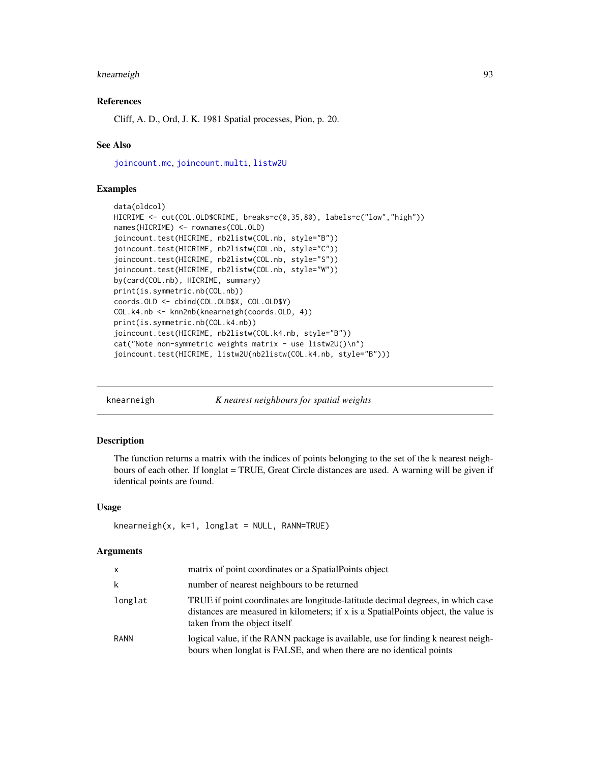#### knearneigh 93

## References

Cliff, A. D., Ord, J. K. 1981 Spatial processes, Pion, p. 20.

## See Also

[joincount.mc](#page-87-0), [joincount.multi](#page-89-0), [listw2U](#page-117-0)

#### Examples

```
data(oldcol)
HICRIME <- cut(COL.OLD$CRIME, breaks=c(0,35,80), labels=c("low","high"))
names(HICRIME) <- rownames(COL.OLD)
joincount.test(HICRIME, nb2listw(COL.nb, style="B"))
joincount.test(HICRIME, nb2listw(COL.nb, style="C"))
joincount.test(HICRIME, nb2listw(COL.nb, style="S"))
joincount.test(HICRIME, nb2listw(COL.nb, style="W"))
by(card(COL.nb), HICRIME, summary)
print(is.symmetric.nb(COL.nb))
coords.OLD <- cbind(COL.OLD$X, COL.OLD$Y)
COL.k4.nb <- knn2nb(knearneigh(coords.OLD, 4))
print(is.symmetric.nb(COL.k4.nb))
joincount.test(HICRIME, nb2listw(COL.k4.nb, style="B"))
cat("Note non-symmetric weights matrix - use listw2U()\n")
joincount.test(HICRIME, listw2U(nb2listw(COL.k4.nb, style="B")))
```
knearneigh *K nearest neighbours for spatial weights*

## **Description**

The function returns a matrix with the indices of points belonging to the set of the k nearest neighbours of each other. If longlat = TRUE, Great Circle distances are used. A warning will be given if identical points are found.

#### Usage

```
knearneigh(x, k=1, longlat = NULL, RANN=TRUE)
```
#### Arguments

| X           | matrix of point coordinates or a Spatial Points object                                                                                                                                                |
|-------------|-------------------------------------------------------------------------------------------------------------------------------------------------------------------------------------------------------|
| k           | number of nearest neighbours to be returned                                                                                                                                                           |
| longlat     | TRUE if point coordinates are longitude-latitude decimal degrees, in which case<br>distances are measured in kilometers; if x is a SpatialPoints object, the value is<br>taken from the object itself |
| <b>RANN</b> | logical value, if the RANN package is available, use for finding k nearest neigh-<br>bours when longlat is FALSE, and when there are no identical points                                              |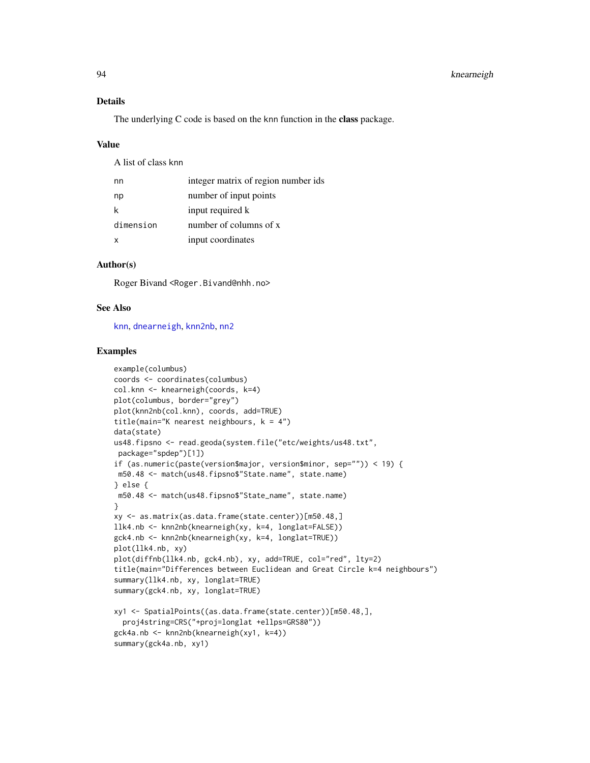# Details

The underlying C code is based on the knn function in the class package.

#### Value

A list of class knn

| nn        | integer matrix of region number ids |
|-----------|-------------------------------------|
| np        | number of input points              |
| k         | input required k                    |
| dimension | number of columns of x              |
| x         | input coordinates                   |

# Author(s)

Roger Bivand <Roger.Bivand@nhh.no>

# See Also

[knn](#page-0-0), [dnearneigh](#page-29-0), [knn2nb](#page-94-0), [nn2](#page-0-0)

```
example(columbus)
coords <- coordinates(columbus)
col.knn <- knearneigh(coords, k=4)
plot(columbus, border="grey")
plot(knn2nb(col.knn), coords, add=TRUE)
title(main="K nearest neighbours, k = 4")
data(state)
us48.fipsno <- read.geoda(system.file("etc/weights/us48.txt",
 package="spdep")[1])
if (as.numeric(paste(version$major, version$minor, sep="")) < 19) {
m50.48 <- match(us48.fipsno$"State.name", state.name)
} else {
m50.48 <- match(us48.fipsno$"State_name", state.name)
}
xy <- as.matrix(as.data.frame(state.center))[m50.48,]
llk4.nb <- knn2nb(knearneigh(xy, k=4, longlat=FALSE))
gck4.nb <- knn2nb(knearneigh(xy, k=4, longlat=TRUE))
plot(llk4.nb, xy)
plot(diffnb(llk4.nb, gck4.nb), xy, add=TRUE, col="red", lty=2)
title(main="Differences between Euclidean and Great Circle k=4 neighbours")
summary(llk4.nb, xy, longlat=TRUE)
summary(gck4.nb, xy, longlat=TRUE)
xy1 <- SpatialPoints((as.data.frame(state.center))[m50.48,],
  proj4string=CRS("+proj=longlat +ellps=GRS80"))
gck4a.nb <- knn2nb(knearneigh(xy1, k=4))
summary(gck4a.nb, xy1)
```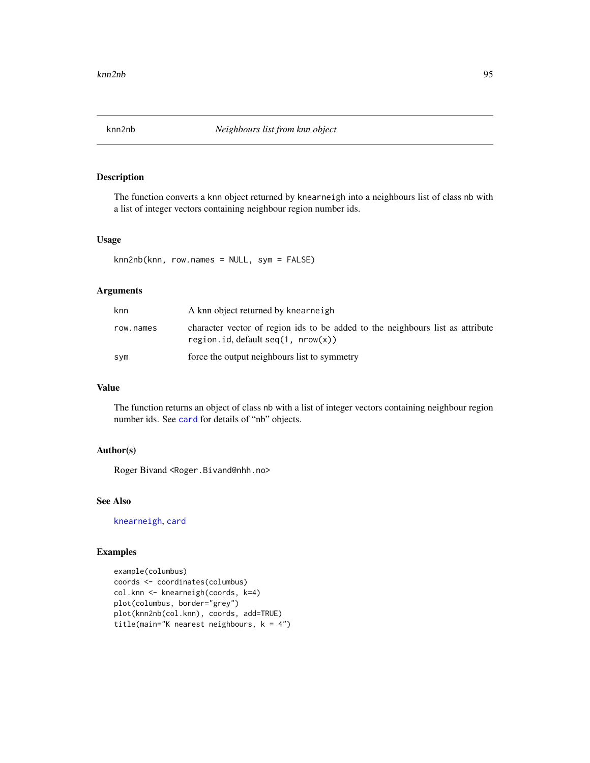<span id="page-94-0"></span>

The function converts a knn object returned by knearneigh into a neighbours list of class nb with a list of integer vectors containing neighbour region number ids.

## Usage

knn2nb(knn, row.names = NULL, sym = FALSE)

# Arguments

| knn       | A knn object returned by knearneigh                                                                                    |
|-----------|------------------------------------------------------------------------------------------------------------------------|
| row.names | character vector of region ids to be added to the neighbours list as attribute<br>region.id. default $seq(1, nrow(x))$ |
| sym       | force the output neighbours list to symmetry                                                                           |

# Value

The function returns an object of class nb with a list of integer vectors containing neighbour region number ids. See [card](#page-23-0) for details of "nb" objects.

## Author(s)

Roger Bivand <Roger.Bivand@nhh.no>

## See Also

[knearneigh](#page-92-0), [card](#page-23-0)

```
example(columbus)
coords <- coordinates(columbus)
col.knn <- knearneigh(coords, k=4)
plot(columbus, border="grey")
plot(knn2nb(col.knn), coords, add=TRUE)
title(main="K nearest neighbours, k = 4")
```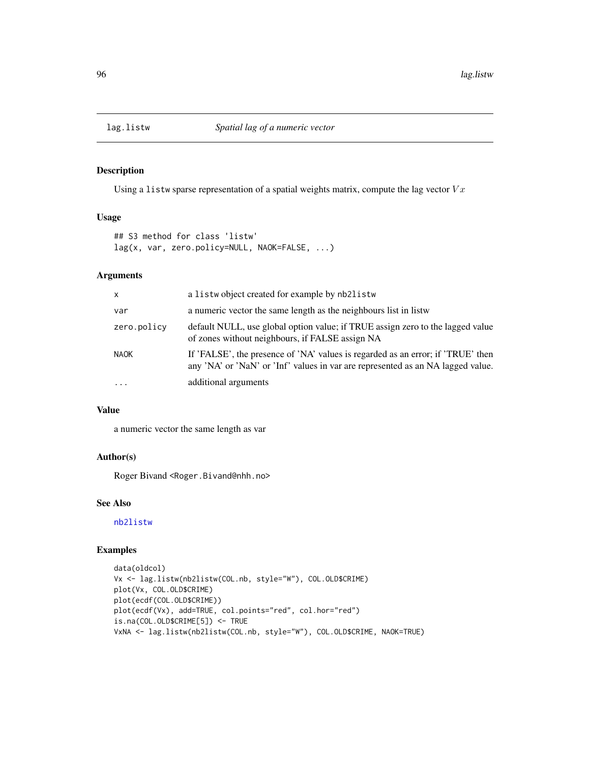Using a listw sparse representation of a spatial weights matrix, compute the lag vector  $V_x$ 

## Usage

```
## S3 method for class 'listw'
lag(x, var, zero.policy=NULL, NAOK=FALSE, ...)
```
# Arguments

| X           | a listwo bject created for example by nb2listw                                                                                                                     |
|-------------|--------------------------------------------------------------------------------------------------------------------------------------------------------------------|
| var         | a numeric vector the same length as the neighbours list in listw                                                                                                   |
| zero.policy | default NULL, use global option value; if TRUE assign zero to the lagged value<br>of zones without neighbours, if FALSE assign NA                                  |
| <b>NAOK</b> | If 'FALSE', the presence of 'NA' values is regarded as an error; if 'TRUE' then<br>any 'NA' or 'NaN' or 'Inf' values in var are represented as an NA lagged value. |
| $\ddots$ .  | additional arguments                                                                                                                                               |

## Value

a numeric vector the same length as var

# Author(s)

Roger Bivand <Roger.Bivand@nhh.no>

## See Also

[nb2listw](#page-153-0)

```
data(oldcol)
Vx <- lag.listw(nb2listw(COL.nb, style="W"), COL.OLD$CRIME)
plot(Vx, COL.OLD$CRIME)
plot(ecdf(COL.OLD$CRIME))
plot(ecdf(Vx), add=TRUE, col.points="red", col.hor="red")
is.na(COL.OLD$CRIME[5]) <- TRUE
VxNA <- lag.listw(nb2listw(COL.nb, style="W"), COL.OLD$CRIME, NAOK=TRUE)
```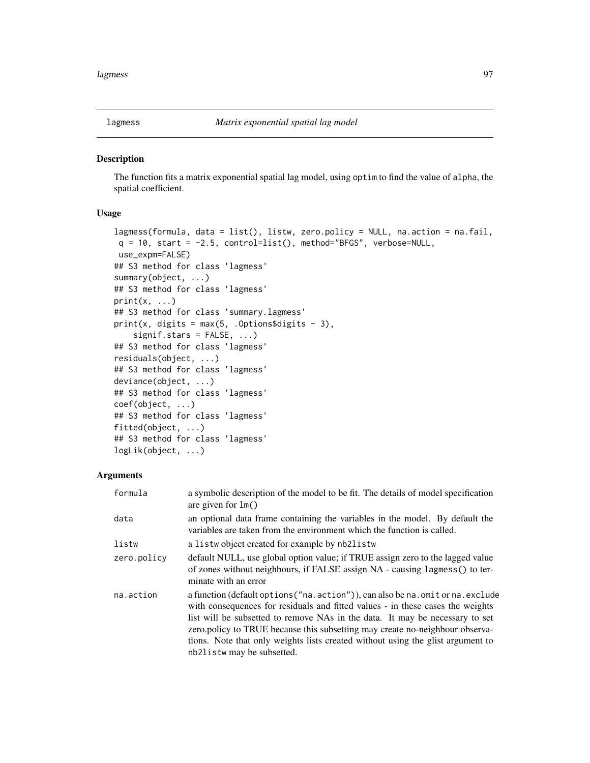The function fits a matrix exponential spatial lag model, using optim to find the value of alpha, the spatial coefficient.

#### Usage

```
lagmess(formula, data = list(), listw, zero.policy = NULL, na.action = na.fail,
q = 10, start = -2.5, control=list(), method="BFGS", verbose=NULL,
use_expm=FALSE)
## S3 method for class 'lagmess'
summary(object, ...)
## S3 method for class 'lagmess'
print(x, \ldots)## S3 method for class 'summary.lagmess'
print(x, digits = max(5, .Options$digits - 3),
    signif.stars = FALSE, ...)## S3 method for class 'lagmess'
residuals(object, ...)
## S3 method for class 'lagmess'
deviance(object, ...)
## S3 method for class 'lagmess'
coef(object, ...)
## S3 method for class 'lagmess'
fitted(object, ...)
## S3 method for class 'lagmess'
logLik(object, ...)
```
#### Arguments

| formula     | a symbolic description of the model to be fit. The details of model specification<br>are given for $lm()$                                                                                                                                                                                                                                                                                                                                             |
|-------------|-------------------------------------------------------------------------------------------------------------------------------------------------------------------------------------------------------------------------------------------------------------------------------------------------------------------------------------------------------------------------------------------------------------------------------------------------------|
| data        | an optional data frame containing the variables in the model. By default the<br>variables are taken from the environment which the function is called.                                                                                                                                                                                                                                                                                                |
| listw       | a listwo bject created for example by nb2listw                                                                                                                                                                                                                                                                                                                                                                                                        |
| zero.policy | default NULL, use global option value; if TRUE assign zero to the lagged value<br>of zones without neighbours, if FALSE assign NA - causing lagmess() to ter-<br>minate with an error                                                                                                                                                                                                                                                                 |
| na.action   | a function (default options ("na. action")), can also be na. omit or na. exclude<br>with consequences for residuals and fitted values - in these cases the weights<br>list will be subsetted to remove NAs in the data. It may be necessary to set<br>zero.policy to TRUE because this subsetting may create no-neighbour observa-<br>tions. Note that only weights lists created without using the glist argument to<br>nb21 is tw may be subsetted. |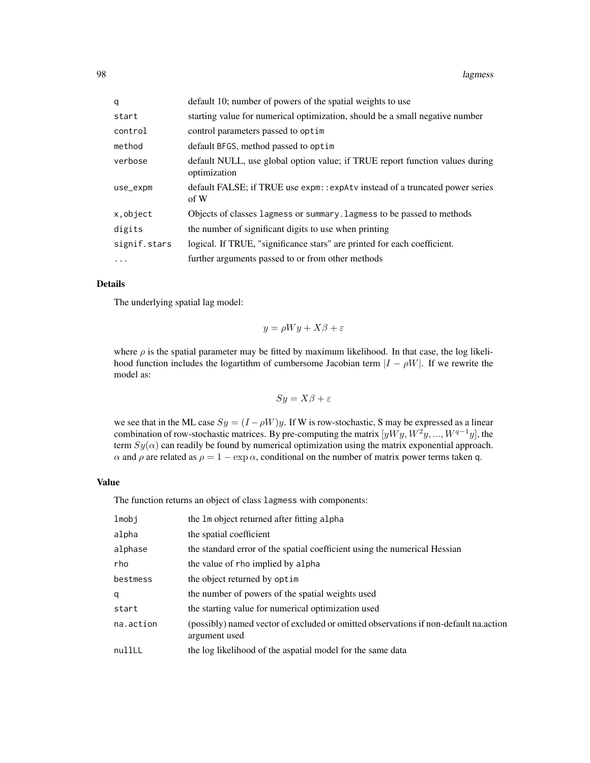| q            | default 10; number of powers of the spatial weights to use                                   |
|--------------|----------------------------------------------------------------------------------------------|
| start        | starting value for numerical optimization, should be a small negative number                 |
| control      | control parameters passed to optim                                                           |
| method       | default BFGS, method passed to optim                                                         |
| verbose      | default NULL, use global option value; if TRUE report function values during<br>optimization |
| use_expm     | default FALSE; if TRUE use expm: : expAtv instead of a truncated power series<br>of W        |
| x, object    | Objects of classes lagmess or summary. Lagmess to be passed to methods                       |
| digits       | the number of significant digits to use when printing                                        |
| signif.stars | logical. If TRUE, "significance stars" are printed for each coefficient.                     |
| $\ddotsc$    | further arguments passed to or from other methods                                            |

#### Details

The underlying spatial lag model:

$$
y = \rho Wy + X\beta + \varepsilon
$$

where  $\rho$  is the spatial parameter may be fitted by maximum likelihood. In that case, the log likelihood function includes the logarithm of cumbersome Jacobian term  $|I - \rho W|$ . If we rewrite the model as:

$$
Sy = X\beta + \varepsilon
$$

we see that in the ML case  $Sy = (I - \rho W)y$ . If W is row-stochastic, S may be expressed as a linear combination of row-stochastic matrices. By pre-computing the matrix  $[yWy, W^2y, ..., W^{q-1}y]$ , the term  $Sy(\alpha)$  can readily be found by numerical optimization using the matrix exponential approach.  $\alpha$  and  $\rho$  are related as  $\rho = 1 - \exp \alpha$ , conditional on the number of matrix power terms taken q.

## Value

The function returns an object of class lagmess with components:

| lmobj     | the 1m object returned after fitting alpha                                                            |
|-----------|-------------------------------------------------------------------------------------------------------|
| alpha     | the spatial coefficient                                                                               |
| alphase   | the standard error of the spatial coefficient using the numerical Hessian                             |
| rho       | the value of rho implied by alpha                                                                     |
| bestmess  | the object returned by optim                                                                          |
| q         | the number of powers of the spatial weights used                                                      |
| start     | the starting value for numerical optimization used                                                    |
| na.action | (possibly) named vector of excluded or omitted observations if non-default na.action<br>argument used |
| nullLL    | the log likelihood of the aspatial model for the same data                                            |
|           |                                                                                                       |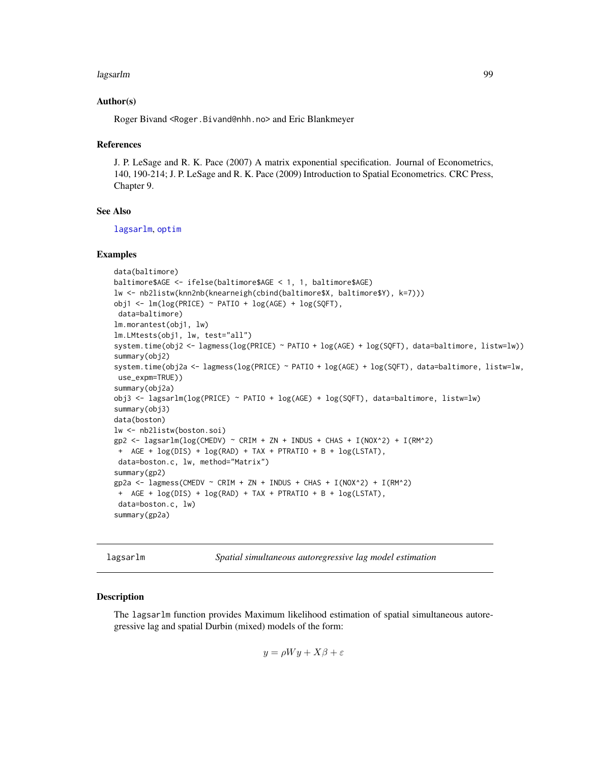#### lagsarlm 99

## Author(s)

Roger Bivand <Roger.Bivand@nhh.no> and Eric Blankmeyer

#### References

J. P. LeSage and R. K. Pace (2007) A matrix exponential specification. Journal of Econometrics, 140, 190-214; J. P. LeSage and R. K. Pace (2009) Introduction to Spatial Econometrics. CRC Press, Chapter 9.

## See Also

[lagsarlm](#page-98-0), [optim](#page-0-0)

#### Examples

```
data(baltimore)
baltimore$AGE <- ifelse(baltimore$AGE < 1, 1, baltimore$AGE)
lw <- nb2listw(knn2nb(knearneigh(cbind(baltimore$X, baltimore$Y), k=7)))
obj1 <- lm(log(PRICE) ~ PATIO + log(AGE) + log(SQFT),
data=baltimore)
lm.morantest(obj1, lw)
lm.LMtests(obj1, lw, test="all")
system.time(obj2 <- lagmess(log(PRICE) ~ PATIO + log(AGE) + log(SQFT), data=baltimore, listw=lw))
summary(obj2)
system.time(obj2a <- lagmess(log(PRICE) ~ PATIO + log(AGE) + log(SQFT), data=baltimore, listw=lw,
use_expm=TRUE))
summary(obj2a)
obj3 <- lagsarlm(log(PRICE) ~ PATIO + log(AGE) + log(SQFT), data=baltimore, listw=lw)
summary(obj3)
data(boston)
lw <- nb2listw(boston.soi)
gp2 <- lagsarlm(log(CMEDV) ~ CRIM + ZN + INDUS + CHAS + I(NOX^2) + I(RM^2)
+ AGE + log(DIS) + log(RAD) + TAX + PTRATIO + B + log(LSTAT),
 data=boston.c, lw, method="Matrix")
summary(gp2)
gp2a <- lagmess(CMEDV ~ CRIM + ZN + INDUS + CHAS + I(NOX^2) + I(RM^2)
 + AGE + log(DIS) + log(RAD) + TAX + PTRATIO + B + log(LSTAT),
 data=boston.c, lw)
summary(gp2a)
```
<span id="page-98-0"></span>lagsarlm *Spatial simultaneous autoregressive lag model estimation*

#### **Description**

The lagsarlm function provides Maximum likelihood estimation of spatial simultaneous autoregressive lag and spatial Durbin (mixed) models of the form:

$$
y = \rho Wy + X\beta + \varepsilon
$$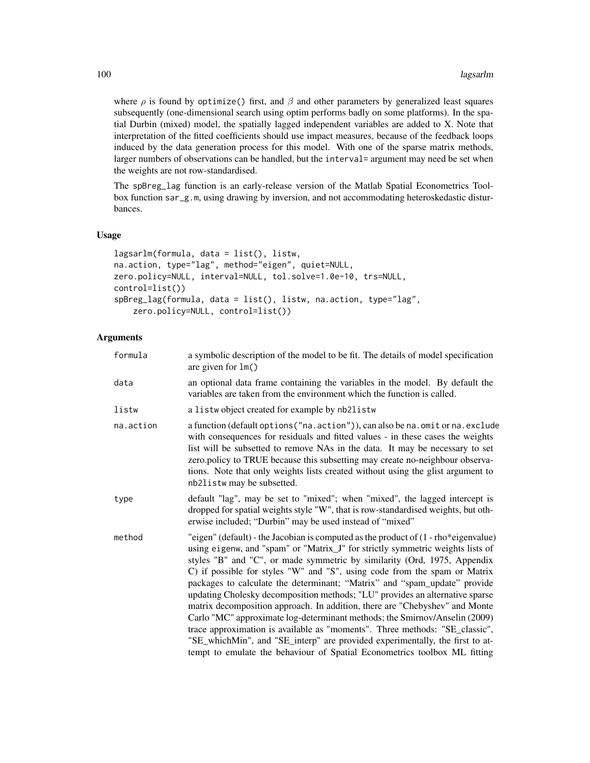where  $\rho$  is found by optimize() first, and  $\beta$  and other parameters by generalized least squares subsequently (one-dimensional search using optim performs badly on some platforms). In the spatial Durbin (mixed) model, the spatially lagged independent variables are added to X. Note that interpretation of the fitted coefficients should use impact measures, because of the feedback loops induced by the data generation process for this model. With one of the sparse matrix methods, larger numbers of observations can be handled, but the interval= argument may need be set when the weights are not row-standardised.

The spBreg\_lag function is an early-release version of the Matlab Spatial Econometrics Toolbox function sar\_g.m, using drawing by inversion, and not accommodating heteroskedastic disturbances.

#### Usage

```
lagsarlm(formula, data = list(), listw,
na.action, type="lag", method="eigen", quiet=NULL,
zero.policy=NULL, interval=NULL, tol.solve=1.0e-10, trs=NULL,
control=list())
spBreg_lag(formula, data = list(), listw, na.action, type="lag",
   zero.policy=NULL, control=list())
```
# Arguments

| formula   | a symbolic description of the model to be fit. The details of model specification<br>are given for $lm()$                                                                                                                                                                                                                                                                                                                                                                                                                                                                                                                                                                                                                                                                                                                                                                                                |
|-----------|----------------------------------------------------------------------------------------------------------------------------------------------------------------------------------------------------------------------------------------------------------------------------------------------------------------------------------------------------------------------------------------------------------------------------------------------------------------------------------------------------------------------------------------------------------------------------------------------------------------------------------------------------------------------------------------------------------------------------------------------------------------------------------------------------------------------------------------------------------------------------------------------------------|
| data      | an optional data frame containing the variables in the model. By default the<br>variables are taken from the environment which the function is called.                                                                                                                                                                                                                                                                                                                                                                                                                                                                                                                                                                                                                                                                                                                                                   |
| listw     | a listwo bject created for example by nb2listw                                                                                                                                                                                                                                                                                                                                                                                                                                                                                                                                                                                                                                                                                                                                                                                                                                                           |
| na.action | a function (default options ("na.action")), can also be na.omit or na.exclude<br>with consequences for residuals and fitted values - in these cases the weights<br>list will be subsetted to remove NAs in the data. It may be necessary to set<br>zero.policy to TRUE because this subsetting may create no-neighbour observa-<br>tions. Note that only weights lists created without using the glist argument to<br>nb21 is tw may be subsetted.                                                                                                                                                                                                                                                                                                                                                                                                                                                       |
| type      | default "lag", may be set to "mixed"; when "mixed", the lagged intercept is<br>dropped for spatial weights style "W", that is row-standardised weights, but oth-<br>erwise included; "Durbin" may be used instead of "mixed"                                                                                                                                                                                                                                                                                                                                                                                                                                                                                                                                                                                                                                                                             |
| method    | "eigen" (default) - the Jacobian is computed as the product of $(1 - rho * eigenvalue)$<br>using eigenw, and "spam" or "Matrix_J" for strictly symmetric weights lists of<br>styles "B" and "C", or made symmetric by similarity (Ord, 1975, Appendix<br>C) if possible for styles "W" and "S", using code from the spam or Matrix<br>packages to calculate the determinant; "Matrix" and "spam_update" provide<br>updating Cholesky decomposition methods; "LU" provides an alternative sparse<br>matrix decomposition approach. In addition, there are "Chebyshev" and Monte<br>Carlo "MC" approximate log-determinant methods; the Smirnov/Anselin (2009)<br>trace approximation is available as "moments". Three methods: "SE_classic",<br>"SE_whichMin", and "SE_interp" are provided experimentally, the first to at-<br>tempt to emulate the behaviour of Spatial Econometrics toolbox ML fitting |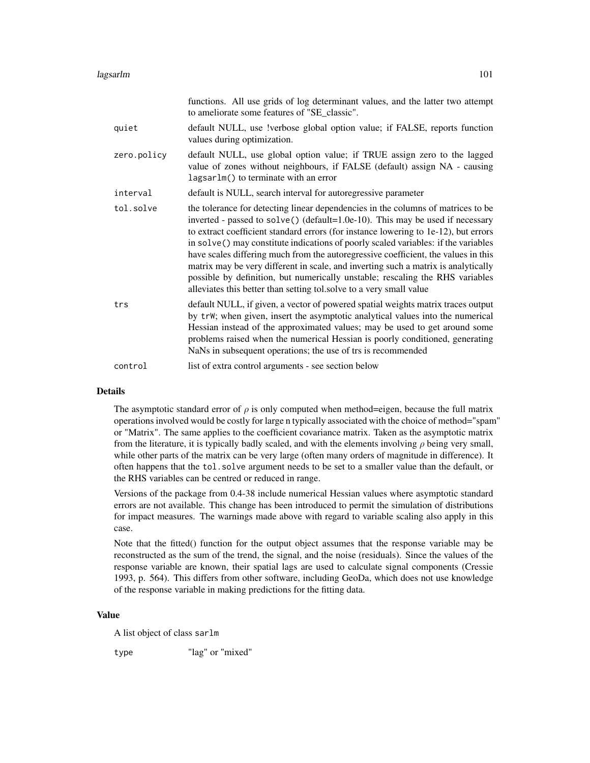|             | functions. All use grids of log determinant values, and the latter two attempt<br>to ameliorate some features of "SE_classic".                                                                                                                                                                                                                                                                                                                                                                                                                                                                                                                                                     |
|-------------|------------------------------------------------------------------------------------------------------------------------------------------------------------------------------------------------------------------------------------------------------------------------------------------------------------------------------------------------------------------------------------------------------------------------------------------------------------------------------------------------------------------------------------------------------------------------------------------------------------------------------------------------------------------------------------|
| quiet       | default NULL, use !verbose global option value; if FALSE, reports function<br>values during optimization.                                                                                                                                                                                                                                                                                                                                                                                                                                                                                                                                                                          |
| zero.policy | default NULL, use global option value; if TRUE assign zero to the lagged<br>value of zones without neighbours, if FALSE (default) assign NA - causing<br>lagsarlm() to terminate with an error                                                                                                                                                                                                                                                                                                                                                                                                                                                                                     |
| interval    | default is NULL, search interval for autoregressive parameter                                                                                                                                                                                                                                                                                                                                                                                                                                                                                                                                                                                                                      |
| tol.solve   | the tolerance for detecting linear dependencies in the columns of matrices to be<br>inverted - passed to solve() (default=1.0e-10). This may be used if necessary<br>to extract coefficient standard errors (for instance lowering to 1e-12), but errors<br>in solve() may constitute indications of poorly scaled variables: if the variables<br>have scales differing much from the autoregressive coefficient, the values in this<br>matrix may be very different in scale, and inverting such a matrix is analytically<br>possible by definition, but numerically unstable; rescaling the RHS variables<br>alleviates this better than setting tol.solve to a very small value |
| trs         | default NULL, if given, a vector of powered spatial weights matrix traces output<br>by trW; when given, insert the asymptotic analytical values into the numerical<br>Hessian instead of the approximated values; may be used to get around some<br>problems raised when the numerical Hessian is poorly conditioned, generating<br>NaNs in subsequent operations; the use of trs is recommended                                                                                                                                                                                                                                                                                   |
| control     | list of extra control arguments - see section below                                                                                                                                                                                                                                                                                                                                                                                                                                                                                                                                                                                                                                |

#### Details

The asymptotic standard error of  $\rho$  is only computed when method=eigen, because the full matrix operations involved would be costly for large n typically associated with the choice of method="spam" or "Matrix". The same applies to the coefficient covariance matrix. Taken as the asymptotic matrix from the literature, it is typically badly scaled, and with the elements involving  $\rho$  being very small, while other parts of the matrix can be very large (often many orders of magnitude in difference). It often happens that the tol.solve argument needs to be set to a smaller value than the default, or the RHS variables can be centred or reduced in range.

Versions of the package from 0.4-38 include numerical Hessian values where asymptotic standard errors are not available. This change has been introduced to permit the simulation of distributions for impact measures. The warnings made above with regard to variable scaling also apply in this case.

Note that the fitted() function for the output object assumes that the response variable may be reconstructed as the sum of the trend, the signal, and the noise (residuals). Since the values of the response variable are known, their spatial lags are used to calculate signal components (Cressie 1993, p. 564). This differs from other software, including GeoDa, which does not use knowledge of the response variable in making predictions for the fitting data.

## Value

A list object of class sarlm

type "lag" or "mixed"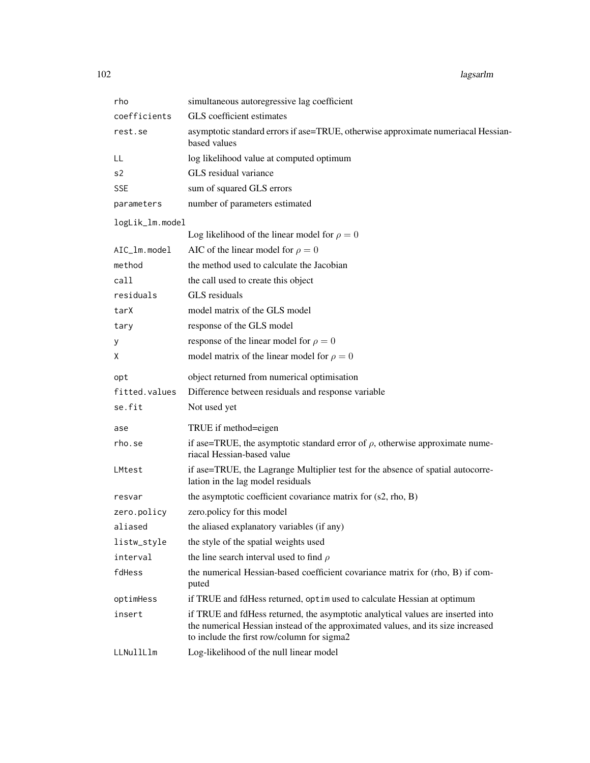| rho             | simultaneous autoregressive lag coefficient                                                                                                                                                                       |
|-----------------|-------------------------------------------------------------------------------------------------------------------------------------------------------------------------------------------------------------------|
| coefficients    | GLS coefficient estimates                                                                                                                                                                                         |
| rest.se         | asymptotic standard errors if ase=TRUE, otherwise approximate numeriacal Hessian-<br>based values                                                                                                                 |
| LL              | log likelihood value at computed optimum                                                                                                                                                                          |
| s2              | GLS residual variance                                                                                                                                                                                             |
| <b>SSE</b>      | sum of squared GLS errors                                                                                                                                                                                         |
| parameters      | number of parameters estimated                                                                                                                                                                                    |
| logLik_lm.model |                                                                                                                                                                                                                   |
|                 | Log likelihood of the linear model for $\rho = 0$                                                                                                                                                                 |
| AIC_lm.model    | AIC of the linear model for $\rho = 0$                                                                                                                                                                            |
| method          | the method used to calculate the Jacobian                                                                                                                                                                         |
| call            | the call used to create this object                                                                                                                                                                               |
| residuals       | GLS residuals                                                                                                                                                                                                     |
| tarX            | model matrix of the GLS model                                                                                                                                                                                     |
| tary            | response of the GLS model                                                                                                                                                                                         |
| У               | response of the linear model for $\rho = 0$                                                                                                                                                                       |
| X               | model matrix of the linear model for $\rho = 0$                                                                                                                                                                   |
| opt             | object returned from numerical optimisation                                                                                                                                                                       |
| fitted.values   | Difference between residuals and response variable                                                                                                                                                                |
| se.fit          | Not used yet                                                                                                                                                                                                      |
| ase             | TRUE if method=eigen                                                                                                                                                                                              |
| rho.se          | if ase=TRUE, the asymptotic standard error of $\rho$ , otherwise approximate nume-<br>riacal Hessian-based value                                                                                                  |
| LMtest          | if ase=TRUE, the Lagrange Multiplier test for the absence of spatial autocorre-<br>lation in the lag model residuals                                                                                              |
| resvar          | the asymptotic coefficient covariance matrix for (s2, rho, B)                                                                                                                                                     |
| zero.policy     | zero.policy for this model                                                                                                                                                                                        |
| aliased         | the aliased explanatory variables (if any)                                                                                                                                                                        |
| listw_style     | the style of the spatial weights used                                                                                                                                                                             |
| interval        | the line search interval used to find $\rho$                                                                                                                                                                      |
| fdHess          | the numerical Hessian-based coefficient covariance matrix for (rho, B) if com-<br>puted                                                                                                                           |
| optimHess       | if TRUE and fdHess returned, optimused to calculate Hessian at optimum                                                                                                                                            |
| insert          | if TRUE and fdHess returned, the asymptotic analytical values are inserted into<br>the numerical Hessian instead of the approximated values, and its size increased<br>to include the first row/column for sigma2 |
| LLNullLlm       | Log-likelihood of the null linear model                                                                                                                                                                           |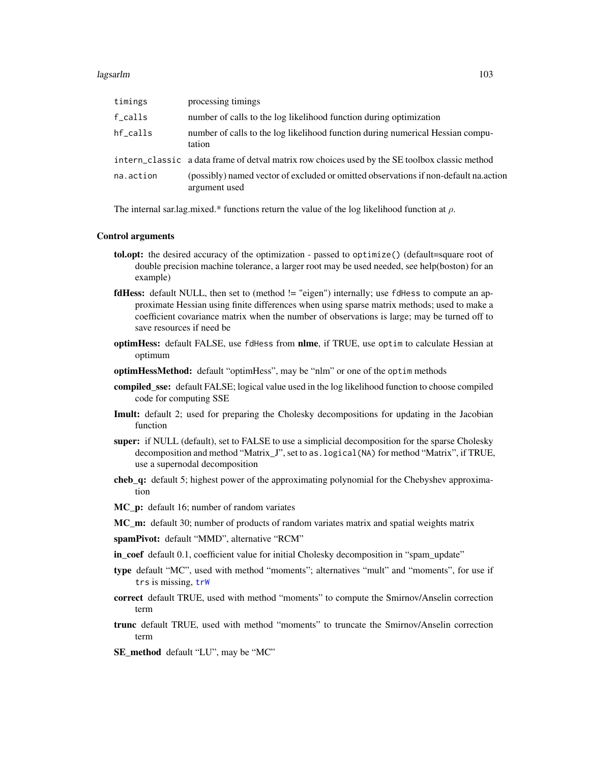#### lagsarlm 103

| timings   | processing timings                                                                                    |
|-----------|-------------------------------------------------------------------------------------------------------|
| f_calls   | number of calls to the log likelihood function during optimization                                    |
| hf calls  | number of calls to the log likelihood function during numerical Hessian compu-<br>tation              |
|           | intern_classic a data frame of detval matrix row choices used by the SE toolbox classic method        |
| na.action | (possibly) named vector of excluded or omitted observations if non-default na.action<br>argument used |

The internal sar.lag.mixed.\* functions return the value of the log likelihood function at  $\rho$ .

#### Control arguments

- tol.opt: the desired accuracy of the optimization passed to optimize() (default=square root of double precision machine tolerance, a larger root may be used needed, see help(boston) for an example)
- fdHess: default NULL, then set to (method != "eigen") internally; use fdHess to compute an approximate Hessian using finite differences when using sparse matrix methods; used to make a coefficient covariance matrix when the number of observations is large; may be turned off to save resources if need be
- optimHess: default FALSE, use fdHess from nlme, if TRUE, use optim to calculate Hessian at optimum
- optimHessMethod: default "optimHess", may be "nlm" or one of the optim methods
- compiled\_sse: default FALSE; logical value used in the log likelihood function to choose compiled code for computing SSE
- Imult: default 2; used for preparing the Cholesky decompositions for updating in the Jacobian function
- super: if NULL (default), set to FALSE to use a simplicial decomposition for the sparse Cholesky decomposition and method "Matrix\_J", set to as.logical(NA) for method "Matrix", if TRUE, use a supernodal decomposition
- cheb\_q: default 5; highest power of the approximating polynomial for the Chebyshev approximation
- MC\_p: default 16; number of random variates
- MC\_m: default 30; number of products of random variates matrix and spatial weights matrix
- spamPivot: default "MMD", alternative "RCM"
- in\_coef default 0.1, coefficient value for initial Cholesky decomposition in "spam\_update"
- type default "MC", used with method "moments"; alternatives "mult" and "moments", for use if trs is missing, [trW](#page-222-0)
- correct default TRUE, used with method "moments" to compute the Smirnov/Anselin correction term
- trunc default TRUE, used with method "moments" to truncate the Smirnov/Anselin correction term
- SE\_method default "LU", may be "MC"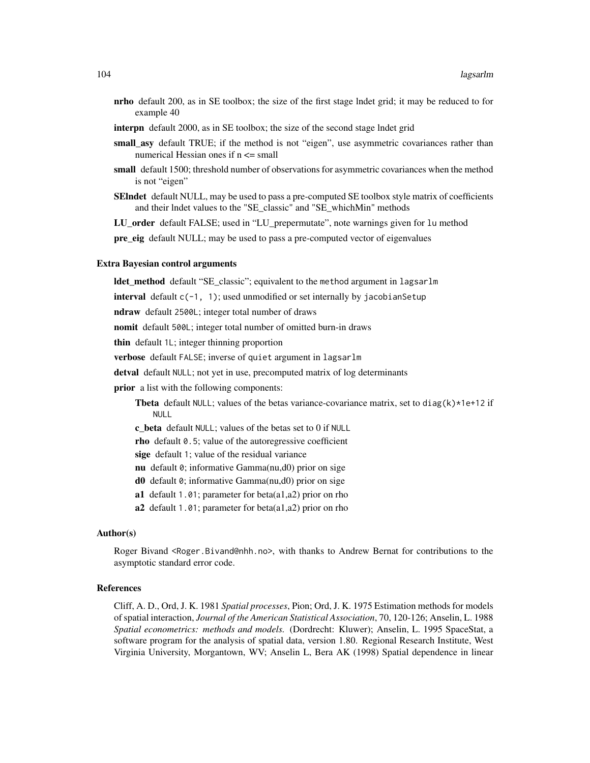- nrho default 200, as in SE toolbox; the size of the first stage lndet grid; it may be reduced to for example 40
- interpn default 2000, as in SE toolbox; the size of the second stage lndet grid
- small asy default TRUE; if the method is not "eigen", use asymmetric covariances rather than numerical Hessian ones if n <= small
- small default 1500; threshold number of observations for asymmetric covariances when the method is not "eigen"
- SEIndet default NULL, may be used to pass a pre-computed SE toolbox style matrix of coefficients and their lndet values to the "SE\_classic" and "SE\_whichMin" methods

LU\_order default FALSE; used in "LU\_prepermutate", note warnings given for lu method

pre\_eig default NULL; may be used to pass a pre-computed vector of eigenvalues

#### Extra Bayesian control arguments

ldet\_method default "SE\_classic"; equivalent to the method argument in lagsarlm

interval default  $c(-1, 1)$ ; used unmodified or set internally by jacobianSetup

ndraw default 2500L; integer total number of draws

nomit default 500L; integer total number of omitted burn-in draws

thin default 1L; integer thinning proportion

verbose default FALSE; inverse of quiet argument in lagsarlm

detval default NULL; not yet in use, precomputed matrix of log determinants

**prior** a list with the following components:

**Theta** default NULL; values of the betas variance-covariance matrix, set to diag(k) $*1e+12$  if NULL

c\_beta default NULL; values of the betas set to 0 if NULL

rho default 0.5; value of the autoregressive coefficient

sige default 1; value of the residual variance

nu default 0; informative Gamma(nu,d0) prior on sige

d0 default 0; informative Gamma(nu,d0) prior on sige

a1 default 1.01; parameter for beta(a1,a2) prior on rho

a2 default 1.01; parameter for beta $(a1,a2)$  prior on rho

#### Author(s)

Roger Bivand <Roger.Bivand@nhh.no>, with thanks to Andrew Bernat for contributions to the asymptotic standard error code.

# References

Cliff, A. D., Ord, J. K. 1981 *Spatial processes*, Pion; Ord, J. K. 1975 Estimation methods for models of spatial interaction, *Journal of the American Statistical Association*, 70, 120-126; Anselin, L. 1988 *Spatial econometrics: methods and models.* (Dordrecht: Kluwer); Anselin, L. 1995 SpaceStat, a software program for the analysis of spatial data, version 1.80. Regional Research Institute, West Virginia University, Morgantown, WV; Anselin L, Bera AK (1998) Spatial dependence in linear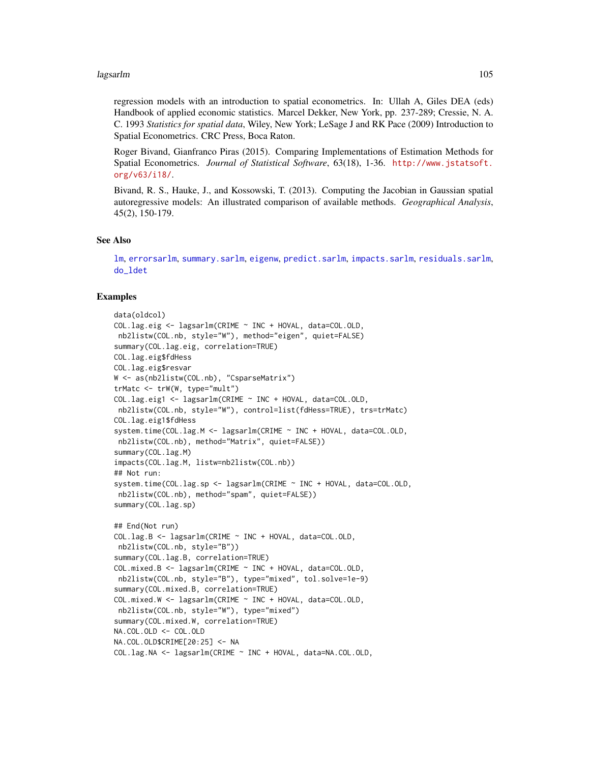#### lagsarlm 105

regression models with an introduction to spatial econometrics. In: Ullah A, Giles DEA (eds) Handbook of applied economic statistics. Marcel Dekker, New York, pp. 237-289; Cressie, N. A. C. 1993 *Statistics for spatial data*, Wiley, New York; LeSage J and RK Pace (2009) Introduction to Spatial Econometrics. CRC Press, Boca Raton.

Roger Bivand, Gianfranco Piras (2015). Comparing Implementations of Estimation Methods for Spatial Econometrics. *Journal of Statistical Software*, 63(18), 1-36. [http://www.jstatsoft.](http://www.jstatsoft.org/v63/i18/) [org/v63/i18/](http://www.jstatsoft.org/v63/i18/).

Bivand, R. S., Hauke, J., and Kossowski, T. (2013). Computing the Jacobian in Gaussian spatial autoregressive models: An illustrated comparison of available methods. *Geographical Analysis*, 45(2), 150-179.

#### See Also

[lm](#page-0-0), [errorsarlm](#page-51-0), [summary.sarlm](#page-217-0), [eigenw](#page-45-0), [predict.sarlm](#page-170-0), [impacts.sarlm](#page-78-0), [residuals.sarlm](#page-182-0), [do\\_ldet](#page-31-0)

```
data(oldcol)
COL.lag.eig <- lagsarlm(CRIME ~ INC + HOVAL, data=COL.OLD,
nb2listw(COL.nb, style="W"), method="eigen", quiet=FALSE)
summary(COL.lag.eig, correlation=TRUE)
COL.lag.eig$fdHess
COL.lag.eig$resvar
W <- as(nb2listw(COL.nb), "CsparseMatrix")
trMatc <- trW(W, type="mult")
COL.lag.eig1 <- lagsarlm(CRIME ~ INC + HOVAL, data=COL.OLD,
nb2listw(COL.nb, style="W"), control=list(fdHess=TRUE), trs=trMatc)
COL.lag.eig1$fdHess
system.time(COL.lag.M <- lagsarlm(CRIME ~ INC + HOVAL, data=COL.OLD,
nb2listw(COL.nb), method="Matrix", quiet=FALSE))
summary(COL.lag.M)
impacts(COL.lag.M, listw=nb2listw(COL.nb))
## Not run:
system.time(COL.lag.sp <- lagsarlm(CRIME ~ INC + HOVAL, data=COL.OLD,
nb2listw(COL.nb), method="spam", quiet=FALSE))
summary(COL.lag.sp)
## End(Not run)
COL.lag.B <- lagsarlm(CRIME ~ INC + HOVAL, data=COL.OLD,
nb2listw(COL.nb, style="B"))
summary(COL.lag.B, correlation=TRUE)
COL.mixed.B <- lagsarlm(CRIME ~ INC + HOVAL, data=COL.OLD,
nb2listw(COL.nb, style="B"), type="mixed", tol.solve=1e-9)
summary(COL.mixed.B, correlation=TRUE)
COL.mixed.W <- lagsarlm(CRIME ~ INC + HOVAL, data=COL.OLD,
nb2listw(COL.nb, style="W"), type="mixed")
summary(COL.mixed.W, correlation=TRUE)
NA.COL.OLD <- COL.OLD
NA.COL.OLD$CRIME[20:25] <- NA
COL.lag.NA <- lagsarlm(CRIME ~ INC + HOVAL, data=NA.COL.OLD,
```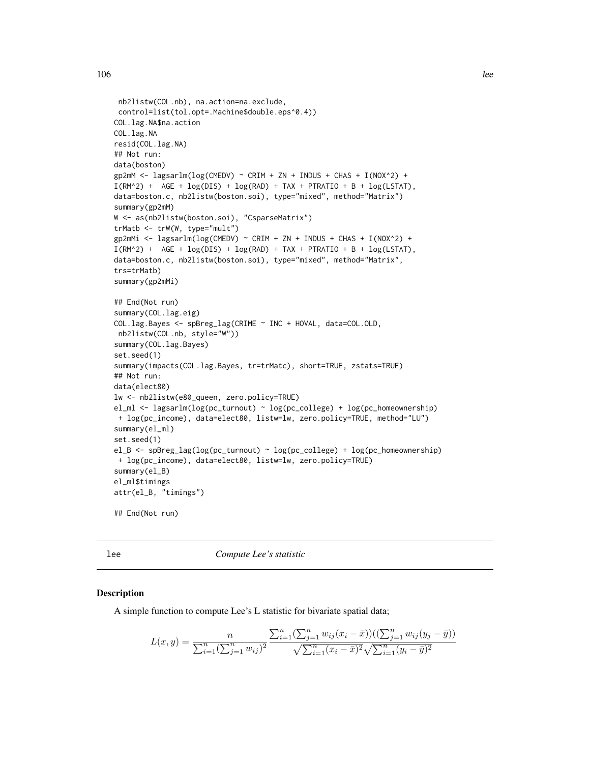```
nb2listw(COL.nb), na.action=na.exclude,
control=list(tol.opt=.Machine$double.eps^0.4))
COL.lag.NA$na.action
COL.lag.NA
resid(COL.lag.NA)
## Not run:
data(boston)
gp2mM \leq 1agsarlm(log(CMEDV) \approx CRIM + ZN + INDUS + CHAS + I(NOX^2) +I(RM^2) + AGE + log(DIS) + log(RAD) + TAX + PTRATIO + B + log(LSTAT),
data=boston.c, nb2listw(boston.soi), type="mixed", method="Matrix")
summary(gp2mM)
W <- as(nb2listw(boston.soi), "CsparseMatrix")
trMatb <- trW(W, type="mult")
gp2mMi <- lagsarlm(log(CMEDV) ~ CRIM + ZN + INDUS + CHAS + I(NOX^2) +
I(RM^2) + AGE + log(DIS) + log(RAD) + TAX + PTRATIO + B + log(LSTAT),
data=boston.c, nb2listw(boston.soi), type="mixed", method="Matrix",
trs=trMatb)
summary(gp2mMi)
## End(Not run)
summary(COL.lag.eig)
COL.lag.Bayes <- spBreg_lag(CRIME ~ INC + HOVAL, data=COL.OLD,
nb2listw(COL.nb, style="W"))
summary(COL.lag.Bayes)
set.seed(1)
summary(impacts(COL.lag.Bayes, tr=trMatc), short=TRUE, zstats=TRUE)
## Not run:
data(elect80)
lw <- nb2listw(e80_queen, zero.policy=TRUE)
el_ml <- lagsarlm(log(pc_turnout) ~ log(pc_college) + log(pc_homeownership)
+ log(pc_income), data=elect80, listw=lw, zero.policy=TRUE, method="LU")
summary(el_ml)
set.seed(1)
el_B <- spBreg_lag(log(pc_turnout) ~ log(pc_college) + log(pc_homeownership)
+ log(pc_income), data=elect80, listw=lw, zero.policy=TRUE)
summary(el_B)
el_ml$timings
attr(el_B, "timings")
## End(Not run)
```
lee *Compute Lee's statistic*

#### Description

A simple function to compute Lee's L statistic for bivariate spatial data;

$$
L(x,y) = \frac{n}{\sum_{i=1}^{n} (\sum_{j=1}^{n} w_{ij})^2} \frac{\sum_{i=1}^{n} (\sum_{j=1}^{n} w_{ij} (x_i - \bar{x})) ((\sum_{j=1}^{n} w_{ij} (y_j - \bar{y}))}{\sqrt{\sum_{i=1}^{n} (x_i - \bar{x})^2} \sqrt{\sum_{i=1}^{n} (y_i - \bar{y})^2}}
$$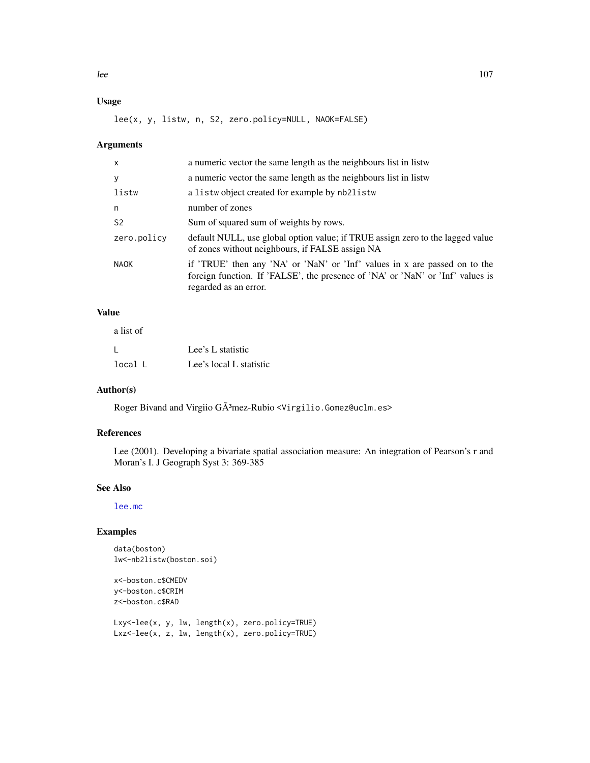# Usage

lee(x, y, listw, n, S2, zero.policy=NULL, NAOK=FALSE)

## Arguments

| x              | a numeric vector the same length as the neighbours list in listw                                                                                                                      |
|----------------|---------------------------------------------------------------------------------------------------------------------------------------------------------------------------------------|
| У              | a numeric vector the same length as the neighbours list in listw                                                                                                                      |
| listw          | a listwo bject created for example by nb2listw                                                                                                                                        |
| n              | number of zones                                                                                                                                                                       |
| S <sub>2</sub> | Sum of squared sum of weights by rows.                                                                                                                                                |
| zero.policy    | default NULL, use global option value; if TRUE assign zero to the lagged value<br>of zones without neighbours, if FALSE assign NA                                                     |
| <b>NAOK</b>    | if 'TRUE' then any 'NA' or 'NaN' or 'Inf' values in x are passed on to the<br>foreign function. If 'FALSE', the presence of 'NA' or 'NaN' or 'Inf' values is<br>regarded as an error. |
|                |                                                                                                                                                                                       |

# Value

| a list of |                         |
|-----------|-------------------------|
|           | Lee's L statistic       |
| local L   | Lee's local L statistic |

# Author(s)

Roger Bivand and Virgiio GÃ<sup>3</sup>mez-Rubio <Virgilio.Gomez@uclm.es>

# References

Lee (2001). Developing a bivariate spatial association measure: An integration of Pearson's r and Moran's I. J Geograph Syst 3: 369-385

# See Also

[lee.mc](#page-107-0)

```
data(boston)
lw<-nb2listw(boston.soi)
```

```
x<-boston.c$CMEDV
y<-boston.c$CRIM
z<-boston.c$RAD
```

```
Lxy<-lee(x, y, lw, length(x), zero.policy=TRUE)
Lxz<-lee(x, z, lw, length(x), zero.policy=TRUE)
```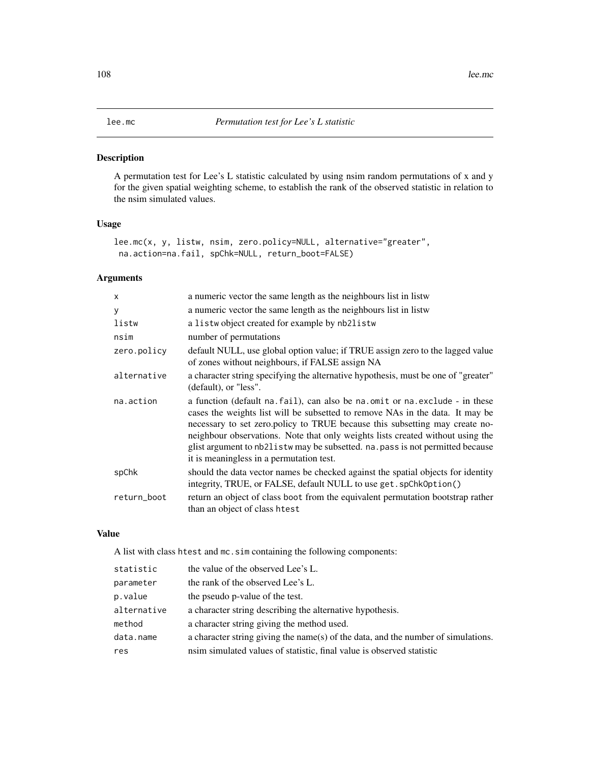<span id="page-107-0"></span>A permutation test for Lee's L statistic calculated by using nsim random permutations of x and y for the given spatial weighting scheme, to establish the rank of the observed statistic in relation to the nsim simulated values.

# Usage

```
lee.mc(x, y, listw, nsim, zero.policy=NULL, alternative="greater",
na.action=na.fail, spChk=NULL, return_boot=FALSE)
```
# Arguments

| $\times$    | a numeric vector the same length as the neighbours list in listw                                                                                                                                                                                                                                                                                                                                                                                                |
|-------------|-----------------------------------------------------------------------------------------------------------------------------------------------------------------------------------------------------------------------------------------------------------------------------------------------------------------------------------------------------------------------------------------------------------------------------------------------------------------|
| У           | a numeric vector the same length as the neighbours list in listw                                                                                                                                                                                                                                                                                                                                                                                                |
| listw       | a listwobject created for example by nb2listw                                                                                                                                                                                                                                                                                                                                                                                                                   |
| nsim        | number of permutations                                                                                                                                                                                                                                                                                                                                                                                                                                          |
| zero.policy | default NULL, use global option value; if TRUE assign zero to the lagged value<br>of zones without neighbours, if FALSE assign NA                                                                                                                                                                                                                                                                                                                               |
| alternative | a character string specifying the alternative hypothesis, must be one of "greater"<br>(default), or "less".                                                                                                                                                                                                                                                                                                                                                     |
| na.action   | a function (default na. fail), can also be na. omit or na. exclude - in these<br>cases the weights list will be subsetted to remove NAs in the data. It may be<br>necessary to set zero.policy to TRUE because this subsetting may create no-<br>neighbour observations. Note that only weights lists created without using the<br>glist argument to nb21 is tw may be subsetted. na. pass is not permitted because<br>it is meaningless in a permutation test. |
| spChk       | should the data vector names be checked against the spatial objects for identity<br>integrity, TRUE, or FALSE, default NULL to use get. spChk0ption()                                                                                                                                                                                                                                                                                                           |
| return_boot | return an object of class boot from the equivalent permutation bootstrap rather<br>than an object of class htest                                                                                                                                                                                                                                                                                                                                                |

# Value

A list with class htest and mc.sim containing the following components:

| statistic   | the value of the observed Lee's L.                                                |
|-------------|-----------------------------------------------------------------------------------|
| parameter   | the rank of the observed Lee's L.                                                 |
| p.value     | the pseudo p-value of the test.                                                   |
| alternative | a character string describing the alternative hypothesis.                         |
| method      | a character string giving the method used.                                        |
| data.name   | a character string giving the name(s) of the data, and the number of simulations. |
| res         | nsim simulated values of statistic, final value is observed statistic             |
|             |                                                                                   |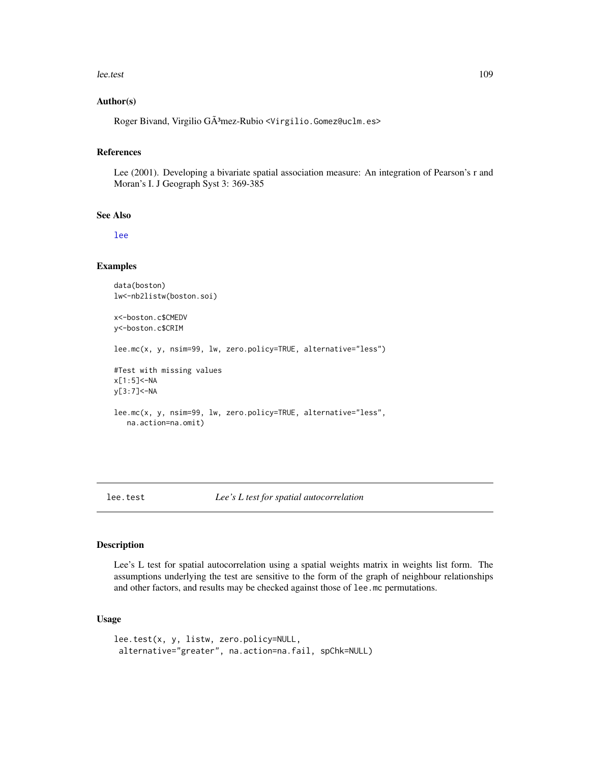#### lee.test 109

#### Author(s)

Roger Bivand, Virgilio GÃ3mez-Rubio <Virgilio.Gomez@uclm.es>

#### References

Lee (2001). Developing a bivariate spatial association measure: An integration of Pearson's r and Moran's I. J Geograph Syst 3: 369-385

#### See Also

[lee](#page-105-0)

#### Examples

```
data(boston)
lw<-nb2listw(boston.soi)
x<-boston.c$CMEDV
y<-boston.c$CRIM
lee.mc(x, y, nsim=99, lw, zero.policy=TRUE, alternative="less")
#Test with missing values
x[1:5]<-NA
y[3:7]<-NA
lee.mc(x, y, nsim=99, lw, zero.policy=TRUE, alternative="less",
   na.action=na.omit)
```
#### lee.test *Lee's L test for spatial autocorrelation*

# Description

Lee's L test for spatial autocorrelation using a spatial weights matrix in weights list form. The assumptions underlying the test are sensitive to the form of the graph of neighbour relationships and other factors, and results may be checked against those of lee.mc permutations.

# Usage

```
lee.test(x, y, listw, zero.policy=NULL,
alternative="greater", na.action=na.fail, spChk=NULL)
```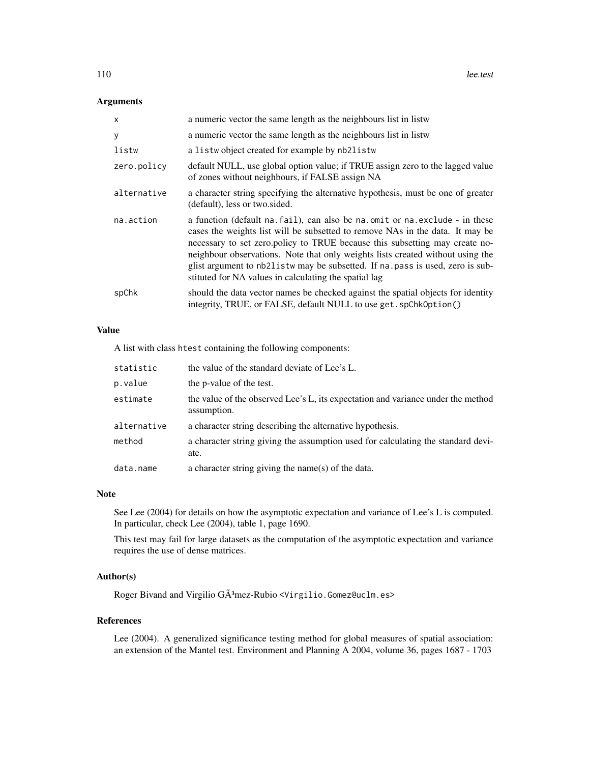# Arguments

| x           | a numeric vector the same length as the neighbours list in listw                                                                                                                                                                                                                                                                                                                                                                                                           |
|-------------|----------------------------------------------------------------------------------------------------------------------------------------------------------------------------------------------------------------------------------------------------------------------------------------------------------------------------------------------------------------------------------------------------------------------------------------------------------------------------|
| У           | a numeric vector the same length as the neighbours list in listw                                                                                                                                                                                                                                                                                                                                                                                                           |
| listw       | a listwo bject created for example by nb2listw                                                                                                                                                                                                                                                                                                                                                                                                                             |
| zero.policy | default NULL, use global option value; if TRUE assign zero to the lagged value<br>of zones without neighbours, if FALSE assign NA                                                                                                                                                                                                                                                                                                                                          |
| alternative | a character string specifying the alternative hypothesis, must be one of greater<br>(default), less or two.sided.                                                                                                                                                                                                                                                                                                                                                          |
| na.action   | a function (default na. fail), can also be na. omit or na. exclude - in these<br>cases the weights list will be subsetted to remove NAs in the data. It may be<br>necessary to set zero.policy to TRUE because this subsetting may create no-<br>neighbour observations. Note that only weights lists created without using the<br>glist argument to nb21istw may be subsetted. If na. pass is used, zero is sub-<br>stituted for NA values in calculating the spatial lag |
| spChk       | should the data vector names be checked against the spatial objects for identity<br>integrity, TRUE, or FALSE, default NULL to use get. spChk0ption()                                                                                                                                                                                                                                                                                                                      |

## Value

A list with class htest containing the following components:

| statistic   | the value of the standard deviate of Lee's L.                                                   |
|-------------|-------------------------------------------------------------------------------------------------|
| p.value     | the p-value of the test.                                                                        |
| estimate    | the value of the observed Lee's L, its expectation and variance under the method<br>assumption. |
| alternative | a character string describing the alternative hypothesis.                                       |
| method      | a character string giving the assumption used for calculating the standard devi-<br>ate.        |
| data.name   | a character string giving the name(s) of the data.                                              |

## Note

See Lee (2004) for details on how the asymptotic expectation and variance of Lee's L is computed. In particular, check Lee (2004), table 1, page 1690.

This test may fail for large datasets as the computation of the asymptotic expectation and variance requires the use of dense matrices.

# Author(s)

Roger Bivand and Virgilio GÃ3mez-Rubio <Virgilio.Gomez@uclm.es>

# References

Lee (2004). A generalized significance testing method for global measures of spatial association: an extension of the Mantel test. Environment and Planning A 2004, volume 36, pages 1687 - 1703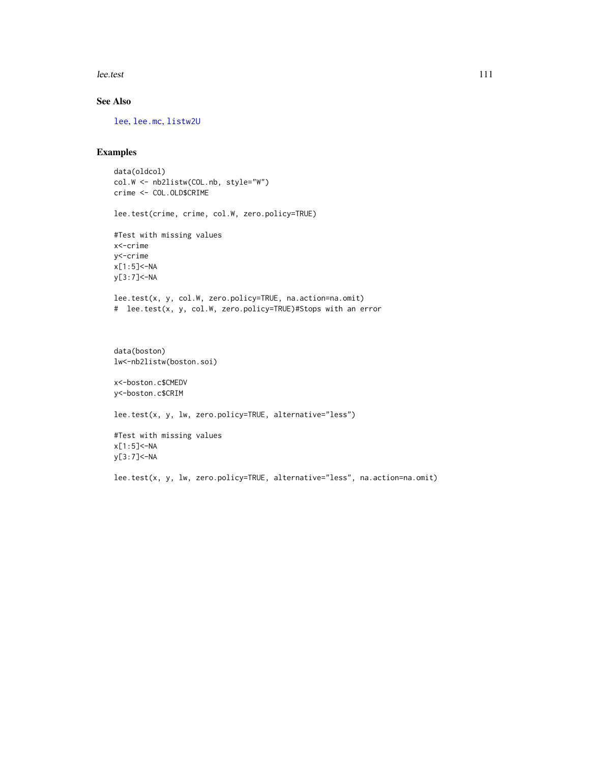lee.test 111

# See Also

[lee](#page-105-0), [lee.mc](#page-107-0), [listw2U](#page-117-0)

## Examples

```
data(oldcol)
col.W <- nb2listw(COL.nb, style="W")
crime <- COL.OLD$CRIME
lee.test(crime, crime, col.W, zero.policy=TRUE)
#Test with missing values
x<-crime
y<-crime
x[1:5]<-NA
y[3:7]<-NA
lee.test(x, y, col.W, zero.policy=TRUE, na.action=na.omit)
# lee.test(x, y, col.W, zero.policy=TRUE)#Stops with an error
data(boston)
lw<-nb2listw(boston.soi)
x<-boston.c$CMEDV
y<-boston.c$CRIM
```
lee.test(x, y, lw, zero.policy=TRUE, alternative="less")

#Test with missing values x[1:5]<-NA y[3:7]<-NA

lee.test(x, y, lw, zero.policy=TRUE, alternative="less", na.action=na.omit)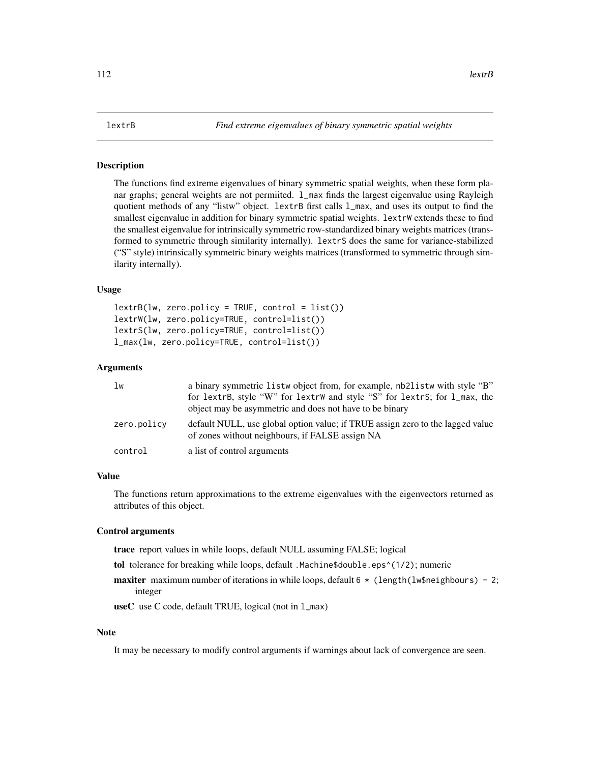#### **Description**

The functions find extreme eigenvalues of binary symmetric spatial weights, when these form planar graphs; general weights are not permiited. 1\_max finds the largest eigenvalue using Rayleigh quotient methods of any "listw" object. lextrB first calls l\_max, and uses its output to find the smallest eigenvalue in addition for binary symmetric spatial weights. lextrW extends these to find the smallest eigenvalue for intrinsically symmetric row-standardized binary weights matrices (transformed to symmetric through similarity internally). lextrS does the same for variance-stabilized ("S" style) intrinsically symmetric binary weights matrices (transformed to symmetric through similarity internally).

#### Usage

```
lextrB(lw, zero.policy = TRUE, control = list())lextrW(lw, zero.policy=TRUE, control=list())
lextrS(lw, zero.policy=TRUE, control=list())
l_max(lw, zero.policy=TRUE, control=list())
```
#### Arguments

| lw          | a binary symmetric listw object from, for example, nb2listw with style "B"                                                        |
|-------------|-----------------------------------------------------------------------------------------------------------------------------------|
|             | for lextrB, style "W" for lextrW and style "S" for lextrS; for l_max, the                                                         |
|             | object may be asymmetric and does not have to be binary                                                                           |
| zero.policy | default NULL, use global option value; if TRUE assign zero to the lagged value<br>of zones without neighbours, if FALSE assign NA |
| control     | a list of control arguments                                                                                                       |

## Value

The functions return approximations to the extreme eigenvalues with the eigenvectors returned as attributes of this object.

#### Control arguments

trace report values in while loops, default NULL assuming FALSE; logical

- tol tolerance for breaking while loops, default .Machine\$double.eps^(1/2); numeric
- **maxiter** maximum number of iterations in while loops, default  $6 * (length(lw$) 2;$ integer

useC use C code, default TRUE, logical (not in l\_max)

# Note

It may be necessary to modify control arguments if warnings about lack of convergence are seen.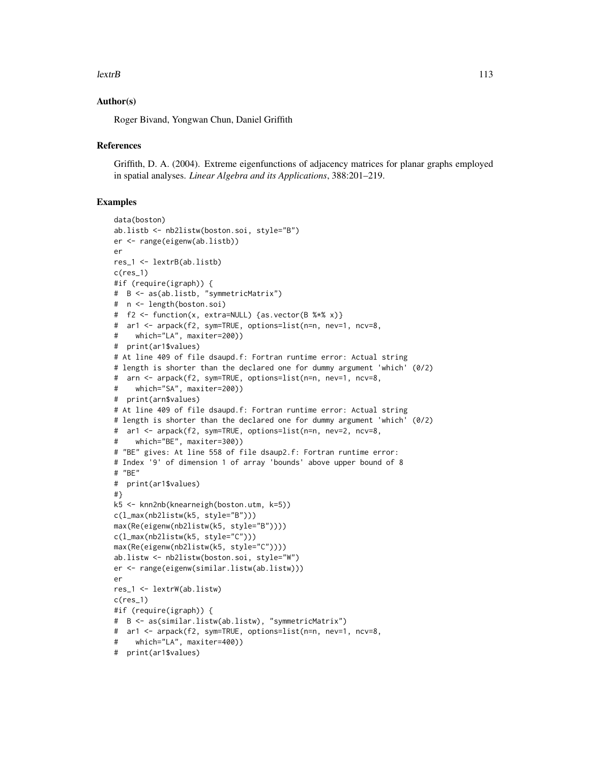#### $\text{leatrB}$  113

# Author(s)

Roger Bivand, Yongwan Chun, Daniel Griffith

#### **References**

Griffith, D. A. (2004). Extreme eigenfunctions of adjacency matrices for planar graphs employed in spatial analyses. *Linear Algebra and its Applications*, 388:201–219.

```
data(boston)
ab.listb <- nb2listw(boston.soi, style="B")
er <- range(eigenw(ab.listb))
er
res_1 <- lextrB(ab.listb)
c(res_1)
#if (require(igraph)) {
# B <- as(ab.listb, "symmetricMatrix")
# n <- length(boston.soi)
# f2 <- function(x, extra=NULL) {as.vector(B %*% x)}
# ar1 <- arpack(f2, sym=TRUE, options=list(n=n, nev=1, ncv=8,
# which="LA", maxiter=200))
# print(ar1$values)
# At line 409 of file dsaupd.f: Fortran runtime error: Actual string
# length is shorter than the declared one for dummy argument 'which' (0/2)
# arn <- arpack(f2, sym=TRUE, options=list(n=n, nev=1, ncv=8,
# which="SA", maxiter=200))
# print(arn$values)
# At line 409 of file dsaupd.f: Fortran runtime error: Actual string
# length is shorter than the declared one for dummy argument 'which' (0/2)
# ar1 <- arpack(f2, sym=TRUE, options=list(n=n, nev=2, ncv=8,
# which="BE", maxiter=300))
# "BE" gives: At line 558 of file dsaup2.f: Fortran runtime error:
# Index '9' of dimension 1 of array 'bounds' above upper bound of 8
# "BE"
# print(ar1$values)
#}
k5 <- knn2nb(knearneigh(boston.utm, k=5))
c(l_max(nb2listw(k5, style="B")))
max(Re(eigenw(nb2listw(k5, style="B"))))
c(l_max(nb2listw(k5, style="C")))
max(Re(eigenw(nb2listw(k5, style="C"))))
ab.listw <- nb2listw(boston.soi, style="W")
er <- range(eigenw(similar.listw(ab.listw)))
er
res_1 <- lextrW(ab.listw)
c(res_1)
#if (require(igraph)) {
# B <- as(similar.listw(ab.listw), "symmetricMatrix")
# ar1 <- arpack(f2, sym=TRUE, options=list(n=n, nev=1, ncv=8,
# which="LA", maxiter=400))
# print(ar1$values)
```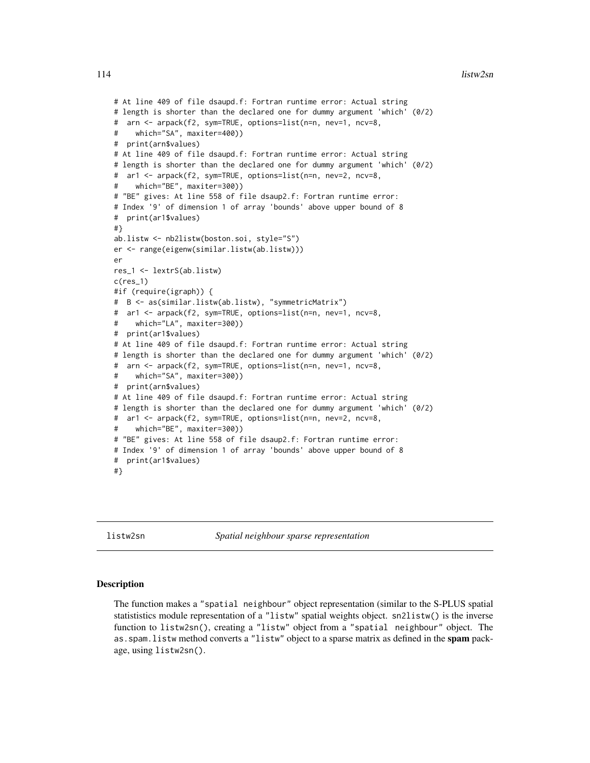#### 114 listw2sn

```
# At line 409 of file dsaupd.f: Fortran runtime error: Actual string
# length is shorter than the declared one for dummy argument 'which' (0/2)
# arn <- arpack(f2, sym=TRUE, options=list(n=n, nev=1, ncv=8,
# which="SA", maxiter=400))
# print(arn$values)
# At line 409 of file dsaupd.f: Fortran runtime error: Actual string
# length is shorter than the declared one for dummy argument 'which' (0/2)
# ar1 <- arpack(f2, sym=TRUE, options=list(n=n, nev=2, ncv=8,
     which="BE", maxiter=300))
# "BE" gives: At line 558 of file dsaup2.f: Fortran runtime error:
# Index '9' of dimension 1 of array 'bounds' above upper bound of 8
# print(ar1$values)
#}
ab.listw <- nb2listw(boston.soi, style="S")
er <- range(eigenw(similar.listw(ab.listw)))
er
res_1 <- lextrS(ab.listw)
c(res_1)
#if (require(igraph)) {
# B <- as(similar.listw(ab.listw), "symmetricMatrix")
# ar1 <- arpack(f2, sym=TRUE, options=list(n=n, nev=1, ncv=8,
# which="LA", maxiter=300))
# print(ar1$values)
# At line 409 of file dsaupd.f: Fortran runtime error: Actual string
# length is shorter than the declared one for dummy argument 'which' (0/2)
# arn <- arpack(f2, sym=TRUE, options=list(n=n, nev=1, ncv=8,
# which="SA", maxiter=300))
# print(arn$values)
# At line 409 of file dsaupd.f: Fortran runtime error: Actual string
# length is shorter than the declared one for dummy argument 'which' (0/2)
# ar1 <- arpack(f2, sym=TRUE, options=list(n=n, nev=2, ncv=8,
# which="BE", maxiter=300))
# "BE" gives: At line 558 of file dsaup2.f: Fortran runtime error:
# Index '9' of dimension 1 of array 'bounds' above upper bound of 8
# print(ar1$values)
#}
```
listw2sn *Spatial neighbour sparse representation*

#### Description

The function makes a "spatial neighbour" object representation (similar to the S-PLUS spatial statististics module representation of a "listw" spatial weights object. sn2listw() is the inverse function to listw2sn(), creating a "listw" object from a "spatial neighbour" object. The as. spam. listw method converts a "listw" object to a sparse matrix as defined in the spam package, using listw2sn().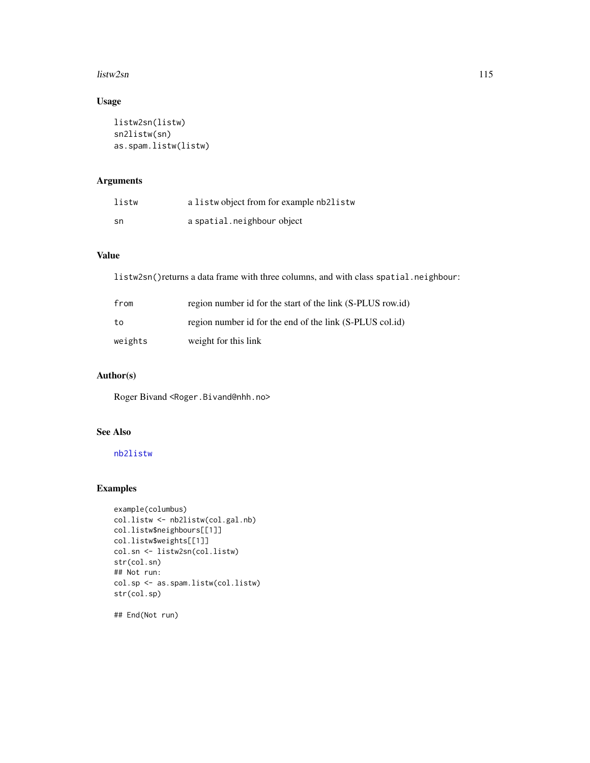#### listw2sn 115

# Usage

```
listw2sn(listw)
sn2listw(sn)
as.spam.listw(listw)
```
# Arguments

| listw | a listwo bject from for example nb2listw |
|-------|------------------------------------------|
| sn    | a spatial.neighbour object               |

# Value

listw2sn()returns a data frame with three columns, and with class spatial.neighbour:

| from    | region number id for the start of the link (S-PLUS row.id) |
|---------|------------------------------------------------------------|
| to      | region number id for the end of the link (S-PLUS col.id)   |
| weights | weight for this link                                       |

# Author(s)

Roger Bivand <Roger.Bivand@nhh.no>

# See Also

[nb2listw](#page-153-0)

# Examples

```
example(columbus)
col.listw <- nb2listw(col.gal.nb)
col.listw$neighbours[[1]]
col.listw$weights[[1]]
col.sn <- listw2sn(col.listw)
str(col.sn)
## Not run:
col.sp <- as.spam.listw(col.listw)
str(col.sp)
```
## End(Not run)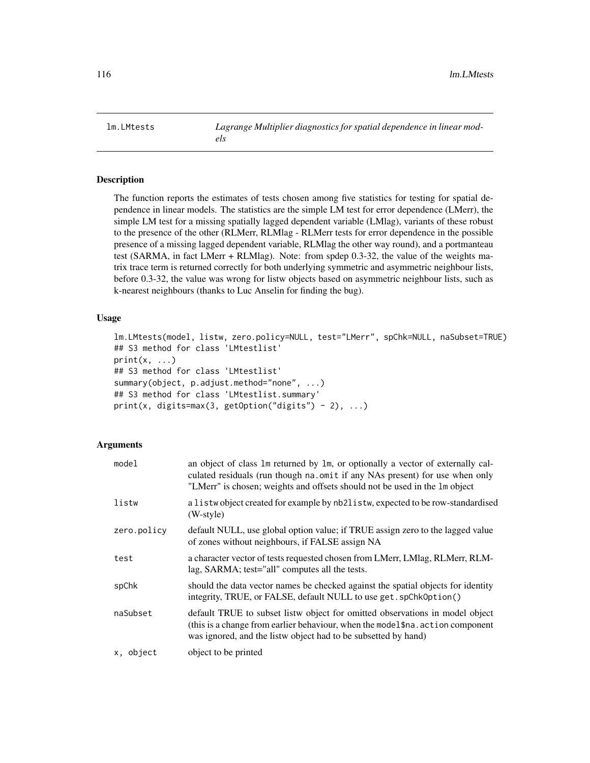<span id="page-115-0"></span>lm.LMtests *Lagrange Multiplier diagnostics for spatial dependence in linear models*

# **Description**

The function reports the estimates of tests chosen among five statistics for testing for spatial dependence in linear models. The statistics are the simple LM test for error dependence (LMerr), the simple LM test for a missing spatially lagged dependent variable (LMlag), variants of these robust to the presence of the other (RLMerr, RLMlag - RLMerr tests for error dependence in the possible presence of a missing lagged dependent variable, RLMlag the other way round), and a portmanteau test (SARMA, in fact LMerr + RLMlag). Note: from spdep 0.3-32, the value of the weights matrix trace term is returned correctly for both underlying symmetric and asymmetric neighbour lists, before 0.3-32, the value was wrong for listw objects based on asymmetric neighbour lists, such as k-nearest neighbours (thanks to Luc Anselin for finding the bug).

### Usage

```
lm.LMtests(model, listw, zero.policy=NULL, test="LMerr", spChk=NULL, naSubset=TRUE)
## S3 method for class 'LMtestlist'
print(x, \ldots)## S3 method for class 'LMtestlist'
summary(object, p.adjust.method="none", ...)
## S3 method for class 'LMtestlist.summary'
print(x, digits=max(3, getOption("digits") - 2), ...)
```

| model       | an object of class 1m returned by 1m, or optionally a vector of externally cal-<br>culated residuals (run though na. omit if any NAs present) for use when only<br>"LMerr" is chosen; weights and offsets should not be used in the 1m object |
|-------------|-----------------------------------------------------------------------------------------------------------------------------------------------------------------------------------------------------------------------------------------------|
| listw       | a list w object created for example by nb2list w, expected to be row-standardised<br>(W-style)                                                                                                                                                |
| zero.policy | default NULL, use global option value; if TRUE assign zero to the lagged value<br>of zones without neighbours, if FALSE assign NA                                                                                                             |
| test        | a character vector of tests requested chosen from LMerr, LMlag, RLMerr, RLM-<br>lag, SARMA; test="all" computes all the tests.                                                                                                                |
| spChk       | should the data vector names be checked against the spatial objects for identity<br>integrity, TRUE, or FALSE, default NULL to use get. spChk0ption()                                                                                         |
| naSubset    | default TRUE to subset listw object for omitted observations in model object<br>(this is a change from earlier behaviour, when the model \$na. action component<br>was ignored, and the listw object had to be subsetted by hand)             |
| x, object   | object to be printed                                                                                                                                                                                                                          |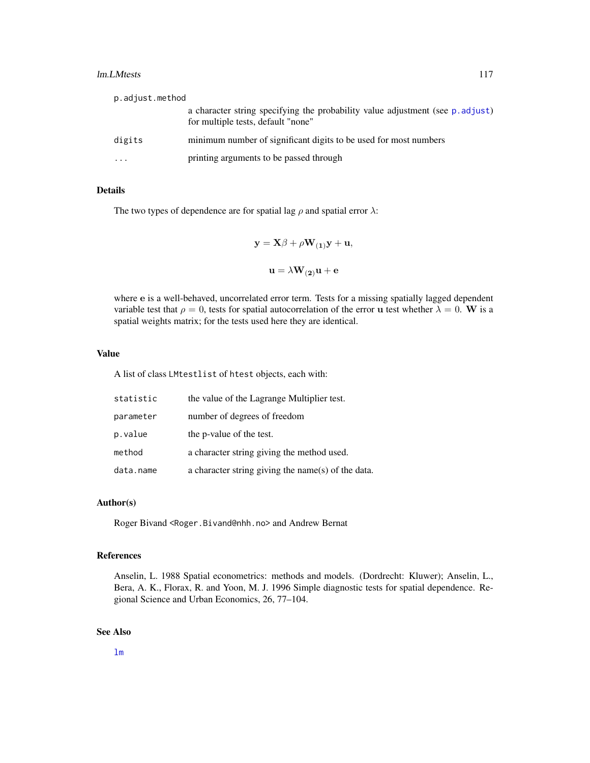#### lm.LMtests 117

| p.adjust.method         |                                                                                                                      |
|-------------------------|----------------------------------------------------------------------------------------------------------------------|
|                         | a character string specifying the probability value adjustment (see p. adjust)<br>for multiple tests, default "none" |
| digits                  | minimum number of significant digits to be used for most numbers                                                     |
| $\cdot$ $\cdot$ $\cdot$ | printing arguments to be passed through                                                                              |

# Details

The two types of dependence are for spatial lag  $\rho$  and spatial error  $\lambda$ :

$$
\mathbf{y} = \mathbf{X}\beta + \rho \mathbf{W}_{(1)}\mathbf{y} + \mathbf{u},
$$
  

$$
\mathbf{u} = \lambda \mathbf{W}_{(2)}\mathbf{u} + \mathbf{e}
$$

where e is a well-behaved, uncorrelated error term. Tests for a missing spatially lagged dependent variable test that  $\rho = 0$ , tests for spatial autocorrelation of the error u test whether  $\lambda = 0$ . W is a spatial weights matrix; for the tests used here they are identical.

#### Value

A list of class LMtestlist of htest objects, each with:

| statistic | the value of the Lagrange Multiplier test.         |
|-----------|----------------------------------------------------|
| parameter | number of degrees of freedom                       |
| p.value   | the p-value of the test.                           |
| method    | a character string giving the method used.         |
| data.name | a character string giving the name(s) of the data. |

#### Author(s)

Roger Bivand <Roger.Bivand@nhh.no> and Andrew Bernat

# References

Anselin, L. 1988 Spatial econometrics: methods and models. (Dordrecht: Kluwer); Anselin, L., Bera, A. K., Florax, R. and Yoon, M. J. 1996 Simple diagnostic tests for spatial dependence. Regional Science and Urban Economics, 26, 77–104.

# See Also

[lm](#page-0-0)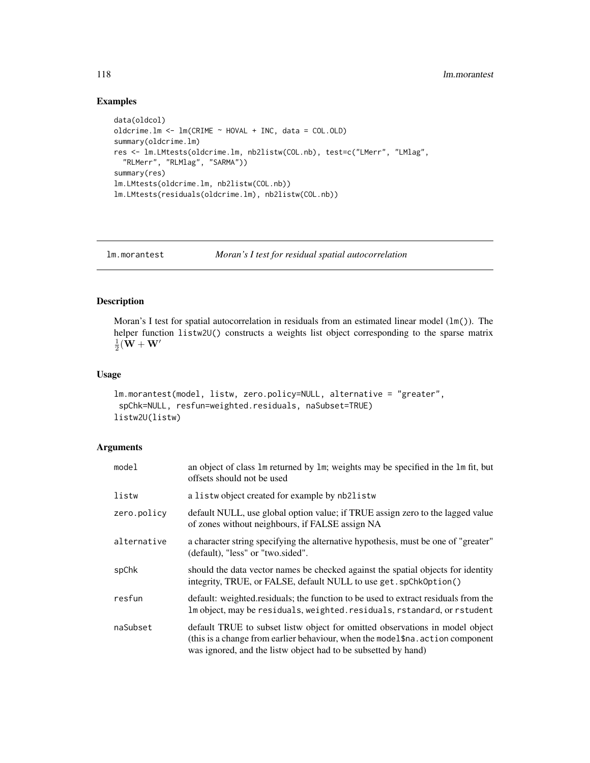# Examples

```
data(oldcol)
oldcrime.lm <- lm(CRIME ~ HOVAL + INC, data = COL.OLD)
summary(oldcrime.lm)
res <- lm.LMtests(oldcrime.lm, nb2listw(COL.nb), test=c("LMerr", "LMlag",
  "RLMerr", "RLMlag", "SARMA"))
summary(res)
lm.LMtests(oldcrime.lm, nb2listw(COL.nb))
lm.LMtests(residuals(oldcrime.lm), nb2listw(COL.nb))
```
<span id="page-117-1"></span>lm.morantest *Moran's I test for residual spatial autocorrelation*

# <span id="page-117-0"></span>Description

Moran's I test for spatial autocorrelation in residuals from an estimated linear model  $(\text{lm}(\cdot))$ . The helper function listw2U() constructs a weights list object corresponding to the sparse matrix  $\frac{1}{2}(\mathbf{W} + \mathbf{W}'$ 

#### Usage

```
lm.morantest(model, listw, zero.policy=NULL, alternative = "greater",
spChk=NULL, resfun=weighted.residuals, naSubset=TRUE)
listw2U(listw)
```

| model       | an object of class 1m returned by 1m; weights may be specified in the 1m fit, but<br>offsets should not be used                                                                                                                   |
|-------------|-----------------------------------------------------------------------------------------------------------------------------------------------------------------------------------------------------------------------------------|
| listw       | a listwo bject created for example by nb2listw                                                                                                                                                                                    |
| zero.policy | default NULL, use global option value; if TRUE assign zero to the lagged value<br>of zones without neighbours, if FALSE assign NA                                                                                                 |
| alternative | a character string specifying the alternative hypothesis, must be one of "greater"<br>(default), "less" or "two.sided".                                                                                                           |
| spChk       | should the data vector names be checked against the spatial objects for identity<br>integrity, TRUE, or FALSE, default NULL to use get. spChk0ption()                                                                             |
| resfun      | default: weighted.residuals; the function to be used to extract residuals from the<br>Im object, may be residuals, weighted. residuals, rstandard, or rstudent                                                                    |
| naSubset    | default TRUE to subset listw object for omitted observations in model object<br>(this is a change from earlier behaviour, when the model \$na. action component<br>was ignored, and the listw object had to be subsetted by hand) |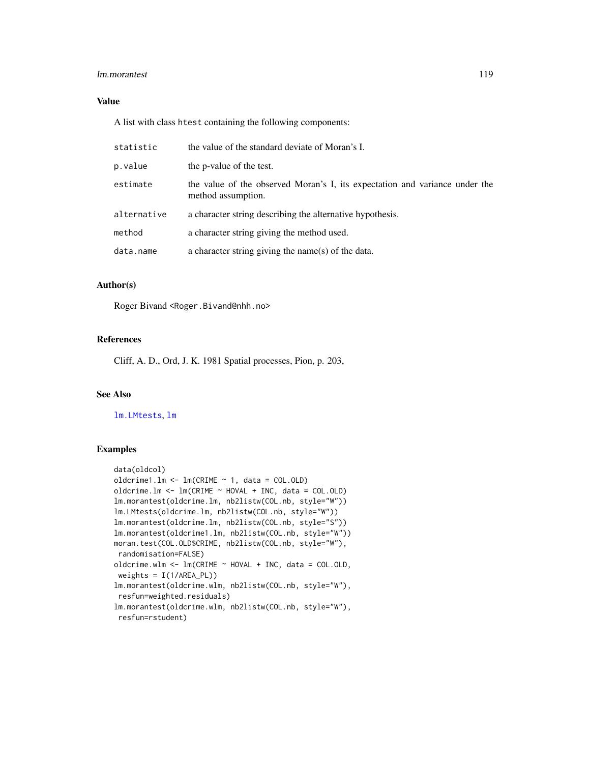#### lm.morantest 119

# Value

A list with class htest containing the following components:

| statistic   | the value of the standard deviate of Moran's I.                                                   |
|-------------|---------------------------------------------------------------------------------------------------|
| p.value     | the p-value of the test.                                                                          |
| estimate    | the value of the observed Moran's I, its expectation and variance under the<br>method assumption. |
| alternative | a character string describing the alternative hypothesis.                                         |
| method      | a character string giving the method used.                                                        |
| data.name   | a character string giving the name(s) of the data.                                                |

# Author(s)

Roger Bivand <Roger.Bivand@nhh.no>

# References

Cliff, A. D., Ord, J. K. 1981 Spatial processes, Pion, p. 203,

# See Also

[lm.LMtests](#page-115-0), [lm](#page-0-0)

```
data(oldcol)
oldcrime1.lm <- lm(CRIME \sim 1, data = COL.0LD)oldcrime.lm <- lm(CRIME ~ HOVAL + INC, data = COL.OLD)
lm.morantest(oldcrime.lm, nb2listw(COL.nb, style="W"))
lm.LMtests(oldcrime.lm, nb2listw(COL.nb, style="W"))
lm.morantest(oldcrime.lm, nb2listw(COL.nb, style="S"))
lm.morantest(oldcrime1.lm, nb2listw(COL.nb, style="W"))
moran.test(COL.OLD$CRIME, nb2listw(COL.nb, style="W"),
 randomisation=FALSE)
oldcrime.wlm <- lm(CRIME \sim HOVAL + INC, data = COL.OLD,weights = I(1/AREA_PL))
lm.morantest(oldcrime.wlm, nb2listw(COL.nb, style="W"),
resfun=weighted.residuals)
lm.morantest(oldcrime.wlm, nb2listw(COL.nb, style="W"),
 resfun=rstudent)
```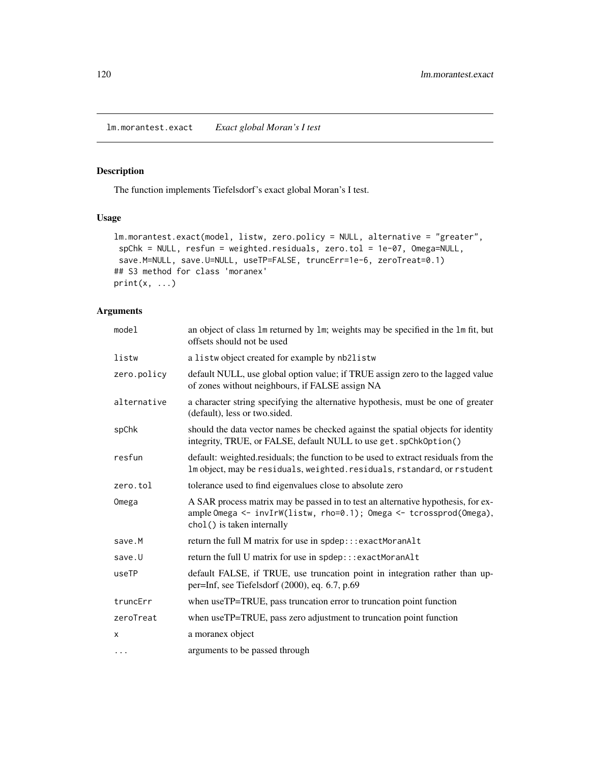<span id="page-119-0"></span>lm.morantest.exact *Exact global Moran's I test*

# Description

The function implements Tiefelsdorf's exact global Moran's I test.

# Usage

```
lm.morantest.exact(model, listw, zero.policy = NULL, alternative = "greater",
spChk = NULL, resfun = weighted.residuals, zero.tol = 1e-07, Omega=NULL,
save.M=NULL, save.U=NULL, useTP=FALSE, truncErr=1e-6, zeroTreat=0.1)
## S3 method for class 'moranex'
print(x, \ldots)
```

| model       | an object of class 1m returned by 1m; weights may be specified in the 1m fit, but<br>offsets should not be used                                                                      |
|-------------|--------------------------------------------------------------------------------------------------------------------------------------------------------------------------------------|
| listw       | a listwobject created for example by nb2listw                                                                                                                                        |
| zero.policy | default NULL, use global option value; if TRUE assign zero to the lagged value<br>of zones without neighbours, if FALSE assign NA                                                    |
| alternative | a character string specifying the alternative hypothesis, must be one of greater<br>(default), less or two.sided.                                                                    |
| spChk       | should the data vector names be checked against the spatial objects for identity<br>integrity, TRUE, or FALSE, default NULL to use get. spChkOption()                                |
| resfun      | default: weighted.residuals; the function to be used to extract residuals from the<br>Im object, may be residuals, weighted. residuals, rstandard, or rstudent                       |
| zero.tol    | tolerance used to find eigenvalues close to absolute zero                                                                                                                            |
| Omega       | A SAR process matrix may be passed in to test an alternative hypothesis, for ex-<br>ample Omega <- invIrW(listw, rho=0.1); Omega <- tcrossprod(Omega),<br>chol() is taken internally |
| save.M      | return the full M matrix for use in spdep:::exactMoranAlt                                                                                                                            |
| save.U      | return the full U matrix for use in spdep:::exactMoranAlt                                                                                                                            |
| useTP       | default FALSE, if TRUE, use truncation point in integration rather than up-<br>per=Inf, see Tiefelsdorf (2000), eq. 6.7, p.69                                                        |
| truncErr    | when useTP=TRUE, pass truncation error to truncation point function                                                                                                                  |
| zeroTreat   | when useTP=TRUE, pass zero adjustment to truncation point function                                                                                                                   |
| X           | a moranex object                                                                                                                                                                     |
| $\cdots$    | arguments to be passed through                                                                                                                                                       |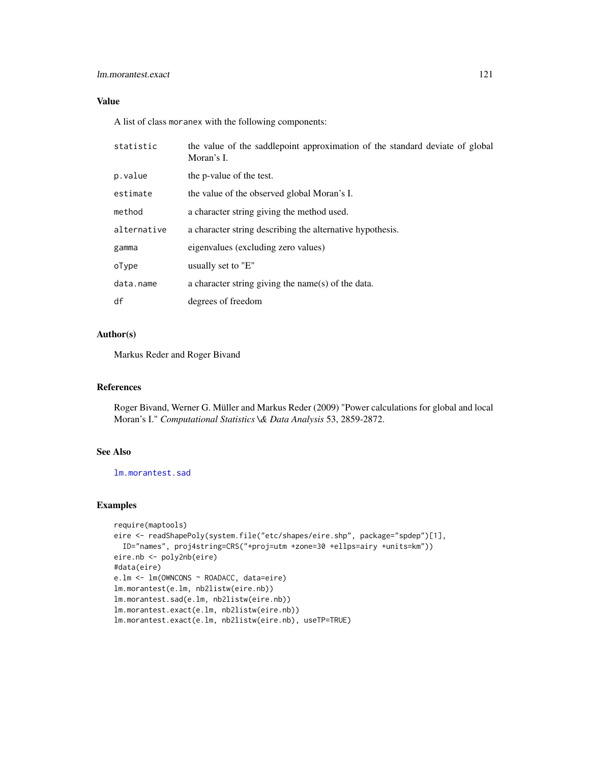# lm.morantest.exact 121

# Value

A list of class moranex with the following components:

| statistic   | the value of the saddlepoint approximation of the standard deviate of global<br>Moran's I. |
|-------------|--------------------------------------------------------------------------------------------|
| p.value     | the p-value of the test.                                                                   |
| estimate    | the value of the observed global Moran's I.                                                |
| method      | a character string giving the method used.                                                 |
| alternative | a character string describing the alternative hypothesis.                                  |
| gamma       | eigenvalues (excluding zero values)                                                        |
| oType       | usually set to "E"                                                                         |
| data.name   | a character string giving the name(s) of the data.                                         |
| df          | degrees of freedom                                                                         |

# Author(s)

Markus Reder and Roger Bivand

## References

Roger Bivand, Werner G. Müller and Markus Reder (2009) "Power calculations for global and local Moran's I." *Computational Statistics \& Data Analysis* 53, 2859-2872.

# See Also

[lm.morantest.sad](#page-121-0)

```
require(maptools)
eire <- readShapePoly(system.file("etc/shapes/eire.shp", package="spdep")[1],
  ID="names", proj4string=CRS("+proj=utm +zone=30 +ellps=airy +units=km"))
eire.nb <- poly2nb(eire)
#data(eire)
e.lm <- lm(OWNCONS ~ ROADACC, data=eire)
lm.morantest(e.lm, nb2listw(eire.nb))
lm.morantest.sad(e.lm, nb2listw(eire.nb))
lm.morantest.exact(e.lm, nb2listw(eire.nb))
lm.morantest.exact(e.lm, nb2listw(eire.nb), useTP=TRUE)
```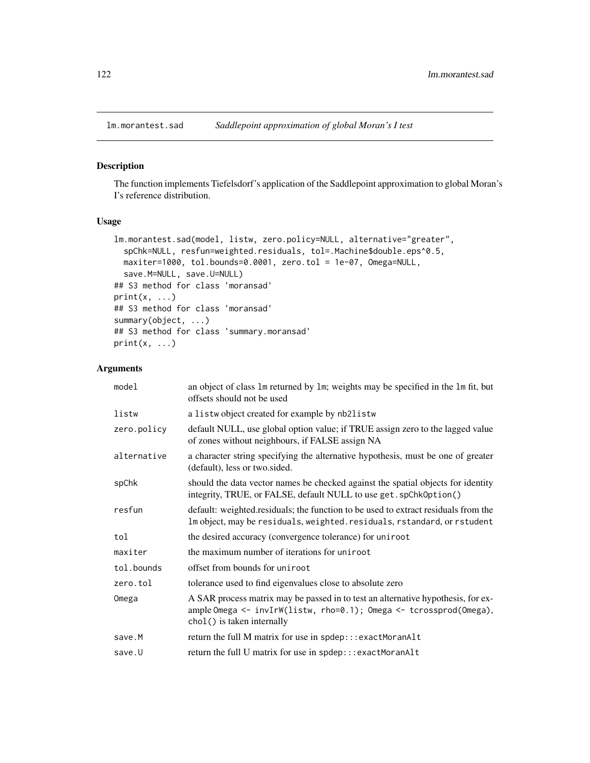<span id="page-121-0"></span>

# Description

The function implements Tiefelsdorf's application of the Saddlepoint approximation to global Moran's I's reference distribution.

# Usage

```
lm.morantest.sad(model, listw, zero.policy=NULL, alternative="greater",
  spChk=NULL, resfun=weighted.residuals, tol=.Machine$double.eps^0.5,
 maxiter=1000, tol.bounds=0.0001, zero.tol = 1e-07, Omega=NULL,
  save.M=NULL, save.U=NULL)
## S3 method for class 'moransad'
print(x, \ldots)## S3 method for class 'moransad'
summary(object, ...)
## S3 method for class 'summary.moransad'
print(x, \ldots)
```

| model       | an object of class 1m returned by 1m; weights may be specified in the 1m fit, but<br>offsets should not be used                                                                      |
|-------------|--------------------------------------------------------------------------------------------------------------------------------------------------------------------------------------|
| listw       | a listwo bject created for example by nb2listw                                                                                                                                       |
| zero.policy | default NULL, use global option value; if TRUE assign zero to the lagged value<br>of zones without neighbours, if FALSE assign NA                                                    |
| alternative | a character string specifying the alternative hypothesis, must be one of greater<br>(default), less or two.sided.                                                                    |
| spChk       | should the data vector names be checked against the spatial objects for identity<br>integrity, TRUE, or FALSE, default NULL to use get. spChkOption()                                |
| resfun      | default: weighted.residuals; the function to be used to extract residuals from the<br>Im object, may be residuals, weighted. residuals, rstandard, or rstudent                       |
| tol         | the desired accuracy (convergence tolerance) for uniroot                                                                                                                             |
| maxiter     | the maximum number of iterations for uniroot                                                                                                                                         |
| tol.bounds  | offset from bounds for uniroot                                                                                                                                                       |
| zero.tol    | tolerance used to find eigenvalues close to absolute zero                                                                                                                            |
| Omega       | A SAR process matrix may be passed in to test an alternative hypothesis, for ex-<br>ample Omega <- invIrW(listw, rho=0.1); Omega <- tcrossprod(Omega),<br>chol() is taken internally |
| save.M      | return the full M matrix for use in spdep:::exactMoranAlt                                                                                                                            |
| save.U      | return the full U matrix for use in spdep:::exactMoranAlt                                                                                                                            |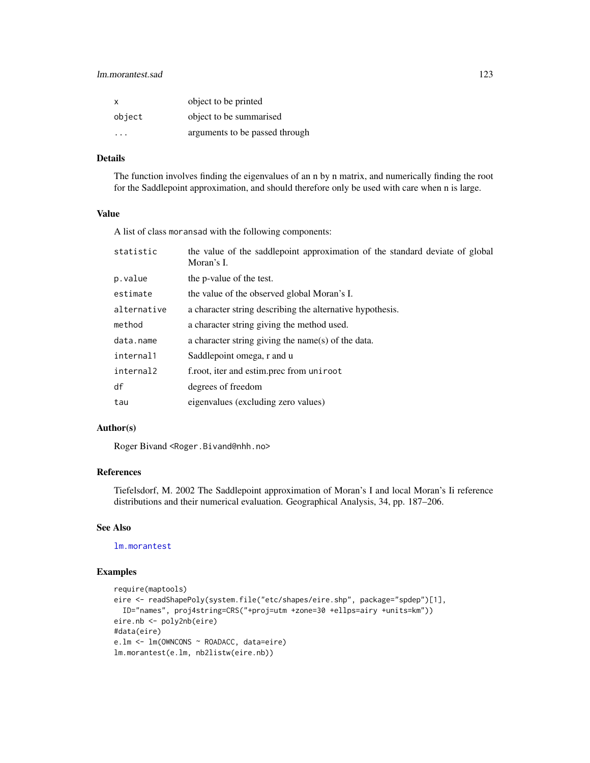# lm.morantest.sad 123

| $\times$ | object to be printed           |
|----------|--------------------------------|
| object   | object to be summarised        |
|          | arguments to be passed through |

# Details

The function involves finding the eigenvalues of an n by n matrix, and numerically finding the root for the Saddlepoint approximation, and should therefore only be used with care when n is large.

## Value

A list of class moransad with the following components:

| statistic   | the value of the saddlepoint approximation of the standard deviate of global<br>Moran's I. |
|-------------|--------------------------------------------------------------------------------------------|
| p.value     | the p-value of the test.                                                                   |
| estimate    | the value of the observed global Moran's I.                                                |
| alternative | a character string describing the alternative hypothesis.                                  |
| method      | a character string giving the method used.                                                 |
| data.name   | a character string giving the name(s) of the data.                                         |
| internal1   | Saddlepoint omega, r and u                                                                 |
| internal2   | f.root, iter and estim.prec from uniroot                                                   |
| df          | degrees of freedom                                                                         |
| tau         | eigenvalues (excluding zero values)                                                        |
|             |                                                                                            |

# Author(s)

Roger Bivand <Roger.Bivand@nhh.no>

# References

Tiefelsdorf, M. 2002 The Saddlepoint approximation of Moran's I and local Moran's Ii reference distributions and their numerical evaluation. Geographical Analysis, 34, pp. 187–206.

# See Also

[lm.morantest](#page-117-1)

```
require(maptools)
eire <- readShapePoly(system.file("etc/shapes/eire.shp", package="spdep")[1],
  ID="names", proj4string=CRS("+proj=utm +zone=30 +ellps=airy +units=km"))
eire.nb <- poly2nb(eire)
#data(eire)
e.lm <- lm(OWNCONS ~ ROADACC, data=eire)
lm.morantest(e.lm, nb2listw(eire.nb))
```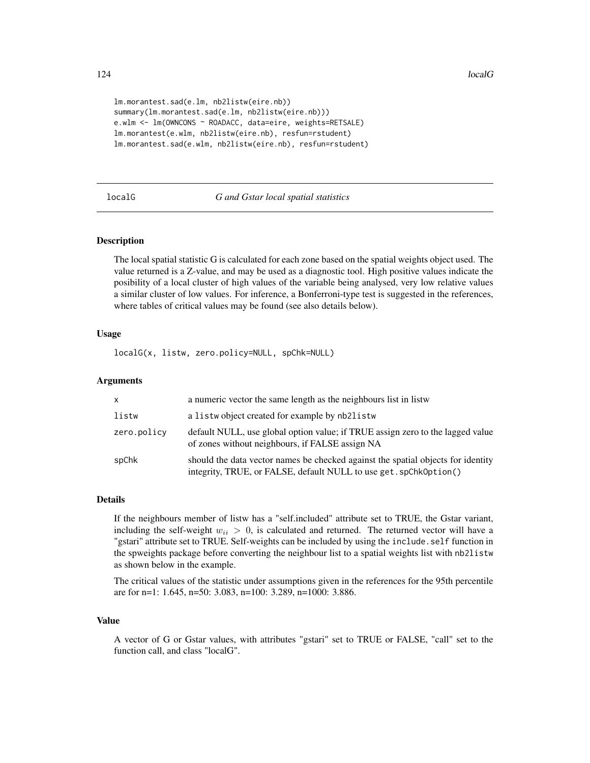```
lm.morantest.sad(e.lm, nb2listw(eire.nb))
summary(lm.morantest.sad(e.lm, nb2listw(eire.nb)))
e.wlm <- lm(OWNCONS ~ ROADACC, data=eire, weights=RETSALE)
lm.morantest(e.wlm, nb2listw(eire.nb), resfun=rstudent)
lm.morantest.sad(e.wlm, nb2listw(eire.nb), resfun=rstudent)
```
#### <span id="page-123-0"></span>localG *G and Gstar local spatial statistics*

#### Description

The local spatial statistic G is calculated for each zone based on the spatial weights object used. The value returned is a Z-value, and may be used as a diagnostic tool. High positive values indicate the posibility of a local cluster of high values of the variable being analysed, very low relative values a similar cluster of low values. For inference, a Bonferroni-type test is suggested in the references, where tables of critical values may be found (see also details below).

# Usage

localG(x, listw, zero.policy=NULL, spChk=NULL)

## Arguments

| $\mathsf{x}$ | a numeric vector the same length as the neighbours list in listw                                                                                      |
|--------------|-------------------------------------------------------------------------------------------------------------------------------------------------------|
| listw        | a listwo bject created for example by nb2listw                                                                                                        |
| zero.policy  | default NULL, use global option value; if TRUE assign zero to the lagged value<br>of zones without neighbours, if FALSE assign NA                     |
| spChk        | should the data vector names be checked against the spatial objects for identity<br>integrity, TRUE, or FALSE, default NULL to use get. spChk0ption() |

#### Details

If the neighbours member of listw has a "self.included" attribute set to TRUE, the Gstar variant, including the self-weight  $w_{ii} > 0$ , is calculated and returned. The returned vector will have a "gstari" attribute set to TRUE. Self-weights can be included by using the include.self function in the spweights package before converting the neighbour list to a spatial weights list with nb2listw as shown below in the example.

The critical values of the statistic under assumptions given in the references for the 95th percentile are for n=1: 1.645, n=50: 3.083, n=100: 3.289, n=1000: 3.886.

#### Value

A vector of G or Gstar values, with attributes "gstari" set to TRUE or FALSE, "call" set to the function call, and class "localG".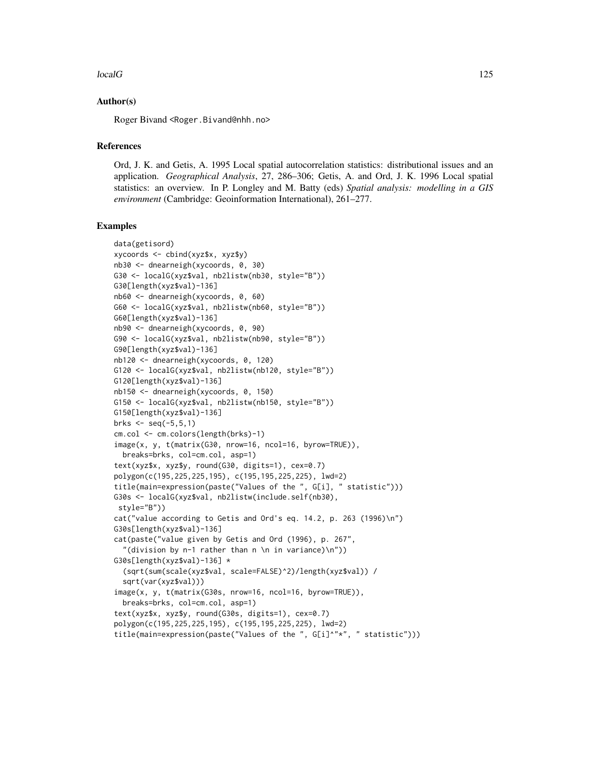#### $\lvert \text{localG} \rvert$  125

#### Author(s)

Roger Bivand <Roger.Bivand@nhh.no>

#### References

Ord, J. K. and Getis, A. 1995 Local spatial autocorrelation statistics: distributional issues and an application. *Geographical Analysis*, 27, 286–306; Getis, A. and Ord, J. K. 1996 Local spatial statistics: an overview. In P. Longley and M. Batty (eds) *Spatial analysis: modelling in a GIS environment* (Cambridge: Geoinformation International), 261–277.

```
data(getisord)
xycoords <- cbind(xyz$x, xyz$y)
nb30 <- dnearneigh(xycoords, 0, 30)
G30 <- localG(xyz$val, nb2listw(nb30, style="B"))
G30[length(xyz$val)-136]
nb60 <- dnearneigh(xycoords, 0, 60)
G60 <- localG(xyz$val, nb2listw(nb60, style="B"))
G60[length(xyz$val)-136]
nb90 <- dnearneigh(xycoords, 0, 90)
G90 <- localG(xyz$val, nb2listw(nb90, style="B"))
G90[length(xyz$val)-136]
nb120 <- dnearneigh(xycoords, 0, 120)
G120 <- localG(xyz$val, nb2listw(nb120, style="B"))
G120[length(xyz$val)-136]
nb150 <- dnearneigh(xycoords, 0, 150)
G150 <- localG(xyz$val, nb2listw(nb150, style="B"))
G150[length(xyz$val)-136]
brks <- seq(-5,5,1)
cm.col <- cm.colors(length(brks)-1)
image(x, y, t(matrix(G30, nrow=16, ncol=16, byrow=TRUE)),
  breaks=brks, col=cm.col, asp=1)
text(xyz$x, xyz$y, round(G30, digits=1), cex=0.7)
polygon(c(195,225,225,195), c(195,195,225,225), lwd=2)
title(main=expression(paste("Values of the ", G[i], " statistic")))
G30s <- localG(xyz$val, nb2listw(include.self(nb30),
 style="B"))
cat("value according to Getis and Ord's eq. 14.2, p. 263 (1996)\n")
G30s[length(xyz$val)-136]
cat(paste("value given by Getis and Ord (1996), p. 267",
  "(division by n-1 rather than n \n in variance)\n"))
G30s[length(xyz$val)-136] *
  (sqrt(sum(scale(xyz$val, scale=FALSE)^2)/length(xyz$val)) /
  sqrt(var(xyz$val)))
image(x, y, t(matrix(G30s, nrow=16, ncol=16, byrow=TRUE)),
  breaks=brks, col=cm.col, asp=1)
text(xyz$x, xyz$y, round(G30s, digits=1), cex=0.7)
polygon(c(195,225,225,195), c(195,195,225,225), lwd=2)
title(main=expression(paste("Values of the ", G[i]^"*", " statistic")))
```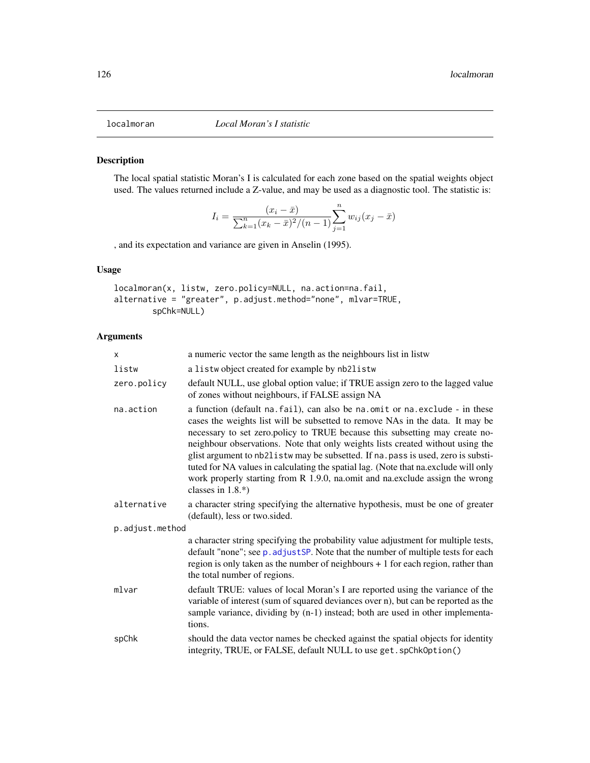<span id="page-125-0"></span>

## Description

The local spatial statistic Moran's I is calculated for each zone based on the spatial weights object used. The values returned include a Z-value, and may be used as a diagnostic tool. The statistic is:

$$
I_i = \frac{(x_i - \bar{x})}{\sum_{k=1}^n (x_k - \bar{x})^2 / (n-1)} \sum_{j=1}^n w_{ij} (x_j - \bar{x})
$$

, and its expectation and variance are given in Anselin (1995).

# Usage

localmoran(x, listw, zero.policy=NULL, na.action=na.fail, alternative = "greater", p.adjust.method="none", mlvar=TRUE, spChk=NULL)

| $\times$        | a numeric vector the same length as the neighbours list in listw                                                                                                                                                                                                                                                                                                                                                                                                                                                                                                                                                    |
|-----------------|---------------------------------------------------------------------------------------------------------------------------------------------------------------------------------------------------------------------------------------------------------------------------------------------------------------------------------------------------------------------------------------------------------------------------------------------------------------------------------------------------------------------------------------------------------------------------------------------------------------------|
| listw           | a listwo bject created for example by nb2listw                                                                                                                                                                                                                                                                                                                                                                                                                                                                                                                                                                      |
| zero.policy     | default NULL, use global option value; if TRUE assign zero to the lagged value<br>of zones without neighbours, if FALSE assign NA                                                                                                                                                                                                                                                                                                                                                                                                                                                                                   |
| na.action       | a function (default na. fail), can also be na. omit or na. exclude - in these<br>cases the weights list will be subsetted to remove NAs in the data. It may be<br>necessary to set zero.policy to TRUE because this subsetting may create no-<br>neighbour observations. Note that only weights lists created without using the<br>glist argument to nb21istw may be subsetted. If na. pass is used, zero is substi-<br>tuted for NA values in calculating the spatial lag. (Note that na.exclude will only<br>work properly starting from R 1.9.0, na.omit and na.exclude assign the wrong<br>classes in $1.8.*$ ) |
| alternative     | a character string specifying the alternative hypothesis, must be one of greater<br>(default), less or two.sided.                                                                                                                                                                                                                                                                                                                                                                                                                                                                                                   |
| p.adjust.method |                                                                                                                                                                                                                                                                                                                                                                                                                                                                                                                                                                                                                     |
|                 | a character string specifying the probability value adjustment for multiple tests,<br>default "none"; see p. adjust SP. Note that the number of multiple tests for each<br>region is only taken as the number of neighbours $+1$ for each region, rather than<br>the total number of regions.                                                                                                                                                                                                                                                                                                                       |
| mlvar           | default TRUE: values of local Moran's I are reported using the variance of the<br>variable of interest (sum of squared deviances over n), but can be reported as the<br>sample variance, dividing by (n-1) instead; both are used in other implementa-<br>tions.                                                                                                                                                                                                                                                                                                                                                    |
| spChk           | should the data vector names be checked against the spatial objects for identity<br>integrity, TRUE, or FALSE, default NULL to use get. spChkOption()                                                                                                                                                                                                                                                                                                                                                                                                                                                               |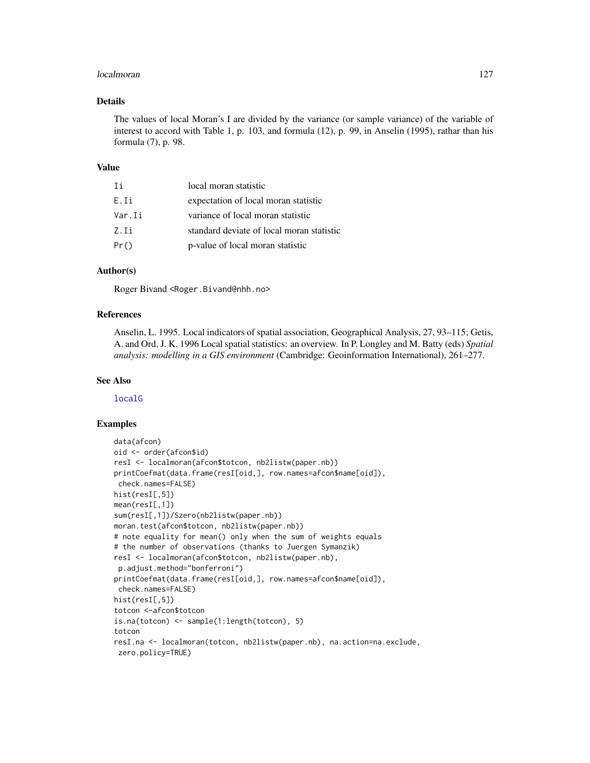#### localmoran 127

# Details

The values of local Moran's I are divided by the variance (or sample variance) of the variable of interest to accord with Table 1, p. 103, and formula (12), p. 99, in Anselin (1995), rathar than his formula (7), p. 98.

#### Value

| Τi     | local moran statistic                     |
|--------|-------------------------------------------|
| E.Ii   | expectation of local moran statistic      |
| Var.Ii | variance of local moran statistic         |
| Z.Ii   | standard deviate of local moran statistic |
| Pr()   | p-value of local moran statistic          |

# Author(s)

Roger Bivand <Roger.Bivand@nhh.no>

# References

Anselin, L. 1995. Local indicators of spatial association, Geographical Analysis, 27, 93–115; Getis, A. and Ord, J. K. 1996 Local spatial statistics: an overview. In P. Longley and M. Batty (eds) *Spatial analysis: modelling in a GIS environment* (Cambridge: Geoinformation International), 261–277.

#### See Also

[localG](#page-123-0)

```
data(afcon)
oid <- order(afcon$id)
resI <- localmoran(afcon$totcon, nb2listw(paper.nb))
printCoefmat(data.frame(resI[oid,], row.names=afcon$name[oid]),
check.names=FALSE)
hist(resI[,5])
mean(resI[,1])
sum(resI[,1])/Szero(nb2listw(paper.nb))
moran.test(afcon$totcon, nb2listw(paper.nb))
# note equality for mean() only when the sum of weights equals
# the number of observations (thanks to Juergen Symanzik)
resI <- localmoran(afcon$totcon, nb2listw(paper.nb),
p.adjust.method="bonferroni")
printCoefmat(data.frame(resI[oid,], row.names=afcon$name[oid]),
check.names=FALSE)
hist(resI[,5])
totcon <-afcon$totcon
is.na(totcon) <- sample(1:length(totcon), 5)
totcon
resI.na <- localmoran(totcon, nb2listw(paper.nb), na.action=na.exclude,
zero.policy=TRUE)
```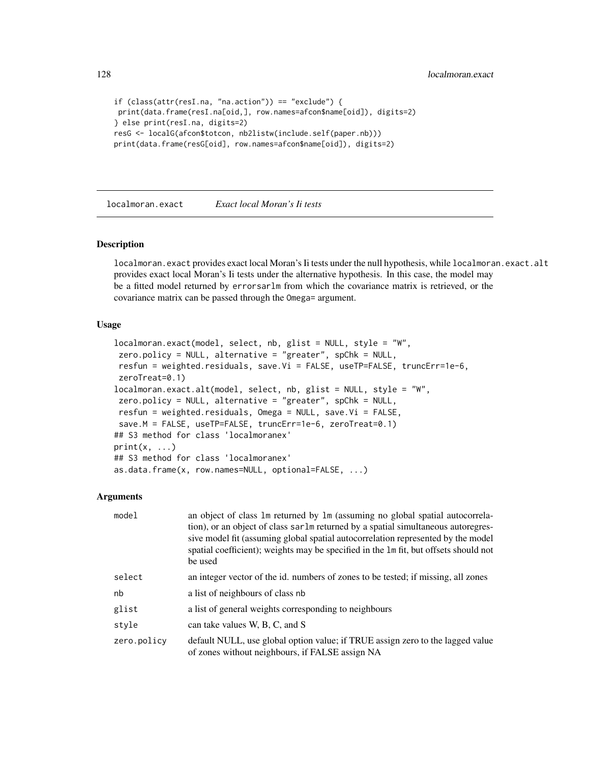128 localmoran.exact

```
if (class(attr(resI.na, "na.action")) == "exclude") {
print(data.frame(resI.na[oid,], row.names=afcon$name[oid]), digits=2)
} else print(resI.na, digits=2)
resG <- localG(afcon$totcon, nb2listw(include.self(paper.nb)))
print(data.frame(resG[oid], row.names=afcon$name[oid]), digits=2)
```
localmoran.exact *Exact local Moran's Ii tests*

#### Description

localmoran.exact provides exact local Moran's Ii tests under the null hypothesis, while localmoran.exact.alt provides exact local Moran's Ii tests under the alternative hypothesis. In this case, the model may be a fitted model returned by errorsarlm from which the covariance matrix is retrieved, or the covariance matrix can be passed through the Omega= argument.

#### Usage

```
localmoran.exact(model, select, nb, glist = NULL, style = "W",
zero.policy = NULL, alternative = "greater", spChk = NULL,
resfun = weighted.residuals, save.Vi = FALSE, useTP=FALSE, truncErr=1e-6,
zeroTreat=0.1)
localmoran.exact.alt(model, select, nb, glist = NULL, style = "W",
zero.policy = NULL, alternative = "greater", spChk = NULL,
resfun = weighted.residuals, Omega = NULL, save.Vi = FALSE,
save.M = FALSE, useTP=FALSE, truncErr=1e-6, zeroTreat=0.1)
## S3 method for class 'localmoranex'
print(x, \ldots)## S3 method for class 'localmoranex'
as.data.frame(x, row.names=NULL, optional=FALSE, ...)
```

| model       | an object of class 1m returned by 1m (assuming no global spatial autocorrela-<br>tion), or an object of class sarlm returned by a spatial simultaneous autoregres-<br>sive model fit (assuming global spatial autocorrelation represented by the model<br>spatial coefficient); weights may be specified in the 1m fit, but offsets should not<br>be used |
|-------------|-----------------------------------------------------------------------------------------------------------------------------------------------------------------------------------------------------------------------------------------------------------------------------------------------------------------------------------------------------------|
| select      | an integer vector of the id. numbers of zones to be tested; if missing, all zones                                                                                                                                                                                                                                                                         |
| nb          | a list of neighbours of class nb                                                                                                                                                                                                                                                                                                                          |
| glist       | a list of general weights corresponding to neighbours                                                                                                                                                                                                                                                                                                     |
| style       | can take values W, B, C, and S                                                                                                                                                                                                                                                                                                                            |
| zero.policy | default NULL, use global option value; if TRUE assign zero to the lagged value<br>of zones without neighbours, if FALSE assign NA                                                                                                                                                                                                                         |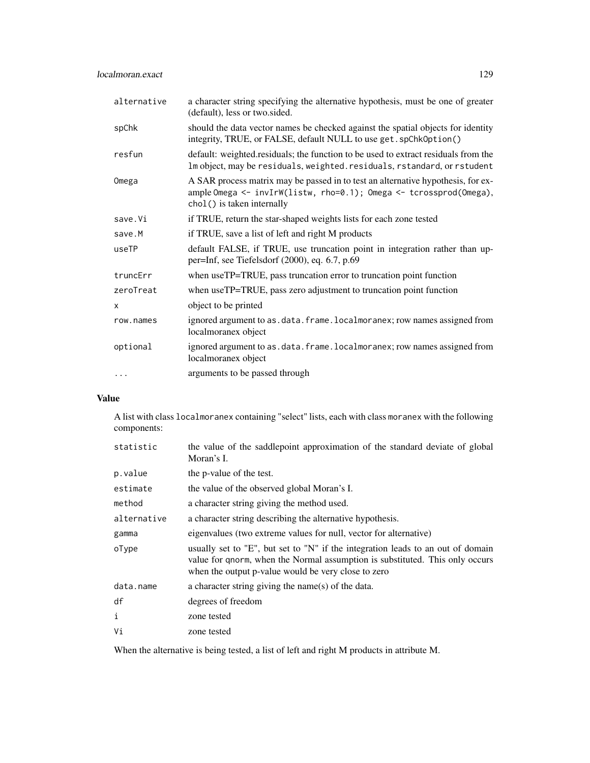| alternative  | a character string specifying the alternative hypothesis, must be one of greater<br>(default), less or two.sided.                                                                    |
|--------------|--------------------------------------------------------------------------------------------------------------------------------------------------------------------------------------|
| spChk        | should the data vector names be checked against the spatial objects for identity<br>integrity, TRUE, or FALSE, default NULL to use get. spChk0ption()                                |
| resfun       | default: weighted.residuals; the function to be used to extract residuals from the<br>Im object, may be residuals, weighted. residuals, rstandard, or rstudent                       |
| Omega        | A SAR process matrix may be passed in to test an alternative hypothesis, for ex-<br>ample Omega <- invIrW(listw, rho=0.1); Omega <- tcrossprod(Omega),<br>chol() is taken internally |
| save.Vi      | if TRUE, return the star-shaped weights lists for each zone tested                                                                                                                   |
| save.M       | if TRUE, save a list of left and right M products                                                                                                                                    |
| useTP        | default FALSE, if TRUE, use truncation point in integration rather than up-<br>per=Inf, see Tiefelsdorf (2000), eq. 6.7, p.69                                                        |
| truncErr     | when useTP=TRUE, pass truncation error to truncation point function                                                                                                                  |
| zeroTreat    | when useTP=TRUE, pass zero adjustment to truncation point function                                                                                                                   |
| $\mathsf{x}$ | object to be printed                                                                                                                                                                 |
| row.names    | ignored argument to as. data. frame. localmoranex; row names assigned from<br>localmoranex object                                                                                    |
| optional     | ignored argument to as.data.frame.localmoranex; row names assigned from<br>localmoranex object                                                                                       |
| $\cdots$     | arguments to be passed through                                                                                                                                                       |

# Value

A list with class localmoranex containing "select" lists, each with class moranex with the following components:

| statistic    | the value of the saddlepoint approximation of the standard deviate of global<br>Moran's I.                                                                                                                             |
|--------------|------------------------------------------------------------------------------------------------------------------------------------------------------------------------------------------------------------------------|
| p.value      | the p-value of the test.                                                                                                                                                                                               |
| estimate     | the value of the observed global Moran's I.                                                                                                                                                                            |
| method       | a character string giving the method used.                                                                                                                                                                             |
| alternative  | a character string describing the alternative hypothesis.                                                                                                                                                              |
| gamma        | eigenvalues (two extreme values for null, vector for alternative)                                                                                                                                                      |
| oType        | usually set to "E", but set to "N" if the integration leads to an out of domain<br>value for gnorm, when the Normal assumption is substituted. This only occurs<br>when the output p-value would be very close to zero |
| data.name    | a character string giving the name(s) of the data.                                                                                                                                                                     |
| df           | degrees of freedom                                                                                                                                                                                                     |
| $\mathbf{i}$ | zone tested                                                                                                                                                                                                            |
| Vi           | zone tested                                                                                                                                                                                                            |

When the alternative is being tested, a list of left and right M products in attribute M.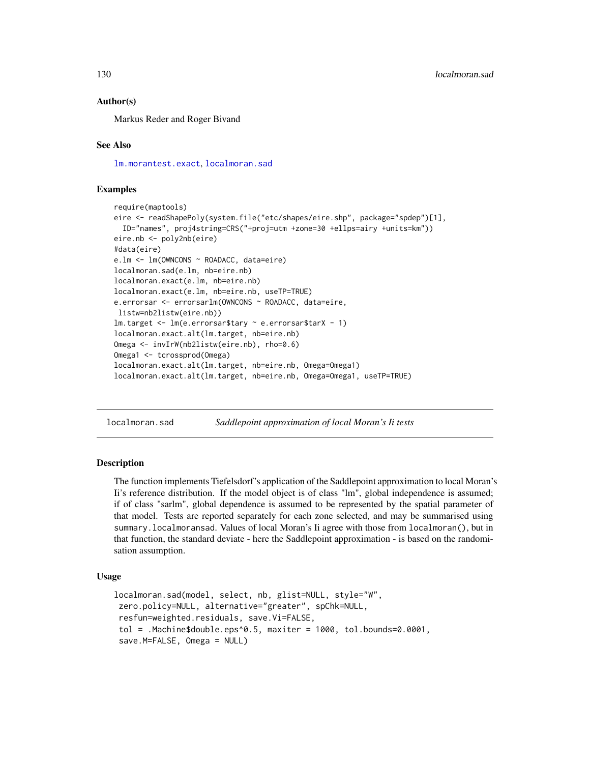## Author(s)

Markus Reder and Roger Bivand

## See Also

[lm.morantest.exact](#page-119-0), [localmoran.sad](#page-129-0)

## Examples

```
require(maptools)
eire <- readShapePoly(system.file("etc/shapes/eire.shp", package="spdep")[1],
 ID="names", proj4string=CRS("+proj=utm +zone=30 +ellps=airy +units=km"))
eire.nb <- poly2nb(eire)
#data(eire)
e.lm <- lm(OWNCONS ~ ROADACC, data=eire)
localmoran.sad(e.lm, nb=eire.nb)
localmoran.exact(e.lm, nb=eire.nb)
localmoran.exact(e.lm, nb=eire.nb, useTP=TRUE)
e.errorsar <- errorsarlm(OWNCONS ~ ROADACC, data=eire,
listw=nb2listw(eire.nb))
lm.target <- lm(e.errorsar$tary ~ e.errorsar$tarX - 1)
localmoran.exact.alt(lm.target, nb=eire.nb)
Omega <- invIrW(nb2listw(eire.nb), rho=0.6)
Omega1 <- tcrossprod(Omega)
localmoran.exact.alt(lm.target, nb=eire.nb, Omega=Omega1)
localmoran.exact.alt(lm.target, nb=eire.nb, Omega=Omega1, useTP=TRUE)
```
<span id="page-129-0"></span>localmoran.sad *Saddlepoint approximation of local Moran's Ii tests*

## Description

The function implements Tiefelsdorf's application of the Saddlepoint approximation to local Moran's Ii's reference distribution. If the model object is of class "lm", global independence is assumed; if of class "sarlm", global dependence is assumed to be represented by the spatial parameter of that model. Tests are reported separately for each zone selected, and may be summarised using summary.localmoransad. Values of local Moran's Ii agree with those from localmoran(), but in that function, the standard deviate - here the Saddlepoint approximation - is based on the randomisation assumption.

## Usage

```
localmoran.sad(model, select, nb, glist=NULL, style="W",
zero.policy=NULL, alternative="greater", spChk=NULL,
resfun=weighted.residuals, save.Vi=FALSE,
tol = .Machine$double.eps^0.5, maxiter = 1000, tol.bounds=0.0001,
save.M=FALSE, Omega = NULL)
```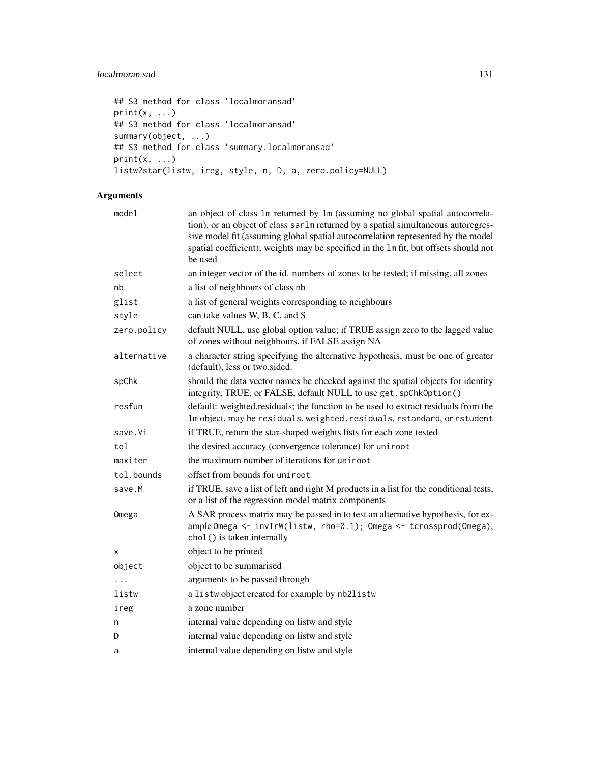# localmoran.sad 131

```
## S3 method for class 'localmoransad'
print(x, \ldots)## S3 method for class 'localmoransad'
summary(object, ...)
## S3 method for class 'summary.localmoransad'
print(x, \ldots)listw2star(listw, ireg, style, n, D, a, zero.policy=NULL)
```

| model       | an object of class 1m returned by 1m (assuming no global spatial autocorrela-<br>tion), or an object of class sarlm returned by a spatial simultaneous autoregres-<br>sive model fit (assuming global spatial autocorrelation represented by the model<br>spatial coefficient); weights may be specified in the 1m fit, but offsets should not<br>be used |
|-------------|-----------------------------------------------------------------------------------------------------------------------------------------------------------------------------------------------------------------------------------------------------------------------------------------------------------------------------------------------------------|
| select      | an integer vector of the id. numbers of zones to be tested; if missing, all zones                                                                                                                                                                                                                                                                         |
| nb          | a list of neighbours of class nb                                                                                                                                                                                                                                                                                                                          |
| glist       | a list of general weights corresponding to neighbours                                                                                                                                                                                                                                                                                                     |
| style       | can take values W, B, C, and S                                                                                                                                                                                                                                                                                                                            |
| zero.policy | default NULL, use global option value; if TRUE assign zero to the lagged value<br>of zones without neighbours, if FALSE assign NA                                                                                                                                                                                                                         |
| alternative | a character string specifying the alternative hypothesis, must be one of greater<br>(default), less or two.sided.                                                                                                                                                                                                                                         |
| spChk       | should the data vector names be checked against the spatial objects for identity<br>integrity, TRUE, or FALSE, default NULL to use get. spChkOption()                                                                                                                                                                                                     |
| resfun      | default: weighted.residuals; the function to be used to extract residuals from the<br>Im object, may be residuals, weighted. residuals, rstandard, or rstudent                                                                                                                                                                                            |
| save.Vi     | if TRUE, return the star-shaped weights lists for each zone tested                                                                                                                                                                                                                                                                                        |
| tol         | the desired accuracy (convergence tolerance) for uniroot                                                                                                                                                                                                                                                                                                  |
| maxiter     | the maximum number of iterations for uniroot                                                                                                                                                                                                                                                                                                              |
| tol.bounds  | offset from bounds for uniroot                                                                                                                                                                                                                                                                                                                            |
| save.M      | if TRUE, save a list of left and right M products in a list for the conditional tests,<br>or a list of the regression model matrix components                                                                                                                                                                                                             |
| Omega       | A SAR process matrix may be passed in to test an alternative hypothesis, for ex-<br>ample Omega <- invIrW(listw, rho=0.1); Omega <- tcrossprod(Omega),<br>chol() is taken internally                                                                                                                                                                      |
| X           | object to be printed                                                                                                                                                                                                                                                                                                                                      |
| object      | object to be summarised                                                                                                                                                                                                                                                                                                                                   |
|             | arguments to be passed through                                                                                                                                                                                                                                                                                                                            |
| listw       | a listwobject created for example by nb2listw                                                                                                                                                                                                                                                                                                             |
| ireg        | a zone number                                                                                                                                                                                                                                                                                                                                             |
| n           | internal value depending on listw and style                                                                                                                                                                                                                                                                                                               |
| D           | internal value depending on listw and style                                                                                                                                                                                                                                                                                                               |
| a           | internal value depending on listw and style                                                                                                                                                                                                                                                                                                               |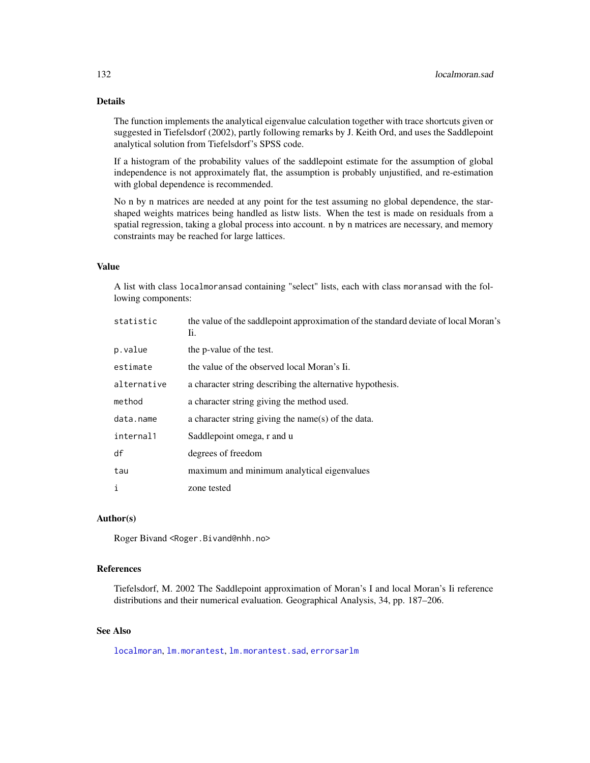# Details

The function implements the analytical eigenvalue calculation together with trace shortcuts given or suggested in Tiefelsdorf (2002), partly following remarks by J. Keith Ord, and uses the Saddlepoint analytical solution from Tiefelsdorf's SPSS code.

If a histogram of the probability values of the saddlepoint estimate for the assumption of global independence is not approximately flat, the assumption is probably unjustified, and re-estimation with global dependence is recommended.

No n by n matrices are needed at any point for the test assuming no global dependence, the starshaped weights matrices being handled as listw lists. When the test is made on residuals from a spatial regression, taking a global process into account. n by n matrices are necessary, and memory constraints may be reached for large lattices.

#### Value

A list with class localmoransad containing "select" lists, each with class moransad with the following components:

| statistic   | the value of the saddlepoint approximation of the standard deviate of local Moran's<br>Ii. |
|-------------|--------------------------------------------------------------------------------------------|
| p.value     | the p-value of the test.                                                                   |
| estimate    | the value of the observed local Moran's Ii.                                                |
| alternative | a character string describing the alternative hypothesis.                                  |
| method      | a character string giving the method used.                                                 |
| data.name   | a character string giving the name(s) of the data.                                         |
| internal1   | Saddlepoint omega, r and u                                                                 |
| df          | degrees of freedom                                                                         |
| tau         | maximum and minimum analytical eigenvalues                                                 |
| i           | zone tested                                                                                |

#### Author(s)

Roger Bivand <Roger.Bivand@nhh.no>

## References

Tiefelsdorf, M. 2002 The Saddlepoint approximation of Moran's I and local Moran's Ii reference distributions and their numerical evaluation. Geographical Analysis, 34, pp. 187–206.

# See Also

[localmoran](#page-125-0), [lm.morantest](#page-117-1), [lm.morantest.sad](#page-121-0), [errorsarlm](#page-51-0)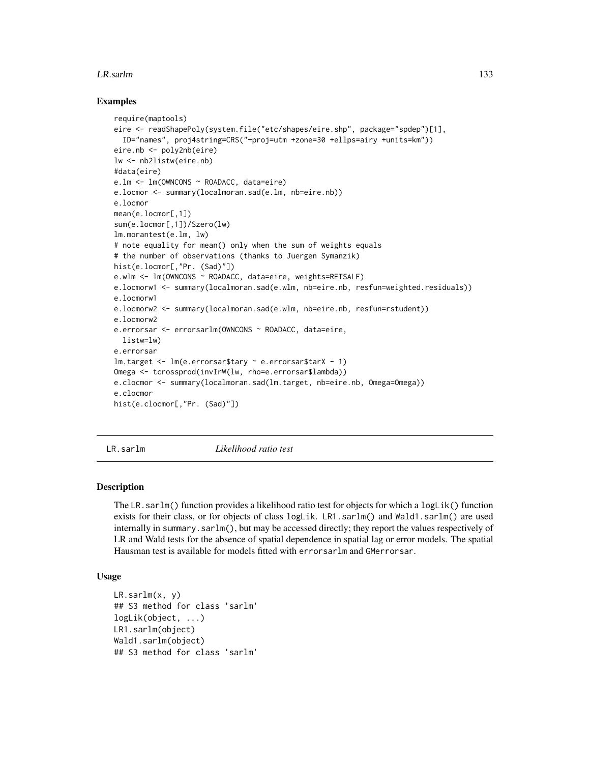#### LR.sarlm 133

#### Examples

```
require(maptools)
eire <- readShapePoly(system.file("etc/shapes/eire.shp", package="spdep")[1],
  ID="names", proj4string=CRS("+proj=utm +zone=30 +ellps=airy +units=km"))
eire.nb <- poly2nb(eire)
lw <- nb2listw(eire.nb)
#data(eire)
e.lm <- lm(OWNCONS ~ ROADACC, data=eire)
e.locmor <- summary(localmoran.sad(e.lm, nb=eire.nb))
e.locmor
mean(e.locmor[,1])
sum(e.locmor[,1])/Szero(lw)
lm.morantest(e.lm, lw)
# note equality for mean() only when the sum of weights equals
# the number of observations (thanks to Juergen Symanzik)
hist(e.locmor[,"Pr. (Sad)"])
e.wlm <- lm(OWNCONS ~ ROADACC, data=eire, weights=RETSALE)
e.locmorw1 <- summary(localmoran.sad(e.wlm, nb=eire.nb, resfun=weighted.residuals))
e.locmorw1
e.locmorw2 <- summary(localmoran.sad(e.wlm, nb=eire.nb, resfun=rstudent))
e.locmorw2
e.errorsar <- errorsarlm(OWNCONS ~ ROADACC, data=eire,
  listw=lw)
e.errorsar
lm.target <- lm(e.errorsar$tary ~ e.errorsar$tarX - 1)
Omega <- tcrossprod(invIrW(lw, rho=e.errorsar$lambda))
e.clocmor <- summary(localmoran.sad(lm.target, nb=eire.nb, Omega=Omega))
e.clocmor
hist(e.clocmor[,"Pr. (Sad)"])
```
LR.sarlm *Likelihood ratio test*

#### Description

The LR.sarlm() function provides a likelihood ratio test for objects for which a logLik() function exists for their class, or for objects of class logLik. LR1.sarlm() and Wald1.sarlm() are used internally in summary.sarlm(), but may be accessed directly; they report the values respectively of LR and Wald tests for the absence of spatial dependence in spatial lag or error models. The spatial Hausman test is available for models fitted with errorsarlm and GMerrorsar.

#### Usage

```
LR.sarlm(x, y)
## S3 method for class 'sarlm'
logLik(object, ...)
LR1.sarlm(object)
Wald1.sarlm(object)
## S3 method for class 'sarlm'
```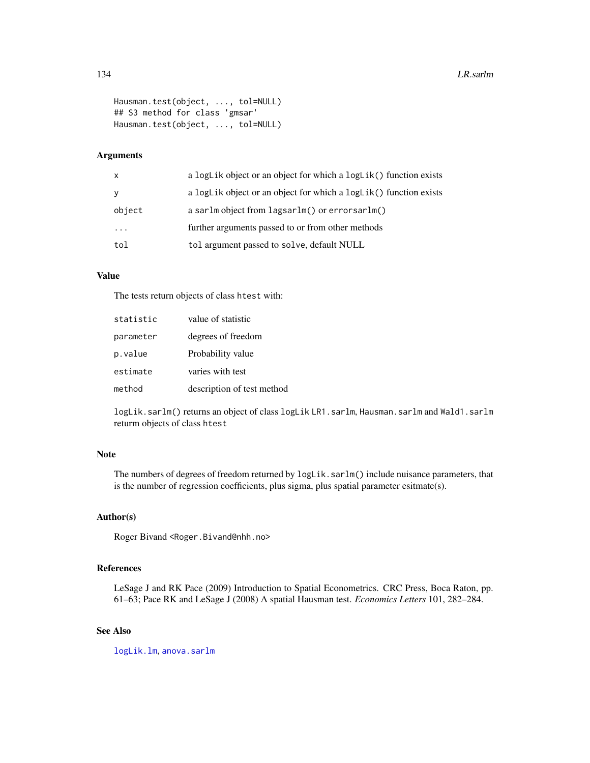```
Hausman.test(object, ..., tol=NULL)
## S3 method for class 'gmsar'
Hausman.test(object, ..., tol=NULL)
```
# Arguments

| $\mathsf{x}$            | a logLik object or an object for which a logLik() function exists |
|-------------------------|-------------------------------------------------------------------|
| y                       | a logLik object or an object for which a logLik() function exists |
| object                  | a sarlm object from lagsarlm() or errorsarlm()                    |
| $\cdot$ $\cdot$ $\cdot$ | further arguments passed to or from other methods                 |
| tol                     | tol argument passed to solve, default NULL                        |

# Value

The tests return objects of class htest with:

| statistic | value of statistic         |
|-----------|----------------------------|
| parameter | degrees of freedom         |
| p.value   | Probability value          |
| estimate  | varies with test           |
| method    | description of test method |

logLik.sarlm() returns an object of class logLik LR1.sarlm, Hausman.sarlm and Wald1.sarlm returm objects of class htest

# Note

The numbers of degrees of freedom returned by  $loglik.sarlm()$  include nuisance parameters, that is the number of regression coefficients, plus sigma, plus spatial parameter esitmate(s).

## Author(s)

Roger Bivand <Roger.Bivand@nhh.no>

# References

LeSage J and RK Pace (2009) Introduction to Spatial Econometrics. CRC Press, Boca Raton, pp. 61–63; Pace RK and LeSage J (2008) A spatial Hausman test. *Economics Letters* 101, 282–284.

# See Also

[logLik.lm](#page-0-0), [anova.sarlm](#page-7-0)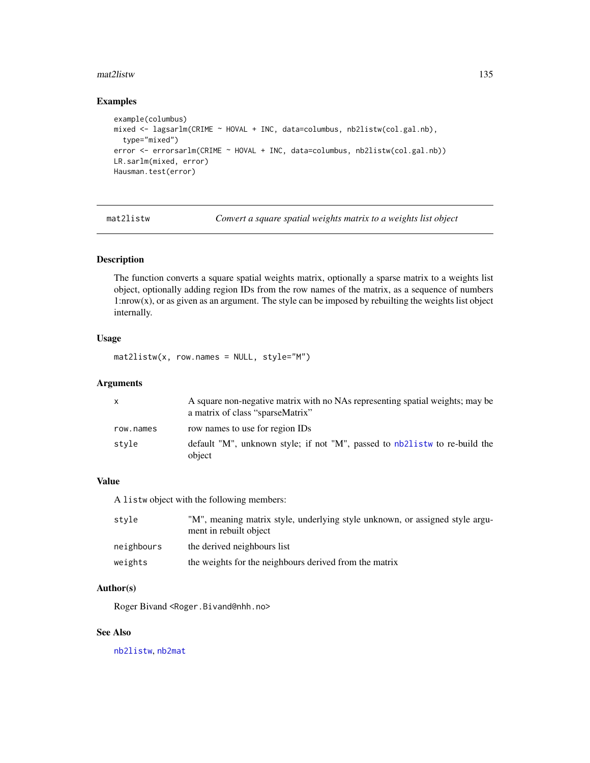#### mat2listw 135

# Examples

```
example(columbus)
mixed <- lagsarlm(CRIME ~ HOVAL + INC, data=columbus, nb2listw(col.gal.nb),
  type="mixed")
error <- errorsarlm(CRIME ~ HOVAL + INC, data=columbus, nb2listw(col.gal.nb))
LR.sarlm(mixed, error)
Hausman.test(error)
```
mat2listw *Convert a square spatial weights matrix to a weights list object*

# Description

The function converts a square spatial weights matrix, optionally a sparse matrix to a weights list object, optionally adding region IDs from the row names of the matrix, as a sequence of numbers 1:nrow(x), or as given as an argument. The style can be imposed by rebuilting the weights list object internally.

# Usage

mat2listw(x, row.names = NULL, style="M")

# Arguments

| $\mathsf{x}$ | A square non-negative matrix with no NAs representing spatial weights; may be<br>a matrix of class "sparseMatrix" |
|--------------|-------------------------------------------------------------------------------------------------------------------|
| row.names    | row names to use for region IDs                                                                                   |
| style        | default "M", unknown style; if not "M", passed to nb21 is two re-build the<br>object                              |

# Value

A listw object with the following members:

| style      | "M", meaning matrix style, underlying style unknown, or assigned style argu-<br>ment in rebuilt object |
|------------|--------------------------------------------------------------------------------------------------------|
| neighbours | the derived neighbours list                                                                            |
| weights    | the weights for the neighbours derived from the matrix                                                 |

# Author(s)

Roger Bivand <Roger.Bivand@nhh.no>

## See Also

[nb2listw](#page-153-0), [nb2mat](#page-155-0)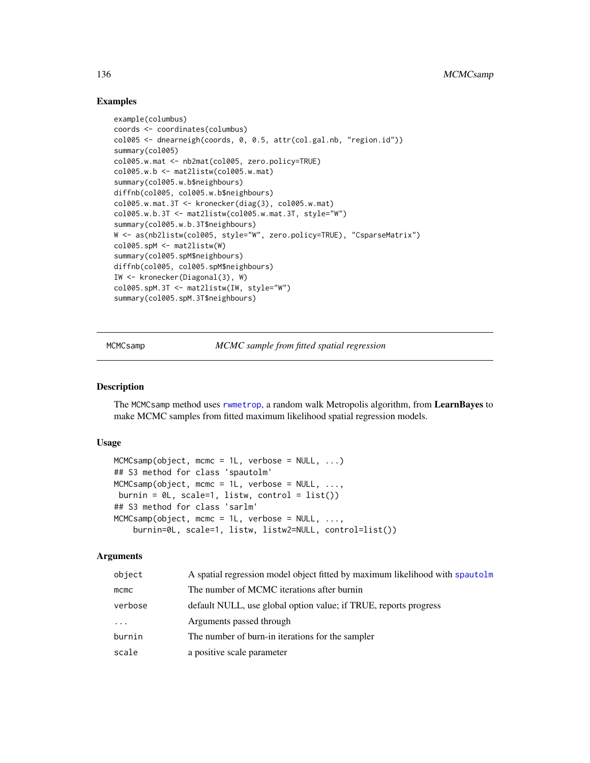## Examples

```
example(columbus)
coords <- coordinates(columbus)
col005 <- dnearneigh(coords, 0, 0.5, attr(col.gal.nb, "region.id"))
summary(col005)
col005.w.mat <- nb2mat(col005, zero.policy=TRUE)
col005.w.b <- mat2listw(col005.w.mat)
summary(col005.w.b$neighbours)
diffnb(col005, col005.w.b$neighbours)
col005.w.mat.3T < -kronecker(diag(3), col005.w.mat)col005.w.b.3T <- mat2listw(col005.w.mat.3T, style="W")
summary(col005.w.b.3T$neighbours)
W <- as(nb2listw(col005, style="W", zero.policy=TRUE), "CsparseMatrix")
col005.spM <- mat2listw(W)
summary(col005.spM$neighbours)
diffnb(col005, col005.spM$neighbours)
IW <- kronecker(Diagonal(3), W)
col005.spM.3T <- mat2listw(IW, style="W")
summary(col005.spM.3T$neighbours)
```
MCMCsamp *MCMC sample from fitted spatial regression*

#### Description

The MCMCsamp method uses [rwmetrop](#page-0-0), a random walk Metropolis algorithm, from LearnBayes to make MCMC samples from fitted maximum likelihood spatial regression models.

#### Usage

```
MCMCsamp(object, mcmc = 1L, verbose = NULL, ...)
## S3 method for class 'spautolm'
MCMC samp(object, more = 1L, verbose = NULL, ...,burnin = \thetaL, scale=1, listw, control = list())
## S3 method for class 'sarlm'
MCMC samp(object, more = 1L, verbose = NULL, ...,burnin=0L, scale=1, listw, listw2=NULL, control=list())
```

| object  | A spatial regression model object fitted by maximum likelihood with spautolm |
|---------|------------------------------------------------------------------------------|
| mcmc    | The number of MCMC iterations after burnin                                   |
| verbose | default NULL, use global option value; if TRUE, reports progress             |
| .       | Arguments passed through                                                     |
| burnin  | The number of burn-in iterations for the sampler                             |
| scale   | a positive scale parameter                                                   |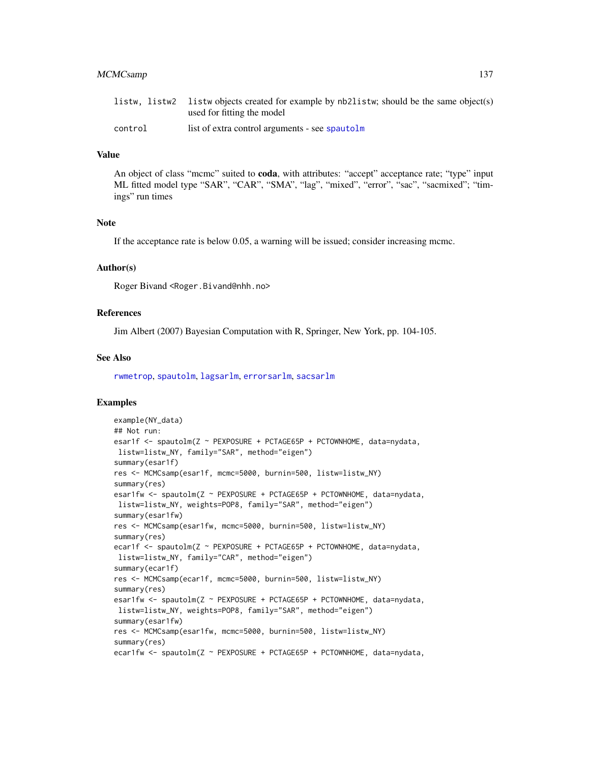#### MCMCsamp 137

|         | listw, listw2 listw objects created for example by nb2listw; should be the same object(s) |
|---------|-------------------------------------------------------------------------------------------|
|         | used for fitting the model                                                                |
| control | list of extra control arguments - see spautolm                                            |

#### Value

An object of class "mcmc" suited to **coda**, with attributes: "accept" acceptance rate; "type" input ML fitted model type "SAR", "CAR", "SMA", "lag", "mixed", "error", "sac", "sacmixed"; "timings" run times

# Note

If the acceptance rate is below 0.05, a warning will be issued; consider increasing mcmc.

## Author(s)

Roger Bivand <Roger.Bivand@nhh.no>

## References

Jim Albert (2007) Bayesian Computation with R, Springer, New York, pp. 104-105.

#### See Also

[rwmetrop](#page-0-0), [spautolm](#page-203-0), [lagsarlm](#page-98-0), [errorsarlm](#page-51-0), [sacsarlm](#page-184-0)

```
example(NY_data)
## Not run:
esar1f <- spautolm(Z ~ PEXPOSURE + PCTAGE65P + PCTOWNHOME, data=nydata,
listw=listw_NY, family="SAR", method="eigen")
summary(esar1f)
res <- MCMCsamp(esar1f, mcmc=5000, burnin=500, listw=listw_NY)
summary(res)
esar1fw <- spautolm(Z ~ PEXPOSURE + PCTAGE65P + PCTOWNHOME, data=nydata,
listw=listw_NY, weights=POP8, family="SAR", method="eigen")
summary(esar1fw)
res <- MCMCsamp(esar1fw, mcmc=5000, burnin=500, listw=listw_NY)
summary(res)
ecar1f <- spautolm(Z ~ PEXPOSURE + PCTAGE65P + PCTOWNHOME, data=nydata,
listw=listw_NY, family="CAR", method="eigen")
summary(ecar1f)
res <- MCMCsamp(ecar1f, mcmc=5000, burnin=500, listw=listw_NY)
summary(res)
esar1fw <- spautolm(Z ~ PEXPOSURE + PCTAGE65P + PCTOWNHOME, data=nydata,
listw=listw_NY, weights=POP8, family="SAR", method="eigen")
summary(esar1fw)
res <- MCMCsamp(esar1fw, mcmc=5000, burnin=500, listw=listw_NY)
summary(res)
ecar1fw <- spautolm(Z ~ PEXPOSURE + PCTAGE65P + PCTOWNHOME, data=nydata,
```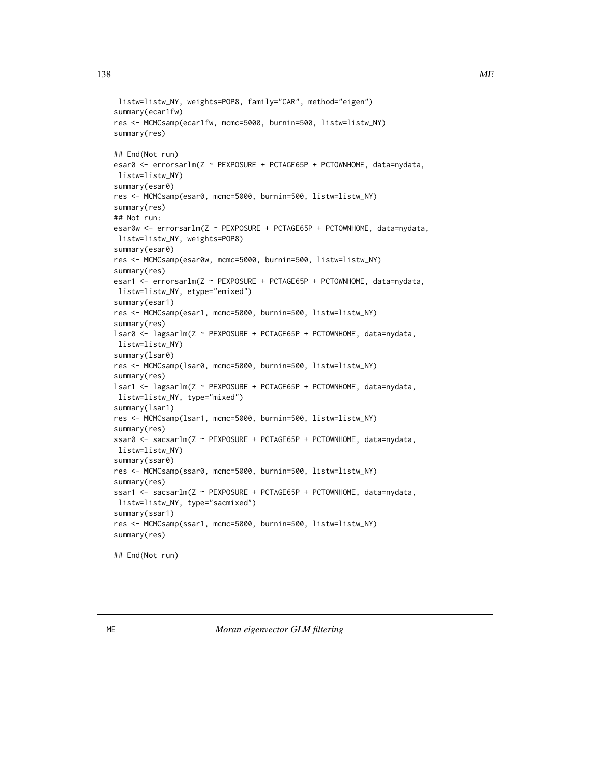```
listw=listw_NY, weights=POP8, family="CAR", method="eigen")
summary(ecar1fw)
res <- MCMCsamp(ecar1fw, mcmc=5000, burnin=500, listw=listw_NY)
summary(res)
## End(Not run)
esar0 <- errorsarlm(Z ~ PEXPOSURE + PCTAGE65P + PCTOWNHOME, data=nydata,
listw=listw_NY)
summary(esar0)
res <- MCMCsamp(esar0, mcmc=5000, burnin=500, listw=listw_NY)
summary(res)
## Not run:
esar0w <- errorsarlm(Z ~ PEXPOSURE + PCTAGE65P + PCTOWNHOME, data=nydata,
listw=listw_NY, weights=POP8)
summary(esar0)
res <- MCMCsamp(esar0w, mcmc=5000, burnin=500, listw=listw_NY)
summary(res)
esar1 <- errorsarlm(Z ~ PEXPOSURE + PCTAGE65P + PCTOWNHOME, data=nydata,
listw=listw_NY, etype="emixed")
summary(esar1)
res <- MCMCsamp(esar1, mcmc=5000, burnin=500, listw=listw_NY)
summary(res)
lsar0 <- lagsarlm(Z ~ PEXPOSURE + PCTAGE65P + PCTOWNHOME, data=nydata,
listw=listw_NY)
summary(lsar0)
res <- MCMCsamp(lsar0, mcmc=5000, burnin=500, listw=listw_NY)
summary(res)
lsar1 <- lagsarlm(Z ~ PEXPOSURE + PCTAGE65P + PCTOWNHOME, data=nydata,
listw=listw_NY, type="mixed")
summary(lsar1)
res <- MCMCsamp(lsar1, mcmc=5000, burnin=500, listw=listw_NY)
summary(res)
ssar0 <- sacsarlm(Z ~ PEXPOSURE + PCTAGE65P + PCTOWNHOME, data=nydata,
listw=listw_NY)
summary(ssar0)
res <- MCMCsamp(ssar0, mcmc=5000, burnin=500, listw=listw_NY)
summary(res)
ssar1 <- sacsarlm(Z ~ PEXPOSURE + PCTAGE65P + PCTOWNHOME, data=nydata,
listw=listw_NY, type="sacmixed")
summary(ssar1)
res <- MCMCsamp(ssar1, mcmc=5000, burnin=500, listw=listw_NY)
summary(res)
## End(Not run)
```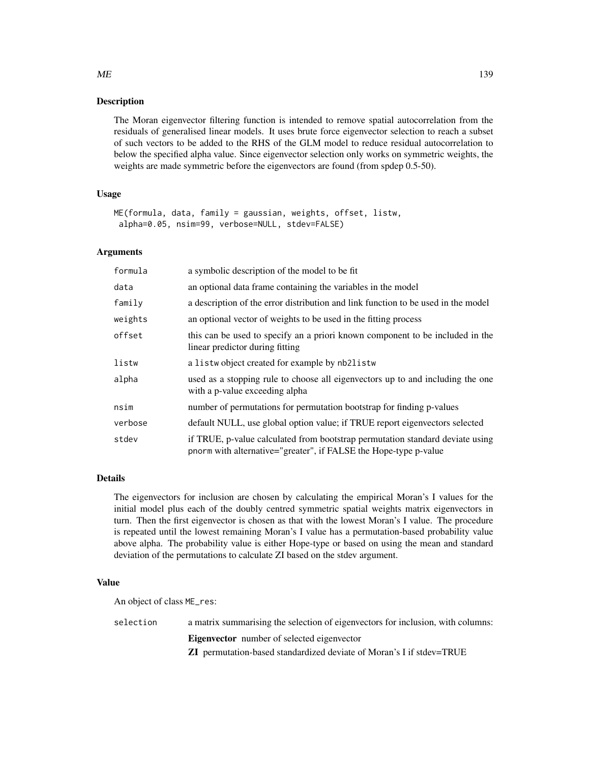## **Description**

The Moran eigenvector filtering function is intended to remove spatial autocorrelation from the residuals of generalised linear models. It uses brute force eigenvector selection to reach a subset of such vectors to be added to the RHS of the GLM model to reduce residual autocorrelation to below the specified alpha value. Since eigenvector selection only works on symmetric weights, the weights are made symmetric before the eigenvectors are found (from spdep 0.5-50).

# Usage

```
ME(formula, data, family = gaussian, weights, offset, listw,
alpha=0.05, nsim=99, verbose=NULL, stdev=FALSE)
```
#### Arguments

| formula | a symbolic description of the model to be fit                                                                                                     |
|---------|---------------------------------------------------------------------------------------------------------------------------------------------------|
| data    | an optional data frame containing the variables in the model                                                                                      |
| family  | a description of the error distribution and link function to be used in the model                                                                 |
| weights | an optional vector of weights to be used in the fitting process                                                                                   |
| offset  | this can be used to specify an a priori known component to be included in the<br>linear predictor during fitting                                  |
| listw   | a listwo bject created for example by nb2listw                                                                                                    |
| alpha   | used as a stopping rule to choose all eigenvectors up to and including the one<br>with a p-value exceeding alpha                                  |
| nsim    | number of permutations for permutation bootstrap for finding p-values                                                                             |
| verbose | default NULL, use global option value; if TRUE report eigenvectors selected                                                                       |
| stdev   | if TRUE, p-value calculated from bootstrap permutation standard deviate using<br>pnorm with alternative="greater", if FALSE the Hope-type p-value |

# Details

The eigenvectors for inclusion are chosen by calculating the empirical Moran's I values for the initial model plus each of the doubly centred symmetric spatial weights matrix eigenvectors in turn. Then the first eigenvector is chosen as that with the lowest Moran's I value. The procedure is repeated until the lowest remaining Moran's I value has a permutation-based probability value above alpha. The probability value is either Hope-type or based on using the mean and standard deviation of the permutations to calculate ZI based on the stdev argument.

## Value

An object of class ME\_res:

selection a matrix summarising the selection of eigenvectors for inclusion, with columns: Eigenvector number of selected eigenvector ZI permutation-based standardized deviate of Moran's I if stdev=TRUE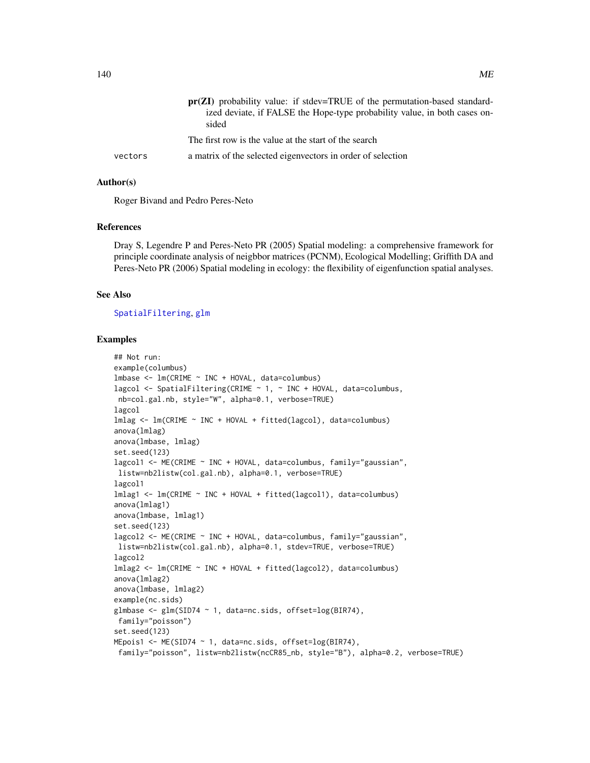|         | <b>pr(ZI)</b> probability value: if stdev=TRUE of the permutation-based standard-<br>ized deviate, if FALSE the Hope-type probability value, in both cases on-<br>sided |
|---------|-------------------------------------------------------------------------------------------------------------------------------------------------------------------------|
|         | The first row is the value at the start of the search                                                                                                                   |
| vectors | a matrix of the selected eigenvectors in order of selection                                                                                                             |

#### Author(s)

Roger Bivand and Pedro Peres-Neto

#### References

Dray S, Legendre P and Peres-Neto PR (2005) Spatial modeling: a comprehensive framework for principle coordinate analysis of neigbbor matrices (PCNM), Ecological Modelling; Griffith DA and Peres-Neto PR (2006) Spatial modeling in ecology: the flexibility of eigenfunction spatial analyses.

#### See Also

#### [SpatialFiltering](#page-201-0), [glm](#page-0-0)

```
## Not run:
example(columbus)
lmbase <- lm(CRIME ~ INC + HOVAL, data=columbus)
lagcol \leq SpatialFiltering(CRIME \sim 1, \sim INC + HOVAL, data=columbus,
nb=col.gal.nb, style="W", alpha=0.1, verbose=TRUE)
lagcol
lmlag <- lm(CRIME ~ INC + HOVAL + fitted(lagcol), data=columbus)
anova(lmlag)
anova(lmbase, lmlag)
set.seed(123)
lagcol1 <- ME(CRIME ~ INC + HOVAL, data=columbus, family="gaussian",
listw=nb2listw(col.gal.nb), alpha=0.1, verbose=TRUE)
lagcol1
lmlag1 <- lm(CRIME ~ INC + HOVAL + fitted(lagcol1), data=columbus)
anova(lmlag1)
anova(lmbase, lmlag1)
set.seed(123)
lagcol2 <- ME(CRIME ~ INC + HOVAL, data=columbus, family="gaussian",
listw=nb2listw(col.gal.nb), alpha=0.1, stdev=TRUE, verbose=TRUE)
lagcol2
lmlag2 <- lm(CRIME ~ INC + HOVAL + fitted(lagcol2), data=columbus)
anova(lmlag2)
anova(lmbase, lmlag2)
example(nc.sids)
glmbase <- glm(SID74 ~ 1, data=nc.sids, offset=log(BIR74),
 family="poisson")
set.seed(123)
MEpois1 <- ME(SID74 ~ 1, data=nc.sids, offset=log(BIR74),
 family="poisson", listw=nb2listw(ncCR85_nb, style="B"), alpha=0.2, verbose=TRUE)
```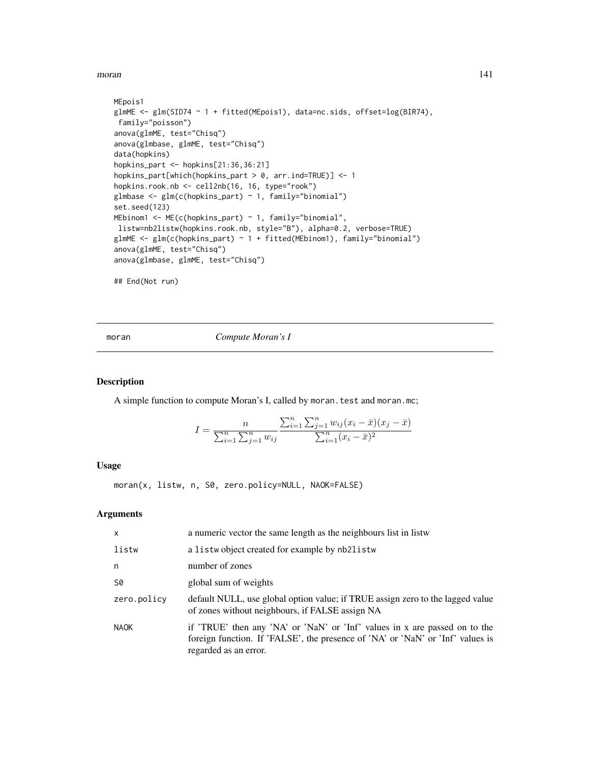moran and the contract of the contract of the contract of the contract of the contract of the contract of the contract of the contract of the contract of the contract of the contract of the contract of the contract of the

```
MEpois1
glmME <- glm(SID74 ~ 1 + fitted(MEpois1), data=nc.sids, offset=log(BIR74),
family="poisson")
anova(glmME, test="Chisq")
anova(glmbase, glmME, test="Chisq")
data(hopkins)
hopkins_part <- hopkins[21:36,36:21]
hopkins_part[which(hopkins_part > 0, arr.ind=TRUE)] <- 1
hopkins.rook.nb <- cell2nb(16, 16, type="rook")
glmbase \leq glm(c(hopkins_part) \sim 1, family="binomial")
set.seed(123)
MEbinom1 <- ME(c(hopkins_part) ~ 1, family="binomial",
listw=nb2listw(hopkins.rook.nb, style="B"), alpha=0.2, verbose=TRUE)
glmME <- glm(c(hopkins_part) ~ 1 + fitted(MEbinom1), family="binomial")
anova(glmME, test="Chisq")
anova(glmbase, glmME, test="Chisq")
## End(Not run)
```
<span id="page-140-0"></span>moran *Compute Moran's I*

## Description

A simple function to compute Moran's I, called by moran.test and moran.mc;

$$
I = \frac{n}{\sum_{i=1}^{n} \sum_{j=1}^{n} w_{ij}} \frac{\sum_{i=1}^{n} \sum_{j=1}^{n} w_{ij} (x_i - \bar{x})(x_j - \bar{x})}{\sum_{i=1}^{n} (x_i - \bar{x})^2}
$$

# Usage

moran(x, listw, n, S0, zero.policy=NULL, NAOK=FALSE)

| $\mathsf{x}$ | a numeric vector the same length as the neighbours list in listw                                                                                                                      |
|--------------|---------------------------------------------------------------------------------------------------------------------------------------------------------------------------------------|
| listw        | a listwo bject created for example by nb2listw                                                                                                                                        |
| n            | number of zones                                                                                                                                                                       |
| S0           | global sum of weights                                                                                                                                                                 |
| zero.policy  | default NULL, use global option value; if TRUE assign zero to the lagged value<br>of zones without neighbours, if FALSE assign NA                                                     |
| <b>NAOK</b>  | if 'TRUE' then any 'NA' or 'NaN' or 'Inf' values in x are passed on to the<br>foreign function. If 'FALSE', the presence of 'NA' or 'NaN' or 'Inf' values is<br>regarded as an error. |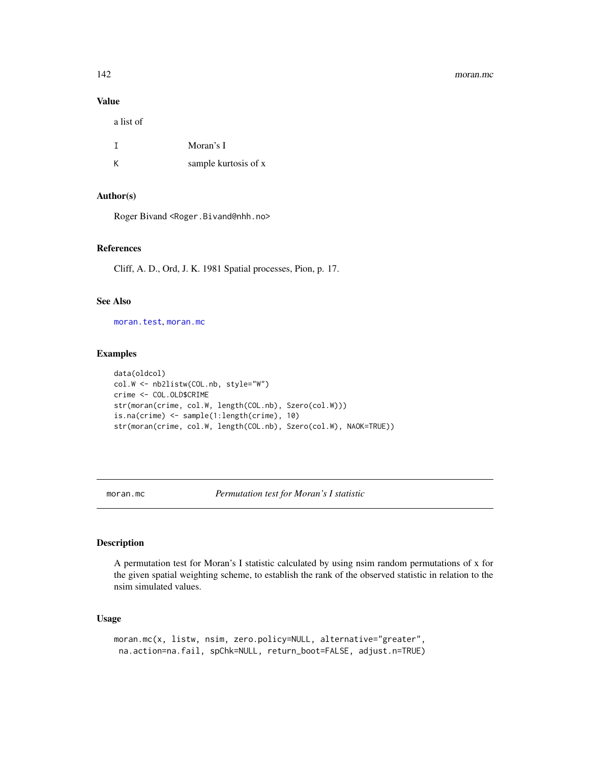#### 142 moran.mc

# Value

a list of

|   | Moran's I            |
|---|----------------------|
| К | sample kurtosis of x |

# Author(s)

Roger Bivand <Roger.Bivand@nhh.no>

# References

Cliff, A. D., Ord, J. K. 1981 Spatial processes, Pion, p. 17.

# See Also

[moran.test](#page-144-0), [moran.mc](#page-141-0)

#### Examples

```
data(oldcol)
col.W <- nb2listw(COL.nb, style="W")
crime <- COL.OLD$CRIME
str(moran(crime, col.W, length(COL.nb), Szero(col.W)))
is.na(crime) <- sample(1:length(crime), 10)
str(moran(crime, col.W, length(COL.nb), Szero(col.W), NAOK=TRUE))
```
<span id="page-141-0"></span>moran.mc *Permutation test for Moran's I statistic*

# Description

A permutation test for Moran's I statistic calculated by using nsim random permutations of x for the given spatial weighting scheme, to establish the rank of the observed statistic in relation to the nsim simulated values.

# Usage

```
moran.mc(x, listw, nsim, zero.policy=NULL, alternative="greater",
na.action=na.fail, spChk=NULL, return_boot=FALSE, adjust.n=TRUE)
```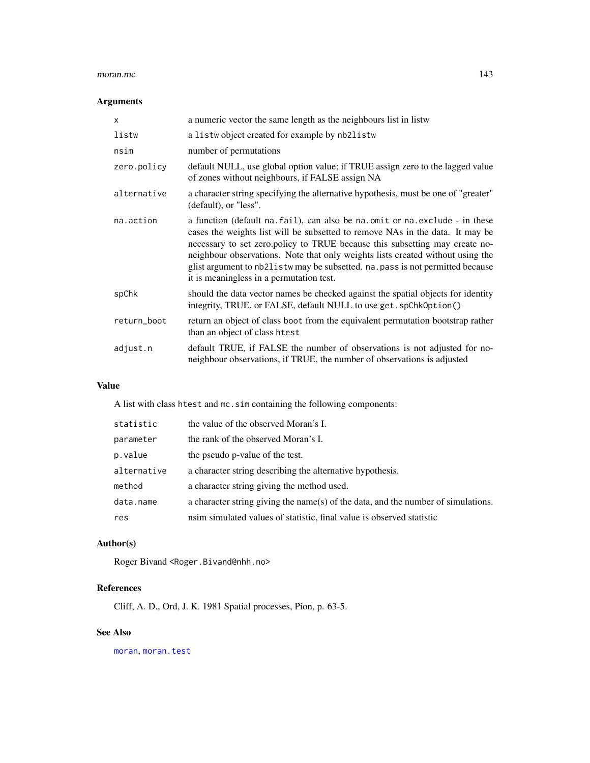#### moran.mc 143

# Arguments

| $\times$    | a numeric vector the same length as the neighbours list in listw                                                                                                                                                                                                                                                                                                                                                                                                |
|-------------|-----------------------------------------------------------------------------------------------------------------------------------------------------------------------------------------------------------------------------------------------------------------------------------------------------------------------------------------------------------------------------------------------------------------------------------------------------------------|
| listw       | a listwo bject created for example by nb2listw                                                                                                                                                                                                                                                                                                                                                                                                                  |
| nsim        | number of permutations                                                                                                                                                                                                                                                                                                                                                                                                                                          |
| zero.policy | default NULL, use global option value; if TRUE assign zero to the lagged value<br>of zones without neighbours, if FALSE assign NA                                                                                                                                                                                                                                                                                                                               |
| alternative | a character string specifying the alternative hypothesis, must be one of "greater"<br>(default), or "less".                                                                                                                                                                                                                                                                                                                                                     |
| na.action   | a function (default na. fail), can also be na. omit or na. exclude - in these<br>cases the weights list will be subsetted to remove NAs in the data. It may be<br>necessary to set zero.policy to TRUE because this subsetting may create no-<br>neighbour observations. Note that only weights lists created without using the<br>glist argument to nb21 is tw may be subsetted. na. pass is not permitted because<br>it is meaningless in a permutation test. |
| spChk       | should the data vector names be checked against the spatial objects for identity<br>integrity, TRUE, or FALSE, default NULL to use get. spChk0ption()                                                                                                                                                                                                                                                                                                           |
| return_boot | return an object of class boot from the equivalent permutation bootstrap rather<br>than an object of class htest                                                                                                                                                                                                                                                                                                                                                |
| adjust.n    | default TRUE, if FALSE the number of observations is not adjusted for no-<br>neighbour observations, if TRUE, the number of observations is adjusted                                                                                                                                                                                                                                                                                                            |

# Value

A list with class htest and mc.sim containing the following components:

| statistic   | the value of the observed Moran's I.                                              |
|-------------|-----------------------------------------------------------------------------------|
| parameter   | the rank of the observed Moran's I.                                               |
| p.value     | the pseudo p-value of the test.                                                   |
| alternative | a character string describing the alternative hypothesis.                         |
| method      | a character string giving the method used.                                        |
| data.name   | a character string giving the name(s) of the data, and the number of simulations. |
| res         | nsim simulated values of statistic, final value is observed statistic             |

# Author(s)

Roger Bivand <Roger.Bivand@nhh.no>

# References

Cliff, A. D., Ord, J. K. 1981 Spatial processes, Pion, p. 63-5.

# See Also

[moran](#page-140-0), [moran.test](#page-144-0)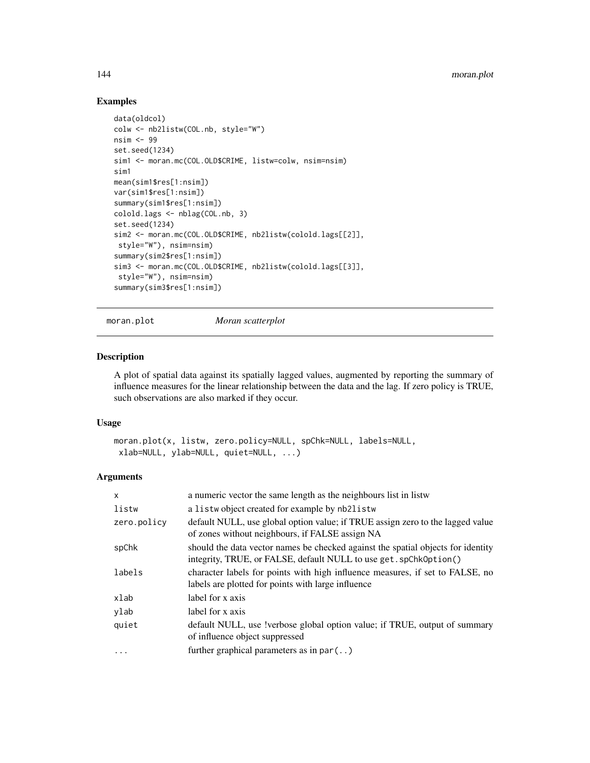# Examples

```
data(oldcol)
colw <- nb2listw(COL.nb, style="W")
nsim <- 99
set.seed(1234)
sim1 <- moran.mc(COL.OLD$CRIME, listw=colw, nsim=nsim)
sim1
mean(sim1$res[1:nsim])
var(sim1$res[1:nsim])
summary(sim1$res[1:nsim])
colold.lags <- nblag(COL.nb, 3)
set.seed(1234)
sim2 <- moran.mc(COL.OLD$CRIME, nb2listw(colold.lags[[2]],
style="W"), nsim=nsim)
summary(sim2$res[1:nsim])
sim3 <- moran.mc(COL.OLD$CRIME, nb2listw(colold.lags[[3]],
style="W"), nsim=nsim)
summary(sim3$res[1:nsim])
```
moran.plot *Moran scatterplot*

## Description

A plot of spatial data against its spatially lagged values, augmented by reporting the summary of influence measures for the linear relationship between the data and the lag. If zero policy is TRUE, such observations are also marked if they occur.

#### Usage

```
moran.plot(x, listw, zero.policy=NULL, spChk=NULL, labels=NULL,
 xlab=NULL, ylab=NULL, quiet=NULL, ...)
```

| $\mathsf{x}$ | a numeric vector the same length as the neighbours list in listw                                                                                      |
|--------------|-------------------------------------------------------------------------------------------------------------------------------------------------------|
| listw        | a listwo bject created for example by nb2listw                                                                                                        |
| zero.policy  | default NULL, use global option value; if TRUE assign zero to the lagged value<br>of zones without neighbours, if FALSE assign NA                     |
| spChk        | should the data vector names be checked against the spatial objects for identity<br>integrity, TRUE, or FALSE, default NULL to use get. spChk0ption() |
| labels       | character labels for points with high influence measures, if set to FALSE, no<br>labels are plotted for points with large influence                   |
| xlab         | label for x axis                                                                                                                                      |
| ylab         | label for x axis                                                                                                                                      |
| quiet        | default NULL, use !verbose global option value; if TRUE, output of summary<br>of influence object suppressed                                          |
| $\ddotsc$    | further graphical parameters as in $par($ )                                                                                                           |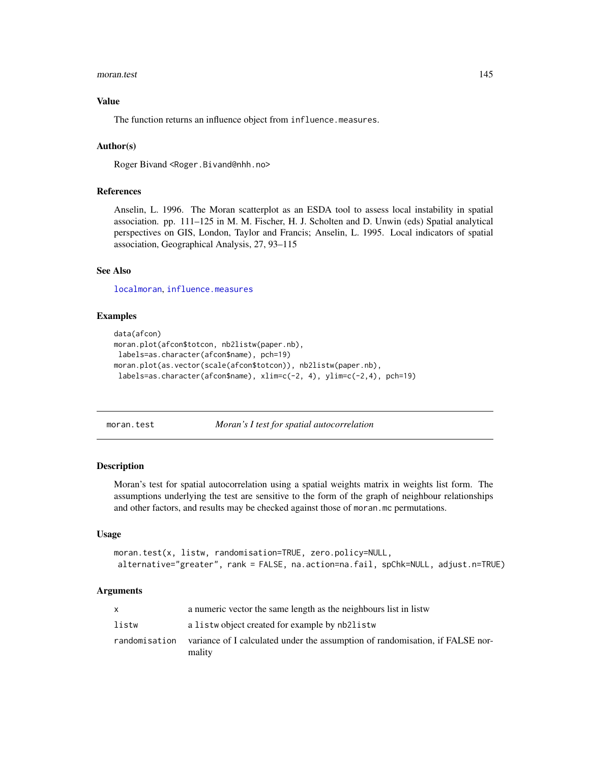#### moran.test 145

## Value

The function returns an influence object from influence.measures.

#### Author(s)

Roger Bivand <Roger.Bivand@nhh.no>

# References

Anselin, L. 1996. The Moran scatterplot as an ESDA tool to assess local instability in spatial association. pp. 111–125 in M. M. Fischer, H. J. Scholten and D. Unwin (eds) Spatial analytical perspectives on GIS, London, Taylor and Francis; Anselin, L. 1995. Local indicators of spatial association, Geographical Analysis, 27, 93–115

# See Also

[localmoran](#page-125-0), [influence.measures](#page-0-0)

#### Examples

```
data(afcon)
moran.plot(afcon$totcon, nb2listw(paper.nb),
labels=as.character(afcon$name), pch=19)
moran.plot(as.vector(scale(afcon$totcon)), nb2listw(paper.nb),
 labels=as.character(afcon$name), xlim=c(-2, 4), ylim=c(-2,4), pch=19)
```
moran.test *Moran's I test for spatial autocorrelation*

#### Description

Moran's test for spatial autocorrelation using a spatial weights matrix in weights list form. The assumptions underlying the test are sensitive to the form of the graph of neighbour relationships and other factors, and results may be checked against those of moran.mc permutations.

# Usage

```
moran.test(x, listw, randomisation=TRUE, zero.policy=NULL,
alternative="greater", rank = FALSE, na.action=na.fail, spChk=NULL, adjust.n=TRUE)
```
#### Arguments

|               | a numeric vector the same length as the neighbours list in listw                        |
|---------------|-----------------------------------------------------------------------------------------|
| listw         | a listwo bject created for example by nb2listw                                          |
| randomisation | variance of I calculated under the assumption of randomisation, if FALSE nor-<br>mality |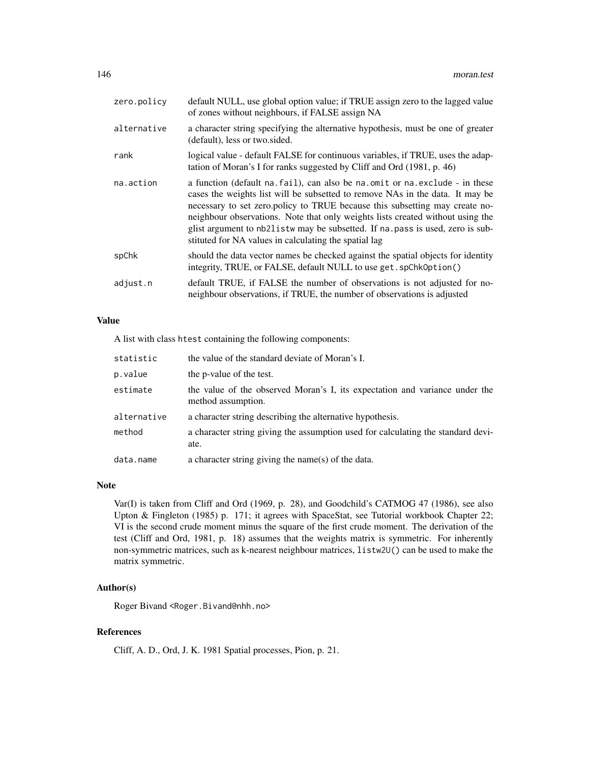| zero.policy | default NULL, use global option value; if TRUE assign zero to the lagged value<br>of zones without neighbours, if FALSE assign NA                                                                                                                                                                                                                                                                                                                                            |
|-------------|------------------------------------------------------------------------------------------------------------------------------------------------------------------------------------------------------------------------------------------------------------------------------------------------------------------------------------------------------------------------------------------------------------------------------------------------------------------------------|
| alternative | a character string specifying the alternative hypothesis, must be one of greater<br>(default), less or two sided.                                                                                                                                                                                                                                                                                                                                                            |
| rank        | logical value - default FALSE for continuous variables, if TRUE, uses the adap-<br>tation of Moran's I for ranks suggested by Cliff and Ord (1981, p. 46)                                                                                                                                                                                                                                                                                                                    |
| na.action   | a function (default na. fail), can also be na. omit or na. exclude - in these<br>cases the weights list will be subsetted to remove NAs in the data. It may be<br>necessary to set zero.policy to TRUE because this subsetting may create no-<br>neighbour observations. Note that only weights lists created without using the<br>glist argument to nb21 is two may be subsetted. If na pass is used, zero is sub-<br>stituted for NA values in calculating the spatial lag |
| spChk       | should the data vector names be checked against the spatial objects for identity<br>integrity, TRUE, or FALSE, default NULL to use get. spChk0ption()                                                                                                                                                                                                                                                                                                                        |
| adjust.n    | default TRUE, if FALSE the number of observations is not adjusted for no-<br>neighbour observations, if TRUE, the number of observations is adjusted                                                                                                                                                                                                                                                                                                                         |
|             |                                                                                                                                                                                                                                                                                                                                                                                                                                                                              |

## Value

A list with class htest containing the following components:

| statistic   | the value of the standard deviate of Moran's I.                                                   |
|-------------|---------------------------------------------------------------------------------------------------|
| p.value     | the p-value of the test.                                                                          |
| estimate    | the value of the observed Moran's I, its expectation and variance under the<br>method assumption. |
| alternative | a character string describing the alternative hypothesis.                                         |
| method      | a character string giving the assumption used for calculating the standard devi-<br>ate.          |
| data.name   | a character string giving the name(s) of the data.                                                |

#### Note

Var(I) is taken from Cliff and Ord (1969, p. 28), and Goodchild's CATMOG 47 (1986), see also Upton & Fingleton (1985) p. 171; it agrees with SpaceStat, see Tutorial workbook Chapter 22; VI is the second crude moment minus the square of the first crude moment. The derivation of the test (Cliff and Ord, 1981, p. 18) assumes that the weights matrix is symmetric. For inherently non-symmetric matrices, such as k-nearest neighbour matrices, listw2U() can be used to make the matrix symmetric.

# Author(s)

Roger Bivand <Roger.Bivand@nhh.no>

# References

Cliff, A. D., Ord, J. K. 1981 Spatial processes, Pion, p. 21.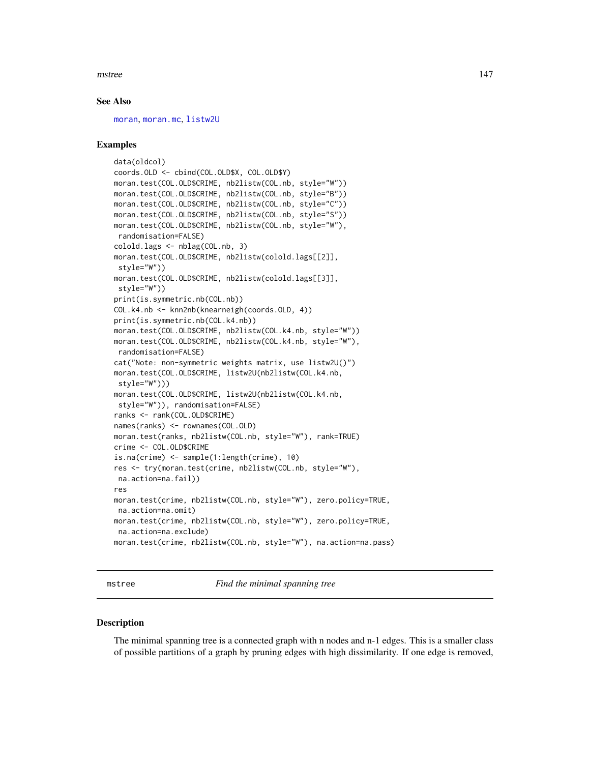#### mstree and the state of the state of the state of the state of the state of the state of the state of the state of the state of the state of the state of the state of the state of the state of the state of the state of the

#### See Also

[moran](#page-140-0), [moran.mc](#page-141-0), [listw2U](#page-117-0)

## Examples

```
data(oldcol)
coords.OLD <- cbind(COL.OLD$X, COL.OLD$Y)
moran.test(COL.OLD$CRIME, nb2listw(COL.nb, style="W"))
moran.test(COL.OLD$CRIME, nb2listw(COL.nb, style="B"))
moran.test(COL.OLD$CRIME, nb2listw(COL.nb, style="C"))
moran.test(COL.OLD$CRIME, nb2listw(COL.nb, style="S"))
moran.test(COL.OLD$CRIME, nb2listw(COL.nb, style="W"),
randomisation=FALSE)
colold.lags <- nblag(COL.nb, 3)
moran.test(COL.OLD$CRIME, nb2listw(colold.lags[[2]],
style="W"))
moran.test(COL.OLD$CRIME, nb2listw(colold.lags[[3]],
style="W"))
print(is.symmetric.nb(COL.nb))
COL.k4.nb <- knn2nb(knearneigh(coords.OLD, 4))
print(is.symmetric.nb(COL.k4.nb))
moran.test(COL.OLD$CRIME, nb2listw(COL.k4.nb, style="W"))
moran.test(COL.OLD$CRIME, nb2listw(COL.k4.nb, style="W"),
randomisation=FALSE)
cat("Note: non-symmetric weights matrix, use listw2U()")
moran.test(COL.OLD$CRIME, listw2U(nb2listw(COL.k4.nb,
style="W")))
moran.test(COL.OLD$CRIME, listw2U(nb2listw(COL.k4.nb,
style="W")), randomisation=FALSE)
ranks <- rank(COL.OLD$CRIME)
names(ranks) <- rownames(COL.OLD)
moran.test(ranks, nb2listw(COL.nb, style="W"), rank=TRUE)
crime <- COL.OLD$CRIME
is.na(crime) <- sample(1:length(crime), 10)
res <- try(moran.test(crime, nb2listw(COL.nb, style="W"),
na.action=na.fail))
res
moran.test(crime, nb2listw(COL.nb, style="W"), zero.policy=TRUE,
na.action=na.omit)
moran.test(crime, nb2listw(COL.nb, style="W"), zero.policy=TRUE,
na.action=na.exclude)
moran.test(crime, nb2listw(COL.nb, style="W"), na.action=na.pass)
```
mstree *Find the minimal spanning tree*

#### **Description**

The minimal spanning tree is a connected graph with n nodes and n-1 edges. This is a smaller class of possible partitions of a graph by pruning edges with high dissimilarity. If one edge is removed,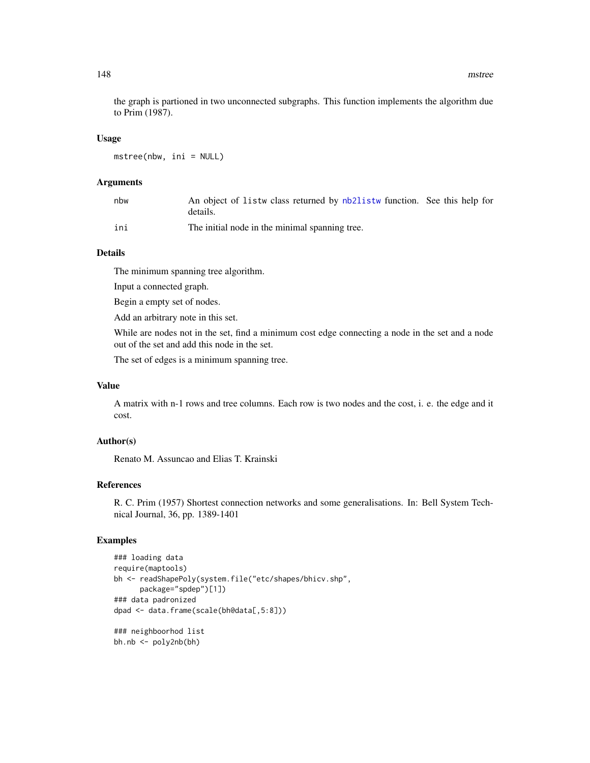the graph is partioned in two unconnected subgraphs. This function implements the algorithm due to Prim (1987).

#### Usage

mstree(nbw, ini = NULL)

## Arguments

| nbw | An object of listw class returned by nb2listw function. See this help for<br>details. |  |
|-----|---------------------------------------------------------------------------------------|--|
| ini | The initial node in the minimal spanning tree.                                        |  |

# Details

The minimum spanning tree algorithm.

Input a connected graph.

Begin a empty set of nodes.

Add an arbitrary note in this set.

While are nodes not in the set, find a minimum cost edge connecting a node in the set and a node out of the set and add this node in the set.

The set of edges is a minimum spanning tree.

## Value

A matrix with n-1 rows and tree columns. Each row is two nodes and the cost, i. e. the edge and it cost.

# Author(s)

Renato M. Assuncao and Elias T. Krainski

# References

R. C. Prim (1957) Shortest connection networks and some generalisations. In: Bell System Technical Journal, 36, pp. 1389-1401

```
### loading data
require(maptools)
bh <- readShapePoly(system.file("etc/shapes/bhicv.shp",
     package="spdep")[1])
### data padronized
dpad <- data.frame(scale(bh@data[,5:8]))
### neighboorhod list
bh.nb <- poly2nb(bh)
```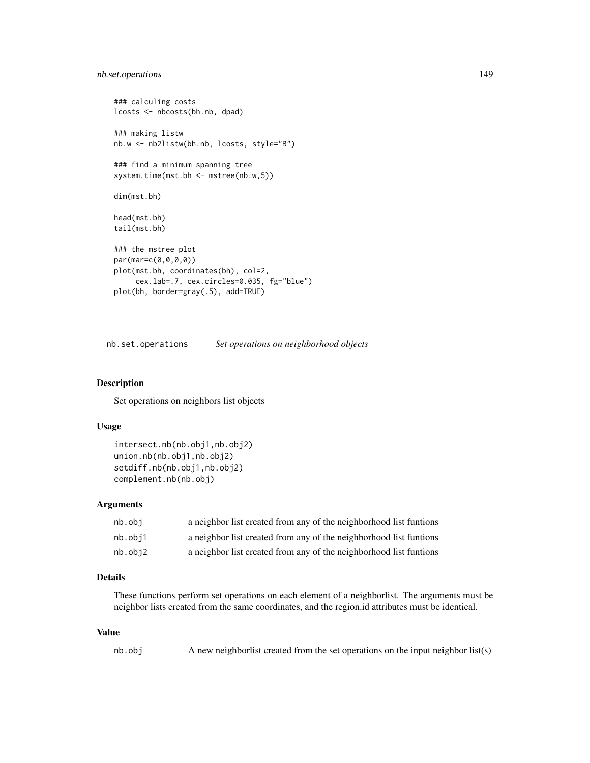# nb.set.operations 149

```
### calculing costs
lcosts <- nbcosts(bh.nb, dpad)
### making listw
nb.w <- nb2listw(bh.nb, lcosts, style="B")
### find a minimum spanning tree
system.time(mst.bh <- mstree(nb.w,5))
dim(mst.bh)
head(mst.bh)
tail(mst.bh)
### the mstree plot
par(mar=c(0,0,0,0))
plot(mst.bh, coordinates(bh), col=2,
     cex.lab=.7, cex.circles=0.035, fg="blue")
plot(bh, border=gray(.5), add=TRUE)
```
nb.set.operations *Set operations on neighborhood objects*

# <span id="page-148-0"></span>Description

Set operations on neighbors list objects

## Usage

```
intersect.nb(nb.obj1,nb.obj2)
union.nb(nb.obj1,nb.obj2)
setdiff.nb(nb.obj1,nb.obj2)
complement.nb(nb.obj)
```
# Arguments

| nb.obi  | a neighbor list created from any of the neighborhood list funtions |
|---------|--------------------------------------------------------------------|
| nb.obi1 | a neighbor list created from any of the neighborhood list funtions |
| nb.obi2 | a neighbor list created from any of the neighborhood list funtions |

# Details

These functions perform set operations on each element of a neighborlist. The arguments must be neighbor lists created from the same coordinates, and the region.id attributes must be identical.

# Value

```
nb.obj A new neighborlist created from the set operations on the input neighbor list(s)
```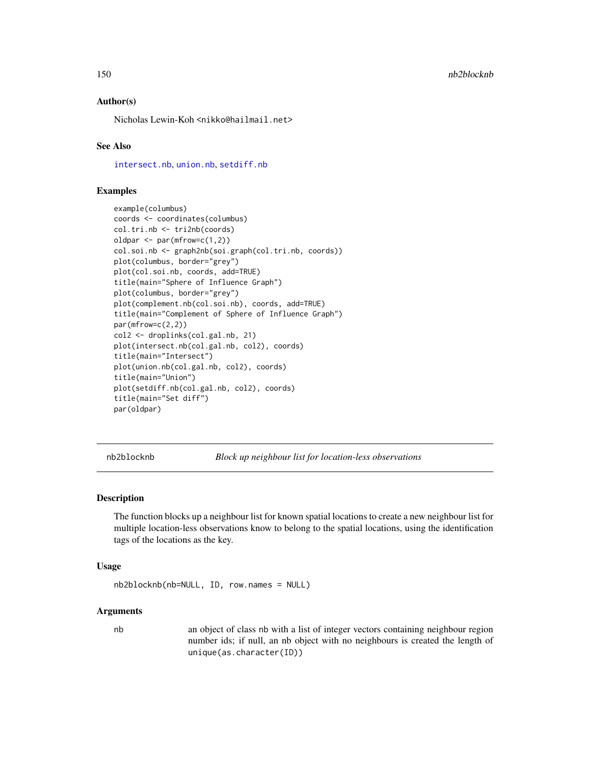## Author(s)

Nicholas Lewin-Koh <nikko@hailmail.net>

## See Also

[intersect.nb](#page-148-0), [union.nb](#page-148-0), [setdiff.nb](#page-148-0)

## Examples

```
example(columbus)
coords <- coordinates(columbus)
col.tri.nb <- tri2nb(coords)
oldpar \leq par(mfrow=c(1,2))
col.soi.nb <- graph2nb(soi.graph(col.tri.nb, coords))
plot(columbus, border="grey")
plot(col.soi.nb, coords, add=TRUE)
title(main="Sphere of Influence Graph")
plot(columbus, border="grey")
plot(complement.nb(col.soi.nb), coords, add=TRUE)
title(main="Complement of Sphere of Influence Graph")
par(mfrow=c(2,2))
col2 <- droplinks(col.gal.nb, 21)
plot(intersect.nb(col.gal.nb, col2), coords)
title(main="Intersect")
plot(union.nb(col.gal.nb, col2), coords)
title(main="Union")
plot(setdiff.nb(col.gal.nb, col2), coords)
title(main="Set diff")
par(oldpar)
```
nb2blocknb *Block up neighbour list for location-less observations*

#### Description

The function blocks up a neighbour list for known spatial locations to create a new neighbour list for multiple location-less observations know to belong to the spatial locations, using the identification tags of the locations as the key.

#### Usage

```
nb2blocknb(nb=NULL, ID, row.names = NULL)
```
#### Arguments

nb an object of class nb with a list of integer vectors containing neighbour region number ids; if null, an nb object with no neighbours is created the length of unique(as.character(ID))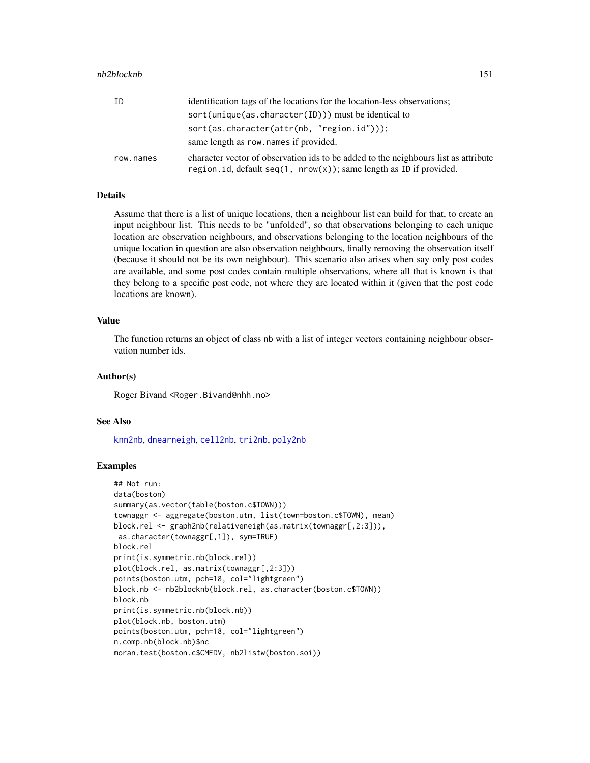#### nb2blocknb 151

| ID        | identification tags of the locations for the location-less observations;                                                                                      |
|-----------|---------------------------------------------------------------------------------------------------------------------------------------------------------------|
|           | $sort(unique(as.character(ID))$ must be identical to                                                                                                          |
|           | $sort(as.character(attr(nb, "region.id"))$ ;                                                                                                                  |
|           | same length as row, names if provided.                                                                                                                        |
| row.names | character vector of observation ids to be added to the neighbours list as attribute<br>region. id, default $seq(1, nrow(x))$ ; same length as ID if provided. |

## Details

Assume that there is a list of unique locations, then a neighbour list can build for that, to create an input neighbour list. This needs to be "unfolded", so that observations belonging to each unique location are observation neighbours, and observations belonging to the location neighbours of the unique location in question are also observation neighbours, finally removing the observation itself (because it should not be its own neighbour). This scenario also arises when say only post codes are available, and some post codes contain multiple observations, where all that is known is that they belong to a specific post code, not where they are located within it (given that the post code locations are known).

## Value

The function returns an object of class nb with a list of integer vectors containing neighbour observation number ids.

# Author(s)

Roger Bivand <Roger.Bivand@nhh.no>

#### See Also

[knn2nb](#page-94-0), [dnearneigh](#page-29-0), [cell2nb](#page-24-0), [tri2nb](#page-221-0), [poly2nb](#page-169-0)

```
## Not run:
data(boston)
summary(as.vector(table(boston.c$TOWN)))
townaggr <- aggregate(boston.utm, list(town=boston.c$TOWN), mean)
block.rel <- graph2nb(relativeneigh(as.matrix(townaggr[,2:3])),
 as.character(townaggr[,1]), sym=TRUE)
block.rel
print(is.symmetric.nb(block.rel))
plot(block.rel, as.matrix(townaggr[,2:3]))
points(boston.utm, pch=18, col="lightgreen")
block.nb <- nb2blocknb(block.rel, as.character(boston.c$TOWN))
block.nb
print(is.symmetric.nb(block.nb))
plot(block.nb, boston.utm)
points(boston.utm, pch=18, col="lightgreen")
n.comp.nb(block.nb)$nc
moran.test(boston.c$CMEDV, nb2listw(boston.soi))
```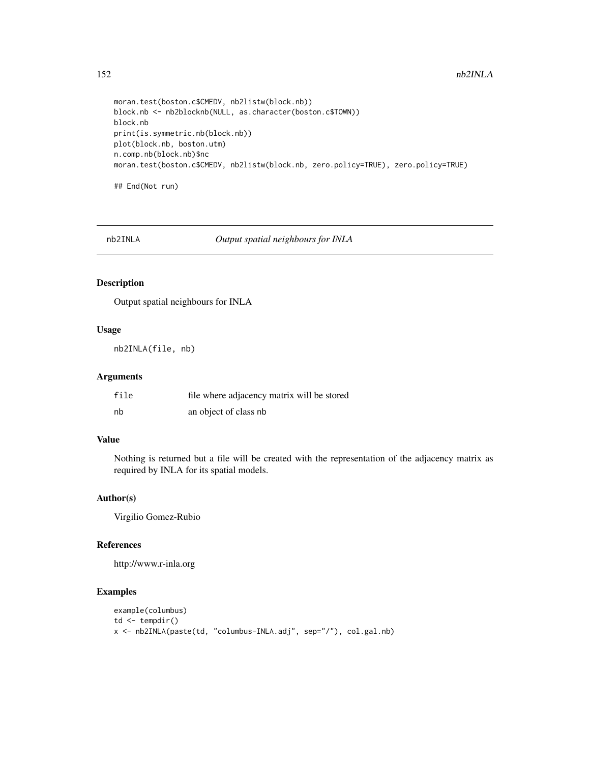```
moran.test(boston.c$CMEDV, nb2listw(block.nb))
block.nb <- nb2blocknb(NULL, as.character(boston.c$TOWN))
block.nb
print(is.symmetric.nb(block.nb))
plot(block.nb, boston.utm)
n.comp.nb(block.nb)$nc
moran.test(boston.c$CMEDV, nb2listw(block.nb, zero.policy=TRUE), zero.policy=TRUE)
```
## End(Not run)

nb2INLA *Output spatial neighbours for INLA*

# Description

Output spatial neighbours for INLA

## Usage

nb2INLA(file, nb)

# Arguments

| file | file where adjacency matrix will be stored |
|------|--------------------------------------------|
| nb   | an object of class nb                      |

# Value

Nothing is returned but a file will be created with the representation of the adjacency matrix as required by INLA for its spatial models.

# Author(s)

Virgilio Gomez-Rubio

## References

http://www.r-inla.org

```
example(columbus)
td \leftarrow tempdir()x <- nb2INLA(paste(td, "columbus-INLA.adj", sep="/"), col.gal.nb)
```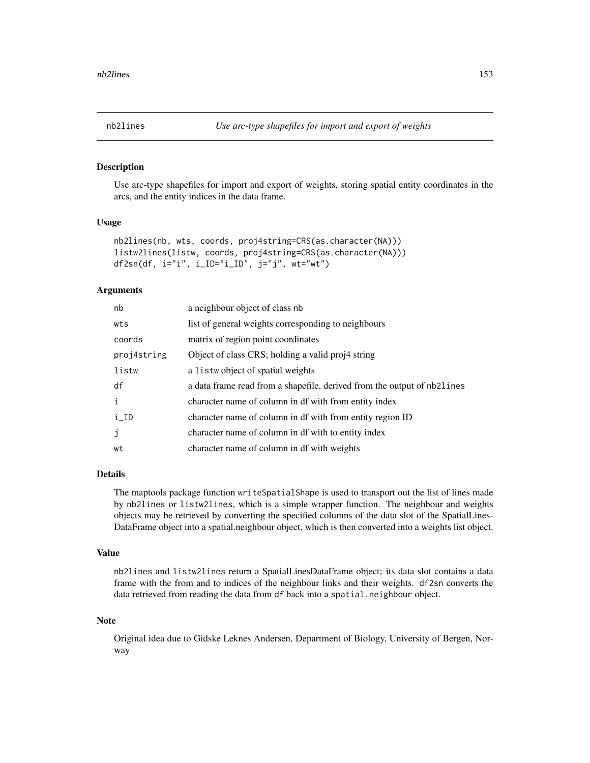Use arc-type shapefiles for import and export of weights, storing spatial entity coordinates in the arcs, and the entity indices in the data frame.

# Usage

```
nb2lines(nb, wts, coords, proj4string=CRS(as.character(NA)))
listw2lines(listw, coords, proj4string=CRS(as.character(NA)))
df2sn(df, i="i", i_ID="i_ID", j="j", wt="wt")
```
## Arguments

| nb                 | a neighbour object of class nb                                          |
|--------------------|-------------------------------------------------------------------------|
| wts                | list of general weights corresponding to neighbours                     |
| coords             | matrix of region point coordinates                                      |
| proj4string        | Object of class CRS; holding a valid proj4 string                       |
| listw              | a listwobject of spatial weights                                        |
| df                 | a data frame read from a shapefile, derived from the output of nb2lines |
| i                  | character name of column in df with from entity index                   |
| $i$ <sub>-ID</sub> | character name of column in df with from entity region ID               |
| j                  | character name of column in df with to entity index                     |
| wt                 | character name of column in df with weights                             |

# Details

The maptools package function writeSpatialShape is used to transport out the list of lines made by nb2lines or listw2lines, which is a simple wrapper function. The neighbour and weights objects may be retrieved by converting the specified columns of the data slot of the SpatialLines-DataFrame object into a spatial.neighbour object, which is then converted into a weights list object.

## Value

nb2lines and listw2lines return a SpatialLinesDataFrame object; its data slot contains a data frame with the from and to indices of the neighbour links and their weights. df2sn converts the data retrieved from reading the data from df back into a spatial.neighbour object.

## Note

Original idea due to Gidske Leknes Andersen, Department of Biology, University of Bergen, Norway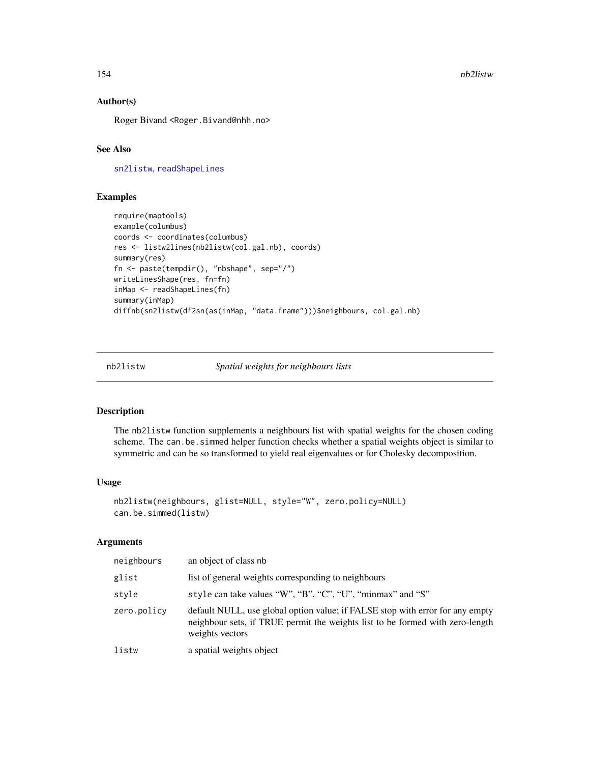154 nb2listw

# Author(s)

Roger Bivand <Roger.Bivand@nhh.no>

# See Also

[sn2listw](#page-113-0), [readShapeLines](#page-0-0)

# Examples

```
require(maptools)
example(columbus)
coords <- coordinates(columbus)
res <- listw2lines(nb2listw(col.gal.nb), coords)
summary(res)
fn <- paste(tempdir(), "nbshape", sep="/")
writeLinesShape(res, fn=fn)
inMap <- readShapeLines(fn)
summary(inMap)
diffnb(sn2listw(df2sn(as(inMap, "data.frame")))$neighbours, col.gal.nb)
```
<span id="page-153-0"></span>nb2listw *Spatial weights for neighbours lists*

## Description

The nb2listw function supplements a neighbours list with spatial weights for the chosen coding scheme. The can.be.simmed helper function checks whether a spatial weights object is similar to symmetric and can be so transformed to yield real eigenvalues or for Cholesky decomposition.

#### Usage

```
nb2listw(neighbours, glist=NULL, style="W", zero.policy=NULL)
can.be.simmed(listw)
```
#### Arguments

| neighbours  | an object of class nb                                                                                                                                                             |
|-------------|-----------------------------------------------------------------------------------------------------------------------------------------------------------------------------------|
| glist       | list of general weights corresponding to neighbours                                                                                                                               |
| style       | style can take values "W", "B", "C", "U", "minmax" and "S"                                                                                                                        |
| zero.policy | default NULL, use global option value; if FALSE stop with error for any empty<br>neighbour sets, if TRUE permit the weights list to be formed with zero-length<br>weights vectors |
| listw       | a spatial weights object                                                                                                                                                          |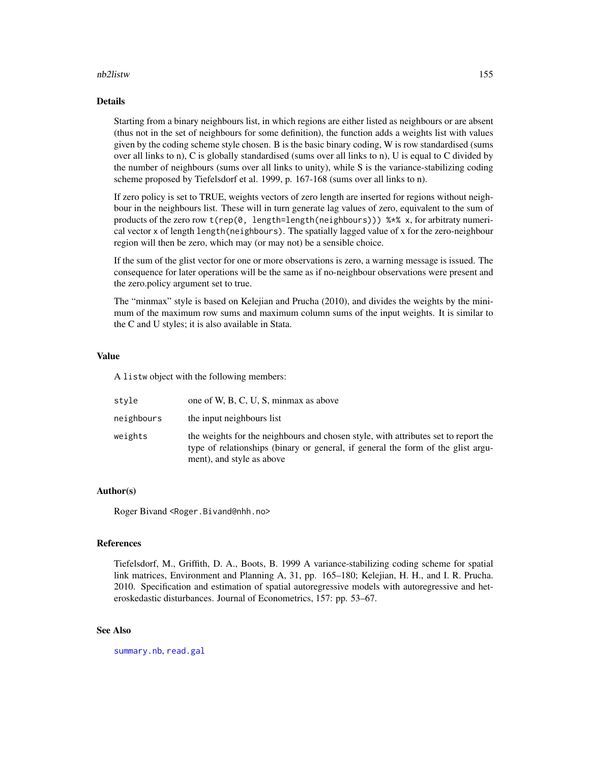## nb2listw 155

## Details

Starting from a binary neighbours list, in which regions are either listed as neighbours or are absent (thus not in the set of neighbours for some definition), the function adds a weights list with values given by the coding scheme style chosen. B is the basic binary coding, W is row standardised (sums over all links to n), C is globally standardised (sums over all links to n), U is equal to C divided by the number of neighbours (sums over all links to unity), while S is the variance-stabilizing coding scheme proposed by Tiefelsdorf et al. 1999, p. 167-168 (sums over all links to n).

If zero policy is set to TRUE, weights vectors of zero length are inserted for regions without neighbour in the neighbours list. These will in turn generate lag values of zero, equivalent to the sum of products of the zero row  $t(rep(\theta, length=length(neighbours)))$  %\*% x, for arbitraty numerical vector x of length length(neighbours). The spatially lagged value of x for the zero-neighbour region will then be zero, which may (or may not) be a sensible choice.

If the sum of the glist vector for one or more observations is zero, a warning message is issued. The consequence for later operations will be the same as if no-neighbour observations were present and the zero.policy argument set to true.

The "minmax" style is based on Kelejian and Prucha (2010), and divides the weights by the minimum of the maximum row sums and maximum column sums of the input weights. It is similar to the C and U styles; it is also available in Stata.

# Value

A listw object with the following members:

| stvle      | one of W, B, C, U, S, minmax as above                                                                                                                                                               |
|------------|-----------------------------------------------------------------------------------------------------------------------------------------------------------------------------------------------------|
| neighbours | the input neighbours list                                                                                                                                                                           |
| weights    | the weights for the neighbours and chosen style, with attributes set to report the<br>type of relationships (binary or general, if general the form of the glist argu-<br>ment), and style as above |

## Author(s)

Roger Bivand <Roger.Bivand@nhh.no>

#### References

Tiefelsdorf, M., Griffith, D. A., Boots, B. 1999 A variance-stabilizing coding scheme for spatial link matrices, Environment and Planning A, 31, pp. 165–180; Kelejian, H. H., and I. R. Prucha. 2010. Specification and estimation of spatial autoregressive models with autoregressive and heteroskedastic disturbances. Journal of Econometrics, 157: pp. 53–67.

## See Also

[summary.nb](#page-216-0), [read.gal](#page-179-0)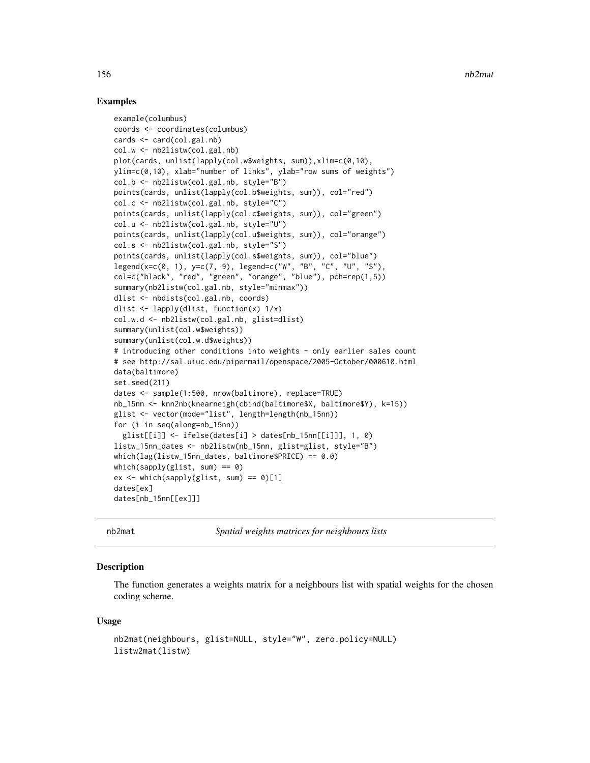## Examples

```
example(columbus)
coords <- coordinates(columbus)
cards <- card(col.gal.nb)
col.w <- nb2listw(col.gal.nb)
plot(cards, unlist(lapply(col.w$weights, sum)),xlim=c(0,10),
ylim=c(0,10), xlab="number of links", ylab="row sums of weights")
col.b <- nb2listw(col.gal.nb, style="B")
points(cards, unlist(lapply(col.b$weights, sum)), col="red")
col.c <- nb2listw(col.gal.nb, style="C")
points(cards, unlist(lapply(col.c$weights, sum)), col="green")
col.u <- nb2listw(col.gal.nb, style="U")
points(cards, unlist(lapply(col.u$weights, sum)), col="orange")
col.s <- nb2listw(col.gal.nb, style="S")
points(cards, unlist(lapply(col.s$weights, sum)), col="blue")
legend(x=c(0, 1), y=c(7, 9), legend=c("W", "B", "C", "U", "S"),
col=c("black", "red", "green", "orange", "blue"), pch=rep(1,5))
summary(nb2listw(col.gal.nb, style="minmax"))
dlist <- nbdists(col.gal.nb, coords)
dlist <- lapply(dlist, function(x) 1/x)
col.w.d <- nb2listw(col.gal.nb, glist=dlist)
summary(unlist(col.w$weights))
summary(unlist(col.w.d$weights))
# introducing other conditions into weights - only earlier sales count
# see http://sal.uiuc.edu/pipermail/openspace/2005-October/000610.html
data(baltimore)
set.seed(211)
dates <- sample(1:500, nrow(baltimore), replace=TRUE)
nb_15nn <- knn2nb(knearneigh(cbind(baltimore$X, baltimore$Y), k=15))
glist <- vector(mode="list", length=length(nb_15nn))
for (i in seq(along=nb_15nn))
  glist[[i]] <- ifelse(dates[i] > dates[nb_15nn[[i]]], 1, 0)
listw_15nn_dates <- nb2listw(nb_15nn, glist=glist, style="B")
which(lag(listw_15nn_dates, baltimore$PRICE) == 0.0)
which(sapply(glist, sum) == 0)
ex < - which(sapply(glist, sum) == 0)[1]
dates[ex]
dates[nb_15nn[[ex]]]
```
nb2mat *Spatial weights matrices for neighbours lists*

## Description

The function generates a weights matrix for a neighbours list with spatial weights for the chosen coding scheme.

## Usage

```
nb2mat(neighbours, glist=NULL, style="W", zero.policy=NULL)
listw2mat(listw)
```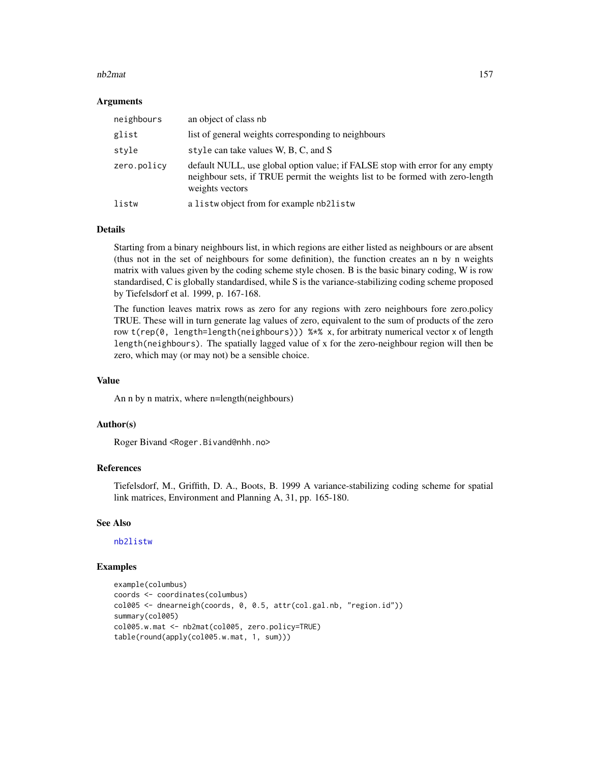#### nb2mat 157

## Arguments

| neighbours  | an object of class nb                                                                                                                                                             |
|-------------|-----------------------------------------------------------------------------------------------------------------------------------------------------------------------------------|
| glist       | list of general weights corresponding to neighbours                                                                                                                               |
| style       | style can take values W, B, C, and S                                                                                                                                              |
| zero.policy | default NULL, use global option value; if FALSE stop with error for any empty<br>neighbour sets, if TRUE permit the weights list to be formed with zero-length<br>weights vectors |
| listw       | a listwobject from for example nb2listw                                                                                                                                           |

## Details

Starting from a binary neighbours list, in which regions are either listed as neighbours or are absent (thus not in the set of neighbours for some definition), the function creates an n by n weights matrix with values given by the coding scheme style chosen. B is the basic binary coding, W is row standardised, C is globally standardised, while S is the variance-stabilizing coding scheme proposed by Tiefelsdorf et al. 1999, p. 167-168.

The function leaves matrix rows as zero for any regions with zero neighbours fore zero.policy TRUE. These will in turn generate lag values of zero, equivalent to the sum of products of the zero row  $t$ (rep(0, length=length(neighbours)))  $\frac{1}{2}$  x, for arbitraty numerical vector x of length length(neighbours). The spatially lagged value of x for the zero-neighbour region will then be zero, which may (or may not) be a sensible choice.

## Value

An n by n matrix, where n=length(neighbours)

## Author(s)

Roger Bivand <Roger.Bivand@nhh.no>

## References

Tiefelsdorf, M., Griffith, D. A., Boots, B. 1999 A variance-stabilizing coding scheme for spatial link matrices, Environment and Planning A, 31, pp. 165-180.

# See Also

[nb2listw](#page-153-0)

```
example(columbus)
coords <- coordinates(columbus)
col005 <- dnearneigh(coords, 0, 0.5, attr(col.gal.nb, "region.id"))
summary(col005)
col005.w.mat <- nb2mat(col005, zero.policy=TRUE)
table(round(apply(col005.w.mat, 1, sum)))
```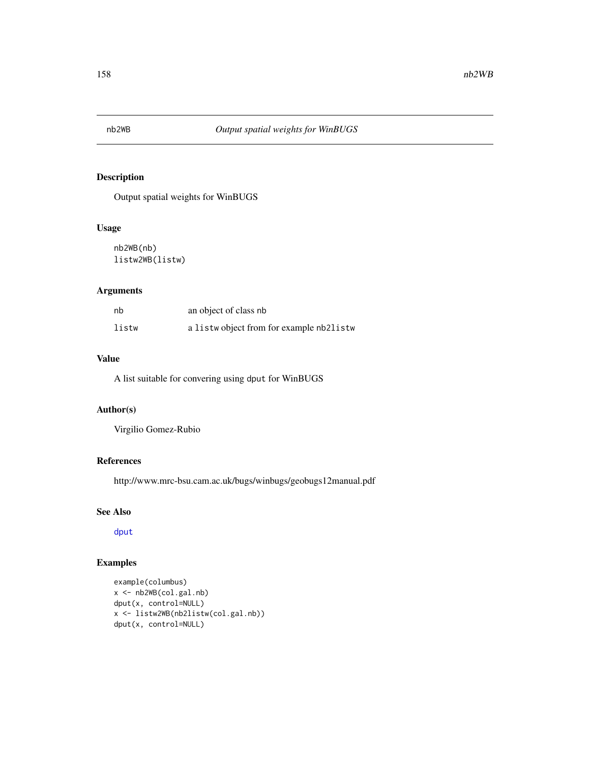Output spatial weights for WinBUGS

# Usage

nb2WB(nb) listw2WB(listw)

# Arguments

| nb    | an object of class nb                    |
|-------|------------------------------------------|
| listw | a listwo bject from for example nb2listw |

#### Value

A list suitable for convering using dput for WinBUGS

# Author(s)

Virgilio Gomez-Rubio

# References

http://www.mrc-bsu.cam.ac.uk/bugs/winbugs/geobugs12manual.pdf

# See Also

[dput](#page-0-0)

```
example(columbus)
x <- nb2WB(col.gal.nb)
dput(x, control=NULL)
x <- listw2WB(nb2listw(col.gal.nb))
dput(x, control=NULL)
```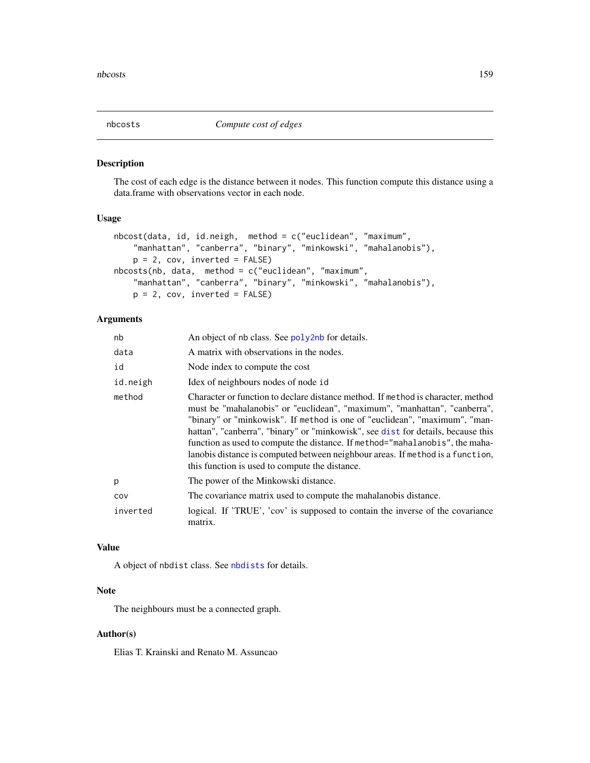The cost of each edge is the distance between it nodes. This function compute this distance using a data.frame with observations vector in each node.

## Usage

```
nbcost(data, id, id.neigh, method = c("euclidean", "maximum",
   "manhattan", "canberra", "binary", "minkowski", "mahalanobis"),
   p = 2, cov, inverted = FALSE)
nbcosts(nb, data, method = c("euclidean", "maximum",
   "manhattan", "canberra", "binary", "minkowski", "mahalanobis"),
   p = 2, cov, inverted = FALSE)
```
# Arguments

| nb       | An object of nb class. See poly2nb for details.                                                                                                                                                                                                                                                                                                                                                                                                                                                                                                     |
|----------|-----------------------------------------------------------------------------------------------------------------------------------------------------------------------------------------------------------------------------------------------------------------------------------------------------------------------------------------------------------------------------------------------------------------------------------------------------------------------------------------------------------------------------------------------------|
| data     | A matrix with observations in the nodes.                                                                                                                                                                                                                                                                                                                                                                                                                                                                                                            |
| id       | Node index to compute the cost                                                                                                                                                                                                                                                                                                                                                                                                                                                                                                                      |
| id.neigh | Idex of neighbours nodes of node id                                                                                                                                                                                                                                                                                                                                                                                                                                                                                                                 |
| method   | Character or function to declare distance method. If method is character, method<br>must be "mahalanobis" or "euclidean", "maximum", "manhattan", "canberra",<br>"binary" or "minkowisk". If method is one of "euclidean", "maximum", "man-<br>hattan", "canberra", "binary" or "minkowisk", see dist for details, because this<br>function as used to compute the distance. If method="mahalanobis", the maha-<br>lanobis distance is computed between neighbour areas. If method is a function,<br>this function is used to compute the distance. |
| p        | The power of the Minkowski distance.                                                                                                                                                                                                                                                                                                                                                                                                                                                                                                                |
| cov      | The covariance matrix used to compute the mahalanobis distance.                                                                                                                                                                                                                                                                                                                                                                                                                                                                                     |
| inverted | logical. If 'TRUE', 'cov' is supposed to contain the inverse of the covariance<br>matrix.                                                                                                                                                                                                                                                                                                                                                                                                                                                           |

# Value

A object of nbdist class. See [nbdists](#page-159-0) for details.

# Note

The neighbours must be a connected graph.

# Author(s)

Elias T. Krainski and Renato M. Assuncao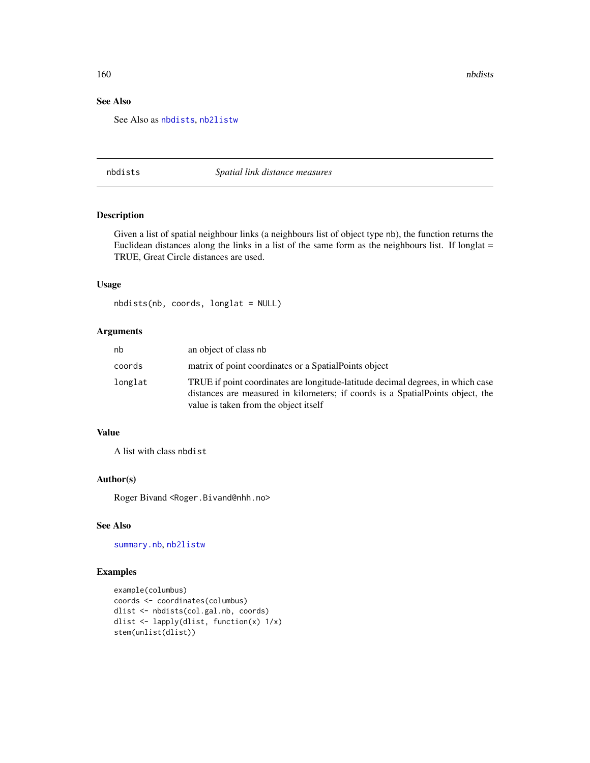160 nbdists and the contract of the contract of the contract of the contract of the contract of the contract of the contract of the contract of the contract of the contract of the contract of the contract of the contract o

# See Also

See Also as [nbdists](#page-159-0), [nb2listw](#page-153-0)

<span id="page-159-0"></span>nbdists *Spatial link distance measures*

# Description

Given a list of spatial neighbour links (a neighbours list of object type nb), the function returns the Euclidean distances along the links in a list of the same form as the neighbours list. If longlat = TRUE, Great Circle distances are used.

#### Usage

nbdists(nb, coords, longlat = NULL)

# Arguments

| nb      | an object of class nb                                                                                                                                                                                       |
|---------|-------------------------------------------------------------------------------------------------------------------------------------------------------------------------------------------------------------|
| coords  | matrix of point coordinates or a Spatial Points object                                                                                                                                                      |
| longlat | TRUE if point coordinates are longitude-latitude decimal degrees, in which case<br>distances are measured in kilometers; if coords is a Spatial Points object, the<br>value is taken from the object itself |

## Value

A list with class nbdist

## Author(s)

Roger Bivand <Roger.Bivand@nhh.no>

## See Also

[summary.nb](#page-216-0), [nb2listw](#page-153-0)

```
example(columbus)
coords <- coordinates(columbus)
dlist <- nbdists(col.gal.nb, coords)
dlist <- lapply(dlist, function(x) 1/x)
stem(unlist(dlist))
```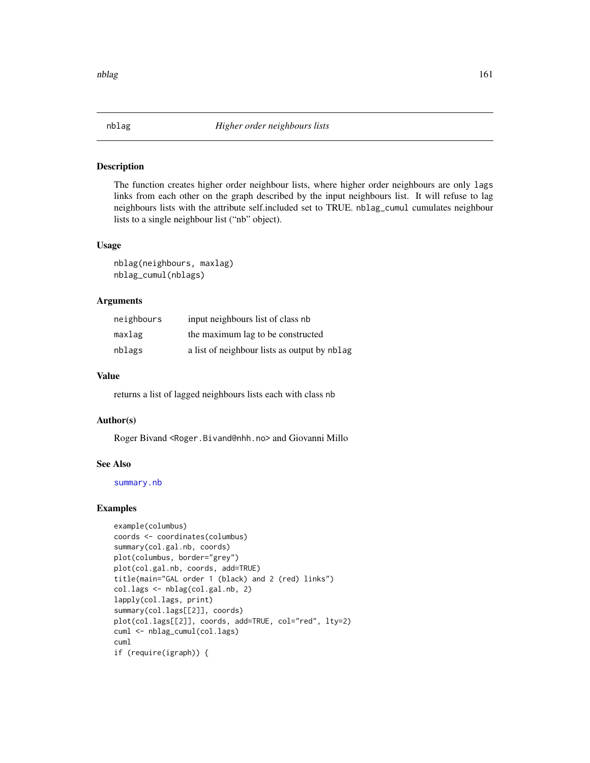The function creates higher order neighbour lists, where higher order neighbours are only lags links from each other on the graph described by the input neighbours list. It will refuse to lag neighbours lists with the attribute self.included set to TRUE. nblag\_cumul cumulates neighbour lists to a single neighbour list ("nb" object).

#### Usage

nblag(neighbours, maxlag) nblag\_cumul(nblags)

## Arguments

| neighbours | input neighbours list of class nb            |
|------------|----------------------------------------------|
| maxlag     | the maximum lag to be constructed            |
| nblags     | a list of neighbour lists as output by nblag |

## Value

returns a list of lagged neighbours lists each with class nb

## Author(s)

Roger Bivand <Roger.Bivand@nhh.no> and Giovanni Millo

## See Also

[summary.nb](#page-216-0)

```
example(columbus)
coords <- coordinates(columbus)
summary(col.gal.nb, coords)
plot(columbus, border="grey")
plot(col.gal.nb, coords, add=TRUE)
title(main="GAL order 1 (black) and 2 (red) links")
col.lags <- nblag(col.gal.nb, 2)
lapply(col.lags, print)
summary(col.lags[[2]], coords)
plot(col.lags[[2]], coords, add=TRUE, col="red", lty=2)
cuml <- nblag_cumul(col.lags)
cuml
if (require(igraph)) {
```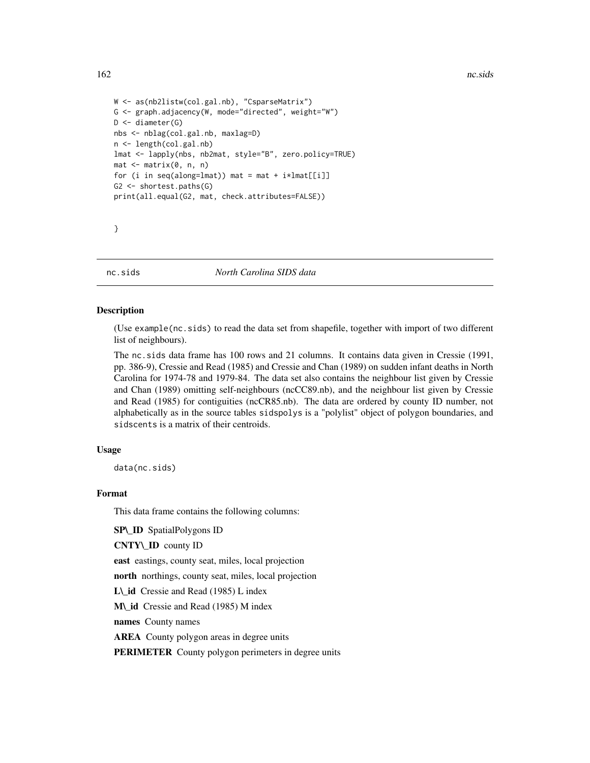```
W <- as(nb2listw(col.gal.nb), "CsparseMatrix")
G <- graph.adjacency(W, mode="directed", weight="W")
D <- diameter(G)
nbs <- nblag(col.gal.nb, maxlag=D)
n <- length(col.gal.nb)
lmat <- lapply(nbs, nb2mat, style="B", zero.policy=TRUE)
mat <- matrix(0, n, n)
for (i in seq(along=lmat)) mat = mat + i*lmat[[i]]G2 <- shortest.paths(G)
print(all.equal(G2, mat, check.attributes=FALSE))
```
}

nc.sids *North Carolina SIDS data*

## **Description**

(Use example(nc.sids) to read the data set from shapefile, together with import of two different list of neighbours).

The nc.sids data frame has 100 rows and 21 columns. It contains data given in Cressie (1991, pp. 386-9), Cressie and Read (1985) and Cressie and Chan (1989) on sudden infant deaths in North Carolina for 1974-78 and 1979-84. The data set also contains the neighbour list given by Cressie and Chan (1989) omitting self-neighbours (ncCC89.nb), and the neighbour list given by Cressie and Read (1985) for contiguities (ncCR85.nb). The data are ordered by county ID number, not alphabetically as in the source tables sidspolys is a "polylist" object of polygon boundaries, and sidscents is a matrix of their centroids.

## Usage

data(nc.sids)

## Format

This data frame contains the following columns:

SP\\_ID SpatialPolygons ID

CNTY\\_ID county ID

east eastings, county seat, miles, local projection

north northings, county seat, miles, local projection

L\\_id Cressie and Read (1985) L index

M\\_id Cressie and Read (1985) M index

names County names

AREA County polygon areas in degree units

PERIMETER County polygon perimeters in degree units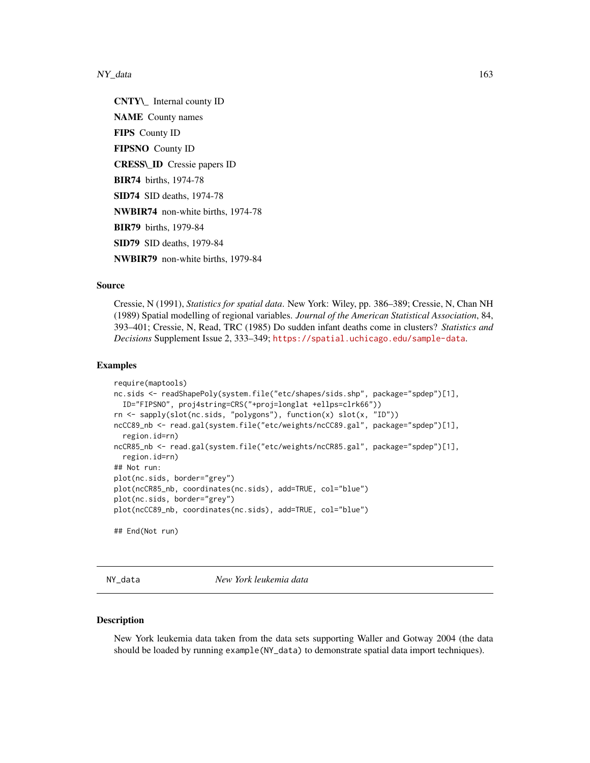$NY_\text{data}$  163

CNTY\\_ Internal county ID NAME County names FIPS County ID FIPSNO County ID CRESS\\_ID Cressie papers ID BIR74 births, 1974-78 SID74 SID deaths, 1974-78 NWBIR74 non-white births, 1974-78 BIR79 births, 1979-84 SID79 SID deaths, 1979-84 NWBIR79 non-white births, 1979-84

#### Source

Cressie, N (1991), *Statistics for spatial data*. New York: Wiley, pp. 386–389; Cressie, N, Chan NH (1989) Spatial modelling of regional variables. *Journal of the American Statistical Association*, 84, 393–401; Cressie, N, Read, TRC (1985) Do sudden infant deaths come in clusters? *Statistics and Decisions* Supplement Issue 2, 333–349; <https://spatial.uchicago.edu/sample-data>.

## Examples

```
require(maptools)
nc.sids <- readShapePoly(system.file("etc/shapes/sids.shp", package="spdep")[1],
  ID="FIPSNO", proj4string=CRS("+proj=longlat +ellps=clrk66"))
rn <- sapply(slot(nc.sids, "polygons"), function(x) slot(x, "ID"))
ncCC89_nb <- read.gal(system.file("etc/weights/ncCC89.gal", package="spdep")[1],
  region.id=rn)
ncCR85_nb <- read.gal(system.file("etc/weights/ncCR85.gal", package="spdep")[1],
  region.id=rn)
## Not run:
plot(nc.sids, border="grey")
plot(ncCR85_nb, coordinates(nc.sids), add=TRUE, col="blue")
plot(nc.sids, border="grey")
plot(ncCC89_nb, coordinates(nc.sids), add=TRUE, col="blue")
## End(Not run)
```
NY\_data *New York leukemia data*

#### Description

New York leukemia data taken from the data sets supporting Waller and Gotway 2004 (the data should be loaded by running example(NY\_data) to demonstrate spatial data import techniques).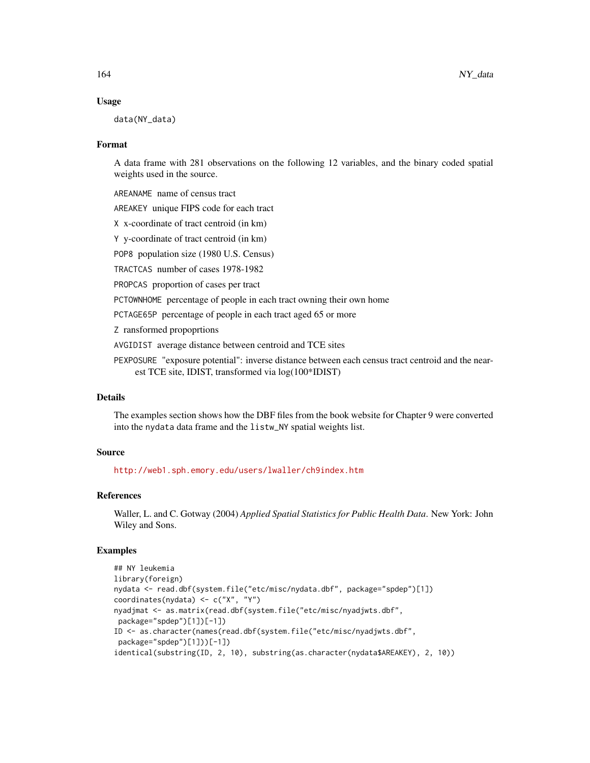## Usage

data(NY\_data)

#### Format

A data frame with 281 observations on the following 12 variables, and the binary coded spatial weights used in the source.

AREANAME name of census tract

AREAKEY unique FIPS code for each tract

X x-coordinate of tract centroid (in km)

Y y-coordinate of tract centroid (in km)

POP8 population size (1980 U.S. Census)

TRACTCAS number of cases 1978-1982

PROPCAS proportion of cases per tract

PCTOWNHOME percentage of people in each tract owning their own home

PCTAGE65P percentage of people in each tract aged 65 or more

Z ransformed propoprtions

AVGIDIST average distance between centroid and TCE sites

PEXPOSURE "exposure potential": inverse distance between each census tract centroid and the nearest TCE site, IDIST, transformed via log(100\*IDIST)

# Details

The examples section shows how the DBF files from the book website for Chapter 9 were converted into the nydata data frame and the listw\_NY spatial weights list.

## Source

<http://web1.sph.emory.edu/users/lwaller/ch9index.htm>

## References

Waller, L. and C. Gotway (2004) *Applied Spatial Statistics for Public Health Data*. New York: John Wiley and Sons.

```
## NY leukemia
library(foreign)
nydata <- read.dbf(system.file("etc/misc/nydata.dbf", package="spdep")[1])
coordinates(nydata) <- c("X", "Y")
nyadjmat <- as.matrix(read.dbf(system.file("etc/misc/nyadjwts.dbf",
package="spdep")[1])[-1])
ID <- as.character(names(read.dbf(system.file("etc/misc/nyadjwts.dbf",
package="spdep")[1]))[-1])
identical(substring(ID, 2, 10), substring(as.character(nydata$AREAKEY), 2, 10))
```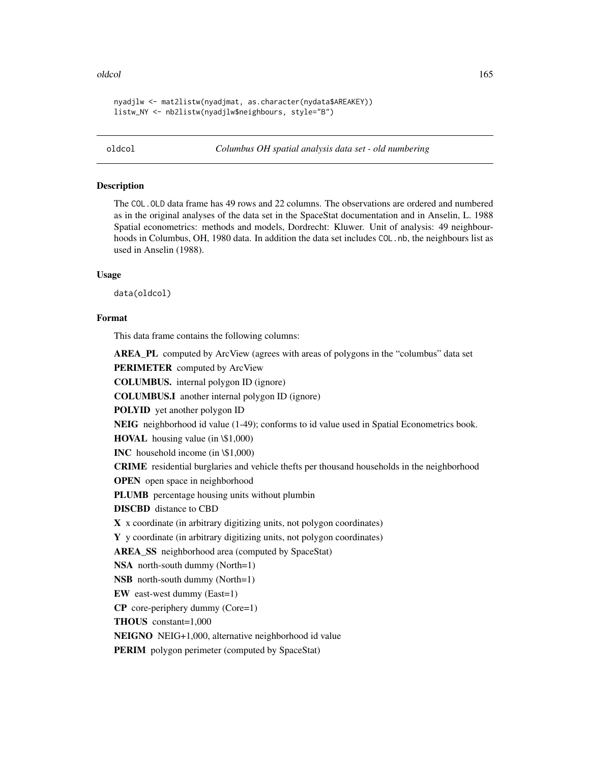#### oldcol and the state of the state of the state of the state of the state of the state of the state of the state of the state of the state of the state of the state of the state of the state of the state of the state of the

nyadjlw <- mat2listw(nyadjmat, as.character(nydata\$AREAKEY)) listw\_NY <- nb2listw(nyadjlw\$neighbours, style="B")

oldcol *Columbus OH spatial analysis data set - old numbering*

## Description

The COL. OLD data frame has 49 rows and 22 columns. The observations are ordered and numbered as in the original analyses of the data set in the SpaceStat documentation and in Anselin, L. 1988 Spatial econometrics: methods and models, Dordrecht: Kluwer. Unit of analysis: 49 neighbourhoods in Columbus, OH, 1980 data. In addition the data set includes COL.nb, the neighbours list as used in Anselin (1988).

# Usage

data(oldcol)

#### Format

This data frame contains the following columns:

AREA\_PL computed by ArcView (agrees with areas of polygons in the "columbus" data set

PERIMETER computed by ArcView

COLUMBUS. internal polygon ID (ignore)

COLUMBUS.I another internal polygon ID (ignore)

POLYID yet another polygon ID

NEIG neighborhood id value (1-49); conforms to id value used in Spatial Econometrics book.

HOVAL housing value (in \\$1,000)

INC household income (in \\$1,000)

CRIME residential burglaries and vehicle thefts per thousand households in the neighborhood

OPEN open space in neighborhood

PLUMB percentage housing units without plumbin

DISCBD distance to CBD

X x coordinate (in arbitrary digitizing units, not polygon coordinates)

Y y coordinate (in arbitrary digitizing units, not polygon coordinates)

AREA\_SS neighborhood area (computed by SpaceStat)

NSA north-south dummy (North=1)

NSB north-south dummy (North=1)

EW east-west dummy (East=1)

CP core-periphery dummy (Core=1)

THOUS constant=1,000

NEIGNO NEIG+1,000, alternative neighborhood id value

**PERIM** polygon perimeter (computed by SpaceStat)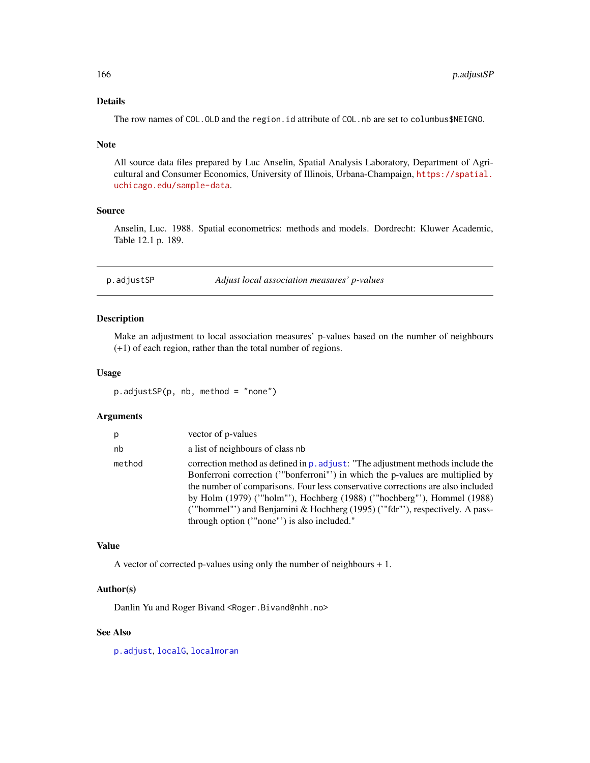# Details

The row names of COL. OLD and the region. id attribute of COL. nb are set to columbus\$NEIGNO.

#### Note

All source data files prepared by Luc Anselin, Spatial Analysis Laboratory, Department of Agricultural and Consumer Economics, University of Illinois, Urbana-Champaign, [https://spatial.](https://spatial.uchicago.edu/sample-data) [uchicago.edu/sample-data](https://spatial.uchicago.edu/sample-data).

## Source

Anselin, Luc. 1988. Spatial econometrics: methods and models. Dordrecht: Kluwer Academic, Table 12.1 p. 189.

p.adjustSP *Adjust local association measures' p-values*

# Description

Make an adjustment to local association measures' p-values based on the number of neighbours (+1) of each region, rather than the total number of regions.

## Usage

p.adjustSP(p, nb, method = "none")

## Arguments

| p      | vector of p-values                                                                                                                                                                                                                                                                                                                                                                                                                                      |
|--------|---------------------------------------------------------------------------------------------------------------------------------------------------------------------------------------------------------------------------------------------------------------------------------------------------------------------------------------------------------------------------------------------------------------------------------------------------------|
| nb     | a list of neighbours of class nb                                                                                                                                                                                                                                                                                                                                                                                                                        |
| method | correction method as defined in p. adjust: "The adjustment methods include the<br>Bonferroni correction ("bonferroni") in which the p-values are multiplied by<br>the number of comparisons. Four less conservative corrections are also included<br>by Holm (1979) ("holm"'), Hochberg (1988) ("hochberg"'), Hommel (1988)<br>("hommel") and Benjamini & Hochberg (1995) ("fdr"'), respectively. A pass-<br>through option ("none") is also included." |

# Value

A vector of corrected p-values using only the number of neighbours + 1.

## Author(s)

Danlin Yu and Roger Bivand <Roger.Bivand@nhh.no>

## See Also

[p.adjust](#page-0-0), [localG](#page-123-0), [localmoran](#page-125-0)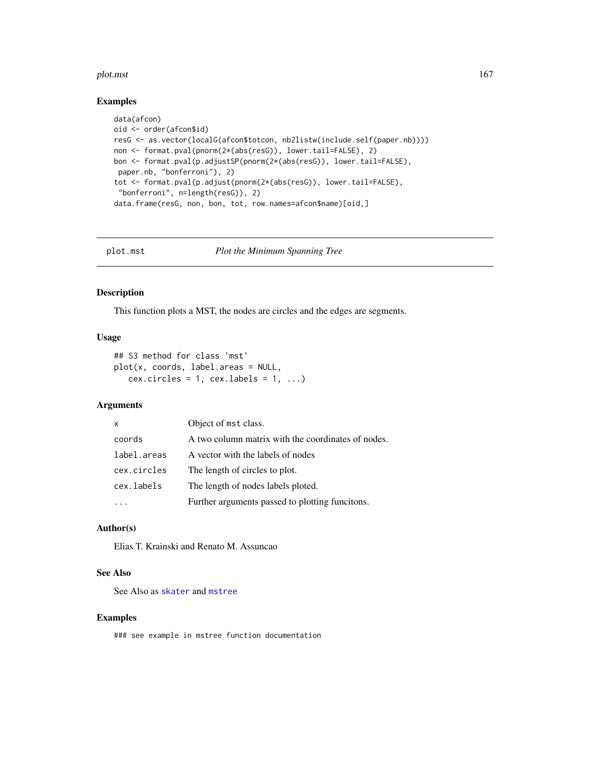#### plot.mst 167

## Examples

```
data(afcon)
oid <- order(afcon$id)
resG <- as.vector(localG(afcon$totcon, nb2listw(include.self(paper.nb))))
non <- format.pval(pnorm(2*(abs(resG)), lower.tail=FALSE), 2)
bon <- format.pval(p.adjustSP(pnorm(2*(abs(resG)), lower.tail=FALSE),
paper.nb, "bonferroni"), 2)
tot <- format.pval(p.adjust(pnorm(2*(abs(resG)), lower.tail=FALSE),
 "bonferroni", n=length(resG)), 2)
data.frame(resG, non, bon, tot, row.names=afcon$name)[oid,]
```
plot.mst *Plot the Minimum Spanning Tree*

# Description

This function plots a MST, the nodes are circles and the edges are segments.

## Usage

```
## S3 method for class 'mst'
plot(x, coords, label.areas = NULL,
   cex.circles = 1, cex.labels = 1, ...)
```
# Arguments

| X           | Object of mst class.                               |
|-------------|----------------------------------------------------|
| coords      | A two column matrix with the coordinates of nodes. |
| label.areas | A vector with the labels of nodes                  |
| cex.circles | The length of circles to plot.                     |
| cex.labels  | The length of nodes labels ploted.                 |
|             | Further arguments passed to plotting funcitons.    |

## Author(s)

Elias T. Krainski and Renato M. Assuncao

## See Also

See Also as [skater](#page-193-0) and [mstree](#page-146-0)

## Examples

### see example in mstree function documentation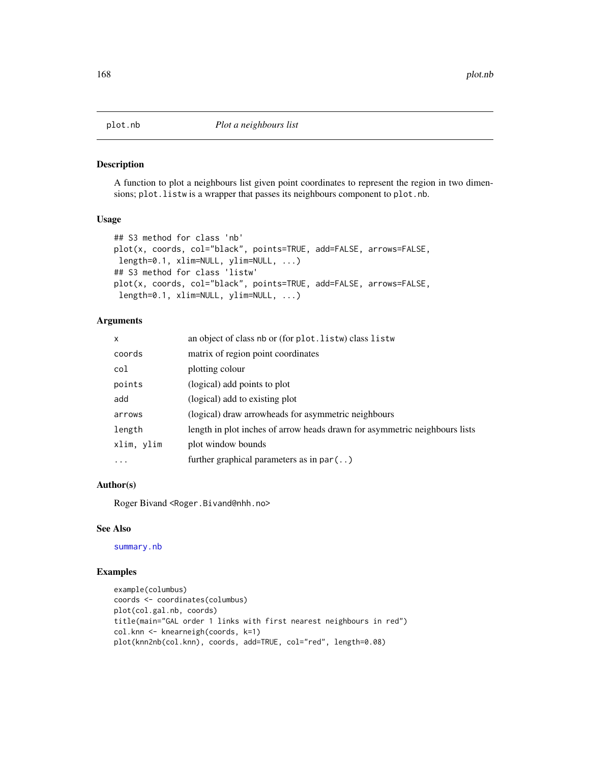A function to plot a neighbours list given point coordinates to represent the region in two dimensions; plot.listw is a wrapper that passes its neighbours component to plot.nb.

## Usage

```
## S3 method for class 'nb'
plot(x, coords, col="black", points=TRUE, add=FALSE, arrows=FALSE,
length=0.1, xlim=NULL, ylim=NULL, ...)
## S3 method for class 'listw'
plot(x, coords, col="black", points=TRUE, add=FALSE, arrows=FALSE,
length=0.1, xlim=NULL, ylim=NULL, ...)
```
## Arguments

| x          | an object of class nb or (for plot. listw) class listw                     |
|------------|----------------------------------------------------------------------------|
| coords     | matrix of region point coordinates                                         |
| col        | plotting colour                                                            |
| points     | (logical) add points to plot                                               |
| add        | (logical) add to existing plot                                             |
| arrows     | (logical) draw arrowheads for asymmetric neighbours                        |
| length     | length in plot inches of arrow heads drawn for asymmetric neighbours lists |
| xlim, ylim | plot window bounds                                                         |
| $\ddots$   | further graphical parameters as in $par($ )                                |

## Author(s)

Roger Bivand <Roger.Bivand@nhh.no>

## See Also

[summary.nb](#page-216-0)

```
example(columbus)
coords <- coordinates(columbus)
plot(col.gal.nb, coords)
title(main="GAL order 1 links with first nearest neighbours in red")
col.knn <- knearneigh(coords, k=1)
plot(knn2nb(col.knn), coords, add=TRUE, col="red", length=0.08)
```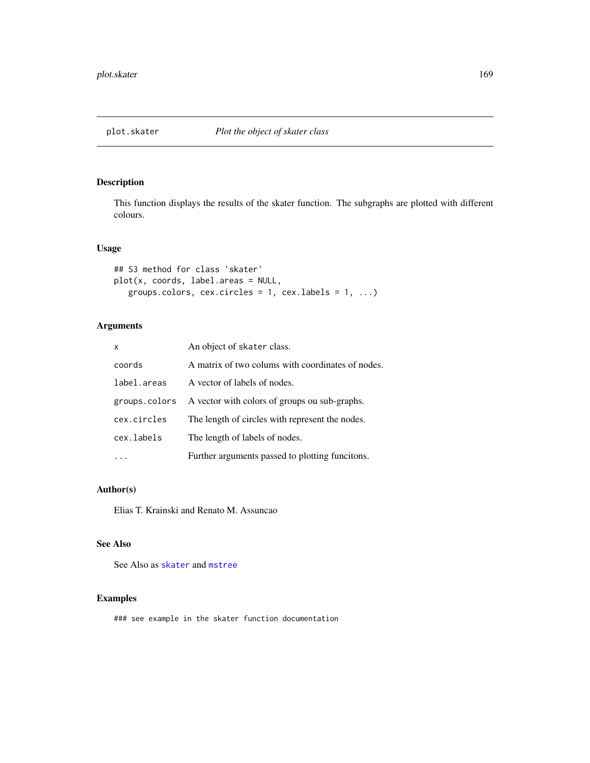This function displays the results of the skater function. The subgraphs are plotted with different colours.

# Usage

```
## S3 method for class 'skater'
plot(x, coords, label.areas = NULL,
   groups.colors, cex.circles = 1, cexulabels = 1, ...)
```
# Arguments

| X             | An object of skater class.                        |
|---------------|---------------------------------------------------|
| coords        | A matrix of two colums with coordinates of nodes. |
| label.areas   | A vector of labels of nodes.                      |
| groups.colors | A vector with colors of groups ou sub-graphs.     |
| cex.circles   | The length of circles with represent the nodes.   |
| cex.labels    | The length of labels of nodes.                    |
|               | Further arguments passed to plotting funcitons.   |

## Author(s)

Elias T. Krainski and Renato M. Assuncao

# See Also

See Also as [skater](#page-193-0) and [mstree](#page-146-0)

# Examples

### see example in the skater function documentation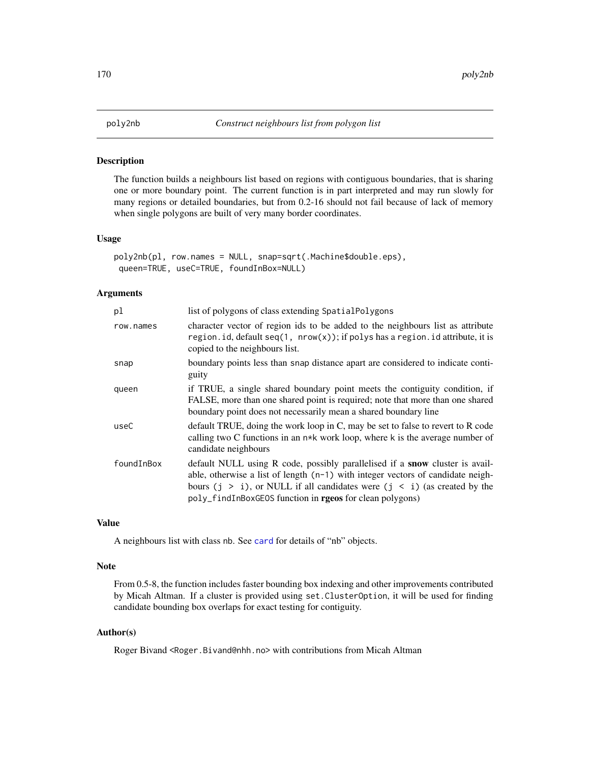<span id="page-169-0"></span>The function builds a neighbours list based on regions with contiguous boundaries, that is sharing one or more boundary point. The current function is in part interpreted and may run slowly for many regions or detailed boundaries, but from 0.2-16 should not fail because of lack of memory when single polygons are built of very many border coordinates.

#### Usage

```
poly2nb(pl, row.names = NULL, snap=sqrt(.Machine$double.eps),
queen=TRUE, useC=TRUE, foundInBox=NULL)
```
# Arguments

| pl         | list of polygons of class extending SpatialPolygons                                                                                                                                                                                                                                                                   |
|------------|-----------------------------------------------------------------------------------------------------------------------------------------------------------------------------------------------------------------------------------------------------------------------------------------------------------------------|
| row.names  | character vector of region ids to be added to the neighbours list as attribute<br>region.id, default $seq(1, nrow(x));$ if polys has a region.id attribute, it is<br>copied to the neighbours list.                                                                                                                   |
| snap       | boundary points less than snap distance apart are considered to indicate conti-<br>guity                                                                                                                                                                                                                              |
| queen      | if TRUE, a single shared boundary point meets the contiguity condition, if<br>FALSE, more than one shared point is required; note that more than one shared<br>boundary point does not necessarily mean a shared boundary line                                                                                        |
| useC       | default TRUE, doing the work loop in C, may be set to false to revert to R code<br>calling two C functions in an $n*k$ work loop, where k is the average number of<br>candidate neighbours                                                                                                                            |
| foundInBox | default NULL using R code, possibly parallelised if a <b>snow</b> cluster is avail-<br>able, otherwise a list of length $(n-1)$ with integer vectors of candidate neigh-<br>bours $(j > i)$ , or NULL if all candidates were $(j < i)$ (as created by the<br>poly_findInBoxGEOS function in rgeos for clean polygons) |

#### Value

A neighbours list with class nb. See [card](#page-23-0) for details of "nb" objects.

## Note

From 0.5-8, the function includes faster bounding box indexing and other improvements contributed by Micah Altman. If a cluster is provided using set.ClusterOption, it will be used for finding candidate bounding box overlaps for exact testing for contiguity.

## Author(s)

Roger Bivand <Roger.Bivand@nhh.no> with contributions from Micah Altman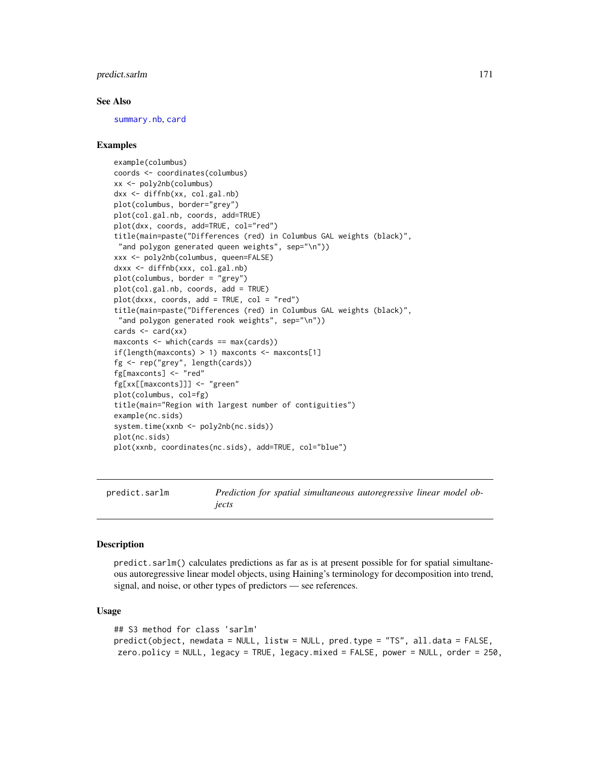# predict.sarlm 171

### See Also

[summary.nb](#page-216-0), [card](#page-23-0)

## Examples

```
example(columbus)
coords <- coordinates(columbus)
xx <- poly2nb(columbus)
dxx <- diffnb(xx, col.gal.nb)
plot(columbus, border="grey")
plot(col.gal.nb, coords, add=TRUE)
plot(dxx, coords, add=TRUE, col="red")
title(main=paste("Differences (red) in Columbus GAL weights (black)",
"and polygon generated queen weights", sep="\n"))
xxx <- poly2nb(columbus, queen=FALSE)
dxxx <- diffnb(xxx, col.gal.nb)
plot(columbus, border = "grey")
plot(col.gal.nb, coords, add = TRUE)
plot(dxxx, coords, add = TRUE, col = "red")
title(main=paste("Differences (red) in Columbus GAL weights (black)",
 "and polygon generated rook weights", sep="\n"))
cards \leq card(xx)
maxconts <- which(cards == max(cards))
if(length(maxconts) > 1) maxconts \leq maxconts[1]
fg <- rep("grey", length(cards))
fg[maxconts] <- "red"
fg[xx[[maxconts]]] <- "green"
plot(columbus, col=fg)
title(main="Region with largest number of contiguities")
example(nc.sids)
system.time(xxnb <- poly2nb(nc.sids))
plot(nc.sids)
plot(xxnb, coordinates(nc.sids), add=TRUE, col="blue")
```
predict.sarlm *Prediction for spatial simultaneous autoregressive linear model objects*

#### Description

predict.sarlm() calculates predictions as far as is at present possible for for spatial simultaneous autoregressive linear model objects, using Haining's terminology for decomposition into trend, signal, and noise, or other types of predictors — see references.

#### Usage

```
## S3 method for class 'sarlm'
predict(object, newdata = NULL, listw = NULL, pred.type = "TS", all.data = FALSE,
zero.policy = NULL, legacy = TRUE, legacy.mixed = FALSE, power = NULL, order = 250,
```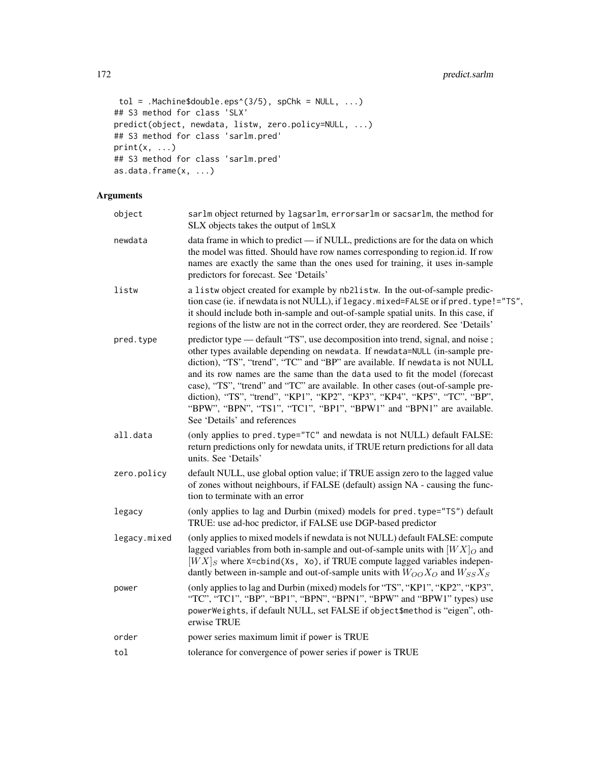```
tol = .Machine$double.eps^(3/5), spChk = NULL, ...)## S3 method for class 'SLX'
predict(object, newdata, listw, zero.policy=NULL, ...)
## S3 method for class 'sarlm.pred'
print(x, \ldots)## S3 method for class 'sarlm.pred'
as.data.frame(x, ...)
```
# Arguments

| object       | sarlm object returned by lagsarlm, errorsarlm or sacsarlm, the method for<br>SLX objects takes the output of 1mSLX                                                                                                                                                                                                                                                                                                                                                                                                                                                                                  |
|--------------|-----------------------------------------------------------------------------------------------------------------------------------------------------------------------------------------------------------------------------------------------------------------------------------------------------------------------------------------------------------------------------------------------------------------------------------------------------------------------------------------------------------------------------------------------------------------------------------------------------|
| newdata      | data frame in which to predict - if NULL, predictions are for the data on which<br>the model was fitted. Should have row names corresponding to region.id. If row<br>names are exactly the same than the ones used for training, it uses in-sample<br>predictors for forecast. See 'Details'                                                                                                                                                                                                                                                                                                        |
| listw        | a listw object created for example by nb2listw. In the out-of-sample predic-<br>tion case (ie. if newdata is not NULL), if legacy.mixed=FALSE or if pred.type!="TS",<br>it should include both in-sample and out-of-sample spatial units. In this case, if<br>regions of the listw are not in the correct order, they are reordered. See 'Details'                                                                                                                                                                                                                                                  |
| pred.type    | predictor type — default "TS", use decomposition into trend, signal, and noise;<br>other types available depending on newdata. If newdata=NULL (in-sample pre-<br>diction), "TS", "trend", "TC" and "BP" are available. If newdata is not NULL<br>and its row names are the same than the data used to fit the model (forecast<br>case), "TS", "trend" and "TC" are available. In other cases (out-of-sample pre-<br>diction), "TS", "trend", "KP1", "KP2", "KP3", "KP4", "KP5", "TC", "BP",<br>"BPW", "BPN", "TS1", "TC1", "BP1", "BPW1" and "BPN1" are available.<br>See 'Details' and references |
| all.data     | (only applies to pred.type="TC" and newdata is not NULL) default FALSE:<br>return predictions only for newdata units, if TRUE return predictions for all data<br>units. See 'Details'                                                                                                                                                                                                                                                                                                                                                                                                               |
| zero.policy  | default NULL, use global option value; if TRUE assign zero to the lagged value<br>of zones without neighbours, if FALSE (default) assign NA - causing the func-<br>tion to terminate with an error                                                                                                                                                                                                                                                                                                                                                                                                  |
| legacy       | (only applies to lag and Durbin (mixed) models for pred. type="TS") default<br>TRUE: use ad-hoc predictor, if FALSE use DGP-based predictor                                                                                                                                                                                                                                                                                                                                                                                                                                                         |
| legacy.mixed | (only applies to mixed models if newdata is not NULL) default FALSE: compute<br>lagged variables from both in-sample and out-of-sample units with $[WX]_O$ and<br>$[WX]_S$ where X=cbind(Xs, Xo), if TRUE compute lagged variables indepen-<br>dantly between in-sample and out-of-sample units with $W_{OO}X_O$ and $W_{SS}X_S$                                                                                                                                                                                                                                                                    |
| power        | (only applies to lag and Durbin (mixed) models for "TS", "KP1", "KP2", "KP3",<br>"TC", "TC1", "BP", "BP1", "BPN", "BPN1", "BPW" and "BPW1" types) use<br>powerWeights, if default NULL, set FALSE if object\$method is "eigen", oth-<br>erwise TRUE                                                                                                                                                                                                                                                                                                                                                 |
| order        | power series maximum limit if power is TRUE                                                                                                                                                                                                                                                                                                                                                                                                                                                                                                                                                         |
| tol          | tolerance for convergence of power series if power is TRUE                                                                                                                                                                                                                                                                                                                                                                                                                                                                                                                                          |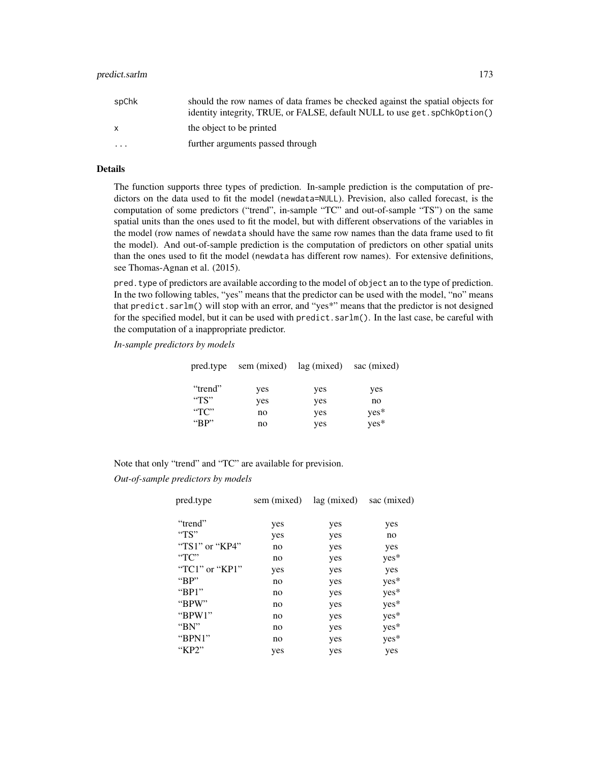| spChk   | should the row names of data frames be checked against the spatial objects for<br>identity integrity, TRUE, or FALSE, default NULL to use get. spChk0ption() |
|---------|--------------------------------------------------------------------------------------------------------------------------------------------------------------|
| X.      | the object to be printed                                                                                                                                     |
| $\cdot$ | further arguments passed through                                                                                                                             |

# Details

The function supports three types of prediction. In-sample prediction is the computation of predictors on the data used to fit the model (newdata=NULL). Prevision, also called forecast, is the computation of some predictors ("trend", in-sample "TC" and out-of-sample "TS") on the same spatial units than the ones used to fit the model, but with different observations of the variables in the model (row names of newdata should have the same row names than the data frame used to fit the model). And out-of-sample prediction is the computation of predictors on other spatial units than the ones used to fit the model (newdata has different row names). For extensive definitions, see Thomas-Agnan et al. (2015).

pred.type of predictors are available according to the model of object an to the type of prediction. In the two following tables, "yes" means that the predictor can be used with the model, "no" means that predict.sarlm() will stop with an error, and "yes\*" means that the predictor is not designed for the specified model, but it can be used with predict.sarlm(). In the last case, be careful with the computation of a inappropriate predictor.

*In-sample predictors by models*

|                 | pred.type sem (mixed) lag (mixed) sac (mixed) |     |        |
|-----------------|-----------------------------------------------|-----|--------|
| "trend"         | yes                                           | yes | yes    |
| "TS"            | yes                                           | yes | no     |
| $\rm ^{44}TC''$ | no                                            | yes | $yes*$ |
| " $RP"$         | no                                            | yes | yes*   |

Note that only "trend" and "TC" are available for prevision.

*Out-of-sample predictors by models*

| pred.type            | sem (mixed) | lag (mixed) | sac (mixed) |
|----------------------|-------------|-------------|-------------|
| "trend"              | yes         | yes         | yes         |
| " $TS"$              | yes         | yes         | no          |
| " $TS1"$ or " $KP4"$ | no          | yes         | yes         |
| $T^{\prime}$         | no          | yes         | yes*        |
| "TC1" or " $KP1"$    | yes         | yes         | yes         |
| "BP"                 | no          | yes         | yes*        |
| " $BP1"$             | no          | yes         | yes*        |
| "BPW"                | no          | yes         | yes*        |
| " $BPW1"$            | no          | yes         | yes*        |
| " $BN"$              | no          | yes         | yes*        |
| " $BPN1"$            | no          | yes         | yes*        |
| "KP2"                | yes         | yes         | yes         |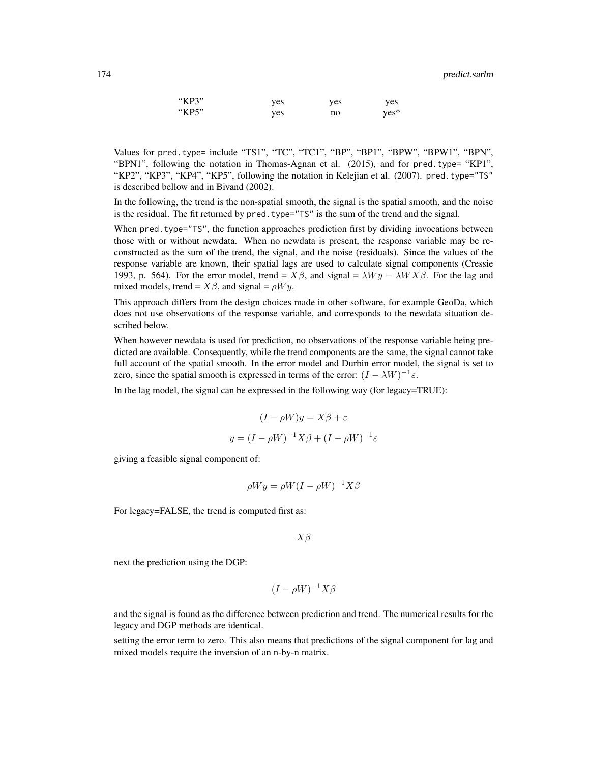174 predict.sarlm

| "KP3" | ves | yes | yes    |
|-------|-----|-----|--------|
| "KP5" | ves | no  | $ves*$ |

Values for pred.type= include "TS1", "TC", "TC1", "BP", "BP1", "BPW", "BPW1", "BPN", "BPN1", following the notation in Thomas-Agnan et al. (2015), and for pred.type= "KP1", "KP2", "KP3", "KP4", "KP5", following the notation in Kelejian et al. (2007). pred.type="TS" is described bellow and in Bivand (2002).

In the following, the trend is the non-spatial smooth, the signal is the spatial smooth, and the noise is the residual. The fit returned by pred. type="TS" is the sum of the trend and the signal.

When pred. type="TS", the function approaches prediction first by dividing invocations between those with or without newdata. When no newdata is present, the response variable may be reconstructed as the sum of the trend, the signal, and the noise (residuals). Since the values of the response variable are known, their spatial lags are used to calculate signal components (Cressie 1993, p. 564). For the error model, trend =  $X\beta$ , and signal =  $\lambda Wy - \lambda W X \beta$ . For the lag and mixed models, trend =  $X\beta$ , and signal =  $\rho Wy$ .

This approach differs from the design choices made in other software, for example GeoDa, which does not use observations of the response variable, and corresponds to the newdata situation described below.

When however newdata is used for prediction, no observations of the response variable being predicted are available. Consequently, while the trend components are the same, the signal cannot take full account of the spatial smooth. In the error model and Durbin error model, the signal is set to zero, since the spatial smooth is expressed in terms of the error:  $(I - \lambda W)^{-1} \varepsilon$ .

In the lag model, the signal can be expressed in the following way (for legacy=TRUE):

$$
(I - \rho W)y = X\beta + \varepsilon
$$

$$
y = (I - \rho W)^{-1}X\beta + (I - \rho W)^{-1}\varepsilon
$$

giving a feasible signal component of:

$$
\rho Wy = \rho W (I - \rho W)^{-1} X \beta
$$

For legacy=FALSE, the trend is computed first as:

 $X\beta$ 

next the prediction using the DGP:

$$
(I - \rho W)^{-1} X \beta
$$

and the signal is found as the difference between prediction and trend. The numerical results for the legacy and DGP methods are identical.

setting the error term to zero. This also means that predictions of the signal component for lag and mixed models require the inversion of an n-by-n matrix.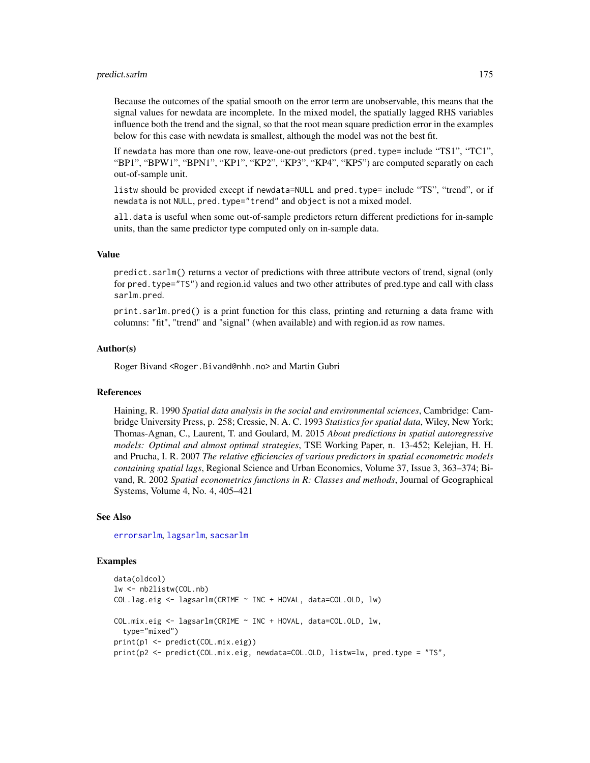## predict.sarlm 175

Because the outcomes of the spatial smooth on the error term are unobservable, this means that the signal values for newdata are incomplete. In the mixed model, the spatially lagged RHS variables influence both the trend and the signal, so that the root mean square prediction error in the examples below for this case with newdata is smallest, although the model was not the best fit.

If newdata has more than one row, leave-one-out predictors (pred.type= include "TS1", "TC1", "BP1", "BPW1", "BPN1", "KP1", "KP2", "KP3", "KP4", "KP5") are computed separatly on each out-of-sample unit.

listw should be provided except if newdata=NULL and pred.type= include "TS", "trend", or if newdata is not NULL, pred.type="trend" and object is not a mixed model.

all.data is useful when some out-of-sample predictors return different predictions for in-sample units, than the same predictor type computed only on in-sample data.

## Value

predict.sarlm() returns a vector of predictions with three attribute vectors of trend, signal (only for pred.type="TS") and region.id values and two other attributes of pred.type and call with class sarlm.pred.

print.sarlm.pred() is a print function for this class, printing and returning a data frame with columns: "fit", "trend" and "signal" (when available) and with region.id as row names.

## Author(s)

Roger Bivand <Roger.Bivand@nhh.no> and Martin Gubri

# References

Haining, R. 1990 *Spatial data analysis in the social and environmental sciences*, Cambridge: Cambridge University Press, p. 258; Cressie, N. A. C. 1993 *Statistics for spatial data*, Wiley, New York; Thomas-Agnan, C., Laurent, T. and Goulard, M. 2015 *About predictions in spatial autoregressive models: Optimal and almost optimal strategies*, TSE Working Paper, n. 13-452; Kelejian, H. H. and Prucha, I. R. 2007 *The relative efficiencies of various predictors in spatial econometric models containing spatial lags*, Regional Science and Urban Economics, Volume 37, Issue 3, 363–374; Bivand, R. 2002 *Spatial econometrics functions in R: Classes and methods*, Journal of Geographical Systems, Volume 4, No. 4, 405–421

#### See Also

#### [errorsarlm](#page-51-0), [lagsarlm](#page-98-0), [sacsarlm](#page-184-0)

```
data(oldcol)
lw <- nb2listw(COL.nb)
COL.lag.eig <- lagsarlm(CRIME ~ INC + HOVAL, data=COL.OLD, lw)
COL.mix.eig <- lagsarlm(CRIME ~ INC + HOVAL, data=COL.OLD, lw,
 type="mixed")
print(p1 <- predict(COL.mix.eig))
print(p2 <- predict(COL.mix.eig, newdata=COL.OLD, listw=lw, pred.type = "TS",
```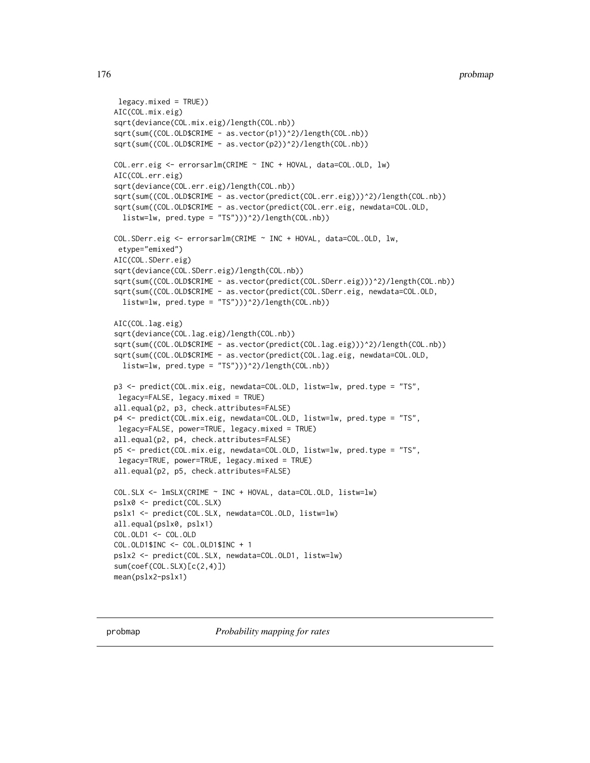```
legacy.mixed = TRUE))
AIC(COL.mix.eig)
sqrt(deviance(COL.mix.eig)/length(COL.nb))
sqrt(sum((COL.OLD$CRIME - as.vector(p1))^2)/length(COL.nb))
sqrt(sum((COL.OLD$CRIME - as.vector(p2))^2)/length(COL.nb))
COL.err.eig <- errorsarlm(CRIME ~ INC + HOVAL, data=COL.OLD, lw)
AIC(COL.err.eig)
sqrt(deviance(COL.err.eig)/length(COL.nb))
sqrt(sum((COL.OLD$CRIME - as.vector(predict(COL.err.eig)))^2)/length(COL.nb))
sqrt(sum((COL.OLD$CRIME - as.vector(predict(COL.err.eig, newdata=COL.OLD,
 listw=lw, pred.type = "TS")))^2)/length(COL.nb))
COL.SDerr.eig <- errorsarlm(CRIME ~ INC + HOVAL, data=COL.OLD, lw,
etype="emixed")
AIC(COL.SDerr.eig)
sqrt(deviance(COL.SDerr.eig)/length(COL.nb))
sqrt(sum((COL.OLD$CRIME - as.vector(predict(COL.SDerr.eig)))^2)/length(COL.nb))
sqrt(sum((COL.OLD$CRIME - as.vector(predict(COL.SDerr.eig, newdata=COL.OLD,
 listw=lw, pred_type = "TS")))2)/length(COL.nb))
AIC(COL.lag.eig)
sqrt(deviance(COL.lag.eig)/length(COL.nb))
sqrt(sum((COL.OLD$CRIME - as.vector(predict(COL.lag.eig)))^2)/length(COL.nb))
sqrt(sum((COL.OLD$CRIME - as.vector(predict(COL.lag.eig, newdata=COL.OLD,
 listw=lw, pred.type = "TS")))^2)/length(COL.nb))
p3 <- predict(COL.mix.eig, newdata=COL.OLD, listw=lw, pred.type = "TS",
legacy=FALSE, legacy.mixed = TRUE)
all.equal(p2, p3, check.attributes=FALSE)
p4 <- predict(COL.mix.eig, newdata=COL.OLD, listw=lw, pred.type = "TS",
legacy=FALSE, power=TRUE, legacy.mixed = TRUE)
all.equal(p2, p4, check.attributes=FALSE)
p5 <- predict(COL.mix.eig, newdata=COL.OLD, listw=lw, pred.type = "TS",
legacy=TRUE, power=TRUE, legacy.mixed = TRUE)
all.equal(p2, p5, check.attributes=FALSE)
COL.SLX <- lmSLX(CRIME ~ INC + HOVAL, data=COL.OLD, listw=lw)
pslx0 <- predict(COL.SLX)
pslx1 <- predict(COL.SLX, newdata=COL.OLD, listw=lw)
all.equal(pslx0, pslx1)
COL.OLD1 <- COL.OLD
COL.OLD1$INC <- COL.OLD1$INC + 1
pslx2 <- predict(COL.SLX, newdata=COL.OLD1, listw=lw)
sum(coef(COL.SLX)[c(2,4)])
mean(pslx2-pslx1)
```
probmap *Probability mapping for rates*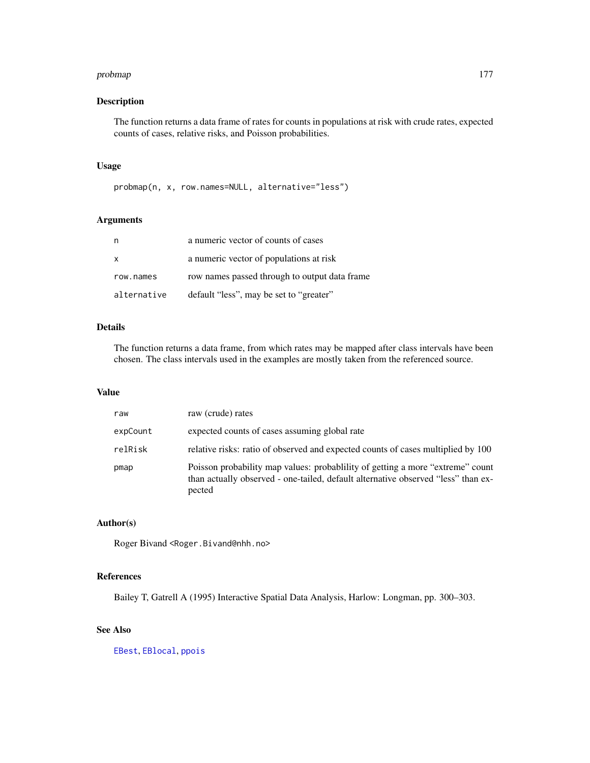#### probmap 177

# Description

The function returns a data frame of rates for counts in populations at risk with crude rates, expected counts of cases, relative risks, and Poisson probabilities.

# Usage

probmap(n, x, row.names=NULL, alternative="less")

# Arguments

| n            | a numeric vector of counts of cases           |
|--------------|-----------------------------------------------|
| $\mathsf{x}$ | a numeric vector of populations at risk       |
| row.names    | row names passed through to output data frame |
| alternative  | default "less", may be set to "greater"       |

# Details

The function returns a data frame, from which rates may be mapped after class intervals have been chosen. The class intervals used in the examples are mostly taken from the referenced source.

# Value

| raw      | raw (crude) rates                                                                                                                                                            |
|----------|------------------------------------------------------------------------------------------------------------------------------------------------------------------------------|
| expCount | expected counts of cases assuming global rate                                                                                                                                |
| relRisk  | relative risks: ratio of observed and expected counts of cases multiplied by 100                                                                                             |
| pmap     | Poisson probability map values: probability of getting a more "extreme" count<br>than actually observed - one-tailed, default alternative observed "less" than ex-<br>pected |

#### Author(s)

Roger Bivand <Roger.Bivand@nhh.no>

## References

Bailey T, Gatrell A (1995) Interactive Spatial Data Analysis, Harlow: Longman, pp. 300–303.

# See Also

[EBest](#page-39-0), [EBlocal](#page-42-0), [ppois](#page-0-0)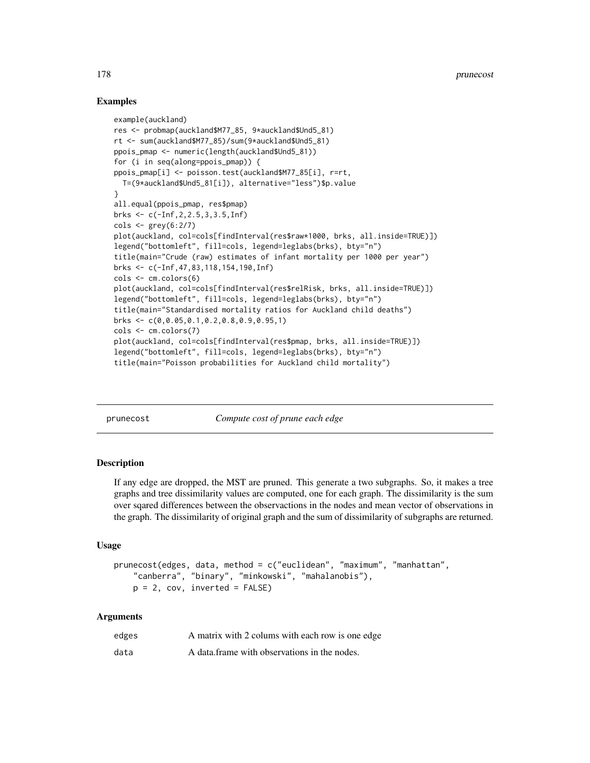## Examples

```
example(auckland)
res <- probmap(auckland$M77_85, 9*auckland$Und5_81)
rt <- sum(auckland$M77_85)/sum(9*auckland$Und5_81)
ppois_pmap <- numeric(length(auckland$Und5_81))
for (i in seq(along=ppois_pmap)) {
ppois_pmap[i] <- poisson.test(auckland$M77_85[i], r=rt,
  T=(9*auckland$Und5_81[i]), alternative="less")$p.value
}
all.equal(ppois_pmap, res$pmap)
brks <- c(-Inf,2,2.5,3,3.5,Inf)
\text{cols} \leq \text{grey}(6:2/7)plot(auckland, col=cols[findInterval(res$raw*1000, brks, all.inside=TRUE)])
legend("bottomleft", fill=cols, legend=leglabs(brks), bty="n")
title(main="Crude (raw) estimates of infant mortality per 1000 per year")
brks <- c(-Inf,47,83,118,154,190,Inf)
cols <- cm.colors(6)
plot(auckland, col=cols[findInterval(res$relRisk, brks, all.inside=TRUE)])
legend("bottomleft", fill=cols, legend=leglabs(brks), bty="n")
title(main="Standardised mortality ratios for Auckland child deaths")
brks <- c(0,0.05,0.1,0.2,0.8,0.9,0.95,1)
cols <- cm.colors(7)
plot(auckland, col=cols[findInterval(res$pmap, brks, all.inside=TRUE)])
legend("bottomleft", fill=cols, legend=leglabs(brks), bty="n")
title(main="Poisson probabilities for Auckland child mortality")
```
prunecost *Compute cost of prune each edge*

## **Description**

If any edge are dropped, the MST are pruned. This generate a two subgraphs. So, it makes a tree graphs and tree dissimilarity values are computed, one for each graph. The dissimilarity is the sum over sqared differences between the observactions in the nodes and mean vector of observations in the graph. The dissimilarity of original graph and the sum of dissimilarity of subgraphs are returned.

## Usage

```
prunecost(edges, data, method = c("euclidean", "maximum", "manhattan",
    "canberra", "binary", "minkowski", "mahalanobis"),
   p = 2, cov, inverted = FALSE)
```
#### Arguments

| edges | A matrix with 2 colums with each row is one edge |
|-------|--------------------------------------------------|
| data  | A data frame with observations in the nodes.     |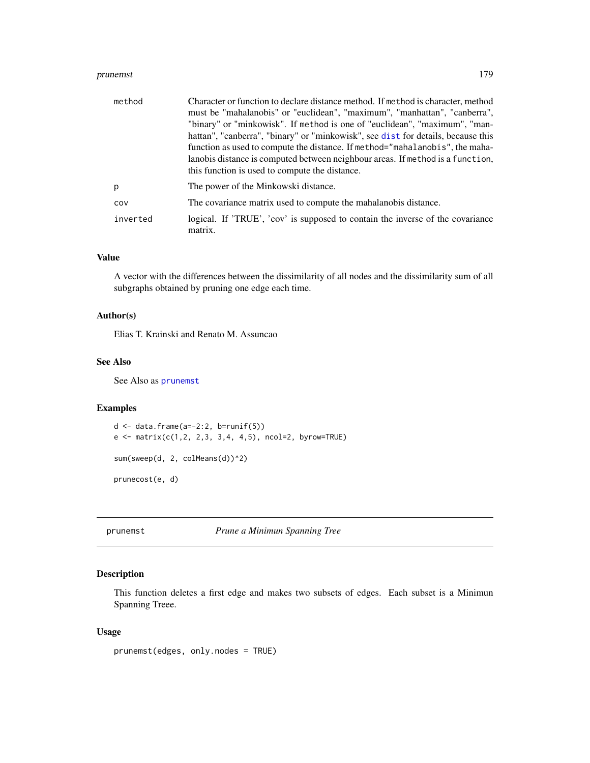#### prunemst 179

| method   | Character or function to declare distance method. If method is character, method<br>must be "mahalanobis" or "euclidean", "maximum", "manhattan", "canberra",<br>"binary" or "minkowisk". If method is one of "euclidean", "maximum", "man-<br>hattan", "canberra", "binary" or "minkowisk", see dist for details, because this<br>function as used to compute the distance. If method="mahalanobis", the maha- |
|----------|-----------------------------------------------------------------------------------------------------------------------------------------------------------------------------------------------------------------------------------------------------------------------------------------------------------------------------------------------------------------------------------------------------------------|
|          | lanobis distance is computed between neighbour areas. If method is a function,<br>this function is used to compute the distance.                                                                                                                                                                                                                                                                                |
| p        | The power of the Minkowski distance.                                                                                                                                                                                                                                                                                                                                                                            |
| COV      | The covariance matrix used to compute the mahalanobis distance.                                                                                                                                                                                                                                                                                                                                                 |
| inverted | logical. If 'TRUE', 'cov' is supposed to contain the inverse of the covariance<br>matrix.                                                                                                                                                                                                                                                                                                                       |

# Value

A vector with the differences between the dissimilarity of all nodes and the dissimilarity sum of all subgraphs obtained by pruning one edge each time.

## Author(s)

Elias T. Krainski and Renato M. Assuncao

# See Also

See Also as [prunemst](#page-178-0)

# Examples

```
d \leq data.frame(a=-2:2, b=runif(5))
e \le - matrix(c(1,2, 2,3, 3,4, 4,5), ncol=2, byrow=TRUE)
```
sum(sweep(d, 2, colMeans(d))^2)

prunecost(e, d)

<span id="page-178-0"></span>prunemst *Prune a Minimun Spanning Tree*

## Description

This function deletes a first edge and makes two subsets of edges. Each subset is a Minimun Spanning Treee.

# Usage

prunemst(edges, only.nodes = TRUE)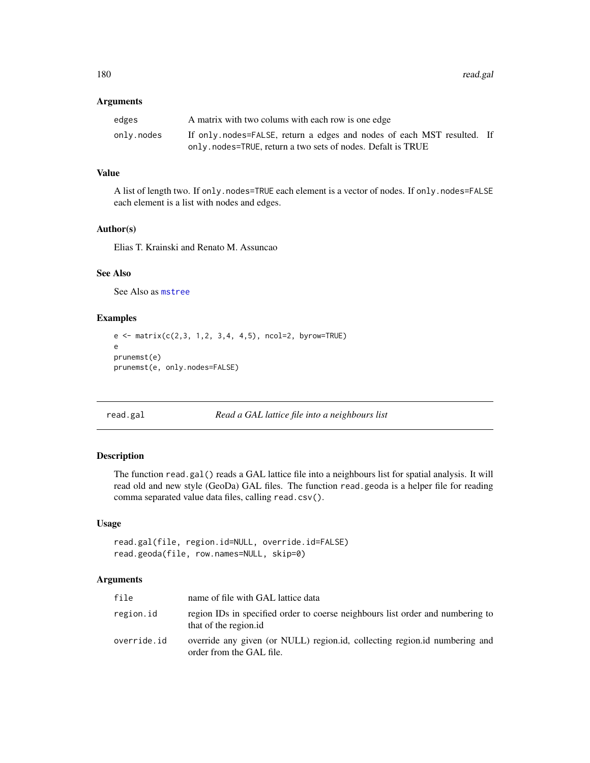#### Arguments

| edges      | A matrix with two colums with each row is one edge                     |  |
|------------|------------------------------------------------------------------------|--|
| onlv.nodes | If only nodes=FALSE, return a edges and nodes of each MST resulted. If |  |
|            | only. nodes=TRUE, return a two sets of nodes. Defalt is TRUE           |  |

## Value

A list of length two. If only.nodes=TRUE each element is a vector of nodes. If only.nodes=FALSE each element is a list with nodes and edges.

#### Author(s)

Elias T. Krainski and Renato M. Assuncao

# See Also

See Also as [mstree](#page-146-0)

# Examples

```
e <- matrix(c(2,3, 1,2, 3,4, 4,5), ncol=2, byrow=TRUE)
e
prunemst(e)
prunemst(e, only.nodes=FALSE)
```

```
read.gal Read a GAL lattice file into a neighbours list
```
# Description

The function read.gal() reads a GAL lattice file into a neighbours list for spatial analysis. It will read old and new style (GeoDa) GAL files. The function read.geoda is a helper file for reading comma separated value data files, calling read.csv().

# Usage

```
read.gal(file, region.id=NULL, override.id=FALSE)
read.geoda(file, row.names=NULL, skip=0)
```
#### Arguments

| file        | name of file with GAL lattice data                                                                      |
|-------------|---------------------------------------------------------------------------------------------------------|
| region.id   | region IDs in specified order to coerse neighbours list order and numbering to<br>that of the region.id |
| override.id | override any given (or NULL) region.id, collecting region.id numbering and<br>order from the GAL file.  |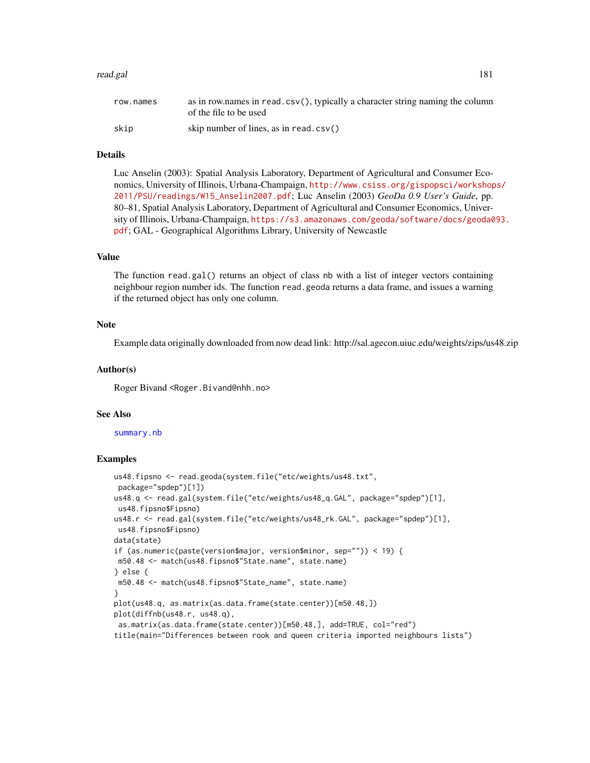#### read.gal 181

| row.names | as in row.names in read.csv(), typically a character string naming the column<br>of the file to be used |
|-----------|---------------------------------------------------------------------------------------------------------|
| skip      | skip number of lines, as in read. $\text{csv}(\)$                                                       |

## Details

Luc Anselin (2003): Spatial Analysis Laboratory, Department of Agricultural and Consumer Economics, University of Illinois, Urbana-Champaign, [http://www.csiss.org/gispopsci/workshop](http://www.csiss.org/gispopsci/workshops/2011/PSU/readings/W15_Anselin2007.pdf)s/ [2011/PSU/readings/W15\\_Anselin2007.pdf](http://www.csiss.org/gispopsci/workshops/2011/PSU/readings/W15_Anselin2007.pdf); Luc Anselin (2003) *GeoDa 0.9 User's Guide*, pp. 80–81, Spatial Analysis Laboratory, Department of Agricultural and Consumer Economics, University of Illinois, Urbana-Champaign, [https://s3.amazonaws.com/geoda/software/docs/geoda0](https://s3.amazonaws.com/geoda/software/docs/geoda093.pdf)93. [pdf](https://s3.amazonaws.com/geoda/software/docs/geoda093.pdf); GAL - Geographical Algorithms Library, University of Newcastle

## Value

The function read.gal() returns an object of class nb with a list of integer vectors containing neighbour region number ids. The function read.geoda returns a data frame, and issues a warning if the returned object has only one column.

## **Note**

Example data originally downloaded from now dead link: http://sal.agecon.uiuc.edu/weights/zips/us48.zip

#### Author(s)

Roger Bivand <Roger.Bivand@nhh.no>

#### See Also

#### [summary.nb](#page-216-0)

```
us48.fipsno <- read.geoda(system.file("etc/weights/us48.txt",
package="spdep")[1])
us48.q <- read.gal(system.file("etc/weights/us48_q.GAL", package="spdep")[1],
us48.fipsno$Fipsno)
us48.r <- read.gal(system.file("etc/weights/us48_rk.GAL", package="spdep")[1],
us48.fipsno$Fipsno)
data(state)
if (as.numeric(paste(version$major, version$minor, sep="")) < 19) {
m50.48 <- match(us48.fipsno$"State.name", state.name)
} else {
m50.48 <- match(us48.fipsno$"State_name", state.name)
}
plot(us48.q, as.matrix(as.data.frame(state.center))[m50.48,])
plot(diffnb(us48.r, us48.q),
as.matrix(as.data.frame(state.center))[m50.48,], add=TRUE, col="red")
title(main="Differences between rook and queen criteria imported neighbours lists")
```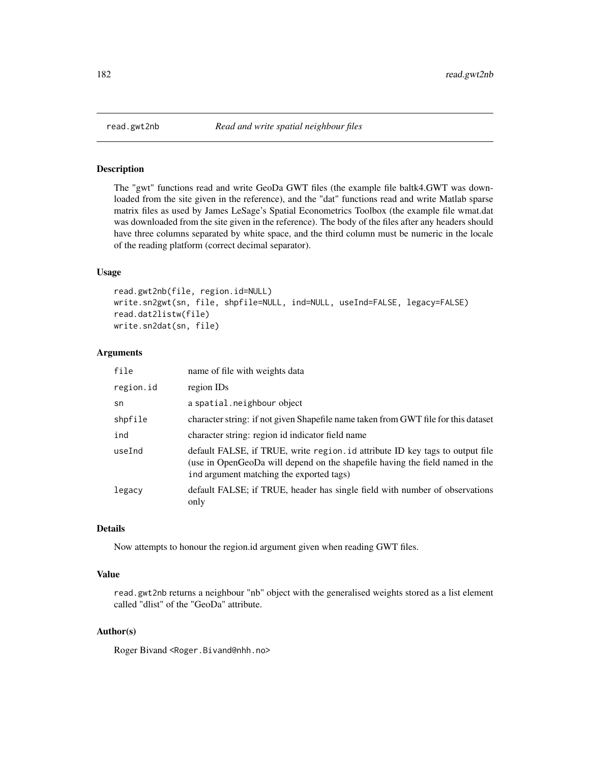# Description

The "gwt" functions read and write GeoDa GWT files (the example file baltk4.GWT was downloaded from the site given in the reference), and the "dat" functions read and write Matlab sparse matrix files as used by James LeSage's Spatial Econometrics Toolbox (the example file wmat.dat was downloaded from the site given in the reference). The body of the files after any headers should have three columns separated by white space, and the third column must be numeric in the locale of the reading platform (correct decimal separator).

## Usage

```
read.gwt2nb(file, region.id=NULL)
write.sn2gwt(sn, file, shpfile=NULL, ind=NULL, useInd=FALSE, legacy=FALSE)
read.dat2listw(file)
write.sn2dat(sn, file)
```
#### Arguments

| file      | name of file with weights data                                                                                                                                                                            |
|-----------|-----------------------------------------------------------------------------------------------------------------------------------------------------------------------------------------------------------|
| region.id | region IDs                                                                                                                                                                                                |
| sn        | a spatial.neighbour object                                                                                                                                                                                |
| shpfile   | character string: if not given Shapefile name taken from GWT file for this dataset                                                                                                                        |
| ind       | character string: region id indicator field name                                                                                                                                                          |
| useInd    | default FALSE, if TRUE, write region. id attribute ID key tags to output file<br>(use in OpenGeoDa will depend on the shapefile having the field named in the<br>ind argument matching the exported tags) |
| legacy    | default FALSE; if TRUE, header has single field with number of observations<br>only                                                                                                                       |

#### Details

Now attempts to honour the region.id argument given when reading GWT files.

#### Value

read.gwt2nb returns a neighbour "nb" object with the generalised weights stored as a list element called "dlist" of the "GeoDa" attribute.

## Author(s)

Roger Bivand <Roger.Bivand@nhh.no>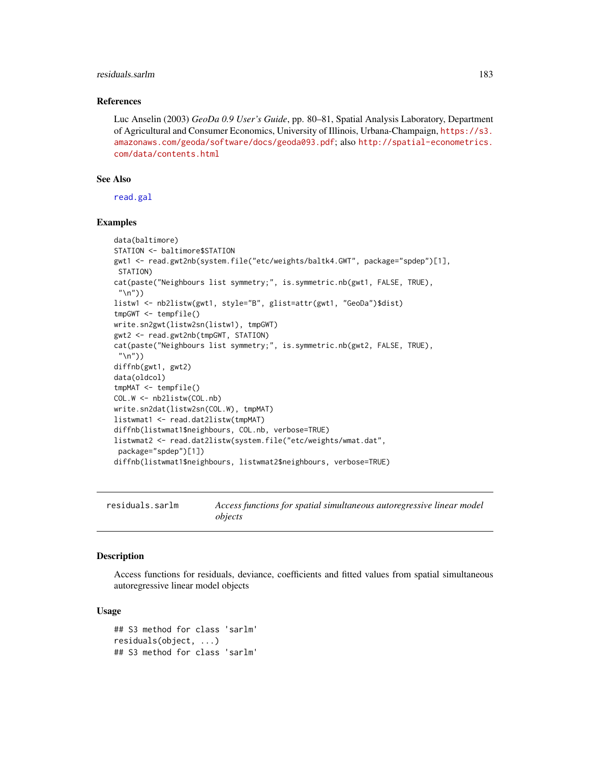## residuals.sarlm 183

#### References

Luc Anselin (2003) *GeoDa 0.9 User's Guide*, pp. 80–81, Spatial Analysis Laboratory, Department of Agricultural and Consumer Economics, University of Illinois, Urbana-Champaign, [https://s3.](https://s3.amazonaws.com/geoda/software/docs/geoda093.pdf) [amazonaws.com/geoda/software/docs/geoda093.pdf](https://s3.amazonaws.com/geoda/software/docs/geoda093.pdf); also [http://spatial-econometrics.](http://spatial-econometrics.com/data/contents.html) [com/data/contents.html](http://spatial-econometrics.com/data/contents.html)

## See Also

[read.gal](#page-179-0)

#### Examples

```
data(baltimore)
STATION <- baltimore$STATION
gwt1 <- read.gwt2nb(system.file("etc/weights/baltk4.GWT", package="spdep")[1],
 STATION)
cat(paste("Neighbours list symmetry;", is.symmetric.nb(gwt1, FALSE, TRUE),
 "\n"))
listw1 <- nb2listw(gwt1, style="B", glist=attr(gwt1, "GeoDa")$dist)
tmpGWT <- tempfile()
write.sn2gwt(listw2sn(listw1), tmpGWT)
gwt2 <- read.gwt2nb(tmpGWT, STATION)
cat(paste("Neighbours list symmetry;", is.symmetric.nb(gwt2, FALSE, TRUE),
 "\n"))
diffnb(gwt1, gwt2)
data(oldcol)
tmpMAT <- tempfile()
COL.W <- nb2listw(COL.nb)
write.sn2dat(listw2sn(COL.W), tmpMAT)
listwmat1 <- read.dat2listw(tmpMAT)
diffnb(listwmat1$neighbours, COL.nb, verbose=TRUE)
listwmat2 <- read.dat2listw(system.file("etc/weights/wmat.dat",
 package="spdep")[1])
diffnb(listwmat1$neighbours, listwmat2$neighbours, verbose=TRUE)
```
residuals.sarlm *Access functions for spatial simultaneous autoregressive linear model objects*

# **Description**

Access functions for residuals, deviance, coefficients and fitted values from spatial simultaneous autoregressive linear model objects

## Usage

```
## S3 method for class 'sarlm'
residuals(object, ...)
## S3 method for class 'sarlm'
```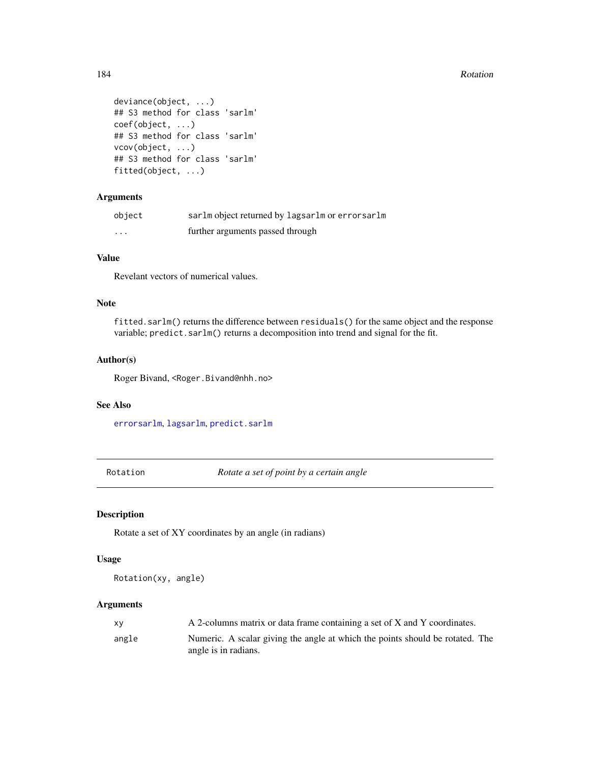#### 184 Rotation Research Research 2012 Rotation Research 2013 Rotation Research 2013

```
deviance(object, ...)
## S3 method for class 'sarlm'
coef(object, ...)
## S3 method for class 'sarlm'
vcov(object, ...)
## S3 method for class 'sarlm'
fitted(object, ...)
```
# Arguments

| object   | sarlm object returned by lagsarlm or errorsarlm |
|----------|-------------------------------------------------|
| $\cdots$ | further arguments passed through                |

## Value

Revelant vectors of numerical values.

## Note

fitted.sarlm() returns the difference between residuals() for the same object and the response variable; predict.sarlm() returns a decomposition into trend and signal for the fit.

## Author(s)

Roger Bivand, <Roger.Bivand@nhh.no>

## See Also

[errorsarlm](#page-51-0), [lagsarlm](#page-98-0), [predict.sarlm](#page-170-0)

Rotation *Rotate a set of point by a certain angle*

## Description

Rotate a set of XY coordinates by an angle (in radians)

## Usage

Rotation(xy, angle)

| XV    | A 2-columns matrix or data frame containing a set of X and Y coordinates.                             |
|-------|-------------------------------------------------------------------------------------------------------|
| angle | Numeric. A scalar giving the angle at which the points should be rotated. The<br>angle is in radians. |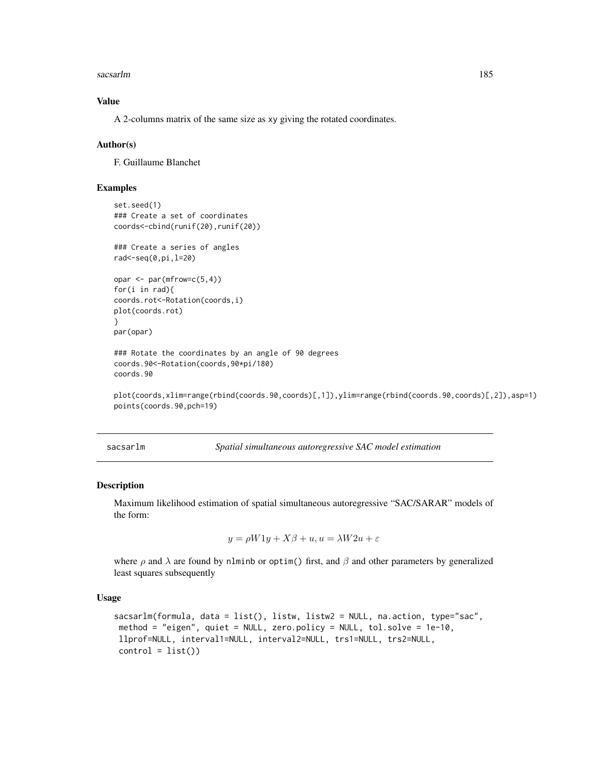sacsarlm and the same of the same of the same of the same of the same of the same of the same of the same of the same of the same of the same of the same of the same of the same of the same of the same of the same of the s

## Value

A 2-columns matrix of the same size as xy giving the rotated coordinates.

#### Author(s)

F. Guillaume Blanchet

## Examples

```
set.seed(1)
### Create a set of coordinates
coords<-cbind(runif(20),runif(20))
### Create a series of angles
rad<-seq(0,pi,l=20)
opar \leq par(mfrow=c(5,4))
for(i in rad){
coords.rot<-Rotation(coords,i)
plot(coords.rot)
}
par(opar)
### Rotate the coordinates by an angle of 90 degrees
coords.90<-Rotation(coords,90*pi/180)
coords.90
```
plot(coords,xlim=range(rbind(coords.90,coords)[,1]),ylim=range(rbind(coords.90,coords)[,2]),asp=1) points(coords.90,pch=19)

sacsarlm *Spatial simultaneous autoregressive SAC model estimation*

#### Description

Maximum likelihood estimation of spatial simultaneous autoregressive "SAC/SARAR" models of the form:

$$
y = \rho W 1y + X\beta + u, u = \lambda W 2u + \varepsilon
$$

where  $\rho$  and  $\lambda$  are found by nlminb or optim() first, and  $\beta$  and other parameters by generalized least squares subsequently

## Usage

```
sacsarlm(formula, data = list(), listw, listw2 = NULL, na.action, type="sac",
method = "eigen", quiet = NULL, zero.policy = NULL, tol.solve = 1e-10,
llprof=NULL, interval1=NULL, interval2=NULL, trs1=NULL, trs2=NULL,
control = list()
```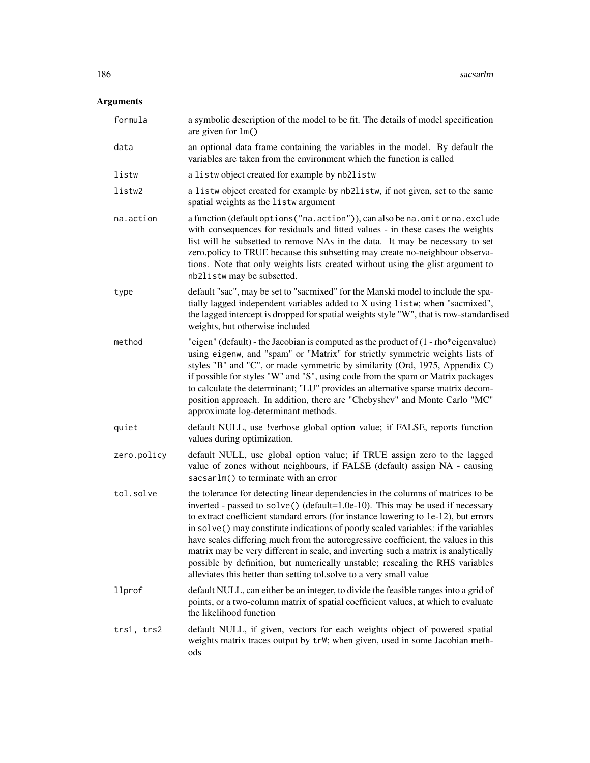| formula     | a symbolic description of the model to be fit. The details of model specification<br>are given for $lm()$                                                                                                                                                                                                                                                                                                                                                                                                                                                                                                                                                                          |
|-------------|------------------------------------------------------------------------------------------------------------------------------------------------------------------------------------------------------------------------------------------------------------------------------------------------------------------------------------------------------------------------------------------------------------------------------------------------------------------------------------------------------------------------------------------------------------------------------------------------------------------------------------------------------------------------------------|
| data        | an optional data frame containing the variables in the model. By default the<br>variables are taken from the environment which the function is called                                                                                                                                                                                                                                                                                                                                                                                                                                                                                                                              |
| listw       | a listwobject created for example by nb2listw                                                                                                                                                                                                                                                                                                                                                                                                                                                                                                                                                                                                                                      |
| listw2      | a listw object created for example by nb2listw, if not given, set to the same<br>spatial weights as the listwargument                                                                                                                                                                                                                                                                                                                                                                                                                                                                                                                                                              |
| na.action   | a function (default options ("na.action")), can also be na.omit or na.exclude<br>with consequences for residuals and fitted values - in these cases the weights<br>list will be subsetted to remove NAs in the data. It may be necessary to set<br>zero.policy to TRUE because this subsetting may create no-neighbour observa-<br>tions. Note that only weights lists created without using the glist argument to<br>nb2listw may be subsetted.                                                                                                                                                                                                                                   |
| type        | default "sac", may be set to "sacmixed" for the Manski model to include the spa-<br>tially lagged independent variables added to X using listw; when "sacmixed",<br>the lagged intercept is dropped for spatial weights style "W", that is row-standardised<br>weights, but otherwise included                                                                                                                                                                                                                                                                                                                                                                                     |
| method      | "eigen" (default) - the Jacobian is computed as the product of (1 - rho*eigenvalue)<br>using eigenw, and "spam" or "Matrix" for strictly symmetric weights lists of<br>styles "B" and "C", or made symmetric by similarity (Ord, 1975, Appendix C)<br>if possible for styles "W" and "S", using code from the spam or Matrix packages<br>to calculate the determinant; "LU" provides an alternative sparse matrix decom-<br>position approach. In addition, there are "Chebyshev" and Monte Carlo "MC"<br>approximate log-determinant methods.                                                                                                                                     |
| quiet       | default NULL, use !verbose global option value; if FALSE, reports function<br>values during optimization.                                                                                                                                                                                                                                                                                                                                                                                                                                                                                                                                                                          |
| zero.policy | default NULL, use global option value; if TRUE assign zero to the lagged<br>value of zones without neighbours, if FALSE (default) assign NA - causing<br>sacsarlm() to terminate with an error                                                                                                                                                                                                                                                                                                                                                                                                                                                                                     |
| tol.solve   | the tolerance for detecting linear dependencies in the columns of matrices to be<br>inverted - passed to solve() (default=1.0e-10). This may be used if necessary<br>to extract coefficient standard errors (for instance lowering to 1e-12), but errors<br>in solve() may constitute indications of poorly scaled variables: if the variables<br>have scales differing much from the autoregressive coefficient, the values in this<br>matrix may be very different in scale, and inverting such a matrix is analytically<br>possible by definition, but numerically unstable; rescaling the RHS variables<br>alleviates this better than setting tol.solve to a very small value |
| llprof      | default NULL, can either be an integer, to divide the feasible ranges into a grid of<br>points, or a two-column matrix of spatial coefficient values, at which to evaluate<br>the likelihood function                                                                                                                                                                                                                                                                                                                                                                                                                                                                              |
| trs1, trs2  | default NULL, if given, vectors for each weights object of powered spatial<br>weights matrix traces output by trW; when given, used in some Jacobian meth-<br>ods                                                                                                                                                                                                                                                                                                                                                                                                                                                                                                                  |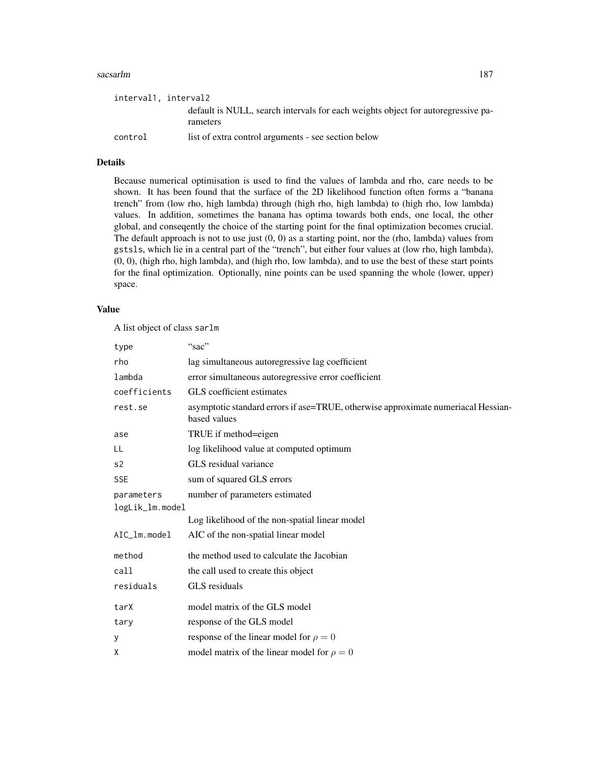#### sacsarlm and the same of the same of the same of the same of the same of the same of the same of the same of the same of the same of the same of the same of the same of the same of the same of the same of the same of the s

| interval1, interval2 |                                                                                              |
|----------------------|----------------------------------------------------------------------------------------------|
|                      | default is NULL, search intervals for each weights object for autoregressive pa-<br>rameters |
| control              | list of extra control arguments - see section below                                          |

## Details

Because numerical optimisation is used to find the values of lambda and rho, care needs to be shown. It has been found that the surface of the 2D likelihood function often forms a "banana trench" from (low rho, high lambda) through (high rho, high lambda) to (high rho, low lambda) values. In addition, sometimes the banana has optima towards both ends, one local, the other global, and conseqently the choice of the starting point for the final optimization becomes crucial. The default approach is not to use just  $(0, 0)$  as a starting point, nor the (rho, lambda) values from gstsls, which lie in a central part of the "trench", but either four values at (low rho, high lambda), (0, 0), (high rho, high lambda), and (high rho, low lambda), and to use the best of these start points for the final optimization. Optionally, nine points can be used spanning the whole (lower, upper) space.

#### Value

A list object of class sarlm

| type            | "sac"                                                                                             |
|-----------------|---------------------------------------------------------------------------------------------------|
| rho             | lag simultaneous autoregressive lag coefficient                                                   |
| lambda          | error simultaneous autoregressive error coefficient                                               |
| coefficients    | GLS coefficient estimates                                                                         |
| rest.se         | asymptotic standard errors if ase=TRUE, otherwise approximate numeriacal Hessian-<br>based values |
| ase             | TRUE if method=eigen                                                                              |
| LL              | log likelihood value at computed optimum                                                          |
| s <sub>2</sub>  | GLS residual variance                                                                             |
| <b>SSE</b>      | sum of squared GLS errors                                                                         |
| parameters      | number of parameters estimated                                                                    |
| logLik_lm.model |                                                                                                   |
|                 | Log likelihood of the non-spatial linear model                                                    |
| AIC_lm.model    | AIC of the non-spatial linear model                                                               |
| method          | the method used to calculate the Jacobian                                                         |
| call            | the call used to create this object                                                               |
| residuals       | GLS residuals                                                                                     |
| tarX            | model matrix of the GLS model                                                                     |
| tary            | response of the GLS model                                                                         |
| У               | response of the linear model for $\rho = 0$                                                       |
| X               | model matrix of the linear model for $\rho = 0$                                                   |
|                 |                                                                                                   |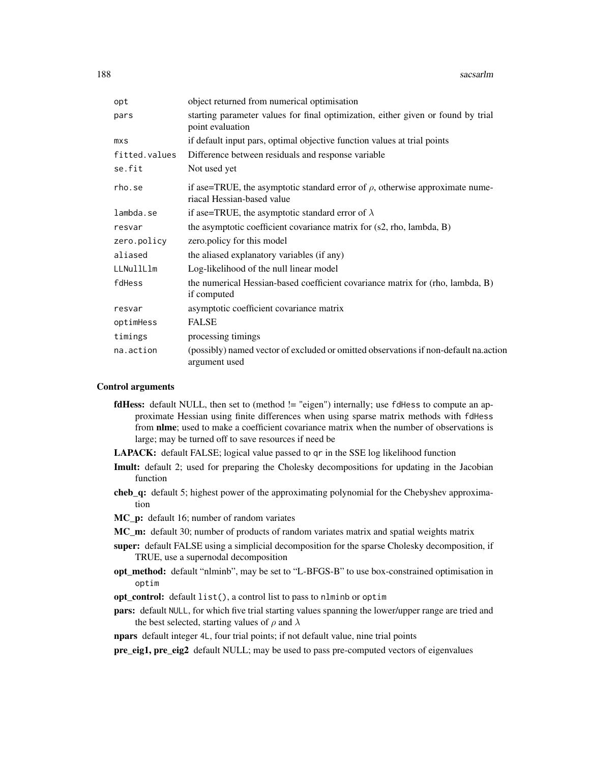| opt           | object returned from numerical optimisation                                                                      |
|---------------|------------------------------------------------------------------------------------------------------------------|
| pars          | starting parameter values for final optimization, either given or found by trial<br>point evaluation             |
| mxS           | if default input pars, optimal objective function values at trial points                                         |
| fitted.values | Difference between residuals and response variable                                                               |
| se.fit        | Not used yet                                                                                                     |
| rho.se        | if ase=TRUE, the asymptotic standard error of $\rho$ , otherwise approximate nume-<br>riacal Hessian-based value |
| lambda.se     | if ase=TRUE, the asymptotic standard error of $\lambda$                                                          |
| resvar        | the asymptotic coefficient covariance matrix for $(s2, rho, lambda, B)$                                          |
| zero.policy   | zero.policy for this model                                                                                       |
| aliased       | the aliased explanatory variables (if any)                                                                       |
| LLNullLlm     | Log-likelihood of the null linear model                                                                          |
| fdHess        | the numerical Hessian-based coefficient covariance matrix for (rho, lambda, B)<br>if computed                    |
| resvar        | asymptotic coefficient covariance matrix                                                                         |
| optimHess     | <b>FALSE</b>                                                                                                     |
| timings       | processing timings                                                                                               |
| na.action     | (possibly) named vector of excluded or omitted observations if non-default na.action<br>argument used            |

## Control arguments

- **fdHess:** default NULL, then set to (method != "eigen") internally; use fdHess to compute an approximate Hessian using finite differences when using sparse matrix methods with fdHess from **nlme**; used to make a coefficient covariance matrix when the number of observations is large; may be turned off to save resources if need be
- LAPACK: default FALSE; logical value passed to qr in the SSE log likelihood function
- Imult: default 2; used for preparing the Cholesky decompositions for updating in the Jacobian function
- cheb\_q: default 5; highest power of the approximating polynomial for the Chebyshev approximation
- MC\_p: default 16; number of random variates
- MC\_m: default 30; number of products of random variates matrix and spatial weights matrix
- super: default FALSE using a simplicial decomposition for the sparse Cholesky decomposition, if TRUE, use a supernodal decomposition
- opt\_method: default "nlminb", may be set to "L-BFGS-B" to use box-constrained optimisation in optim
- opt\_control: default list(), a control list to pass to nlminb or optim
- pars: default NULL, for which five trial starting values spanning the lower/upper range are tried and the best selected, starting values of  $\rho$  and  $\lambda$
- npars default integer 4L, four trial points; if not default value, nine trial points

pre\_eig1, pre\_eig2 default NULL; may be used to pass pre-computed vectors of eigenvalues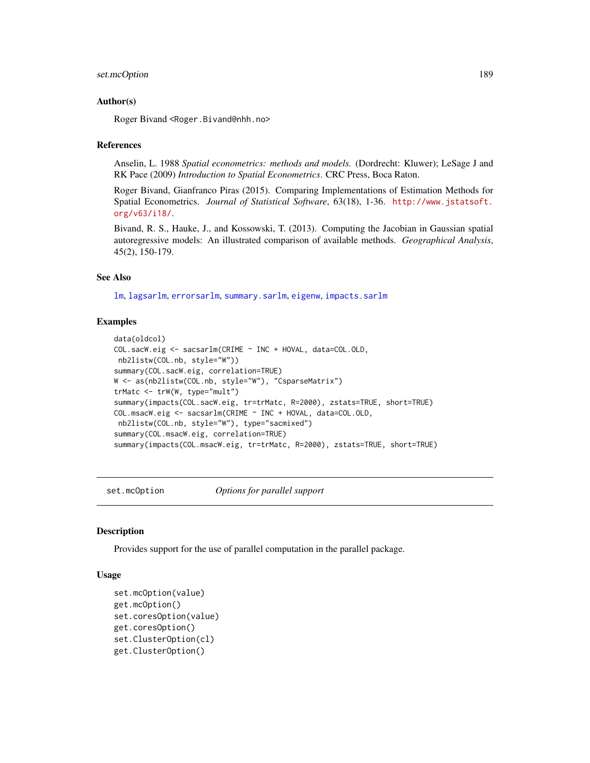## set.mcOption 189

#### Author(s)

Roger Bivand <Roger.Bivand@nhh.no>

### References

Anselin, L. 1988 *Spatial econometrics: methods and models.* (Dordrecht: Kluwer); LeSage J and RK Pace (2009) *Introduction to Spatial Econometrics*. CRC Press, Boca Raton.

Roger Bivand, Gianfranco Piras (2015). Comparing Implementations of Estimation Methods for Spatial Econometrics. *Journal of Statistical Software*, 63(18), 1-36. [http://www.jstatsoft.](http://www.jstatsoft.org/v63/i18/) [org/v63/i18/](http://www.jstatsoft.org/v63/i18/).

Bivand, R. S., Hauke, J., and Kossowski, T. (2013). Computing the Jacobian in Gaussian spatial autoregressive models: An illustrated comparison of available methods. *Geographical Analysis*, 45(2), 150-179.

## See Also

[lm](#page-0-0), [lagsarlm](#page-98-0), [errorsarlm](#page-51-0), [summary.sarlm](#page-217-0), [eigenw](#page-45-0), [impacts.sarlm](#page-78-0)

## Examples

```
data(oldcol)
COL.sacW.eig <- sacsarlm(CRIME ~ INC + HOVAL, data=COL.OLD,
nb2listw(COL.nb, style="W"))
summary(COL.sacW.eig, correlation=TRUE)
W <- as(nb2listw(COL.nb, style="W"), "CsparseMatrix")
trMatc <- trW(W, type="mult")
summary(impacts(COL.sacW.eig, tr=trMatc, R=2000), zstats=TRUE, short=TRUE)
COL.msacW.eig <- sacsarlm(CRIME ~ INC + HOVAL, data=COL.OLD,
nb2listw(COL.nb, style="W"), type="sacmixed")
summary(COL.msacW.eig, correlation=TRUE)
summary(impacts(COL.msacW.eig, tr=trMatc, R=2000), zstats=TRUE, short=TRUE)
```
set.mcOption *Options for parallel support*

## Description

Provides support for the use of parallel computation in the parallel package.

## Usage

```
set.mcOption(value)
get.mcOption()
set.coresOption(value)
get.coresOption()
set.ClusterOption(cl)
get.ClusterOption()
```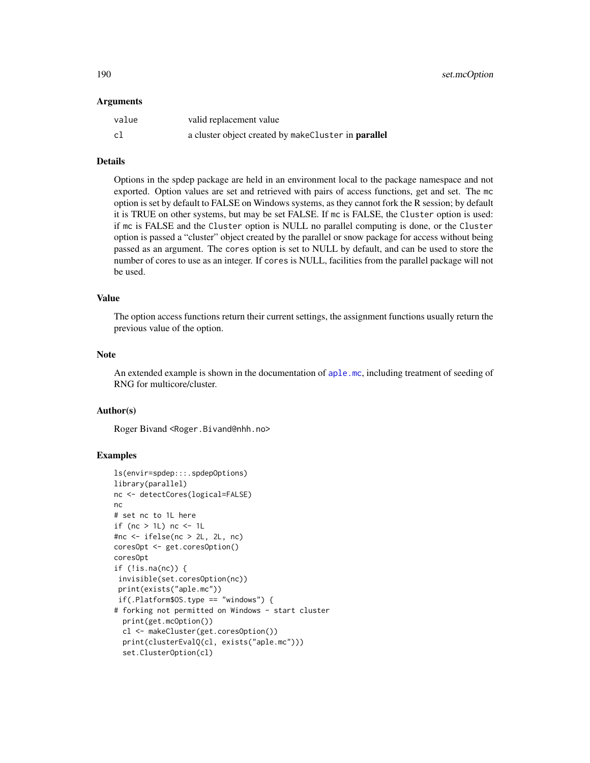#### Arguments

| value | valid replacement value                             |
|-------|-----------------------------------------------------|
| c1    | a cluster object created by makeCluster in parallel |

#### Details

Options in the spdep package are held in an environment local to the package namespace and not exported. Option values are set and retrieved with pairs of access functions, get and set. The mc option is set by default to FALSE on Windows systems, as they cannot fork the R session; by default it is TRUE on other systems, but may be set FALSE. If mc is FALSE, the Cluster option is used: if mc is FALSE and the Cluster option is NULL no parallel computing is done, or the Cluster option is passed a "cluster" object created by the parallel or snow package for access without being passed as an argument. The cores option is set to NULL by default, and can be used to store the number of cores to use as an integer. If cores is NULL, facilities from the parallel package will not be used.

## Value

The option access functions return their current settings, the assignment functions usually return the previous value of the option.

## Note

An extended example is shown in the documentation of [aple.mc](#page-9-0), including treatment of seeding of RNG for multicore/cluster.

## Author(s)

Roger Bivand <Roger.Bivand@nhh.no>

```
ls(envir=spdep:::.spdepOptions)
library(parallel)
nc <- detectCores(logical=FALSE)
nc
# set nc to 1L here
if (nc > 1L) nc <- 1L
#nc <- ifelse(nc > 2L, 2L, nc)
coresOpt <- get.coresOption()
coresOpt
if (!is.na(nc)) {
 invisible(set.coresOption(nc))
 print(exists("aple.mc"))
 if(.Platform$OS.type == "windows") {
# forking not permitted on Windows - start cluster
  print(get.mcOption())
  cl <- makeCluster(get.coresOption())
  print(clusterEvalQ(cl, exists("aple.mc")))
  set.ClusterOption(cl)
```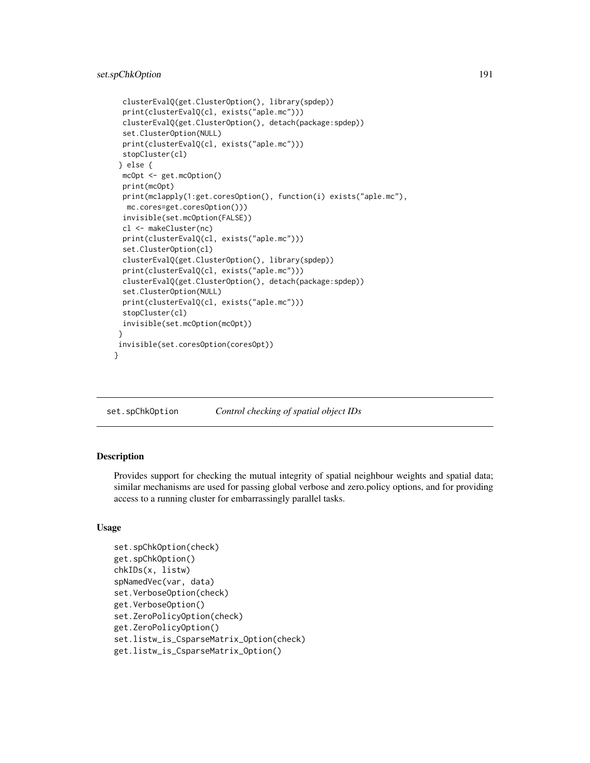```
clusterEvalQ(get.ClusterOption(), library(spdep))
 print(clusterEvalQ(cl, exists("aple.mc")))
 clusterEvalQ(get.ClusterOption(), detach(package:spdep))
 set.ClusterOption(NULL)
 print(clusterEvalQ(cl, exists("aple.mc")))
 stopCluster(cl)
} else {
 mcOpt <- get.mcOption()
 print(mcOpt)
 print(mclapply(1:get.coresOption(), function(i) exists("aple.mc"),
 mc.cores=get.coresOption()))
 invisible(set.mcOption(FALSE))
 cl <- makeCluster(nc)
 print(clusterEvalQ(cl, exists("aple.mc")))
 set.ClusterOption(cl)
 clusterEvalQ(get.ClusterOption(), library(spdep))
 print(clusterEvalQ(cl, exists("aple.mc")))
 clusterEvalQ(get.ClusterOption(), detach(package:spdep))
 set.ClusterOption(NULL)
 print(clusterEvalQ(cl, exists("aple.mc")))
 stopCluster(cl)
 invisible(set.mcOption(mcOpt))
}
invisible(set.coresOption(coresOpt))
```
set.spChkOption *Control checking of spatial object IDs*

# **Description**

}

Provides support for checking the mutual integrity of spatial neighbour weights and spatial data; similar mechanisms are used for passing global verbose and zero.policy options, and for providing access to a running cluster for embarrassingly parallel tasks.

#### Usage

```
set.spChkOption(check)
get.spChkOption()
chkIDs(x, listw)
spNamedVec(var, data)
set.VerboseOption(check)
get.VerboseOption()
set.ZeroPolicyOption(check)
get.ZeroPolicyOption()
set.listw_is_CsparseMatrix_Option(check)
get.listw_is_CsparseMatrix_Option()
```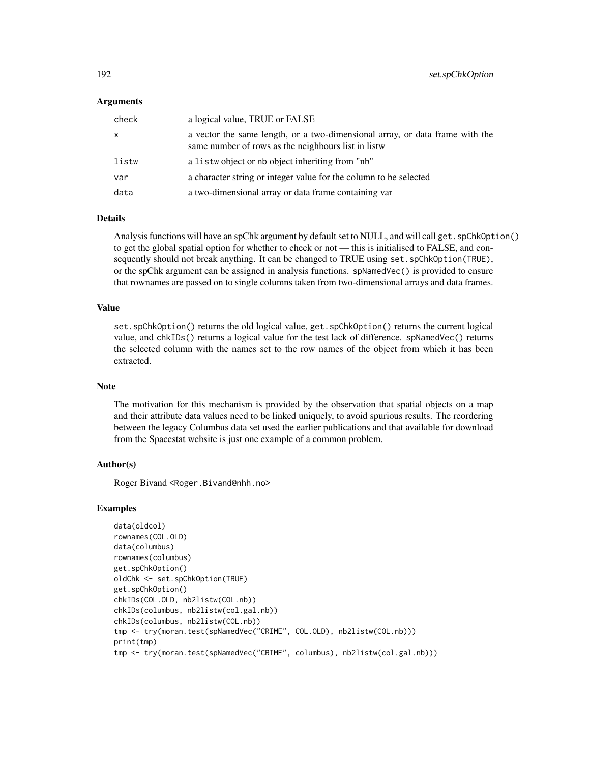## Arguments

| check | a logical value, TRUE or FALSE                                                                                                      |
|-------|-------------------------------------------------------------------------------------------------------------------------------------|
| X     | a vector the same length, or a two-dimensional array, or data frame with the<br>same number of rows as the neighbours list in listw |
| listw | a list wo object or no object inheriting from "nb"                                                                                  |
| var   | a character string or integer value for the column to be selected                                                                   |
| data  | a two-dimensional array or data frame containing var                                                                                |

## Details

Analysis functions will have an spChk argument by default set to NULL, and will call get. spChkOption() to get the global spatial option for whether to check or not — this is initialised to FALSE, and consequently should not break anything. It can be changed to TRUE using set. spChkOption(TRUE), or the spChk argument can be assigned in analysis functions. spNamedVec() is provided to ensure that rownames are passed on to single columns taken from two-dimensional arrays and data frames.

## Value

set.spChkOption() returns the old logical value, get.spChkOption() returns the current logical value, and chkIDs() returns a logical value for the test lack of difference. spNamedVec() returns the selected column with the names set to the row names of the object from which it has been extracted.

#### Note

The motivation for this mechanism is provided by the observation that spatial objects on a map and their attribute data values need to be linked uniquely, to avoid spurious results. The reordering between the legacy Columbus data set used the earlier publications and that available for download from the Spacestat website is just one example of a common problem.

## Author(s)

Roger Bivand <Roger.Bivand@nhh.no>

```
data(oldcol)
rownames(COL.OLD)
data(columbus)
rownames(columbus)
get.spChkOption()
oldChk <- set.spChkOption(TRUE)
get.spChkOption()
chkIDs(COL.OLD, nb2listw(COL.nb))
chkIDs(columbus, nb2listw(col.gal.nb))
chkIDs(columbus, nb2listw(COL.nb))
tmp <- try(moran.test(spNamedVec("CRIME", COL.OLD), nb2listw(COL.nb)))
print(tmp)
tmp <- try(moran.test(spNamedVec("CRIME", columbus), nb2listw(col.gal.nb)))
```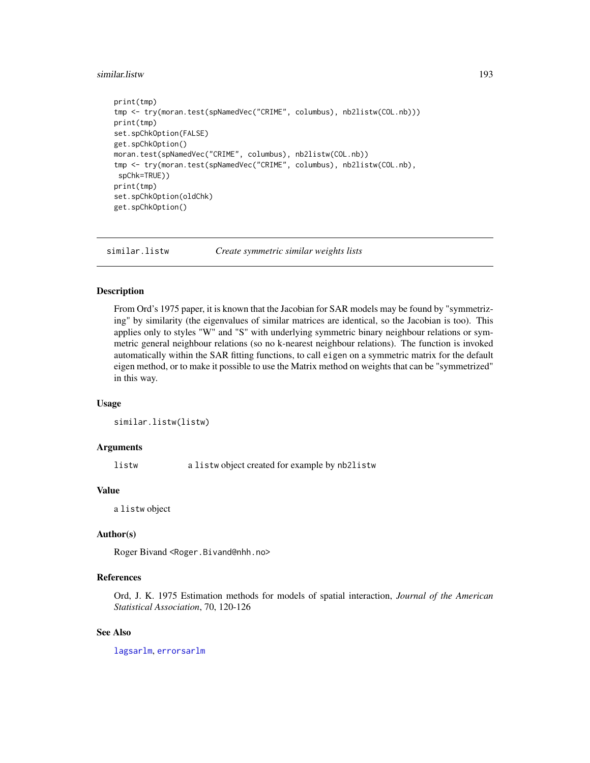#### similar.listw 193

```
print(tmp)
tmp <- try(moran.test(spNamedVec("CRIME", columbus), nb2listw(COL.nb)))
print(tmp)
set.spChkOption(FALSE)
get.spChkOption()
moran.test(spNamedVec("CRIME", columbus), nb2listw(COL.nb))
tmp <- try(moran.test(spNamedVec("CRIME", columbus), nb2listw(COL.nb),
spChk=TRUE))
print(tmp)
set.spChkOption(oldChk)
get.spChkOption()
```
similar.listw *Create symmetric similar weights lists*

# **Description**

From Ord's 1975 paper, it is known that the Jacobian for SAR models may be found by "symmetrizing" by similarity (the eigenvalues of similar matrices are identical, so the Jacobian is too). This applies only to styles "W" and "S" with underlying symmetric binary neighbour relations or symmetric general neighbour relations (so no k-nearest neighbour relations). The function is invoked automatically within the SAR fitting functions, to call eigen on a symmetric matrix for the default eigen method, or to make it possible to use the Matrix method on weights that can be "symmetrized" in this way.

#### Usage

```
similar.listw(listw)
```
## **Arguments**

listw a listw object created for example by nb2listw

#### Value

a listw object

# Author(s)

Roger Bivand <Roger.Bivand@nhh.no>

# References

Ord, J. K. 1975 Estimation methods for models of spatial interaction, *Journal of the American Statistical Association*, 70, 120-126

## See Also

[lagsarlm](#page-98-0), [errorsarlm](#page-51-0)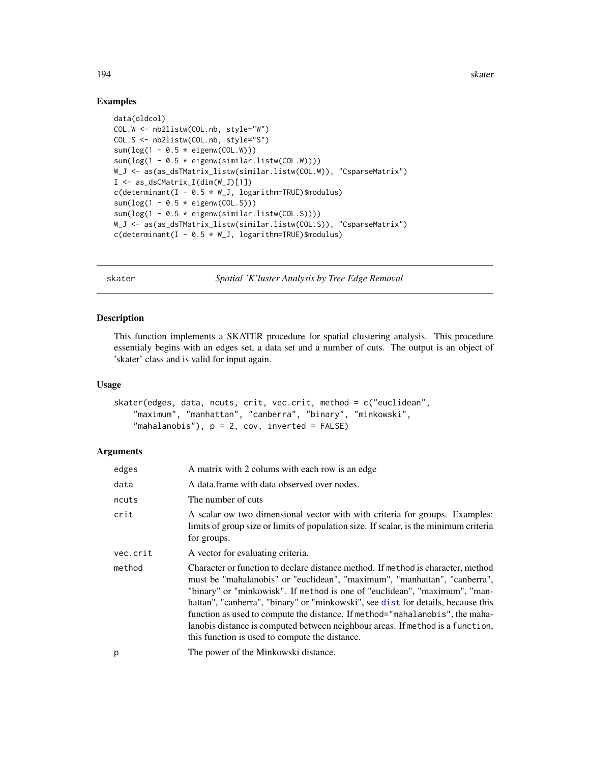## Examples

```
data(oldcol)
COL.W <- nb2listw(COL.nb, style="W")
COL.S <- nb2listw(COL.nb, style="S")
sum(log(1 - 0.5 * eigenv(COL.W)))sum(log(1 - 0.5 * eigenw(similar.listw(COL.W))))
W_J <- as(as_dsTMatrix_listw(similar.listw(COL.W)), "CsparseMatrix")
I <- as_dsCMatrix_I(dim(W_J)[1])
c(determinant(I - 0.5 * W_J, logarithm=TRUE)$modulus)
sum(log(1 - 0.5 * eigenv(COL.S)))sum(log(1 - 0.5 * eigenw(similar.listw(COL.S))))
W_J <- as(as_dsTMatrix_listw(similar.listw(COL.S)), "CsparseMatrix")
c(determinant(I - 0.5 * W_J, logarithm=TRUE)$modulus)
```
skater *Spatial 'K'luster Analysis by Tree Edge Removal*

# Description

This function implements a SKATER procedure for spatial clustering analysis. This procedure essentialy begins with an edges set, a data set and a number of cuts. The output is an object of 'skater' class and is valid for input again.

## Usage

```
skater(edges, data, ncuts, crit, vec.crit, method = c("euclidean",
    "maximum", "manhattan", "canberra", "binary", "minkowski",
    "mathalanobis", p = 2, cov, inverted = FALSE)
```

| edges    | A matrix with 2 colums with each row is an edge                                                                                                                                                                                                                                                                                                                                                                                                                                                                                                     |
|----------|-----------------------------------------------------------------------------------------------------------------------------------------------------------------------------------------------------------------------------------------------------------------------------------------------------------------------------------------------------------------------------------------------------------------------------------------------------------------------------------------------------------------------------------------------------|
| data     | A data frame with data observed over nodes.                                                                                                                                                                                                                                                                                                                                                                                                                                                                                                         |
| ncuts    | The number of cuts                                                                                                                                                                                                                                                                                                                                                                                                                                                                                                                                  |
| crit     | A scalar ow two dimensional vector with with criteria for groups. Examples:<br>limits of group size or limits of population size. If scalar, is the minimum criteria<br>for groups.                                                                                                                                                                                                                                                                                                                                                                 |
| vec.crit | A vector for evaluating criteria.                                                                                                                                                                                                                                                                                                                                                                                                                                                                                                                   |
| method   | Character or function to declare distance method. If method is character, method<br>must be "mahalanobis" or "euclidean", "maximum", "manhattan", "canberra",<br>"binary" or "minkowisk". If method is one of "euclidean", "maximum", "man-<br>hattan", "canberra", "binary" or "minkowski", see dist for details, because this<br>function as used to compute the distance. If method="mahalanobis", the maha-<br>lanobis distance is computed between neighbour areas. If method is a function,<br>this function is used to compute the distance. |
| p        | The power of the Minkowski distance.                                                                                                                                                                                                                                                                                                                                                                                                                                                                                                                |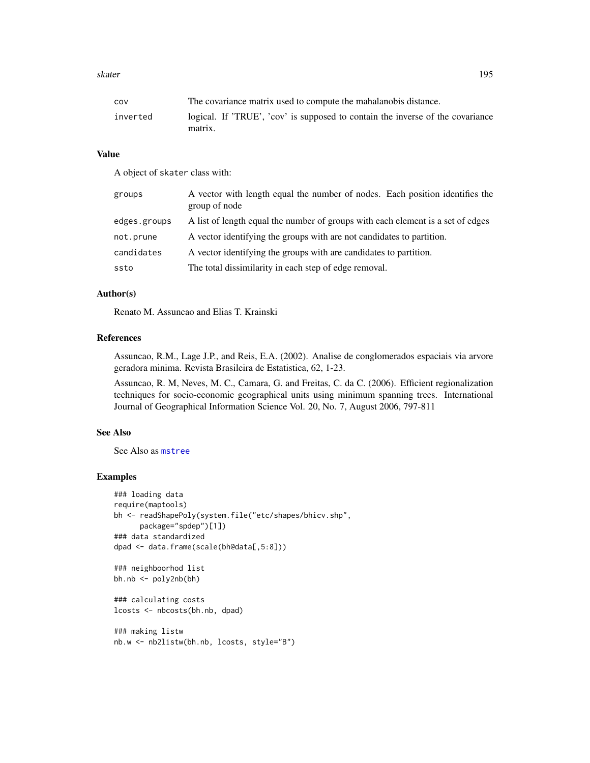#### skater 195

## Value

A object of skater class with:

| groups       | A vector with length equal the number of nodes. Each position identifies the<br>group of node |
|--------------|-----------------------------------------------------------------------------------------------|
| edges.groups | A list of length equal the number of groups with each element is a set of edges               |
| not.prune    | A vector identifying the groups with are not candidates to partition.                         |
| candidates   | A vector identifying the groups with are candidates to partition.                             |
| ssto         | The total dissimilarity in each step of edge removal.                                         |

# Author(s)

Renato M. Assuncao and Elias T. Krainski

## References

Assuncao, R.M., Lage J.P., and Reis, E.A. (2002). Analise de conglomerados espaciais via arvore geradora minima. Revista Brasileira de Estatistica, 62, 1-23.

Assuncao, R. M, Neves, M. C., Camara, G. and Freitas, C. da C. (2006). Efficient regionalization techniques for socio-economic geographical units using minimum spanning trees. International Journal of Geographical Information Science Vol. 20, No. 7, August 2006, 797-811

## See Also

See Also as [mstree](#page-146-0)

## Examples

```
### loading data
require(maptools)
bh <- readShapePoly(system.file("etc/shapes/bhicv.shp",
     package="spdep")[1])
### data standardized
dpad <- data.frame(scale(bh@data[,5:8]))
### neighboorhod list
bh.nb <- poly2nb(bh)
```
### calculating costs lcosts <- nbcosts(bh.nb, dpad)

### making listw nb.w <- nb2listw(bh.nb, lcosts, style="B")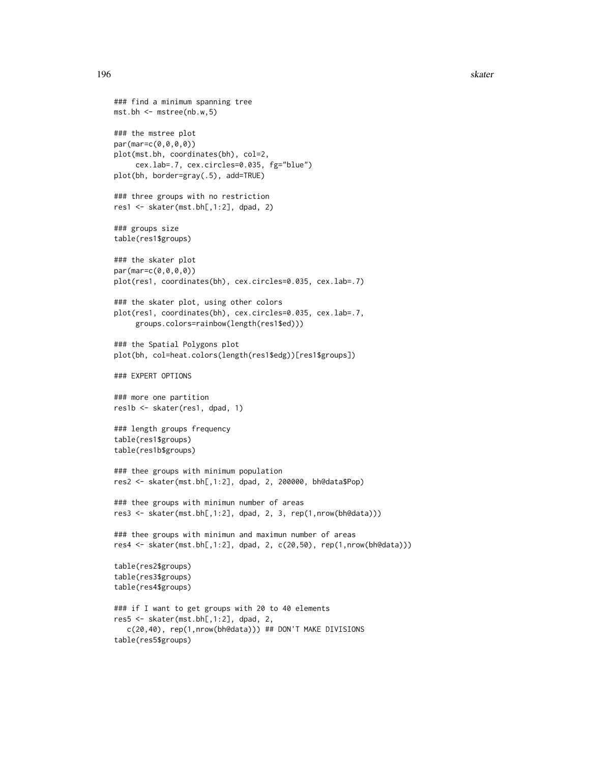```
### find a minimum spanning tree
mst.bh <- mstree(nb.w,5)
### the mstree plot
par(mar=c(0,0,0,0))
plot(mst.bh, coordinates(bh), col=2,
     cex.lab=.7, cex.circles=0.035, fg="blue")
plot(bh, border=gray(.5), add=TRUE)
### three groups with no restriction
res1 <- skater(mst.bh[,1:2], dpad, 2)
### groups size
table(res1$groups)
### the skater plot
par(mar=c(0,0,0,0))
plot(res1, coordinates(bh), cex.circles=0.035, cex.lab=.7)
### the skater plot, using other colors
plot(res1, coordinates(bh), cex.circles=0.035, cex.lab=.7,
     groups.colors=rainbow(length(res1$ed)))
### the Spatial Polygons plot
plot(bh, col=heat.colors(length(res1$edg))[res1$groups])
### EXPERT OPTIONS
### more one partition
res1b <- skater(res1, dpad, 1)
### length groups frequency
table(res1$groups)
table(res1b$groups)
### thee groups with minimum population
res2 <- skater(mst.bh[,1:2], dpad, 2, 200000, bh@data$Pop)
### thee groups with minimun number of areas
res3 <- skater(mst.bh[,1:2], dpad, 2, 3, rep(1,nrow(bh@data)))
### thee groups with minimun and maximun number of areas
res4 <- skater(mst.bh[,1:2], dpad, 2, c(20,50), rep(1,nrow(bh@data)))
table(res2$groups)
table(res3$groups)
table(res4$groups)
### if I want to get groups with 20 to 40 elements
res5 <- skater(mst.bh[,1:2], dpad, 2,
   c(20,40), rep(1,nrow(bh@data))) ## DON'T MAKE DIVISIONS
table(res5$groups)
```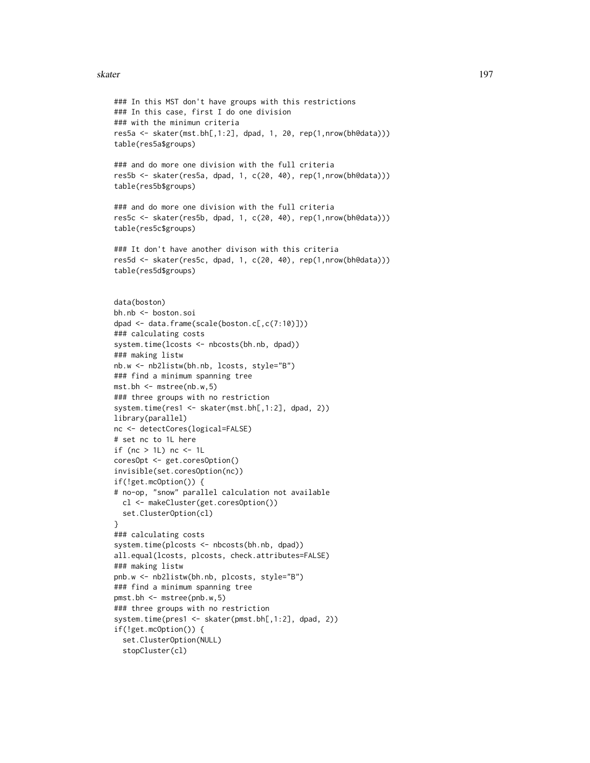#### skater 197

```
### In this MST don't have groups with this restrictions
### In this case, first I do one division
### with the minimun criteria
res5a <- skater(mst.bh[,1:2], dpad, 1, 20, rep(1,nrow(bh@data)))
table(res5a$groups)
### and do more one division with the full criteria
res5b <- skater(res5a, dpad, 1, c(20, 40), rep(1,nrow(bh@data)))
table(res5b$groups)
### and do more one division with the full criteria
res5c <- skater(res5b, dpad, 1, c(20, 40), rep(1,nrow(bh@data)))
table(res5c$groups)
### It don't have another divison with this criteria
res5d <- skater(res5c, dpad, 1, c(20, 40), rep(1,nrow(bh@data)))
table(res5d$groups)
data(boston)
bh.nb <- boston.soi
dpad <- data.frame(scale(boston.c[,c(7:10)]))
### calculating costs
system.time(lcosts <- nbcosts(bh.nb, dpad))
### making listw
nb.w <- nb2listw(bh.nb, lcosts, style="B")
### find a minimum spanning tree
mst.bh <- mstree(nb.w,5)
### three groups with no restriction
system.time(res1 <- skater(mst.bh[,1:2], dpad, 2))
library(parallel)
nc <- detectCores(logical=FALSE)
# set nc to 1L here
if (nc > 1L) nc <- 1L
coresOpt <- get.coresOption()
invisible(set.coresOption(nc))
if(!get.mcOption()) {
# no-op, "snow" parallel calculation not available
  cl <- makeCluster(get.coresOption())
  set.ClusterOption(cl)
}
### calculating costs
system.time(plcosts <- nbcosts(bh.nb, dpad))
all.equal(lcosts, plcosts, check.attributes=FALSE)
### making listw
pnb.w <- nb2listw(bh.nb, plcosts, style="B")
### find a minimum spanning tree
pmst.bh <- mstree(pnb.w,5)
### three groups with no restriction
system.time(pres1 <- skater(pmst.bh[,1:2], dpad, 2))
if(!get.mcOption()) {
  set.ClusterOption(NULL)
  stopCluster(cl)
```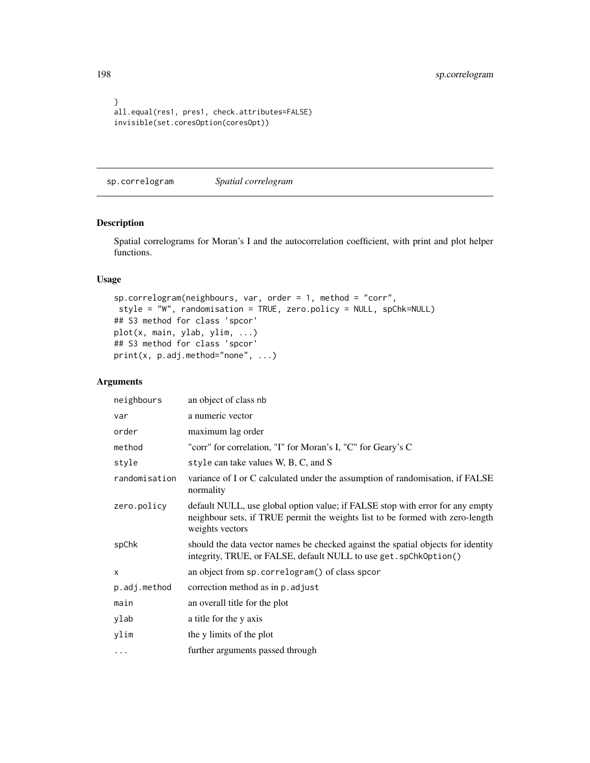```
}
all.equal(res1, pres1, check.attributes=FALSE)
invisible(set.coresOption(coresOpt))
```
sp.correlogram *Spatial correlogram*

## Description

Spatial correlograms for Moran's I and the autocorrelation coefficient, with print and plot helper functions.

## Usage

```
sp.correlogram(neighbours, var, order = 1, method = "corr",
style = "W", randomisation = TRUE, zero.policy = NULL, spChk=NULL)
## S3 method for class 'spcor'
plot(x, main, ylab, ylim, ...)
## S3 method for class 'spcor'
print(x, p.adj.method="none", ...)
```

| neighbours    | an object of class nb                                                                                                                                                             |
|---------------|-----------------------------------------------------------------------------------------------------------------------------------------------------------------------------------|
| var           | a numeric vector                                                                                                                                                                  |
| order         | maximum lag order                                                                                                                                                                 |
| method        | "corr" for correlation, "I" for Moran's I, "C" for Geary's C                                                                                                                      |
| style         | style can take values W, B, C, and S                                                                                                                                              |
| randomisation | variance of I or C calculated under the assumption of randomisation, if FALSE<br>normality                                                                                        |
| zero.policy   | default NULL, use global option value; if FALSE stop with error for any empty<br>neighbour sets, if TRUE permit the weights list to be formed with zero-length<br>weights vectors |
| spChk         | should the data vector names be checked against the spatial objects for identity<br>integrity, TRUE, or FALSE, default NULL to use get. spChk0ption()                             |
| X             | an object from sp. correlogram() of class spcor                                                                                                                                   |
| p.adj.method  | correction method as in p. adjust                                                                                                                                                 |
| main          | an overall title for the plot                                                                                                                                                     |
| ylab          | a title for the y axis                                                                                                                                                            |
| ylim          | the y limits of the plot                                                                                                                                                          |
| $\cdots$      | further arguments passed through                                                                                                                                                  |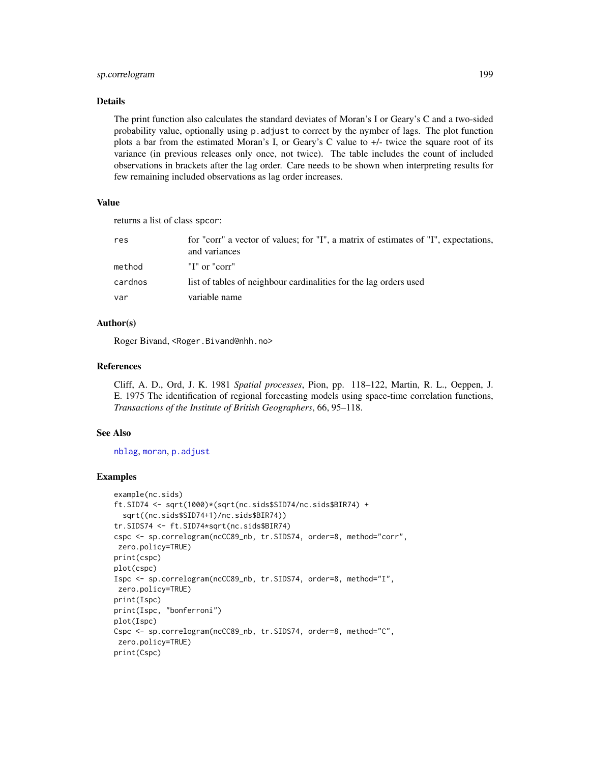## sp.correlogram 199

## Details

The print function also calculates the standard deviates of Moran's I or Geary's C and a two-sided probability value, optionally using p.adjust to correct by the nymber of lags. The plot function plots a bar from the estimated Moran's I, or Geary's C value to +/- twice the square root of its variance (in previous releases only once, not twice). The table includes the count of included observations in brackets after the lag order. Care needs to be shown when interpreting results for few remaining included observations as lag order increases.

#### Value

returns a list of class spcor:

| res     | for "corr" a vector of values; for "I", a matrix of estimates of "I", expectations,<br>and variances |
|---------|------------------------------------------------------------------------------------------------------|
| method  | "I" or "corr"                                                                                        |
| cardnos | list of tables of neighbour cardinalities for the lag orders used                                    |
| var     | variable name                                                                                        |

## Author(s)

Roger Bivand, <Roger.Bivand@nhh.no>

## References

Cliff, A. D., Ord, J. K. 1981 *Spatial processes*, Pion, pp. 118–122, Martin, R. L., Oeppen, J. E. 1975 The identification of regional forecasting models using space-time correlation functions, *Transactions of the Institute of British Geographers*, 66, 95–118.

#### See Also

[nblag](#page-160-0), [moran](#page-140-0), [p.adjust](#page-0-0)

```
example(nc.sids)
ft.SID74 <- sqrt(1000)*(sqrt(nc.sids$SID74/nc.sids$BIR74) +
  sqrt((nc.sids$SID74+1)/nc.sids$BIR74))
tr.SIDS74 <- ft.SID74*sqrt(nc.sids$BIR74)
cspc <- sp.correlogram(ncCC89_nb, tr.SIDS74, order=8, method="corr",
zero.policy=TRUE)
print(cspc)
plot(cspc)
Ispc <- sp.correlogram(ncCC89_nb, tr.SIDS74, order=8, method="I",
 zero.policy=TRUE)
print(Ispc)
print(Ispc, "bonferroni")
plot(Ispc)
Cspc <- sp.correlogram(ncCC89_nb, tr.SIDS74, order=8, method="C",
zero.policy=TRUE)
print(Cspc)
```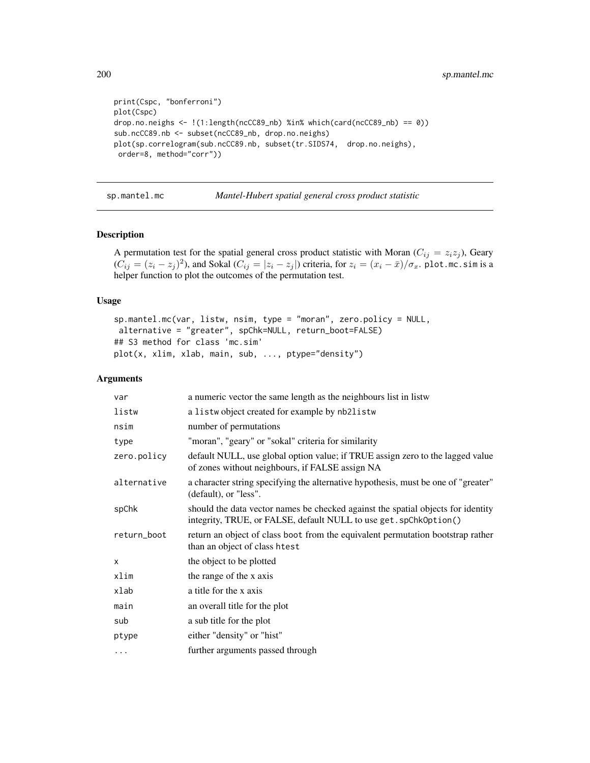```
print(Cspc, "bonferroni")
plot(Cspc)
drop.no.neighs <- !(1:length(ncCC89_nb) %in% which(card(ncCC89_nb) == 0))
sub.ncCC89.nb <- subset(ncCC89_nb, drop.no.neighs)
plot(sp.correlogram(sub.ncCC89.nb, subset(tr.SIDS74, drop.no.neighs),
order=8, method="corr"))
```
sp.mantel.mc *Mantel-Hubert spatial general cross product statistic*

## Description

A permutation test for the spatial general cross product statistic with Moran ( $C_{ij} = z_i z_j$ ), Geary  $(C_{ij} = (z_i - z_j)^2)$ , and Sokal  $(C_{ij} = |z_i - z_j|)$  criteria, for  $z_i = (x_i - \bar{x})/\sigma_x$ . plot.mc.sim is a helper function to plot the outcomes of the permutation test.

## Usage

```
sp.mantel.mc(var, listw, nsim, type = "moran", zero.policy = NULL,
alternative = "greater", spChk=NULL, return_boot=FALSE)
## S3 method for class 'mc.sim'
plot(x, xlim, xlab, main, sub, ..., ptype="density")
```

| var          | a numeric vector the same length as the neighbours list in listw                                                                                      |
|--------------|-------------------------------------------------------------------------------------------------------------------------------------------------------|
| listw        | a listwo bject created for example by nb2listw                                                                                                        |
| nsim         | number of permutations                                                                                                                                |
| type         | "moran", "geary" or "sokal" criteria for similarity                                                                                                   |
| zero.policy  | default NULL, use global option value; if TRUE assign zero to the lagged value<br>of zones without neighbours, if FALSE assign NA                     |
| alternative  | a character string specifying the alternative hypothesis, must be one of "greater"<br>(default), or "less".                                           |
| spChk        | should the data vector names be checked against the spatial objects for identity<br>integrity, TRUE, or FALSE, default NULL to use get. spChkOption() |
| return_boot  | return an object of class boot from the equivalent permutation bootstrap rather<br>than an object of class htest                                      |
| $\mathsf{x}$ | the object to be plotted                                                                                                                              |
| xlim         | the range of the x axis                                                                                                                               |
| xlab         | a title for the x axis                                                                                                                                |
| main         | an overall title for the plot                                                                                                                         |
| sub          | a sub title for the plot                                                                                                                              |
| ptype        | either "density" or "hist"                                                                                                                            |
| $\cdots$     | further arguments passed through                                                                                                                      |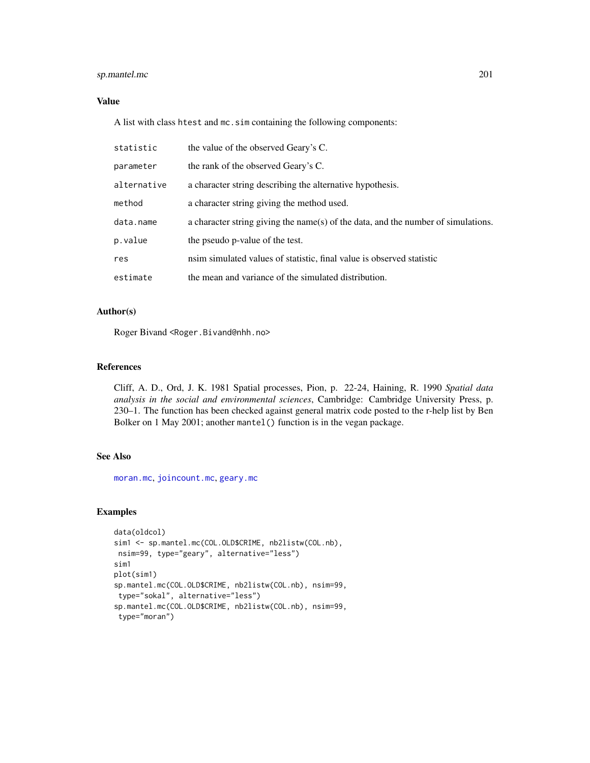# sp.mantel.mc 201

# Value

A list with class htest and mc.sim containing the following components:

| statistic   | the value of the observed Geary's C.                                              |
|-------------|-----------------------------------------------------------------------------------|
| parameter   | the rank of the observed Geary's C.                                               |
| alternative | a character string describing the alternative hypothesis.                         |
| method      | a character string giving the method used.                                        |
| data.name   | a character string giving the name(s) of the data, and the number of simulations. |
| p.value     | the pseudo p-value of the test.                                                   |
| res         | nsim simulated values of statistic, final value is observed statistic             |
| estimate    | the mean and variance of the simulated distribution.                              |

# Author(s)

Roger Bivand <Roger.Bivand@nhh.no>

## References

Cliff, A. D., Ord, J. K. 1981 Spatial processes, Pion, p. 22-24, Haining, R. 1990 *Spatial data analysis in the social and environmental sciences*, Cambridge: Cambridge University Press, p. 230–1. The function has been checked against general matrix code posted to the r-help list by Ben Bolker on 1 May 2001; another mantel() function is in the vegan package.

# See Also

[moran.mc](#page-141-0), [joincount.mc](#page-87-0), [geary.mc](#page-59-0)

```
data(oldcol)
sim1 <- sp.mantel.mc(COL.OLD$CRIME, nb2listw(COL.nb),
nsim=99, type="geary", alternative="less")
sim1
plot(sim1)
sp.mantel.mc(COL.OLD$CRIME, nb2listw(COL.nb), nsim=99,
 type="sokal", alternative="less")
sp.mantel.mc(COL.OLD$CRIME, nb2listw(COL.nb), nsim=99,
 type="moran")
```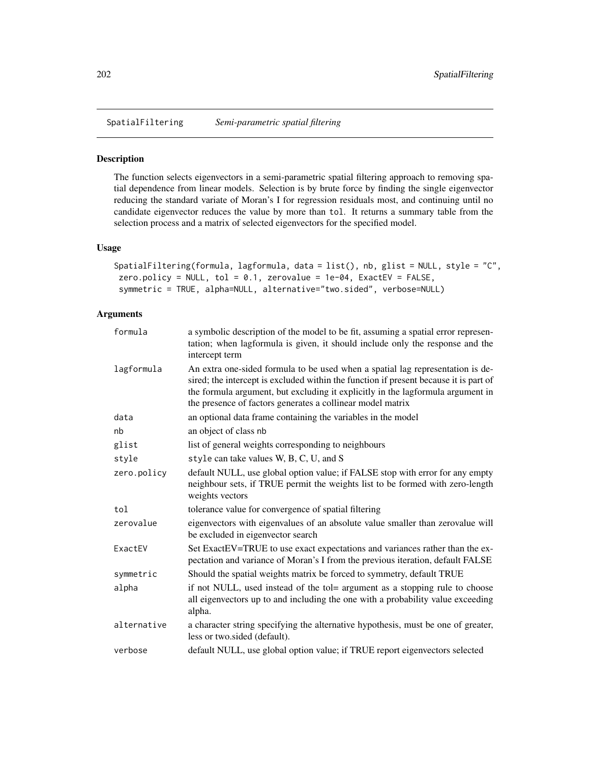## Description

The function selects eigenvectors in a semi-parametric spatial filtering approach to removing spatial dependence from linear models. Selection is by brute force by finding the single eigenvector reducing the standard variate of Moran's I for regression residuals most, and continuing until no candidate eigenvector reduces the value by more than tol. It returns a summary table from the selection process and a matrix of selected eigenvectors for the specified model.

## Usage

```
SpatialFiltering(formula, lagformula, data = list(), nb, glist = NULL, style = "C",
zero.policy = NULL, tol = 0.1, zerovalue = 1e-04, ExactEV = FALSE,
symmetric = TRUE, alpha=NULL, alternative="two.sided", verbose=NULL)
```

| formula     | a symbolic description of the model to be fit, assuming a spatial error represen-<br>tation; when lagformula is given, it should include only the response and the<br>intercept term                                                                                                                                     |
|-------------|--------------------------------------------------------------------------------------------------------------------------------------------------------------------------------------------------------------------------------------------------------------------------------------------------------------------------|
| lagformula  | An extra one-sided formula to be used when a spatial lag representation is de-<br>sired; the intercept is excluded within the function if present because it is part of<br>the formula argument, but excluding it explicitly in the lagformula argument in<br>the presence of factors generates a collinear model matrix |
| data        | an optional data frame containing the variables in the model                                                                                                                                                                                                                                                             |
| nb          | an object of class nb                                                                                                                                                                                                                                                                                                    |
| glist       | list of general weights corresponding to neighbours                                                                                                                                                                                                                                                                      |
| style       | style can take values W, B, C, U, and S                                                                                                                                                                                                                                                                                  |
| zero.policy | default NULL, use global option value; if FALSE stop with error for any empty<br>neighbour sets, if TRUE permit the weights list to be formed with zero-length<br>weights vectors                                                                                                                                        |
| tol         | tolerance value for convergence of spatial filtering                                                                                                                                                                                                                                                                     |
| zerovalue   | eigenvectors with eigenvalues of an absolute value smaller than zerovalue will<br>be excluded in eigenvector search                                                                                                                                                                                                      |
| ExactEV     | Set ExactEV=TRUE to use exact expectations and variances rather than the ex-<br>pectation and variance of Moran's I from the previous iteration, default FALSE                                                                                                                                                           |
| symmetric   | Should the spatial weights matrix be forced to symmetry, default TRUE                                                                                                                                                                                                                                                    |
| alpha       | if not NULL, used instead of the tol= argument as a stopping rule to choose<br>all eigenvectors up to and including the one with a probability value exceeding<br>alpha.                                                                                                                                                 |
| alternative | a character string specifying the alternative hypothesis, must be one of greater,<br>less or two.sided (default).                                                                                                                                                                                                        |
| verbose     | default NULL, use global option value; if TRUE report eigenvectors selected                                                                                                                                                                                                                                              |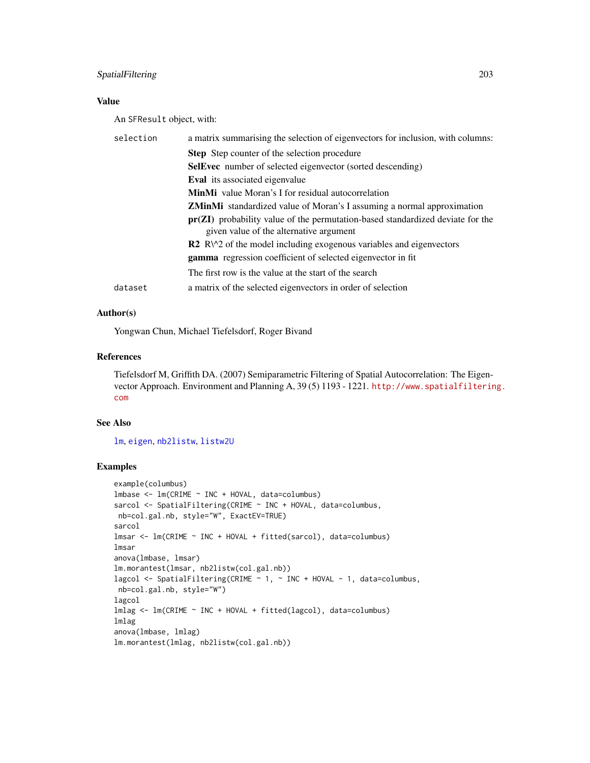# SpatialFiltering 203

# Value

An SFResult object, with:

| selection | a matrix summarising the selection of eigenvectors for inclusion, with columns:                                             |
|-----------|-----------------------------------------------------------------------------------------------------------------------------|
|           | <b>Step</b> Step counter of the selection procedure                                                                         |
|           | <b>SelEvec</b> number of selected eigenvector (sorted descending)                                                           |
|           | <b>Eval</b> its associated eigenvalue                                                                                       |
|           | <b>MinMi</b> value Moran's I for residual autocorrelation                                                                   |
|           | <b>ZMinMi</b> standardized value of Moran's I assuming a normal approximation                                               |
|           | $pr(ZI)$ probability value of the permutation-based standardized deviate for the<br>given value of the alternative argument |
|           | $\mathbb{R}^2$ R $\vee$ 2 of the model including exogenous variables and eigenvectors                                       |
|           | <b>gamma</b> regression coefficient of selected eigenvector in fit                                                          |
|           | The first row is the value at the start of the search                                                                       |
| dataset   | a matrix of the selected eigenvectors in order of selection                                                                 |

# Author(s)

Yongwan Chun, Michael Tiefelsdorf, Roger Bivand

## References

Tiefelsdorf M, Griffith DA. (2007) Semiparametric Filtering of Spatial Autocorrelation: The Eigenvector Approach. Environment and Planning A, 39 (5) 1193 - 1221. [http://www.spatialfilterin](http://www.spatialfiltering.com)g. [com](http://www.spatialfiltering.com)

# See Also

[lm](#page-0-0), [eigen](#page-0-0), [nb2listw](#page-153-0), [listw2U](#page-117-0)

```
example(columbus)
lmbase <- lm(CRIME ~ INC + HOVAL, data=columbus)
sarcol <- SpatialFiltering(CRIME ~ INC + HOVAL, data=columbus,
nb=col.gal.nb, style="W", ExactEV=TRUE)
sarcol
lmsar <- lm(CRIME ~ INC + HOVAL + fitted(sarcol), data=columbus)
lmsar
anova(lmbase, lmsar)
lm.morantest(lmsar, nb2listw(col.gal.nb))
lagcol <- SpatialFiltering(CRIME ~ 1, ~ INC + HOVAL - 1, data=columbus,
nb=col.gal.nb, style="W")
lagcol
lmlag <- lm(CRIME ~ INC + HOVAL + fitted(lagcol), data=columbus)
lmlag
anova(lmbase, lmlag)
lm.morantest(lmlag, nb2listw(col.gal.nb))
```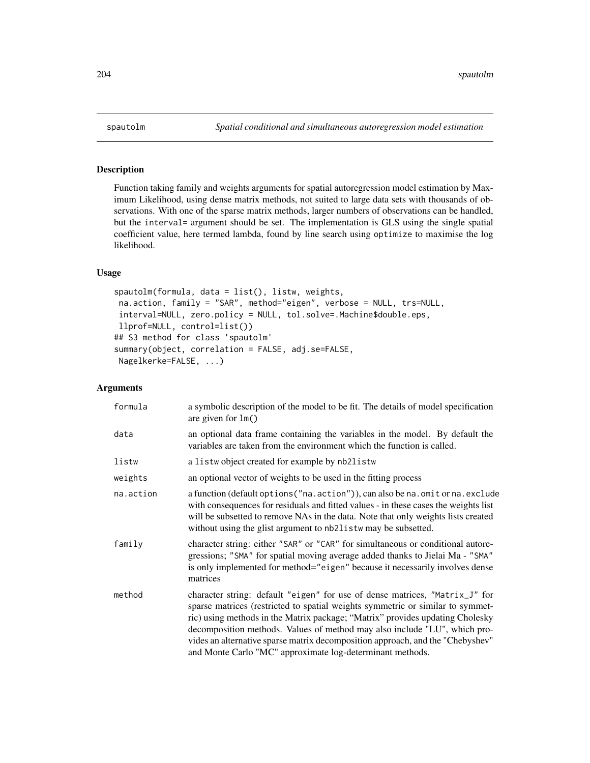# Description

Function taking family and weights arguments for spatial autoregression model estimation by Maximum Likelihood, using dense matrix methods, not suited to large data sets with thousands of observations. With one of the sparse matrix methods, larger numbers of observations can be handled, but the interval= argument should be set. The implementation is GLS using the single spatial coefficient value, here termed lambda, found by line search using optimize to maximise the log likelihood.

# Usage

```
spautolm(formula, data = list(), listw, weights,
na.action, family = "SAR", method="eigen", verbose = NULL, trs=NULL,
interval=NULL, zero.policy = NULL, tol.solve=.Machine$double.eps,
llprof=NULL, control=list())
## S3 method for class 'spautolm'
summary(object, correlation = FALSE, adj.se=FALSE,
Nagelkerke=FALSE, ...)
```

| formula   | a symbolic description of the model to be fit. The details of model specification<br>are given for $lm()$                                                                                                                                                                                                                                                                                                                                                                  |
|-----------|----------------------------------------------------------------------------------------------------------------------------------------------------------------------------------------------------------------------------------------------------------------------------------------------------------------------------------------------------------------------------------------------------------------------------------------------------------------------------|
| data      | an optional data frame containing the variables in the model. By default the<br>variables are taken from the environment which the function is called.                                                                                                                                                                                                                                                                                                                     |
| listw     | a listwo bject created for example by nb2listw                                                                                                                                                                                                                                                                                                                                                                                                                             |
| weights   | an optional vector of weights to be used in the fitting process                                                                                                                                                                                                                                                                                                                                                                                                            |
| na.action | a function (default options ("na.action")), can also be na.omit or na.exclude<br>with consequences for residuals and fitted values - in these cases the weights list<br>will be subsetted to remove NAs in the data. Note that only weights lists created<br>without using the glist argument to nb21 is two may be subsetted.                                                                                                                                             |
| family    | character string: either "SAR" or "CAR" for simultaneous or conditional autore-<br>gressions; "SMA" for spatial moving average added thanks to Jielai Ma - "SMA"<br>is only implemented for method="eigen" because it necessarily involves dense<br>matrices                                                                                                                                                                                                               |
| method    | character string: default "eigen" for use of dense matrices, "Matrix_J" for<br>sparse matrices (restricted to spatial weights symmetric or similar to symmet-<br>ric) using methods in the Matrix package; "Matrix" provides updating Cholesky<br>decomposition methods. Values of method may also include "LU", which pro-<br>vides an alternative sparse matrix decomposition approach, and the "Chebyshev"<br>and Monte Carlo "MC" approximate log-determinant methods. |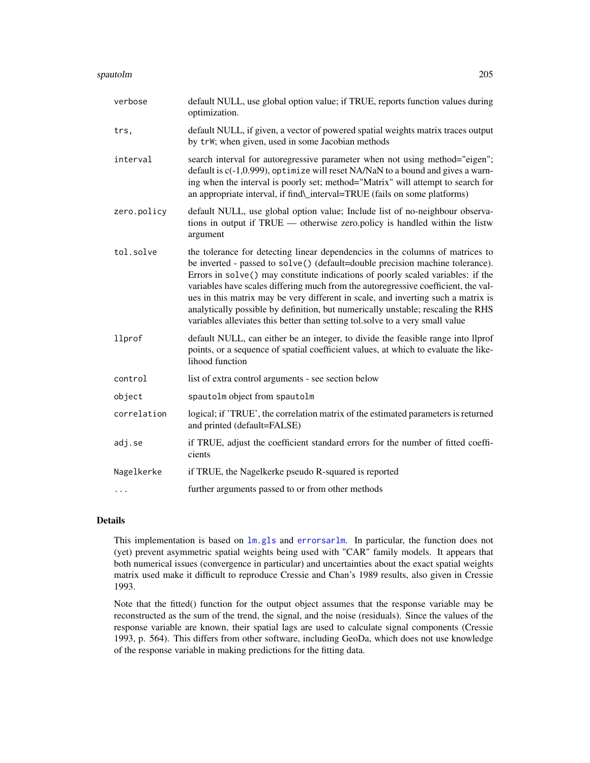- trs, default NULL, if given, a vector of powered spatial weights matrix traces output by trW; when given, used in some Jacobian methods
- interval search interval for autoregressive parameter when not using method="eigen"; default is c(-1,0.999), optimize will reset NA/NaN to a bound and gives a warning when the interval is poorly set; method="Matrix" will attempt to search for an appropriate interval, if find\\_interval=TRUE (fails on some platforms)
- zero.policy default NULL, use global option value; Include list of no-neighbour observations in output if TRUE — otherwise zero.policy is handled within the listw argument
- tol.solve the tolerance for detecting linear dependencies in the columns of matrices to be inverted - passed to solve() (default=double precision machine tolerance). Errors in solve() may constitute indications of poorly scaled variables: if the variables have scales differing much from the autoregressive coefficient, the values in this matrix may be very different in scale, and inverting such a matrix is analytically possible by definition, but numerically unstable; rescaling the RHS variables alleviates this better than setting tol.solve to a very small value
- llprof default NULL, can either be an integer, to divide the feasible range into llprof points, or a sequence of spatial coefficient values, at which to evaluate the likelihood function
- control list of extra control arguments see section below
- object spautolm object from spautolm

optimization.

- correlation logical; if 'TRUE', the correlation matrix of the estimated parameters is returned and printed (default=FALSE)
- adj.se if TRUE, adjust the coefficient standard errors for the number of fitted coefficients
- Nagelkerke if TRUE, the Nagelkerke pseudo R-squared is reported

... further arguments passed to or from other methods

## Details

This implementation is based on [lm.gls](#page-0-0) and [errorsarlm](#page-51-0). In particular, the function does not (yet) prevent asymmetric spatial weights being used with "CAR" family models. It appears that both numerical issues (convergence in particular) and uncertainties about the exact spatial weights matrix used make it difficult to reproduce Cressie and Chan's 1989 results, also given in Cressie 1993.

Note that the fitted() function for the output object assumes that the response variable may be reconstructed as the sum of the trend, the signal, and the noise (residuals). Since the values of the response variable are known, their spatial lags are used to calculate signal components (Cressie 1993, p. 564). This differs from other software, including GeoDa, which does not use knowledge of the response variable in making predictions for the fitting data.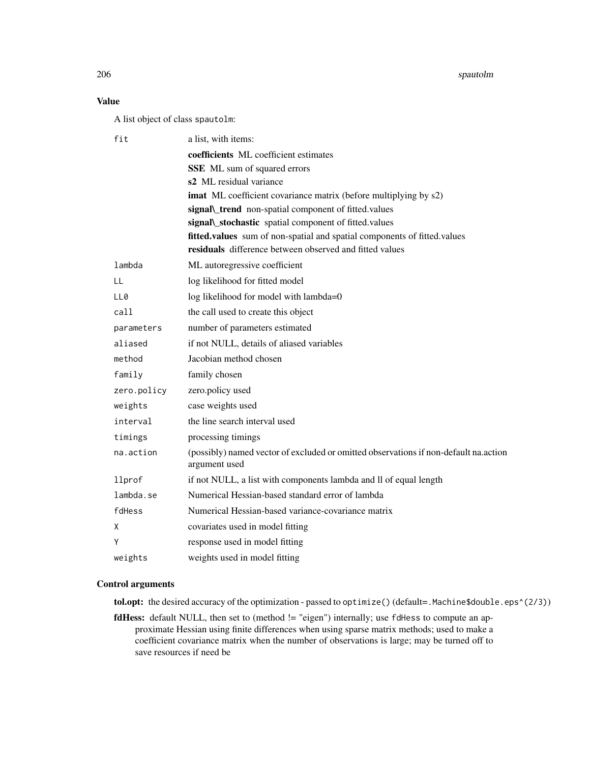206 spautolm

# Value

A list object of class spautolm:

| fit         | a list, with items:                                                                                   |
|-------------|-------------------------------------------------------------------------------------------------------|
|             | coefficients ML coefficient estimates                                                                 |
|             | SSE ML sum of squared errors                                                                          |
|             | s2 ML residual variance                                                                               |
|             | imat ML coefficient covariance matrix (before multiplying by s2)                                      |
|             | signal\_trend_non-spatial component of fitted.values                                                  |
|             | signal\_stochastic spatial component of fitted.values                                                 |
|             | fitted.values sum of non-spatial and spatial components of fitted.values                              |
|             | residuals difference between observed and fitted values                                               |
| lambda      | ML autoregressive coefficient                                                                         |
| LL          | log likelihood for fitted model                                                                       |
| LL0         | log likelihood for model with lambda=0                                                                |
| cal1        | the call used to create this object                                                                   |
| parameters  | number of parameters estimated                                                                        |
| aliased     | if not NULL, details of aliased variables                                                             |
| method      | Jacobian method chosen                                                                                |
| family      | family chosen                                                                                         |
| zero.policy | zero.policy used                                                                                      |
| weights     | case weights used                                                                                     |
| interval    | the line search interval used                                                                         |
| timings     | processing timings                                                                                    |
| na.action   | (possibly) named vector of excluded or omitted observations if non-default na.action<br>argument used |
| llprof      | if not NULL, a list with components lambda and ll of equal length                                     |
| lambda.se   | Numerical Hessian-based standard error of lambda                                                      |
| fdHess      | Numerical Hessian-based variance-covariance matrix                                                    |
| Χ           | covariates used in model fitting                                                                      |
| Υ           | response used in model fitting                                                                        |
| weights     | weights used in model fitting                                                                         |

## Control arguments

tol.opt: the desired accuracy of the optimization - passed to optimize() (default=.Machine\$double.eps^(2/3))

fdHess: default NULL, then set to (method != "eigen") internally; use fdHess to compute an approximate Hessian using finite differences when using sparse matrix methods; used to make a coefficient covariance matrix when the number of observations is large; may be turned off to save resources if need be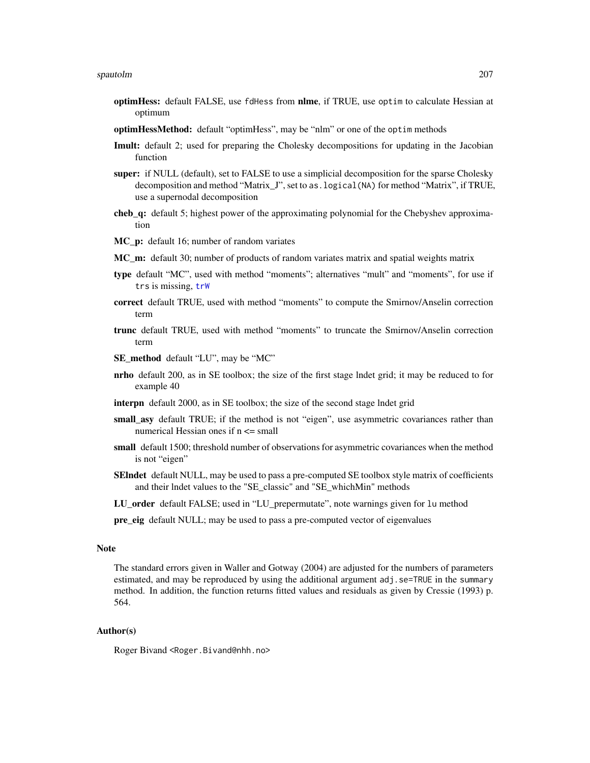- optimHess: default FALSE, use fdHess from nlme, if TRUE, use optim to calculate Hessian at optimum
- optimHessMethod: default "optimHess", may be "nlm" or one of the optim methods
- Imult: default 2; used for preparing the Cholesky decompositions for updating in the Jacobian function
- super: if NULL (default), set to FALSE to use a simplicial decomposition for the sparse Cholesky decomposition and method "Matrix\_J", set to as.logical(NA) for method "Matrix", if TRUE, use a supernodal decomposition
- cheb\_q: default 5; highest power of the approximating polynomial for the Chebyshev approximation
- MC p: default 16; number of random variates
- MC\_m: default 30; number of products of random variates matrix and spatial weights matrix
- type default "MC", used with method "moments"; alternatives "mult" and "moments", for use if trs is missing, [trW](#page-222-0)
- correct default TRUE, used with method "moments" to compute the Smirnov/Anselin correction term
- trunc default TRUE, used with method "moments" to truncate the Smirnov/Anselin correction term
- SE\_method default "LU", may be "MC"
- nrho default 200, as in SE toolbox; the size of the first stage lndet grid; it may be reduced to for example 40
- interpn default 2000, as in SE toolbox; the size of the second stage lndet grid
- small asy default TRUE; if the method is not "eigen", use asymmetric covariances rather than numerical Hessian ones if  $n \le$  small
- small default 1500; threshold number of observations for asymmetric covariances when the method is not "eigen"
- **SEIndet** default NULL, may be used to pass a pre-computed SE toolbox style matrix of coefficients and their lndet values to the "SE\_classic" and "SE\_whichMin" methods
- LU\_order default FALSE; used in "LU\_prepermutate", note warnings given for lu method
- pre\_eig default NULL; may be used to pass a pre-computed vector of eigenvalues

#### Note

The standard errors given in Waller and Gotway (2004) are adjusted for the numbers of parameters estimated, and may be reproduced by using the additional argument adj.se=TRUE in the summary method. In addition, the function returns fitted values and residuals as given by Cressie (1993) p. 564.

#### Author(s)

Roger Bivand <Roger.Bivand@nhh.no>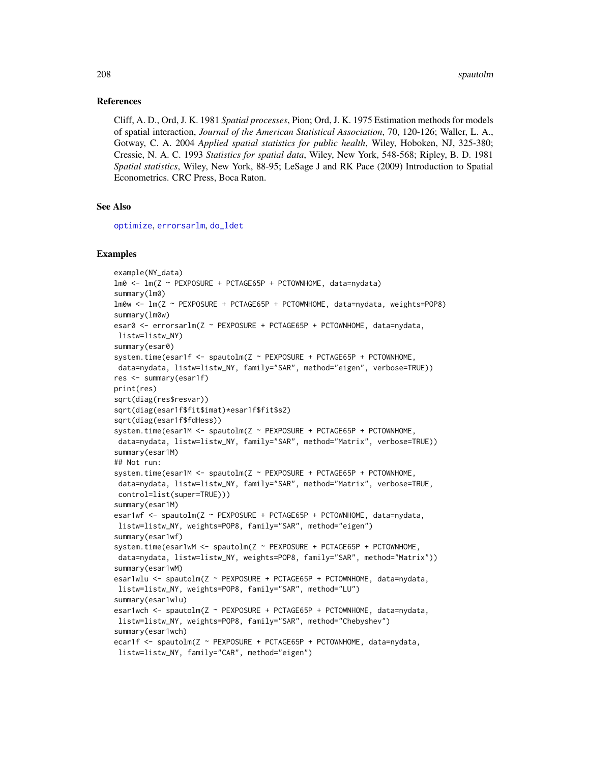#### References

Cliff, A. D., Ord, J. K. 1981 *Spatial processes*, Pion; Ord, J. K. 1975 Estimation methods for models of spatial interaction, *Journal of the American Statistical Association*, 70, 120-126; Waller, L. A., Gotway, C. A. 2004 *Applied spatial statistics for public health*, Wiley, Hoboken, NJ, 325-380; Cressie, N. A. C. 1993 *Statistics for spatial data*, Wiley, New York, 548-568; Ripley, B. D. 1981 *Spatial statistics*, Wiley, New York, 88-95; LeSage J and RK Pace (2009) Introduction to Spatial Econometrics. CRC Press, Boca Raton.

## See Also

[optimize](#page-0-0), [errorsarlm](#page-51-0), [do\\_ldet](#page-31-0)

```
example(NY_data)
lm0 <- lm(Z ~ PEXPOSURE + PCTAGE65P + PCTOWNHOME, data=nydata)
summary(lm0)
lm0w <- lm(Z ~ PEXPOSURE + PCTAGE65P + PCTOWNHOME, data=nydata, weights=POP8)
summary(lm0w)
esar0 <- errorsarlm(Z ~ PEXPOSURE + PCTAGE65P + PCTOWNHOME, data=nydata,
listw=listw_NY)
summary(esar0)
system.time(esar1f <- spautolm(Z ~ PEXPOSURE + PCTAGE65P + PCTOWNHOME,
data=nydata, listw=listw_NY, family="SAR", method="eigen", verbose=TRUE))
res <- summary(esar1f)
print(res)
sqrt(diag(res$resvar))
sqrt(diag(esar1f$fit$imat)*esar1f$fit$s2)
sqrt(diag(esar1f$fdHess))
system.time(esar1M <- spautolm(Z ~ PEXPOSURE + PCTAGE65P + PCTOWNHOME,
data=nydata, listw=listw_NY, family="SAR", method="Matrix", verbose=TRUE))
summary(esar1M)
## Not run:
system.time(esar1M <- spautolm(Z ~ PEXPOSURE + PCTAGE65P + PCTOWNHOME,
data=nydata, listw=listw_NY, family="SAR", method="Matrix", verbose=TRUE,
control=list(super=TRUE)))
summary(esar1M)
esar1wf <- spautolm(Z ~ PEXPOSURE + PCTAGE65P + PCTOWNHOME, data=nydata,
listw=listw_NY, weights=POP8, family="SAR", method="eigen")
summary(esar1wf)
system.time(esar1wM <- spautolm(Z ~ PEXPOSURE + PCTAGE65P + PCTOWNHOME,
data=nydata, listw=listw_NY, weights=POP8, family="SAR", method="Matrix"))
summary(esar1wM)
esar1wlu <- spautolm(Z ~ PEXPOSURE + PCTAGE65P + PCTOWNHOME, data=nydata,
listw=listw_NY, weights=POP8, family="SAR", method="LU")
summary(esar1wlu)
esar1wch <- spautolm(Z ~ PEXPOSURE + PCTAGE65P + PCTOWNHOME, data=nydata,
listw=listw_NY, weights=POP8, family="SAR", method="Chebyshev")
summary(esar1wch)
ecar1f <- spautolm(Z ~ PEXPOSURE + PCTAGE65P + PCTOWNHOME, data=nydata,
listw=listw_NY, family="CAR", method="eigen")
```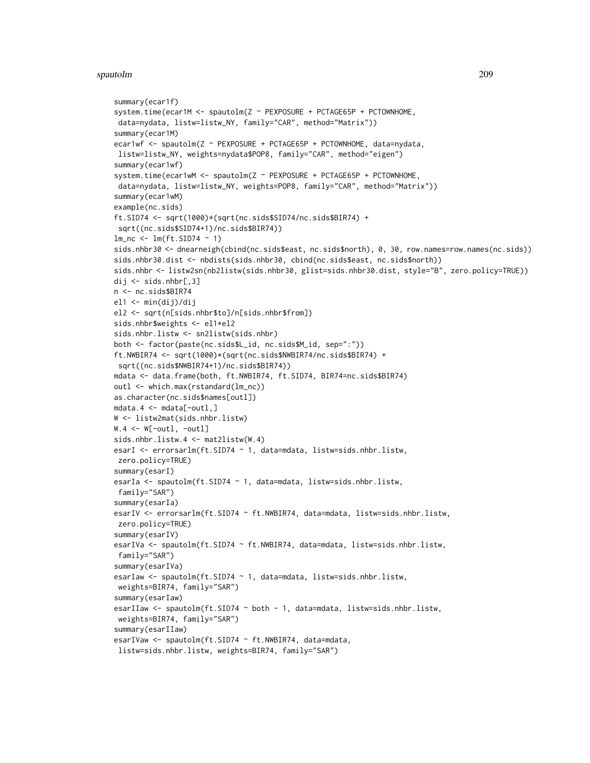#### spautolm 209

```
summary(ecar1f)
system.time(ecar1M <- spautolm(Z ~ PEXPOSURE + PCTAGE65P + PCTOWNHOME,
 data=nydata, listw=listw_NY, family="CAR", method="Matrix"))
summary(ecar1M)
ecar1wf <- spautolm(Z ~ PEXPOSURE + PCTAGE65P + PCTOWNHOME, data=nydata,
listw=listw_NY, weights=nydata$POP8, family="CAR", method="eigen")
summary(ecar1wf)
system.time(ecar1wM <- spautolm(Z ~ PEXPOSURE + PCTAGE65P + PCTOWNHOME,
data=nydata, listw=listw_NY, weights=POP8, family="CAR", method="Matrix"))
summary(ecar1wM)
example(nc.sids)
ft.SID74 <- sqrt(1000)*(sqrt(nc.sids$SID74/nc.sids$BIR74) +
 sqrt((nc.sids$SID74+1)/nc.sids$BIR74))
lm_nc \leftarrow lm(ft.SID74 \sim 1)sids.nhbr30 <- dnearneigh(cbind(nc.sids$east, nc.sids$north), 0, 30, row.names=row.names(nc.sids))
sids.nhbr30.dist <- nbdists(sids.nhbr30, cbind(nc.sids$east, nc.sids$north))
sids.nhbr <- listw2sn(nb2listw(sids.nhbr30, glist=sids.nhbr30.dist, style="B", zero.policy=TRUE))
dij \le sids.nhbr[,3]
n <- nc.sids$BIR74
el1 <- min(dij)/dij
el2 <- sqrt(n[sids.nhbr$to]/n[sids.nhbr$from])
sids.nhbr$weights <- el1*el2
sids.nhbr.listw <- sn2listw(sids.nhbr)
both <- factor(paste(nc.sids$L_id, nc.sids$M_id, sep=":"))
ft.NWBIR74 <- sqrt(1000)*(sqrt(nc.sids$NWBIR74/nc.sids$BIR74) +
 sqrt((nc.sids$NWBIR74+1)/nc.sids$BIR74))
mdata <- data.frame(both, ft.NWBIR74, ft.SID74, BIR74=nc.sids$BIR74)
outl <- which.max(rstandard(lm_nc))
as.character(nc.sids$names[outl])
mdata.4 <- mdata[-outl,]
W <- listw2mat(sids.nhbr.listw)
W.4 \leq W[-out1, -out1]sids.nhbr.listw.4 <- mat2listw(W.4)
esarI <- errorsarlm(ft.SID74 ~ 1, data=mdata, listw=sids.nhbr.listw,
zero.policy=TRUE)
summary(esarI)
esarIa <- spautolm(ft.SID74 ~ 1, data=mdata, listw=sids.nhbr.listw,
 family="SAR")
summary(esarIa)
esarIV <- errorsarlm(ft.SID74 ~ ft.NWBIR74, data=mdata, listw=sids.nhbr.listw,
 zero.policy=TRUE)
summary(esarIV)
esarIVa <- spautolm(ft.SID74 ~ ft.NWBIR74, data=mdata, listw=sids.nhbr.listw,
 family="SAR")
summary(esarIVa)
esarIaw <- spautolm(ft.SID74 ~ 1, data=mdata, listw=sids.nhbr.listw,
 weights=BIR74, family="SAR")
summary(esarIaw)
esarIIaw <- spautolm(ft.SID74 ~ both - 1, data=mdata, listw=sids.nhbr.listw,
 weights=BIR74, family="SAR")
summary(esarIIaw)
esarIVaw <- spautolm(ft.SID74 ~ ft.NWBIR74, data=mdata,
 listw=sids.nhbr.listw, weights=BIR74, family="SAR")
```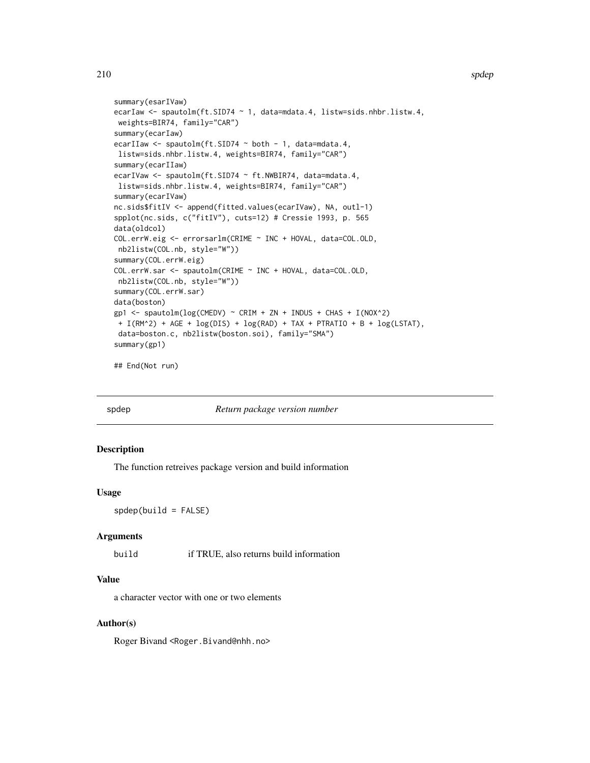#### 210 spdep spdep spdep spdep spdep spdep spdep spdep spdep spdep spdep spdep spdep spdep spdep spdep spdep spdep

```
summary(esarIVaw)
ecarIaw <- spautolm(ft.SID74 ~ 1, data=mdata.4, listw=sids.nhbr.listw.4,
weights=BIR74, family="CAR")
summary(ecarIaw)
ecarIIaw <- spautolm(ft.SID74 ~ both - 1, data=mdata.4,
listw=sids.nhbr.listw.4, weights=BIR74, family="CAR")
summary(ecarIIaw)
ecarIVaw <- spautolm(ft.SID74 ~ ft.NWBIR74, data=mdata.4,
listw=sids.nhbr.listw.4, weights=BIR74, family="CAR")
summary(ecarIVaw)
nc.sids$fitIV <- append(fitted.values(ecarIVaw), NA, outl-1)
spplot(nc.sids, c("fitIV"), cuts=12) # Cressie 1993, p. 565
data(oldcol)
COL.errW.eig <- errorsarlm(CRIME ~ INC + HOVAL, data=COL.OLD,
nb2listw(COL.nb, style="W"))
summary(COL.errW.eig)
COL.errW.sar <- spautolm(CRIME ~ INC + HOVAL, data=COL.OLD,
nb2listw(COL.nb, style="W"))
summary(COL.errW.sar)
data(boston)
gp1 <- spautolm(log(CMEDV) ~ CRIM + ZN + INDUS + CHAS + I(NOX^2)
+ I(RM^2) + AGE + log(DIS) + log(RAD) + TAX + PTRATIO + B + log(LSTAT),
data=boston.c, nb2listw(boston.soi), family="SMA")
summary(gp1)
```
## End(Not run)

spdep *Return package version number*

## Description

The function retreives package version and build information

## Usage

 $spdep(build = FALSE)$ 

#### Arguments

build if TRUE, also returns build information

#### Value

a character vector with one or two elements

## Author(s)

Roger Bivand <Roger.Bivand@nhh.no>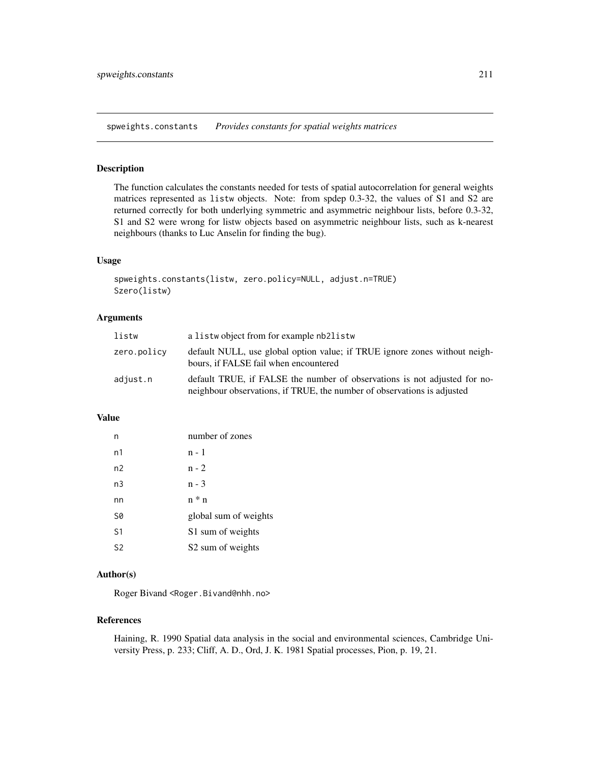spweights.constants *Provides constants for spatial weights matrices*

# Description

The function calculates the constants needed for tests of spatial autocorrelation for general weights matrices represented as listw objects. Note: from spdep 0.3-32, the values of S1 and S2 are returned correctly for both underlying symmetric and asymmetric neighbour lists, before 0.3-32, S1 and S2 were wrong for listw objects based on asymmetric neighbour lists, such as k-nearest neighbours (thanks to Luc Anselin for finding the bug).

## Usage

```
spweights.constants(listw, zero.policy=NULL, adjust.n=TRUE)
Szero(listw)
```
# Arguments

| listw       | a listwo bject from for example nb2listw                                                                                                             |
|-------------|------------------------------------------------------------------------------------------------------------------------------------------------------|
| zero.policy | default NULL, use global option value; if TRUE ignore zones without neigh-<br>bours, if FALSE fail when encountered                                  |
| adjust.n    | default TRUE, if FALSE the number of observations is not adjusted for no-<br>neighbour observations, if TRUE, the number of observations is adjusted |

## Value

| n              | number of zones               |
|----------------|-------------------------------|
| n1             | n - 1                         |
| n2             | $n - 2$                       |
| n3             | n - 3                         |
| nn             | $n * n$                       |
| S0             | global sum of weights         |
| S <sub>1</sub> | S1 sum of weights             |
| S <sub>2</sub> | S <sub>2</sub> sum of weights |

## Author(s)

Roger Bivand <Roger.Bivand@nhh.no>

## References

Haining, R. 1990 Spatial data analysis in the social and environmental sciences, Cambridge University Press, p. 233; Cliff, A. D., Ord, J. K. 1981 Spatial processes, Pion, p. 19, 21.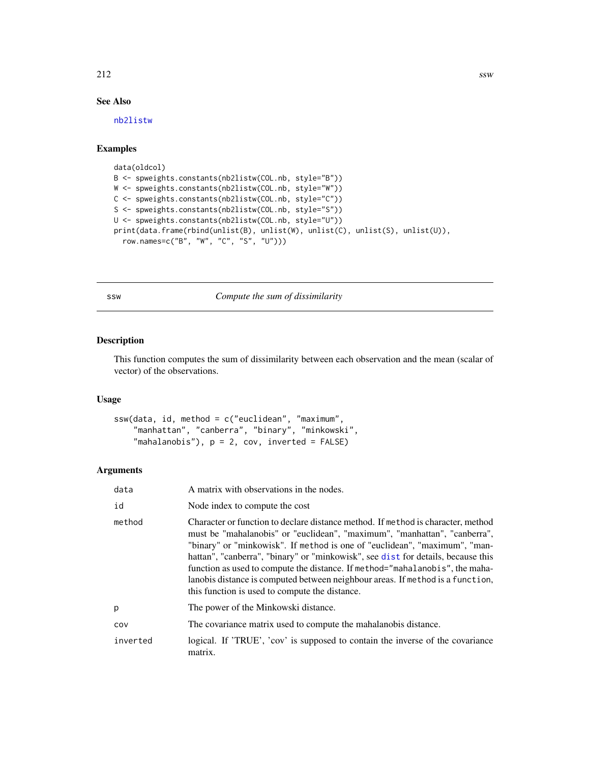## 212  $\sim$

# See Also

[nb2listw](#page-153-0)

# Examples

```
data(oldcol)
B <- spweights.constants(nb2listw(COL.nb, style="B"))
W <- spweights.constants(nb2listw(COL.nb, style="W"))
C <- spweights.constants(nb2listw(COL.nb, style="C"))
S <- spweights.constants(nb2listw(COL.nb, style="S"))
U <- spweights.constants(nb2listw(COL.nb, style="U"))
print(data.frame(rbind(unlist(B), unlist(W), unlist(C), unlist(S), unlist(U)),
  row.names=c("B", "W", "C", "S", "U")))
```
ssw *Compute the sum of dissimilarity*

## Description

This function computes the sum of dissimilarity between each observation and the mean (scalar of vector) of the observations.

#### Usage

```
ssw(data, id, method = c("euclidean", "maximum",
    "manhattan", "canberra", "binary", "minkowski",
    "mahalanobis"), p = 2, cov, inverted = FALSE)
```

| data     | A matrix with observations in the nodes.                                                                                                                                                                                                                                                                                                                                                                                                                                                                                                            |
|----------|-----------------------------------------------------------------------------------------------------------------------------------------------------------------------------------------------------------------------------------------------------------------------------------------------------------------------------------------------------------------------------------------------------------------------------------------------------------------------------------------------------------------------------------------------------|
| id       | Node index to compute the cost                                                                                                                                                                                                                                                                                                                                                                                                                                                                                                                      |
| method   | Character or function to declare distance method. If method is character, method<br>must be "mahalanobis" or "euclidean", "maximum", "manhattan", "canberra",<br>"binary" or "minkowisk". If method is one of "euclidean", "maximum", "man-<br>hattan", "canberra", "binary" or "minkowisk", see dist for details, because this<br>function as used to compute the distance. If method="mahalanobis", the maha-<br>lanobis distance is computed between neighbour areas. If method is a function,<br>this function is used to compute the distance. |
| p        | The power of the Minkowski distance.                                                                                                                                                                                                                                                                                                                                                                                                                                                                                                                |
| COV      | The covariance matrix used to compute the mahalanobis distance.                                                                                                                                                                                                                                                                                                                                                                                                                                                                                     |
| inverted | logical. If 'TRUE', 'cov' is supposed to contain the inverse of the covariance<br>matrix.                                                                                                                                                                                                                                                                                                                                                                                                                                                           |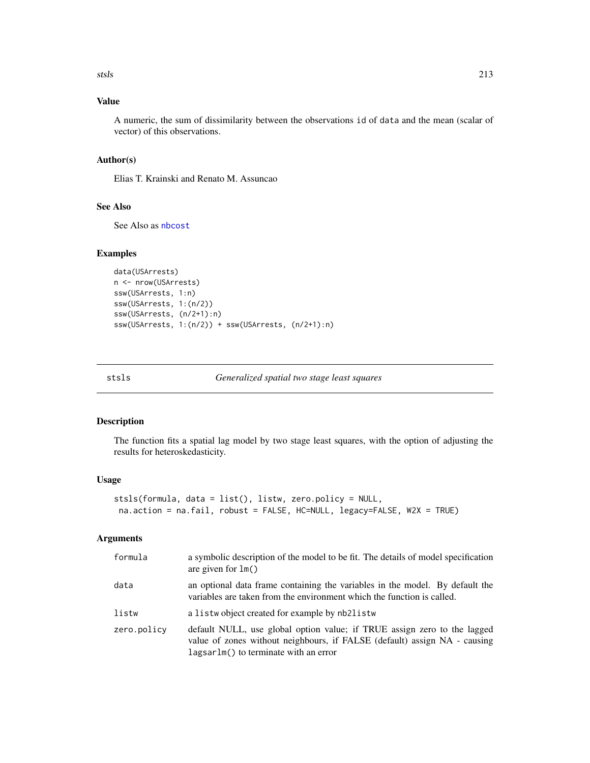stsls 213

# Value

A numeric, the sum of dissimilarity between the observations id of data and the mean (scalar of vector) of this observations.

## Author(s)

Elias T. Krainski and Renato M. Assuncao

## See Also

See Also as [nbcost](#page-158-0)

## Examples

```
data(USArrests)
n <- nrow(USArrests)
ssw(USArrests, 1:n)
ssw(USArrests, 1:(n/2))
ssw(USArrests, (n/2+1):n)
ssw(USArrests, 1:(n/2)) + ssw(USArrests, (n/2+1):n)
```
stsls *Generalized spatial two stage least squares*

#### Description

The function fits a spatial lag model by two stage least squares, with the option of adjusting the results for heteroskedasticity.

#### Usage

```
stsls(formula, data = list(), listw, zero.policy = NULL,
na.action = na.fail, robust = FALSE, HC=NULL, legacy=FALSE, W2X = TRUE)
```

| formula     | a symbolic description of the model to be fit. The details of model specification<br>are given for $lm()$                                                                                      |
|-------------|------------------------------------------------------------------------------------------------------------------------------------------------------------------------------------------------|
| data        | an optional data frame containing the variables in the model. By default the<br>variables are taken from the environment which the function is called.                                         |
| listw       | a listwo bject created for example by nb2listw                                                                                                                                                 |
| zero.policy | default NULL, use global option value; if TRUE assign zero to the lagged<br>value of zones without neighbours, if FALSE (default) assign NA - causing<br>lagsarlm() to terminate with an error |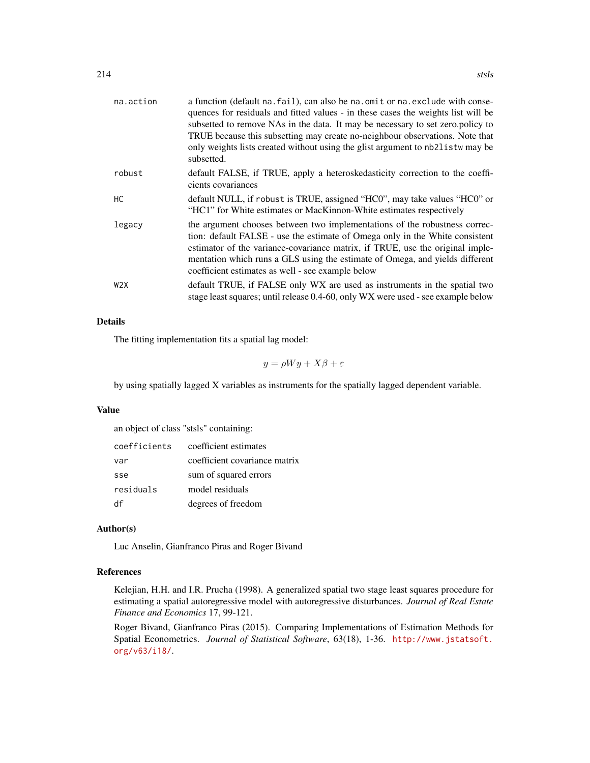| na.action | a function (default na. fail), can also be na. omit or na. exclude with conse-<br>quences for residuals and fitted values - in these cases the weights list will be<br>subsetted to remove NAs in the data. It may be necessary to set zero.policy to<br>TRUE because this subsetting may create no-neighbour observations. Note that<br>only weights lists created without using the glist argument to nb2listw may be<br>subsetted. |
|-----------|---------------------------------------------------------------------------------------------------------------------------------------------------------------------------------------------------------------------------------------------------------------------------------------------------------------------------------------------------------------------------------------------------------------------------------------|
| robust    | default FALSE, if TRUE, apply a heteroskedasticity correction to the coeffi-<br>cients covariances                                                                                                                                                                                                                                                                                                                                    |
| HC.       | default NULL, if robust is TRUE, assigned "HC0", may take values "HC0" or<br>"HC1" for White estimates or MacKinnon-White estimates respectively                                                                                                                                                                                                                                                                                      |
| legacy    | the argument chooses between two implementations of the robustness correc-<br>tion: default FALSE - use the estimate of Omega only in the White consistent<br>estimator of the variance-covariance matrix, if TRUE, use the original imple-<br>mentation which runs a GLS using the estimate of Omega, and yields different<br>coefficient estimates as well - see example below                                                      |
| W2X       | default TRUE, if FALSE only WX are used as instruments in the spatial two<br>stage least squares; until release 0.4-60, only WX were used - see example below                                                                                                                                                                                                                                                                         |

# Details

The fitting implementation fits a spatial lag model:

$$
y = \rho Wy + X\beta + \varepsilon
$$

by using spatially lagged X variables as instruments for the spatially lagged dependent variable.

## Value

an object of class "stsls" containing:

| coefficients | coefficient estimates         |
|--------------|-------------------------------|
| var          | coefficient covariance matrix |
| sse          | sum of squared errors         |
| residuals    | model residuals               |
| df           | degrees of freedom            |

## Author(s)

Luc Anselin, Gianfranco Piras and Roger Bivand

## References

Kelejian, H.H. and I.R. Prucha (1998). A generalized spatial two stage least squares procedure for estimating a spatial autoregressive model with autoregressive disturbances. *Journal of Real Estate Finance and Economics* 17, 99-121.

Roger Bivand, Gianfranco Piras (2015). Comparing Implementations of Estimation Methods for Spatial Econometrics. *Journal of Statistical Software*, 63(18), 1-36. [http://www.jstatsoft.](http://www.jstatsoft.org/v63/i18/) [org/v63/i18/](http://www.jstatsoft.org/v63/i18/).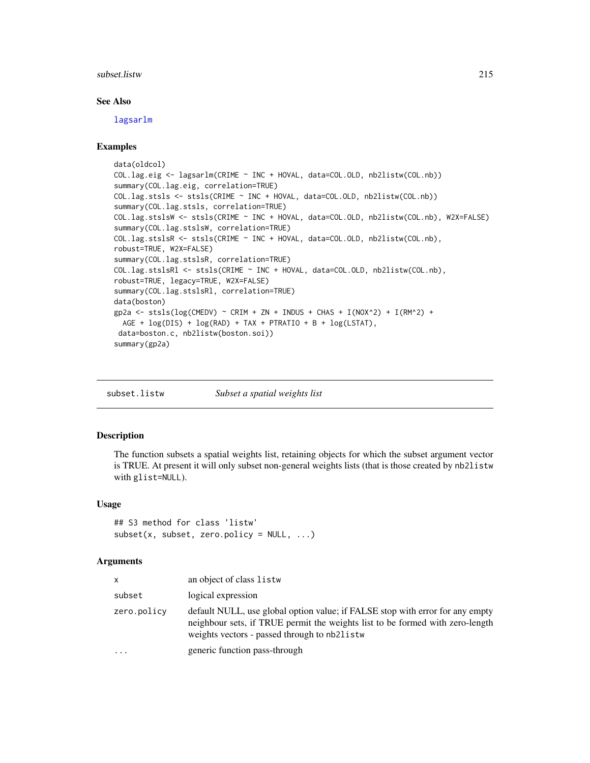#### subset.listw 215

#### See Also

[lagsarlm](#page-98-0)

## Examples

```
data(oldcol)
COL.lag.eig <- lagsarlm(CRIME ~ INC + HOVAL, data=COL.OLD, nb2listw(COL.nb))
summary(COL.lag.eig, correlation=TRUE)
COL.lag.stsls <- stsls(CRIME ~ INC + HOVAL, data=COL.OLD, nb2listw(COL.nb))
summary(COL.lag.stsls, correlation=TRUE)
COL.lag.stslsW <- stsls(CRIME ~ INC + HOVAL, data=COL.OLD, nb2listw(COL.nb), W2X=FALSE)
summary(COL.lag.stslsW, correlation=TRUE)
COL.lag.stslsR <- stsls(CRIME ~ INC + HOVAL, data=COL.OLD, nb2listw(COL.nb),
robust=TRUE, W2X=FALSE)
summary(COL.lag.stslsR, correlation=TRUE)
COL.lag.stslsRl <- stsls(CRIME ~ INC + HOVAL, data=COL.OLD, nb2listw(COL.nb),
robust=TRUE, legacy=TRUE, W2X=FALSE)
summary(COL.lag.stslsRl, correlation=TRUE)
data(boston)
gp2a <- stsls(log(CMEDV) ~ CRIM + ZN + INDUS + CHAS + I(NOX^2) + I(RM^2) +
 AGE + log(DIS) + log(RAD) + TAX + PTRATIO + B + log(LSTAT),
data=boston.c, nb2listw(boston.soi))
summary(gp2a)
```
subset.listw *Subset a spatial weights list*

# Description

The function subsets a spatial weights list, retaining objects for which the subset argument vector is TRUE. At present it will only subset non-general weights lists (that is those created by nb2listw with glist=NULL).

#### Usage

```
## S3 method for class 'listw'
subset(x, subset, zero.policy = NULL, ...)
```

| x           | an object of class listw                                                                                                                                                                                       |
|-------------|----------------------------------------------------------------------------------------------------------------------------------------------------------------------------------------------------------------|
| subset      | logical expression                                                                                                                                                                                             |
| zero.policy | default NULL, use global option value; if FALSE stop with error for any empty<br>neighbour sets, if TRUE permit the weights list to be formed with zero-length<br>weights vectors - passed through to nb2listw |
| $\ddotsc$   | generic function pass-through                                                                                                                                                                                  |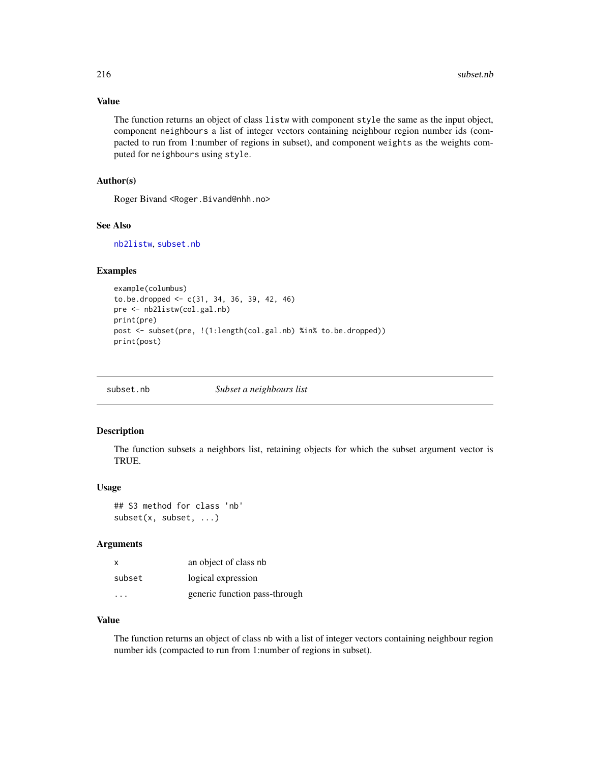## Value

The function returns an object of class listw with component style the same as the input object, component neighbours a list of integer vectors containing neighbour region number ids (compacted to run from 1:number of regions in subset), and component weights as the weights computed for neighbours using style.

## Author(s)

Roger Bivand <Roger.Bivand@nhh.no>

#### See Also

[nb2listw](#page-153-0), [subset.nb](#page-215-0)

# Examples

```
example(columbus)
to.be.dropped \leq c(31, 34, 36, 39, 42, 46)
pre <- nb2listw(col.gal.nb)
print(pre)
post <- subset(pre, !(1:length(col.gal.nb) %in% to.be.dropped))
print(post)
```
<span id="page-215-0"></span>

| subset.nb | Subset a neighbours list |  |
|-----------|--------------------------|--|
|-----------|--------------------------|--|

### Description

The function subsets a neighbors list, retaining objects for which the subset argument vector is TRUE.

#### Usage

```
## S3 method for class 'nb'
subset(x, subset, ...)
```
#### Arguments

| X      | an object of class nb         |
|--------|-------------------------------|
| subset | logical expression            |
|        | generic function pass-through |

## Value

The function returns an object of class nb with a list of integer vectors containing neighbour region number ids (compacted to run from 1:number of regions in subset).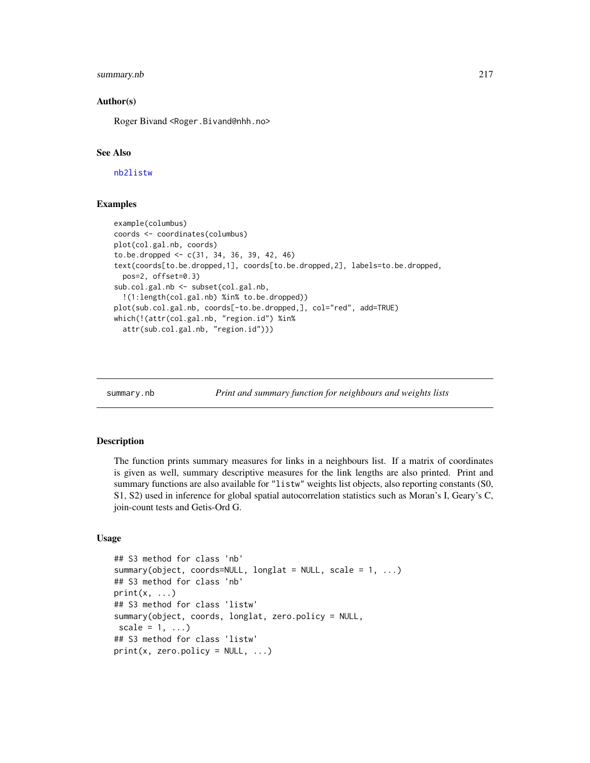# <span id="page-216-0"></span>summary.nb 217

# Author(s)

Roger Bivand <Roger.Bivand@nhh.no>

# See Also

[nb2listw](#page-153-0)

# Examples

```
example(columbus)
coords <- coordinates(columbus)
plot(col.gal.nb, coords)
to.be.dropped <- c(31, 34, 36, 39, 42, 46)
text(coords[to.be.dropped,1], coords[to.be.dropped,2], labels=to.be.dropped,
 pos=2, offset=0.3)
sub.col.gal.nb <- subset(col.gal.nb,
  !(1:length(col.gal.nb) %in% to.be.dropped))
plot(sub.col.gal.nb, coords[-to.be.dropped,], col="red", add=TRUE)
which(!(attr(col.gal.nb, "region.id") %in%
 attr(sub.col.gal.nb, "region.id")))
```
summary.nb *Print and summary function for neighbours and weights lists*

#### Description

The function prints summary measures for links in a neighbours list. If a matrix of coordinates is given as well, summary descriptive measures for the link lengths are also printed. Print and summary functions are also available for "listw" weights list objects, also reporting constants (S0, S1, S2) used in inference for global spatial autocorrelation statistics such as Moran's I, Geary's C, join-count tests and Getis-Ord G.

# Usage

```
## S3 method for class 'nb'
summary(object, coords=NULL, longlat = NULL, scale = 1, ...)
## S3 method for class 'nb'
print(x, \ldots)## S3 method for class 'listw'
summary(object, coords, longlat, zero.policy = NULL,
scale = 1, \ldots)
## S3 method for class 'listw'
print(x, zero.policy = NULL, ...)
```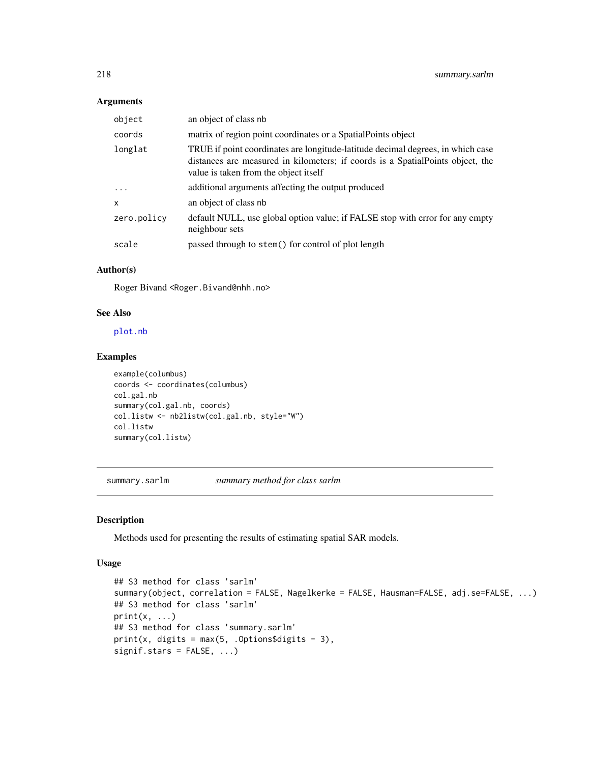# <span id="page-217-0"></span>Arguments

| object       | an object of class nb                                                                                                                                                                                      |
|--------------|------------------------------------------------------------------------------------------------------------------------------------------------------------------------------------------------------------|
| coords       | matrix of region point coordinates or a Spatial Points object                                                                                                                                              |
| longlat      | TRUE if point coordinates are longitude-latitude decimal degrees, in which case<br>distances are measured in kilometers; if coords is a SpatialPoints object, the<br>value is taken from the object itself |
| $\cdot$      | additional arguments affecting the output produced                                                                                                                                                         |
| $\mathsf{x}$ | an object of class nb                                                                                                                                                                                      |
| zero.policy  | default NULL, use global option value; if FALSE stop with error for any empty<br>neighbour sets                                                                                                            |
| scale        | passed through to stem() for control of plot length                                                                                                                                                        |

# Author(s)

Roger Bivand <Roger.Bivand@nhh.no>

# See Also

[plot.nb](#page-167-0)

# Examples

```
example(columbus)
coords <- coordinates(columbus)
col.gal.nb
summary(col.gal.nb, coords)
col.listw <- nb2listw(col.gal.nb, style="W")
col.listw
summary(col.listw)
```
summary.sarlm *summary method for class sarlm*

# Description

Methods used for presenting the results of estimating spatial SAR models.

#### Usage

```
## S3 method for class 'sarlm'
summary(object, correlation = FALSE, Nagelkerke = FALSE, Hausman=FALSE, adj.se=FALSE, ...)
## S3 method for class 'sarlm'
print(x, \ldots)## S3 method for class 'summary.sarlm'
print(x, digits = max(5, .0ptions$ digits - 3),signif.stars = FALSE, ...)
```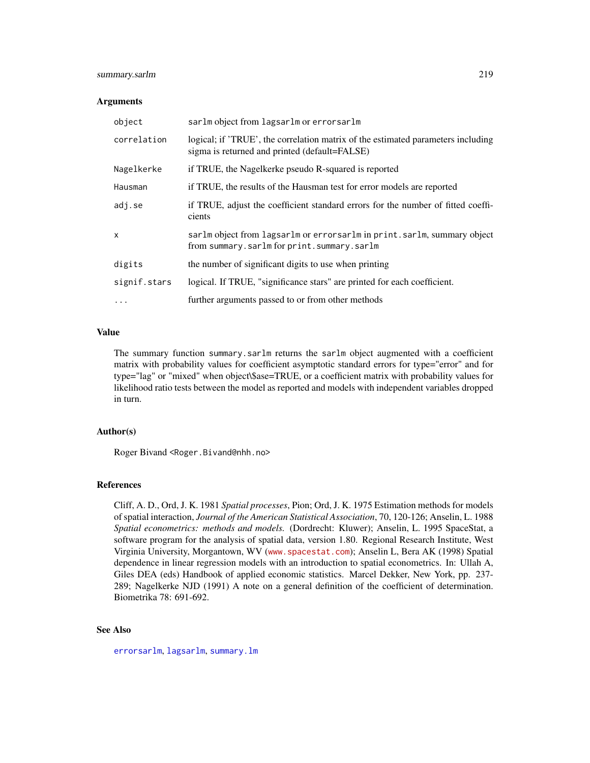# <span id="page-218-0"></span>summary.sarlm 219

#### Arguments

| object       | sarlm object from lagsarlm or errorsarlm                                                                                          |
|--------------|-----------------------------------------------------------------------------------------------------------------------------------|
| correlation  | logical; if 'TRUE', the correlation matrix of the estimated parameters including<br>sigma is returned and printed (default=FALSE) |
| Nagelkerke   | if TRUE, the Nagelkerke pseudo R-squared is reported                                                                              |
| Hausman      | if TRUE, the results of the Hausman test for error models are reported                                                            |
| adj.se       | if TRUE, adjust the coefficient standard errors for the number of fitted coeffi-<br>cients                                        |
| x            | sarlm object from lagsarlm or errorsarlm in print.sarlm, summary object<br>from summary.sarlm for print.summary.sarlm             |
| digits       | the number of significant digits to use when printing                                                                             |
| signif.stars | logical. If TRUE, "significance stars" are printed for each coefficient.                                                          |
| $\cdots$     | further arguments passed to or from other methods                                                                                 |

# Value

The summary function summary.sarlm returns the sarlm object augmented with a coefficient matrix with probability values for coefficient asymptotic standard errors for type="error" and for type="lag" or "mixed" when object\\$ase=TRUE, or a coefficient matrix with probability values for likelihood ratio tests between the model as reported and models with independent variables dropped in turn.

#### Author(s)

Roger Bivand <Roger.Bivand@nhh.no>

# References

Cliff, A. D., Ord, J. K. 1981 *Spatial processes*, Pion; Ord, J. K. 1975 Estimation methods for models of spatial interaction, *Journal of the American Statistical Association*, 70, 120-126; Anselin, L. 1988 *Spatial econometrics: methods and models.* (Dordrecht: Kluwer); Anselin, L. 1995 SpaceStat, a software program for the analysis of spatial data, version 1.80. Regional Research Institute, West Virginia University, Morgantown, WV (<www.spacestat.com>); Anselin L, Bera AK (1998) Spatial dependence in linear regression models with an introduction to spatial econometrics. In: Ullah A, Giles DEA (eds) Handbook of applied economic statistics. Marcel Dekker, New York, pp. 237- 289; Nagelkerke NJD (1991) A note on a general definition of the coefficient of determination. Biometrika 78: 691-692.

# See Also

[errorsarlm](#page-51-0), [lagsarlm](#page-98-0), [summary.lm](#page-0-0)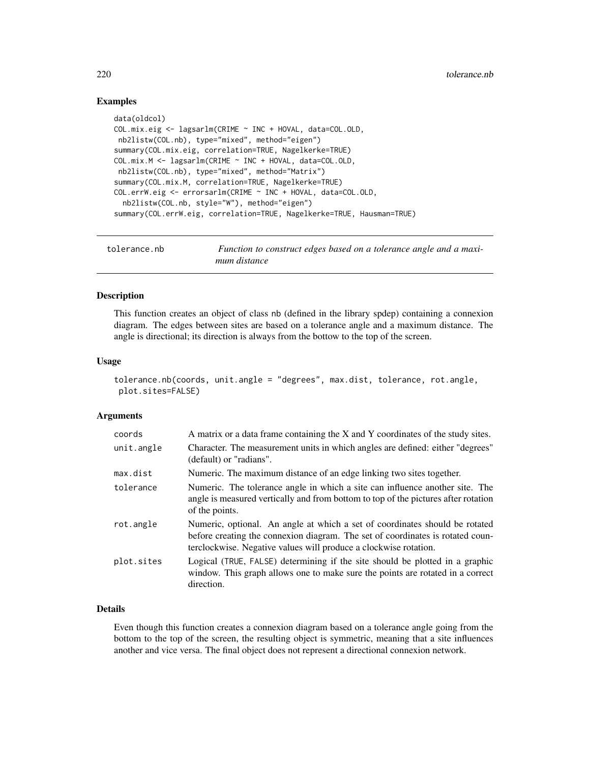# Examples

```
data(oldcol)
COL.mix.eig <- lagsarlm(CRIME ~ INC + HOVAL, data=COL.OLD,
nb2listw(COL.nb), type="mixed", method="eigen")
summary(COL.mix.eig, correlation=TRUE, Nagelkerke=TRUE)
COL.mix.M <- lagsarlm(CRIME ~ INC + HOVAL, data=COL.OLD,
nb2listw(COL.nb), type="mixed", method="Matrix")
summary(COL.mix.M, correlation=TRUE, Nagelkerke=TRUE)
COL.errW.eig <- errorsarlm(CRIME ~ INC + HOVAL, data=COL.OLD,
 nb2listw(COL.nb, style="W"), method="eigen")
summary(COL.errW.eig, correlation=TRUE, Nagelkerke=TRUE, Hausman=TRUE)
```

```
tolerance.nb Function to construct edges based on a tolerance angle and a maxi-
                       mum distance
```
#### Description

This function creates an object of class nb (defined in the library spdep) containing a connexion diagram. The edges between sites are based on a tolerance angle and a maximum distance. The angle is directional; its direction is always from the bottow to the top of the screen.

#### Usage

```
tolerance.nb(coords, unit.angle = "degrees", max.dist, tolerance, rot.angle,
plot.sites=FALSE)
```
#### Arguments

| coords     | A matrix or a data frame containing the X and Y coordinates of the study sites.                                                                                                                                                   |
|------------|-----------------------------------------------------------------------------------------------------------------------------------------------------------------------------------------------------------------------------------|
| unit.angle | Character. The measurement units in which angles are defined: either "degrees"<br>(default) or "radians".                                                                                                                         |
| max.dist   | Numeric. The maximum distance of an edge linking two sites together.                                                                                                                                                              |
| tolerance  | Numeric. The tolerance angle in which a site can influence another site. The<br>angle is measured vertically and from bottom to top of the pictures after rotation<br>of the points.                                              |
| rot.angle  | Numeric, optional. An angle at which a set of coordinates should be rotated<br>before creating the connexion diagram. The set of coordinates is rotated coun-<br>terclockwise. Negative values will produce a clockwise rotation. |
| plot.sites | Logical (TRUE, FALSE) determining if the site should be plotted in a graphic<br>window. This graph allows one to make sure the points are rotated in a correct<br>direction.                                                      |

# Details

Even though this function creates a connexion diagram based on a tolerance angle going from the bottom to the top of the screen, the resulting object is symmetric, meaning that a site influences another and vice versa. The final object does not represent a directional connexion network.

<span id="page-219-0"></span>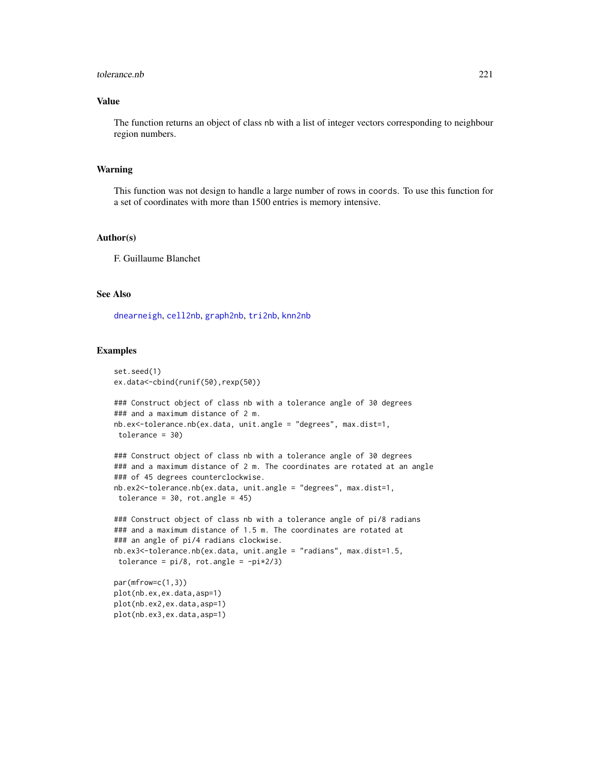#### <span id="page-220-0"></span>tolerance.nb 221

# Value

The function returns an object of class nb with a list of integer vectors corresponding to neighbour region numbers.

# Warning

This function was not design to handle a large number of rows in coords. To use this function for a set of coordinates with more than 1500 entries is memory intensive.

# Author(s)

F. Guillaume Blanchet

# See Also

[dnearneigh](#page-29-0), [cell2nb](#page-24-0), [graph2nb](#page-70-0), [tri2nb](#page-221-0), [knn2nb](#page-94-0)

#### Examples

```
set.seed(1)
ex.data<-cbind(runif(50),rexp(50))
### Construct object of class nb with a tolerance angle of 30 degrees
### and a maximum distance of 2 m.
nb.ex<-tolerance.nb(ex.data, unit.angle = "degrees", max.dist=1,
tolerance = 30)
### Construct object of class nb with a tolerance angle of 30 degrees
### and a maximum distance of 2 m. The coordinates are rotated at an angle
### of 45 degrees counterclockwise.
nb.ex2<-tolerance.nb(ex.data, unit.angle = "degrees", max.dist=1,
tolerance = 30, rot.angle = 45)
### Construct object of class nb with a tolerance angle of pi/8 radians
### and a maximum distance of 1.5 m. The coordinates are rotated at
### an angle of pi/4 radians clockwise.
nb.ex3<-tolerance.nb(ex.data, unit.angle = "radians", max.dist=1.5,
tolerance = pi/8, rot.angle = -pi*2/3)
par(mfrow=c(1,3))
plot(nb.ex,ex.data,asp=1)
plot(nb.ex2,ex.data,asp=1)
```
plot(nb.ex3,ex.data,asp=1)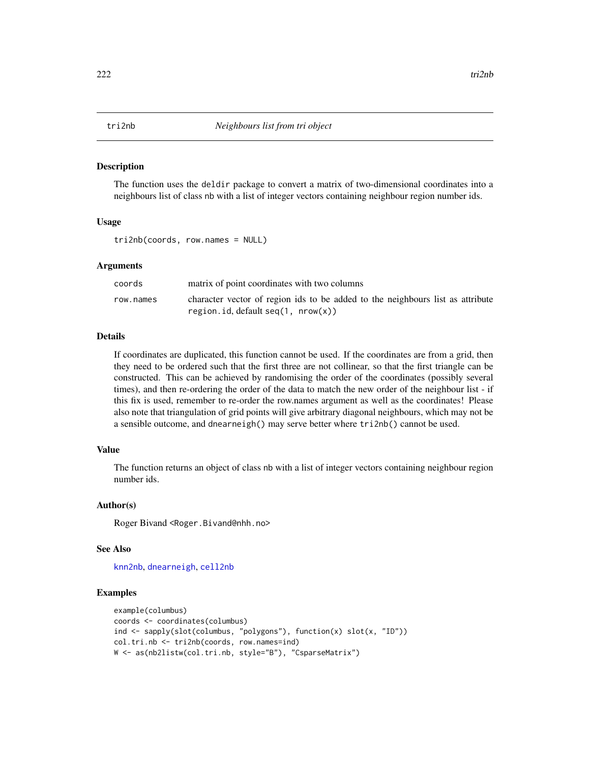#### <span id="page-221-1"></span><span id="page-221-0"></span>Description

The function uses the deldir package to convert a matrix of two-dimensional coordinates into a neighbours list of class nb with a list of integer vectors containing neighbour region number ids.

#### Usage

tri2nb(coords, row.names = NULL)

#### Arguments

| coords    | matrix of point coordinates with two columns                                                                          |
|-----------|-----------------------------------------------------------------------------------------------------------------------|
| row.names | character vector of region ids to be added to the neighbours list as attribute<br>region.id.default $seq(1, nrow(x))$ |

# Details

If coordinates are duplicated, this function cannot be used. If the coordinates are from a grid, then they need to be ordered such that the first three are not collinear, so that the first triangle can be constructed. This can be achieved by randomising the order of the coordinates (possibly several times), and then re-ordering the order of the data to match the new order of the neighbour list - if this fix is used, remember to re-order the row.names argument as well as the coordinates! Please also note that triangulation of grid points will give arbitrary diagonal neighbours, which may not be a sensible outcome, and dnearneigh() may serve better where tri2nb() cannot be used.

# Value

The function returns an object of class nb with a list of integer vectors containing neighbour region number ids.

#### Author(s)

Roger Bivand <Roger.Bivand@nhh.no>

#### See Also

[knn2nb](#page-94-0), [dnearneigh](#page-29-0), [cell2nb](#page-24-0)

# Examples

```
example(columbus)
coords <- coordinates(columbus)
ind <- sapply(slot(columbus, "polygons"), function(x) slot(x, "ID"))
col.tri.nb <- tri2nb(coords, row.names=ind)
W <- as(nb2listw(col.tri.nb, style="B"), "CsparseMatrix")
```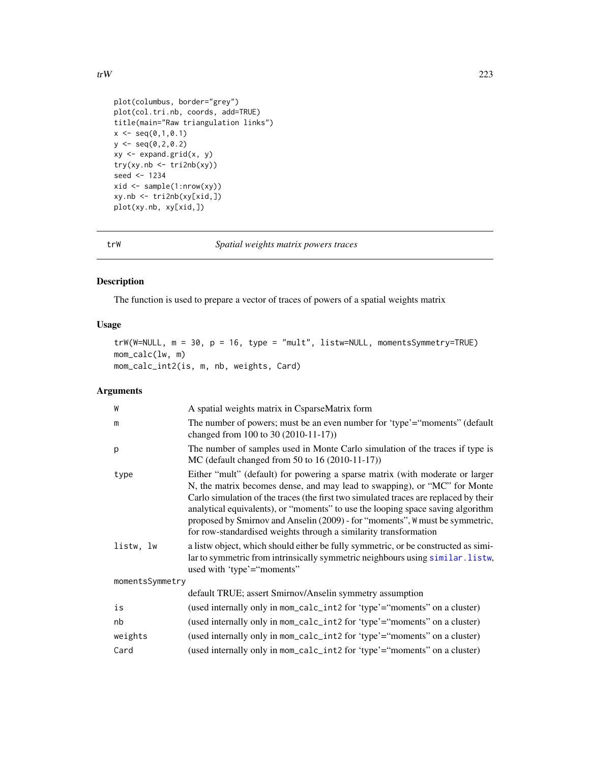```
plot(columbus, border="grey")
plot(col.tri.nb, coords, add=TRUE)
title(main="Raw triangulation links")
x \leq -\text{seq}(0,1,0.1)y \leq -\text{seq}(0, 2, 0.2)xy \leftarrow expand.grid(x, y)
try(xy.nb <- tri2nb(xy))
seed <- 1234
xid \leftarrow sample(1:nrow(xy))xy.nb <- tri2nb(xy[xid,])
plot(xy.nb, xy[xid,])
```
trW *Spatial weights matrix powers traces*

# Description

The function is used to prepare a vector of traces of powers of a spatial weights matrix

# Usage

```
trW(W=NULL, m = 30, p = 16, type = "mult", listw=NULL, momentsSymmetry=TRUE)
mom_calc(lw, m)
mom_calc_int2(is, m, nb, weights, Card)
```
# Arguments

| A spatial weights matrix in CsparseMatrix form                                                                                                                                                                                                                                                                                                                                                                                                                                            |  |  |
|-------------------------------------------------------------------------------------------------------------------------------------------------------------------------------------------------------------------------------------------------------------------------------------------------------------------------------------------------------------------------------------------------------------------------------------------------------------------------------------------|--|--|
| The number of powers; must be an even number for 'type'="moments" (default<br>changed from 100 to 30 (2010-11-17))                                                                                                                                                                                                                                                                                                                                                                        |  |  |
| The number of samples used in Monte Carlo simulation of the traces if type is<br>MC (default changed from 50 to 16 (2010-11-17))                                                                                                                                                                                                                                                                                                                                                          |  |  |
| Either "mult" (default) for powering a sparse matrix (with moderate or larger<br>N, the matrix becomes dense, and may lead to swapping), or "MC" for Monte<br>Carlo simulation of the traces (the first two simulated traces are replaced by their<br>analytical equivalents), or "moments" to use the looping space saving algorithm<br>proposed by Smirnov and Anselin (2009) - for "moments", W must be symmetric,<br>for row-standardised weights through a similarity transformation |  |  |
| a listw object, which should either be fully symmetric, or be constructed as simi-<br>lar to symmetric from intrinsically symmetric neighbours using similar. listw,<br>used with 'type'="moments"                                                                                                                                                                                                                                                                                        |  |  |
| momentsSymmetry                                                                                                                                                                                                                                                                                                                                                                                                                                                                           |  |  |
| default TRUE; assert Smirnov/Anselin symmetry assumption                                                                                                                                                                                                                                                                                                                                                                                                                                  |  |  |
| (used internally only in mom_calc_int2 for 'type'="moments" on a cluster)                                                                                                                                                                                                                                                                                                                                                                                                                 |  |  |
| (used internally only in mom_calc_int2 for 'type'="moments" on a cluster)                                                                                                                                                                                                                                                                                                                                                                                                                 |  |  |
| (used internally only in mom_calc_int2 for 'type'="moments" on a cluster)                                                                                                                                                                                                                                                                                                                                                                                                                 |  |  |
| (used internally only in mom_calc_int2 for 'type'="moments" on a cluster)                                                                                                                                                                                                                                                                                                                                                                                                                 |  |  |
|                                                                                                                                                                                                                                                                                                                                                                                                                                                                                           |  |  |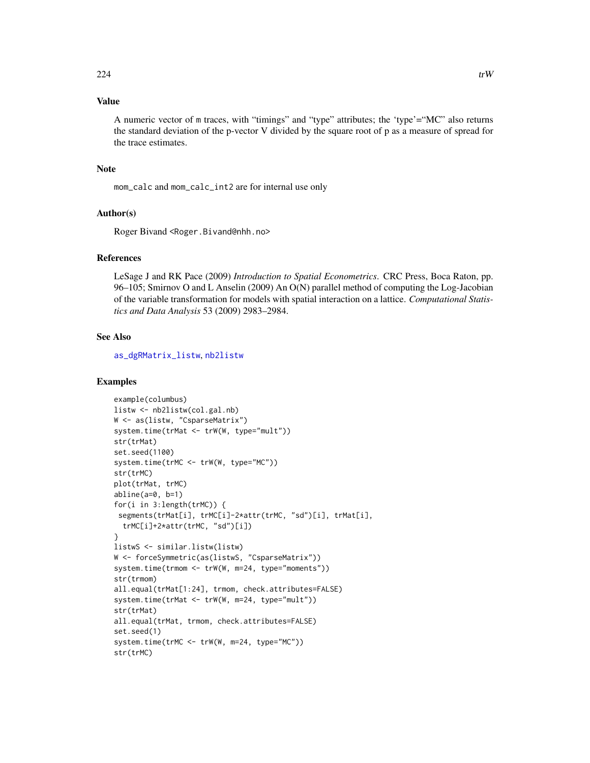# <span id="page-223-0"></span>Value

A numeric vector of m traces, with "timings" and "type" attributes; the 'type'="MC" also returns the standard deviation of the p-vector V divided by the square root of p as a measure of spread for the trace estimates.

# Note

mom\_calc and mom\_calc\_int2 are for internal use only

#### Author(s)

Roger Bivand <Roger.Bivand@nhh.no>

#### References

LeSage J and RK Pace (2009) *Introduction to Spatial Econometrics*. CRC Press, Boca Raton, pp. 96–105; Smirnov O and L Anselin (2009) An O(N) parallel method of computing the Log-Jacobian of the variable transformation for models with spatial interaction on a lattice. *Computational Statistics and Data Analysis* 53 (2009) 2983–2984.

# See Also

[as\\_dgRMatrix\\_listw](#page-12-0), [nb2listw](#page-153-0)

#### Examples

```
example(columbus)
listw <- nb2listw(col.gal.nb)
W <- as(listw, "CsparseMatrix")
system.time(trMat <- trW(W, type="mult"))
str(trMat)
set.seed(1100)
system.time(trMC <- trW(W, type="MC"))
str(trMC)
plot(trMat, trMC)
abline(a=0, b=1)
for(i in 3:length(trMC)) {
 segments(trMat[i], trMC[i]-2*attr(trMC, "sd")[i], trMat[i],
  trMC[i]+2*attr(trMC, "sd")[i])
}
listwS <- similar.listw(listw)
W <- forceSymmetric(as(listwS, "CsparseMatrix"))
system.time(trmom <- trW(W, m=24, type="moments"))
str(trmom)
all.equal(trMat[1:24], trmom, check.attributes=FALSE)
system.time(trMat <- trW(W, m=24, type="mult"))
str(trMat)
all.equal(trMat, trmom, check.attributes=FALSE)
set.seed(1)
system.time(trMC <- trW(W, m=24, type="MC"))
str(trMC)
```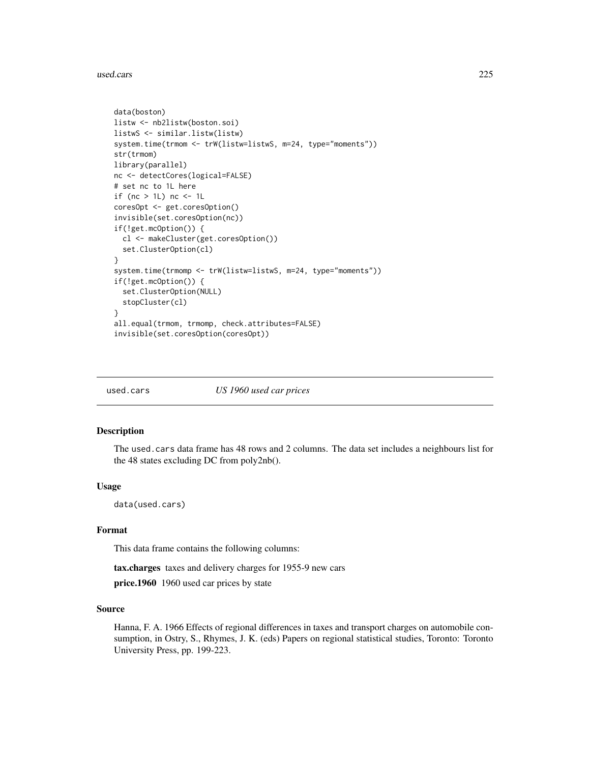<span id="page-224-0"></span>used.cars 225

```
data(boston)
listw <- nb2listw(boston.soi)
listwS <- similar.listw(listw)
system.time(trmom <- trW(listw=listwS, m=24, type="moments"))
str(trmom)
library(parallel)
nc <- detectCores(logical=FALSE)
# set nc to 1L here
if (nc > 1L) nc <- 1L
coresOpt <- get.coresOption()
invisible(set.coresOption(nc))
if(!get.mcOption()) {
  cl <- makeCluster(get.coresOption())
  set.ClusterOption(cl)
}
system.time(trmomp <- trW(listw=listwS, m=24, type="moments"))
if(!get.mcOption()) {
  set.ClusterOption(NULL)
  stopCluster(cl)
}
all.equal(trmom, trmomp, check.attributes=FALSE)
invisible(set.coresOption(coresOpt))
```
used.cars *US 1960 used car prices*

#### Description

The used.cars data frame has 48 rows and 2 columns. The data set includes a neighbours list for the 48 states excluding DC from poly2nb().

# Usage

data(used.cars)

# Format

This data frame contains the following columns:

tax.charges taxes and delivery charges for 1955-9 new cars

price.1960 1960 used car prices by state

# Source

Hanna, F. A. 1966 Effects of regional differences in taxes and transport charges on automobile consumption, in Ostry, S., Rhymes, J. K. (eds) Papers on regional statistical studies, Toronto: Toronto University Press, pp. 199-223.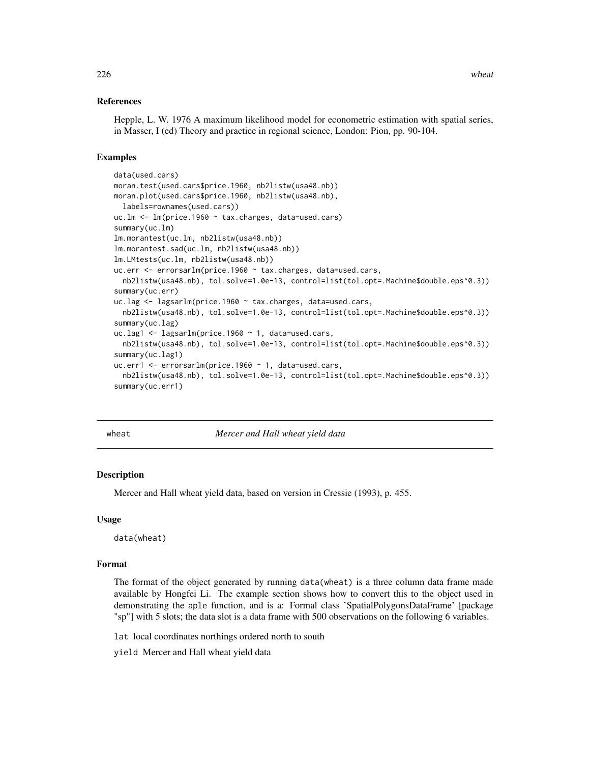### <span id="page-225-0"></span>References

Hepple, L. W. 1976 A maximum likelihood model for econometric estimation with spatial series, in Masser, I (ed) Theory and practice in regional science, London: Pion, pp. 90-104.

# Examples

```
data(used.cars)
moran.test(used.cars$price.1960, nb2listw(usa48.nb))
moran.plot(used.cars$price.1960, nb2listw(usa48.nb),
 labels=rownames(used.cars))
uc.lm <- lm(price.1960 ~ tax.charges, data=used.cars)
summary(uc.lm)
lm.morantest(uc.lm, nb2listw(usa48.nb))
lm.morantest.sad(uc.lm, nb2listw(usa48.nb))
lm.LMtests(uc.lm, nb2listw(usa48.nb))
uc.err <- errorsarlm(price.1960 ~ tax.charges, data=used.cars,
 nb2listw(usa48.nb), tol.solve=1.0e-13, control=list(tol.opt=.Machine$double.eps^0.3))
summary(uc.err)
uc.lag <- lagsarlm(price.1960 ~ tax.charges, data=used.cars,
 nb2listw(usa48.nb), tol.solve=1.0e-13, control=list(tol.opt=.Machine$double.eps^0.3))
summary(uc.lag)
uc.lag1 <- lagsarlm(price.1960 ~ 1, data=used.cars,
 nb2listw(usa48.nb), tol.solve=1.0e-13, control=list(tol.opt=.Machine$double.eps^0.3))
summary(uc.lag1)
uc.err1 <- errorsarlm(price.1960 ~ 1, data=used.cars,
 nb2listw(usa48.nb), tol.solve=1.0e-13, control=list(tol.opt=.Machine$double.eps^0.3))
summary(uc.err1)
```
wheat *Mercer and Hall wheat yield data*

#### Description

Mercer and Hall wheat yield data, based on version in Cressie (1993), p. 455.

#### Usage

data(wheat)

#### Format

The format of the object generated by running data(wheat) is a three column data frame made available by Hongfei Li. The example section shows how to convert this to the object used in demonstrating the aple function, and is a: Formal class 'SpatialPolygonsDataFrame' [package "sp"] with 5 slots; the data slot is a data frame with 500 observations on the following 6 variables.

lat local coordinates northings ordered north to south

yield Mercer and Hall wheat yield data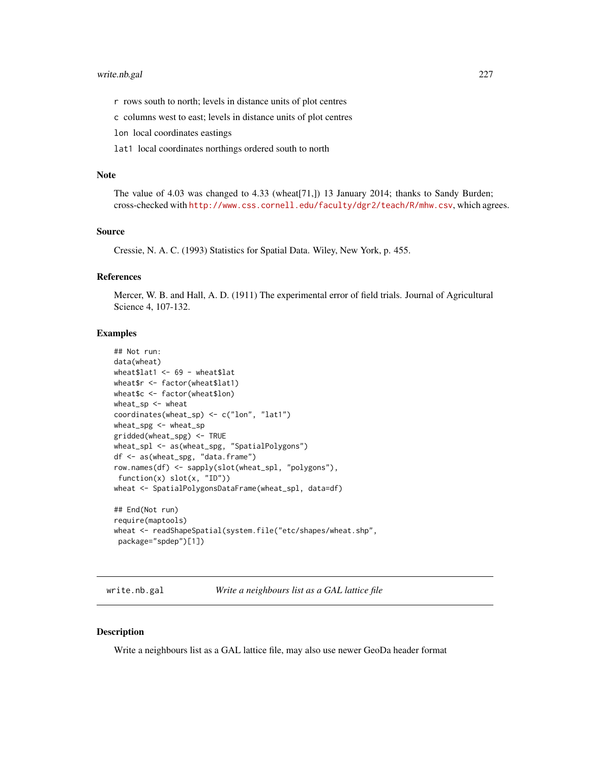# <span id="page-226-0"></span>write.nb.gal 227

r rows south to north; levels in distance units of plot centres

c columns west to east; levels in distance units of plot centres

lon local coordinates eastings

lat1 local coordinates northings ordered south to north

#### Note

The value of 4.03 was changed to 4.33 (wheat[71,]) 13 January 2014; thanks to Sandy Burden; cross-checked with <http://www.css.cornell.edu/faculty/dgr2/teach/R/mhw.csv>, which agrees.

#### Source

Cressie, N. A. C. (1993) Statistics for Spatial Data. Wiley, New York, p. 455.

# References

Mercer, W. B. and Hall, A. D. (1911) The experimental error of field trials. Journal of Agricultural Science 4, 107-132.

# Examples

```
## Not run:
data(wheat)
wheat$lat1 <- 69 - wheat$lat
wheat$r <- factor(wheat$lat1)
wheat$c <- factor(wheat$lon)
wheat_sp <- wheat
coordinates(wheat_sp) <- c("lon", "lat1")
wheat_spg <- wheat_sp
gridded(wheat_spg) <- TRUE
wheat_spl <- as(wheat_spg, "SpatialPolygons")
df <- as(wheat_spg, "data.frame")
row.names(df) <- sapply(slot(wheat_spl, "polygons"),
 function(x) slot(x, "ID"))
wheat <- SpatialPolygonsDataFrame(wheat_spl, data=df)
## End(Not run)
require(maptools)
wheat <- readShapeSpatial(system.file("etc/shapes/wheat.shp",
 package="spdep")[1])
```
write.nb.gal *Write a neighbours list as a GAL lattice file*

#### **Description**

Write a neighbours list as a GAL lattice file, may also use newer GeoDa header format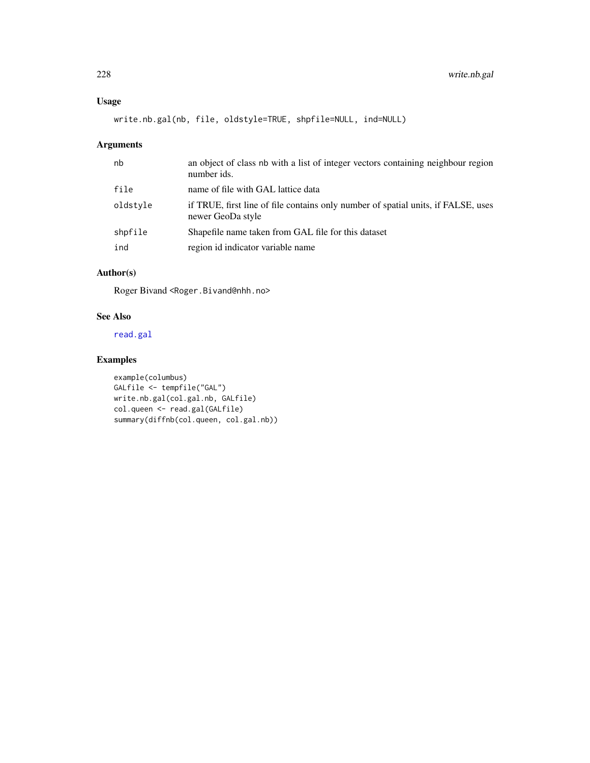# <span id="page-227-0"></span>Usage

```
write.nb.gal(nb, file, oldstyle=TRUE, shpfile=NULL, ind=NULL)
```
# Arguments

| nb       | an object of class nb with a list of integer vectors containing neighbour region<br>number ids.        |
|----------|--------------------------------------------------------------------------------------------------------|
| file     | name of file with GAL lattice data                                                                     |
| oldstyle | if TRUE, first line of file contains only number of spatial units, if FALSE, uses<br>newer GeoDa style |
| shpfile  | Shapefile name taken from GAL file for this dataset                                                    |
| ind      | region id indicator variable name                                                                      |

# Author(s)

Roger Bivand <Roger.Bivand@nhh.no>

# See Also

[read.gal](#page-179-0)

# Examples

```
example(columbus)
GALfile <- tempfile("GAL")
write.nb.gal(col.gal.nb, GALfile)
col.queen <- read.gal(GALfile)
summary(diffnb(col.queen, col.gal.nb))
```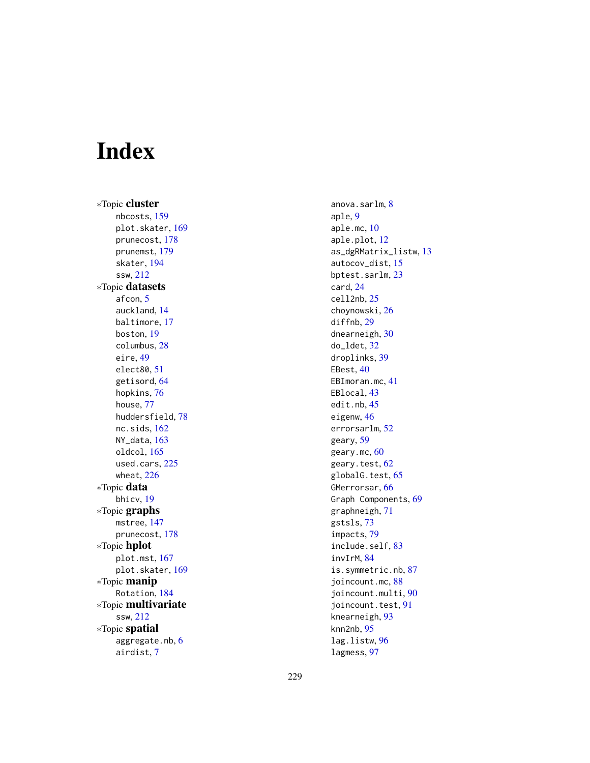# Index

∗Topic cluster nbcosts , [159](#page-158-0) plot.skater , [169](#page-168-0) prunecost , [178](#page-177-0) prunemst , [179](#page-178-0) skater , [194](#page-193-0) ssw , [212](#page-211-0) ∗Topic datasets afcon , [5](#page-4-0) auckland , [14](#page-13-0) baltimore , [17](#page-16-0) boston , [19](#page-18-0) columbus , [28](#page-27-0) eire , [49](#page-48-0) elect80 , [51](#page-50-0) getisord, [64](#page-63-0) hopkins , [76](#page-75-0) house , [77](#page-76-0) huddersfield , [78](#page-77-0) nc.sids , [162](#page-161-0) NY\_data , [163](#page-162-0) oldcol , [165](#page-164-0) used.cars, [225](#page-224-0) wheat , [226](#page-225-0) ∗Topic data bhicv , [19](#page-18-0) ∗Topic graphs mstree , [147](#page-146-0) prunecost , [178](#page-177-0) ∗Topic hplot plot.mst , [167](#page-166-0) plot.skater , [169](#page-168-0) ∗Topic manip Rotation , [184](#page-183-0) ∗Topic multivariate ssw , [212](#page-211-0) ∗Topic spatial aggregate.nb, [6](#page-5-0) airdist , [7](#page-6-0)

anova.sarlm, <mark>[8](#page-7-0)</mark> aple , [9](#page-8-0) aple.mc , [10](#page-9-0) aple.plot , [12](#page-11-0) as\_dgRMatrix\_listw , [13](#page-12-1) autocov\_dist , [15](#page-14-0) bptest.sarlm , [23](#page-22-0) card , [24](#page-23-0) cell2nb , [25](#page-24-1) choynowski , [26](#page-25-0) diffnb, [29](#page-28-0) dnearneigh , [30](#page-29-1) do\_ldet , [32](#page-31-0) droplinks , [39](#page-38-0) EBest, [40](#page-39-0) EBImoran.mc, [41](#page-40-0) EBlocal , [43](#page-42-0) edit.nb , [45](#page-44-0) eigenw, [46](#page-45-0) errorsarlm , [52](#page-51-1) geary , [59](#page-58-0) geary.mc, [60](#page-59-0) geary.test,  $62$ globalG.test, [65](#page-64-0) GMerrorsar , [66](#page-65-0) Graph Components , [69](#page-68-0) graphneigh , [71](#page-70-1) gstsls , [73](#page-72-0) impacts , [79](#page-78-0) include.self, [83](#page-82-0) invIrM , [84](#page-83-0) is.symmetric.nb , [87](#page-86-0) joincount.mc, [88](#page-87-0) joincount.multi , [90](#page-89-0) joincount.test, [91](#page-90-0) knearneigh , [93](#page-92-0) knn2nb , [95](#page-94-1) lag.listw , [96](#page-95-0) lagmess , [97](#page-96-0)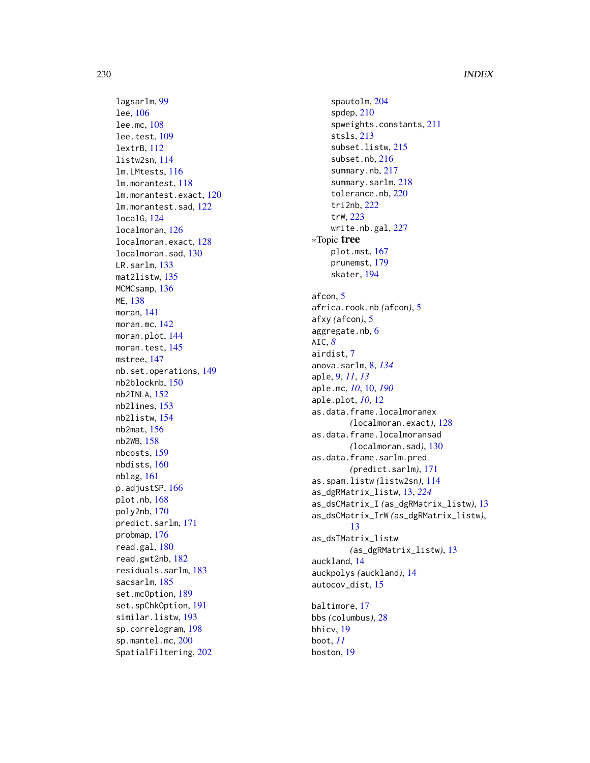lagsarlm , [99](#page-98-1) lee , [106](#page-105-0) lee.mc , [108](#page-107-0) lee.test , [109](#page-108-0) lextrB , [112](#page-111-0) listw2sn , [114](#page-113-0) lm.LMtests , [116](#page-115-0) lm.morantest , [118](#page-117-0) lm.morantest.exact , [120](#page-119-0) lm.morantest.sad , [122](#page-121-0) localG , [124](#page-123-0) localmoran , [126](#page-125-0) localmoran.exact , [128](#page-127-0) localmoran.sad , [130](#page-129-0) LR.sarlm , [133](#page-132-0) mat2listw , [135](#page-134-0) MCMCsamp, [136](#page-135-0) ME , [138](#page-137-0) moran , [141](#page-140-0) moran.mc , [142](#page-141-0) moran.plot, [144](#page-143-0) moran.test, 14<mark>5</mark> mstree , [147](#page-146-0) nb.set.operations , [149](#page-148-0) nb2blocknb , [150](#page-149-0) nb2INLA , [152](#page-151-0) nb2lines , [153](#page-152-0) nb2listw , [154](#page-153-1) nb2mat , [156](#page-155-0) nb2WB , [158](#page-157-0) nbcosts , [159](#page-158-0) nbdists , [160](#page-159-0) nblag , [161](#page-160-0) p.adjustSP, [166](#page-165-0) plot.nb , [168](#page-167-1) poly2nb , [170](#page-169-0) predict.sarlm , [171](#page-170-0) probmap , [176](#page-175-0) read.gal , [180](#page-179-1) read.gwt2nb , [182](#page-181-0) residuals.sarlm , [183](#page-182-0) sacsarlm, [185](#page-184-0) set.mcOption, [189](#page-188-0) set.spChkOption , [191](#page-190-0) similar.listw , [193](#page-192-1) sp.correlogram , [198](#page-197-0) sp.mantel.mc, [200](#page-199-0) SpatialFiltering , [202](#page-201-0)

spautolm , [204](#page-203-0) spdep , [210](#page-209-0) spweights.constants, [211](#page-210-0) stsls , [213](#page-212-0) subset.listw , [215](#page-214-0) subset.nb , [216](#page-215-0) summary.nb , [217](#page-216-0) summary.sarlm, [218](#page-217-0) tolerance.nb , [220](#page-219-0) tri2nb , [222](#page-221-1) trW , [223](#page-222-0) write.nb.gal, $227$ ∗Topic tree plot.mst , [167](#page-166-0) prunemst , [179](#page-178-0) skater , [194](#page-193-0) afcon, [5](#page-4-0) africa.rook.nb *(*afcon *)* , [5](#page-4-0) afxy *(*afcon *)* , [5](#page-4-0) aggregate.nb, [6](#page-5-0) AIC , *[8](#page-7-0)* airdist , [7](#page-6-0) anova.sarlm , [8](#page-7-0) , *[134](#page-133-0)* aple , [9](#page-8-0) , *[11](#page-10-0)* , *[13](#page-12-1)* aple.mc , *[10](#page-9-0)* , [10](#page-9-0) , *[190](#page-189-0)* aple.plot , *[10](#page-9-0)* , [12](#page-11-0) as.data.frame.localmoranex *(*localmoran.exact*)*, [128](#page-127-0) as.data.frame.localmoransad *(*localmoran.sad*)*, [130](#page-129-0) as.data.frame.sarlm.pred *(*predict.sarlm*)*, [171](#page-170-0) as.spam.listw *(*listw2sn *)* , [114](#page-113-0) as\_dgRMatrix\_listw , [13](#page-12-1) , *[224](#page-223-0)* as\_dsCMatrix\_I *(*as\_dgRMatrix\_listw *)* , [13](#page-12-1) as\_dsCMatrix\_IrW *(*as\_dgRMatrix\_listw *)* , [13](#page-12-1) as\_dsTMatrix\_listw *(*as\_dgRMatrix\_listw *)* , [13](#page-12-1) auckland , [14](#page-13-0) auckpolys *(*auckland *)* , [14](#page-13-0) autocov\_dist , [15](#page-14-0) baltimore , [17](#page-16-0) bbs *(*columbus *)* , [28](#page-27-0) bhicv , [19](#page-18-0) boot , *[11](#page-10-0)*

boston , [19](#page-18-0)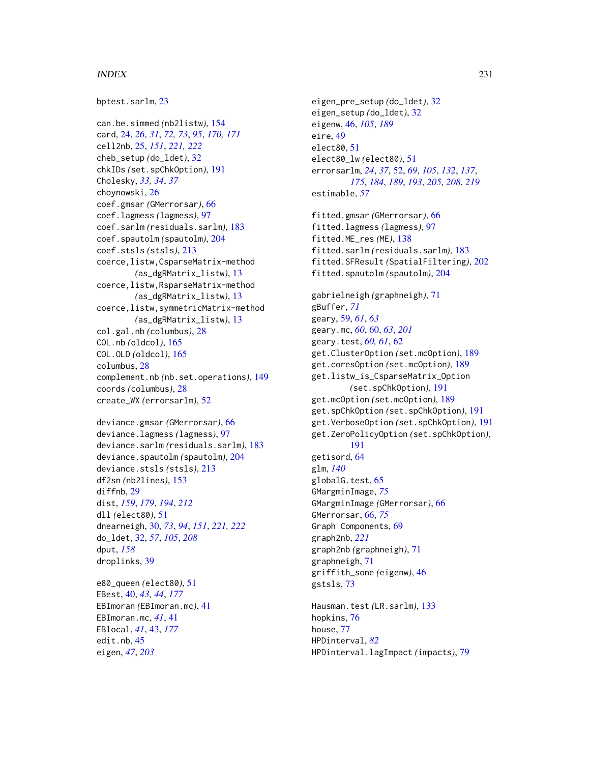#### INDEX 231

bptest.sarlm, [23](#page-22-0)

can.be.simmed *(*nb2listw*)*, [154](#page-153-1) card, [24,](#page-23-0) *[26](#page-25-0)*, *[31](#page-30-0)*, *[72,](#page-71-0) [73](#page-72-0)*, *[95](#page-94-1)*, *[170,](#page-169-0) [171](#page-170-0)* cell2nb, [25,](#page-24-1) *[151](#page-150-0)*, *[221,](#page-220-0) [222](#page-221-1)* cheb\_setup *(*do\_ldet*)*, [32](#page-31-0) chkIDs *(*set.spChkOption*)*, [191](#page-190-0) Cholesky, *[33,](#page-32-0) [34](#page-33-0)*, *[37](#page-36-0)* choynowski, [26](#page-25-0) coef.gmsar *(*GMerrorsar*)*, [66](#page-65-0) coef.lagmess *(*lagmess*)*, [97](#page-96-0) coef.sarlm *(*residuals.sarlm*)*, [183](#page-182-0) coef.spautolm *(*spautolm*)*, [204](#page-203-0) coef.stsls *(*stsls*)*, [213](#page-212-0) coerce,listw,CsparseMatrix-method *(*as\_dgRMatrix\_listw*)*, [13](#page-12-1) coerce,listw,RsparseMatrix-method *(*as\_dgRMatrix\_listw*)*, [13](#page-12-1) coerce,listw,symmetricMatrix-method *(*as\_dgRMatrix\_listw*)*, [13](#page-12-1) col.gal.nb *(*columbus*)*, [28](#page-27-0) COL.nb *(*oldcol*)*, [165](#page-164-0) COL.OLD *(*oldcol*)*, [165](#page-164-0) columbus, [28](#page-27-0) complement.nb *(*nb.set.operations*)*, [149](#page-148-0) coords *(*columbus*)*, [28](#page-27-0) create\_WX *(*errorsarlm*)*, [52](#page-51-1)

```
deviance.gmsar (GMerrorsar), 66
deviance.lagmess (lagmess), 97
deviance.sarlm (residuals.sarlm), 183
deviance.spautolm (spautolm), 204
deviance.stsls (stsls), 213
df2sn (nb2lines), 153
diffnb, 29
dist, 159, 179, 194, 212
dll (elect80), 51
dnearneigh, 30, 73, 94, 151, 221, 222
do_ldet, 32, 57, 105, 208
dput, 158
droplinks, 39
```

```
e80_queen (elect80), 51
EBest, 40, 43, 44, 177
EBImoran (EBImoran.mc), 41
EBImoran.mc, 41, 41
EBlocal, 41, 43, 177
edit.nb, 45
eigen, 47, 203
```
eigen\_pre\_setup *(*do\_ldet*)*, [32](#page-31-0) eigen\_setup *(*do\_ldet*)*, [32](#page-31-0) eigenw, [46,](#page-45-0) *[105](#page-104-0)*, *[189](#page-188-0)* eire, [49](#page-48-0) elect80, [51](#page-50-0) elect80\_lw *(*elect80*)*, [51](#page-50-0) errorsarlm, *[24](#page-23-0)*, *[37](#page-36-0)*, [52,](#page-51-1) *[69](#page-68-0)*, *[105](#page-104-0)*, *[132](#page-131-0)*, *[137](#page-136-0)*, *[175](#page-174-0)*, *[184](#page-183-0)*, *[189](#page-188-0)*, *[193](#page-192-1)*, *[205](#page-204-0)*, *[208](#page-207-0)*, *[219](#page-218-0)* estimable, *[57](#page-56-0)* fitted.gmsar *(*GMerrorsar*)*, [66](#page-65-0) fitted.lagmess *(*lagmess*)*, [97](#page-96-0) fitted.ME\_res *(*ME*)*, [138](#page-137-0) fitted.sarlm *(*residuals.sarlm*)*, [183](#page-182-0) fitted.SFResult *(*SpatialFiltering*)*, [202](#page-201-0) fitted.spautolm *(*spautolm*)*, [204](#page-203-0) gabrielneigh *(*graphneigh*)*, [71](#page-70-1) gBuffer, *[71](#page-70-1)* geary, [59,](#page-58-0) *[61](#page-60-0)*, *[63](#page-62-0)* geary.mc, *[60](#page-59-0)*, [60,](#page-59-0) *[63](#page-62-0)*, *[201](#page-200-0)* geary.test, *[60,](#page-59-0) [61](#page-60-0)*, [62](#page-61-0) get.ClusterOption *(*set.mcOption*)*, [189](#page-188-0) get.coresOption *(*set.mcOption*)*, [189](#page-188-0) get.listw\_is\_CsparseMatrix\_Option *(*set.spChkOption*)*, [191](#page-190-0) get.mcOption *(*set.mcOption*)*, [189](#page-188-0) get.spChkOption *(*set.spChkOption*)*, [191](#page-190-0) get.VerboseOption *(*set.spChkOption*)*, [191](#page-190-0) get.ZeroPolicyOption *(*set.spChkOption*)*, [191](#page-190-0) getisord, [64](#page-63-0) glm, *[140](#page-139-0)* globalG.test, [65](#page-64-0) GMargminImage, *[75](#page-74-0)* GMargminImage *(*GMerrorsar*)*, [66](#page-65-0) GMerrorsar, [66,](#page-65-0) *[75](#page-74-0)* Graph Components, [69](#page-68-0) graph2nb, *[221](#page-220-0)* graph2nb *(*graphneigh*)*, [71](#page-70-1) graphneigh, [71](#page-70-1) griffith\_sone *(*eigenw*)*, [46](#page-45-0) gstsls, [73](#page-72-0) Hausman.test *(*LR.sarlm*)*, [133](#page-132-0) hopkins, [76](#page-75-0) house, [77](#page-76-0) HPDinterval, *[82](#page-81-0)*

HPDinterval.lagImpact *(*impacts*)*, [79](#page-78-0)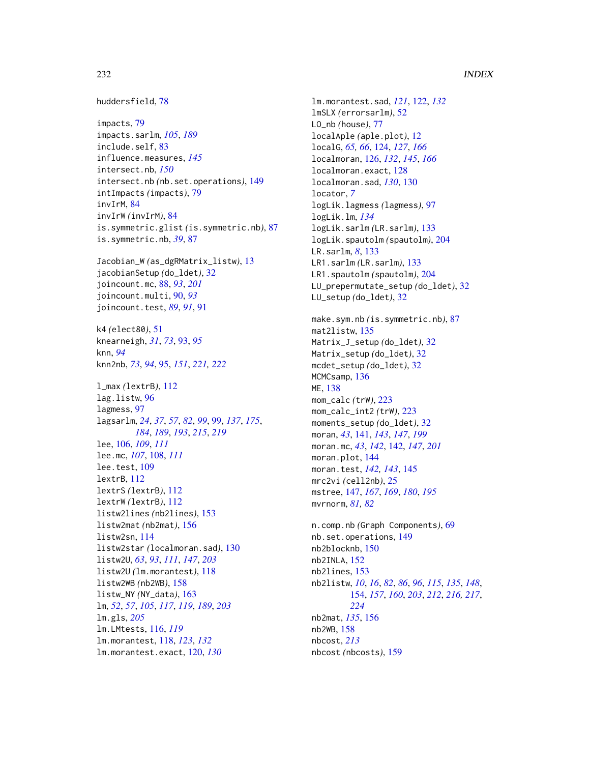huddersfield, [78](#page-77-0)

```
impacts, 79
impacts.sarlm, 105, 189
include.self, 83
influence.measures, 145
intersect.nb, 150
intersect.nb (nb.set.operations), 149
intImpacts (impacts), 79
invIrM, 84
invIrW (invIrM), 84
is.symmetric.glist (is.symmetric.nb), 87
is.symmetric.nb, 39, 87
```
Jacobian\_W *(*as\_dgRMatrix\_listw*)*, [13](#page-12-1) jacobianSetup *(*do\_ldet*)*, [32](#page-31-0) joincount.mc, [88,](#page-87-0) *[93](#page-92-0)*, *[201](#page-200-0)* joincount.multi, [90,](#page-89-0) *[93](#page-92-0)* joincount.test, *[89](#page-88-0)*, *[91](#page-90-0)*, [91](#page-90-0)

k4 *(*elect80*)*, [51](#page-50-0) knearneigh, *[31](#page-30-0)*, *[73](#page-72-0)*, [93,](#page-92-0) *[95](#page-94-1)* knn, *[94](#page-93-0)* knn2nb, *[73](#page-72-0)*, *[94](#page-93-0)*, [95,](#page-94-1) *[151](#page-150-0)*, *[221,](#page-220-0) [222](#page-221-1)*

l\_max *(*lextrB*)*, [112](#page-111-0) lag.listw, [96](#page-95-0) lagmess, [97](#page-96-0) lagsarlm, *[24](#page-23-0)*, *[37](#page-36-0)*, *[57](#page-56-0)*, *[82](#page-81-0)*, *[99](#page-98-1)*, [99,](#page-98-1) *[137](#page-136-0)*, *[175](#page-174-0)*, *[184](#page-183-0)*, *[189](#page-188-0)*, *[193](#page-192-1)*, *[215](#page-214-0)*, *[219](#page-218-0)* lee, [106,](#page-105-0) *[109](#page-108-0)*, *[111](#page-110-0)* lee.mc, *[107](#page-106-0)*, [108,](#page-107-0) *[111](#page-110-0)* lee.test, [109](#page-108-0) lextrB, [112](#page-111-0) lextrS *(*lextrB*)*, [112](#page-111-0) lextrW *(*lextrB*)*, [112](#page-111-0) listw2lines *(*nb2lines*)*, [153](#page-152-0) listw2mat *(*nb2mat*)*, [156](#page-155-0) listw2sn, [114](#page-113-0) listw2star *(*localmoran.sad*)*, [130](#page-129-0) listw2U, *[63](#page-62-0)*, *[93](#page-92-0)*, *[111](#page-110-0)*, *[147](#page-146-0)*, *[203](#page-202-0)* listw2U *(*lm.morantest*)*, [118](#page-117-0) listw2WB *(*nb2WB*)*, [158](#page-157-0) listw\_NY *(*NY\_data*)*, [163](#page-162-0) lm, *[52](#page-51-1)*, *[57](#page-56-0)*, *[105](#page-104-0)*, *[117](#page-116-0)*, *[119](#page-118-0)*, *[189](#page-188-0)*, *[203](#page-202-0)* lm.gls, *[205](#page-204-0)* lm.LMtests, [116,](#page-115-0) *[119](#page-118-0)* lm.morantest, [118,](#page-117-0) *[123](#page-122-0)*, *[132](#page-131-0)* lm.morantest.exact, [120,](#page-119-0) *[130](#page-129-0)*

lm.morantest.sad, *[121](#page-120-0)*, [122,](#page-121-0) *[132](#page-131-0)* lmSLX *(*errorsarlm*)*, [52](#page-51-1) LO\_nb *(*house*)*, [77](#page-76-0) localAple *(*aple.plot*)*, [12](#page-11-0) localG, *[65,](#page-64-0) [66](#page-65-0)*, [124,](#page-123-0) *[127](#page-126-0)*, *[166](#page-165-0)* localmoran, [126,](#page-125-0) *[132](#page-131-0)*, *[145](#page-144-0)*, *[166](#page-165-0)* localmoran.exact, [128](#page-127-0) localmoran.sad, *[130](#page-129-0)*, [130](#page-129-0) locator, *[7](#page-6-0)* logLik.lagmess *(*lagmess*)*, [97](#page-96-0) logLik.lm, *[134](#page-133-0)* logLik.sarlm *(*LR.sarlm*)*, [133](#page-132-0) logLik.spautolm *(*spautolm*)*, [204](#page-203-0) LR.sarlm, *[8](#page-7-0)*, [133](#page-132-0) LR1.sarlm *(*LR.sarlm*)*, [133](#page-132-0) LR1.spautolm *(*spautolm*)*, [204](#page-203-0) LU\_prepermutate\_setup *(*do\_ldet*)*, [32](#page-31-0) LU\_setup *(*do\_ldet*)*, [32](#page-31-0) make.sym.nb *(*is.symmetric.nb*)*, [87](#page-86-0) mat2listw, [135](#page-134-0) Matrix\_J\_setup *(*do\_ldet*)*, [32](#page-31-0) Matrix\_setup *(*do\_ldet*)*, [32](#page-31-0) mcdet\_setup *(*do\_ldet*)*, [32](#page-31-0) MCMCsamp, [136](#page-135-0) ME, [138](#page-137-0) mom\_calc *(*trW*)*, [223](#page-222-0) mom\_calc\_int2 *(*trW*)*, [223](#page-222-0) moments\_setup *(*do\_ldet*)*, [32](#page-31-0) moran, *[43](#page-42-0)*, [141,](#page-140-0) *[143](#page-142-0)*, *[147](#page-146-0)*, *[199](#page-198-0)* moran.mc, *[43](#page-42-0)*, *[142](#page-141-0)*, [142,](#page-141-0) *[147](#page-146-0)*, *[201](#page-200-0)* moran.plot, [144](#page-143-0) moran.test, *[142,](#page-141-0) [143](#page-142-0)*, [145](#page-144-0) mrc2vi *(*cell2nb*)*, [25](#page-24-1) mstree, [147,](#page-146-0) *[167](#page-166-0)*, *[169](#page-168-0)*, *[180](#page-179-1)*, *[195](#page-194-0)* mvrnorm, *[81,](#page-80-0) [82](#page-81-0)* n.comp.nb *(*Graph Components*)*, [69](#page-68-0) nb.set.operations, [149](#page-148-0) nb2blocknb, [150](#page-149-0) nb2INLA, [152](#page-151-0) nb2lines, [153](#page-152-0) nb2listw, *[10](#page-9-0)*, *[16](#page-15-0)*, *[82](#page-81-0)*, *[86](#page-85-0)*, *[96](#page-95-0)*, *[115](#page-114-0)*, *[135](#page-134-0)*, *[148](#page-147-0)*, [154,](#page-153-1) *[157](#page-156-0)*, *[160](#page-159-0)*, *[203](#page-202-0)*, *[212](#page-211-0)*, *[216,](#page-215-0) [217](#page-216-0)*, *[224](#page-223-0)* nb2mat, *[135](#page-134-0)*, [156](#page-155-0) nb2WB, [158](#page-157-0) nbcost, *[213](#page-212-0)* nbcost *(*nbcosts*)*, [159](#page-158-0)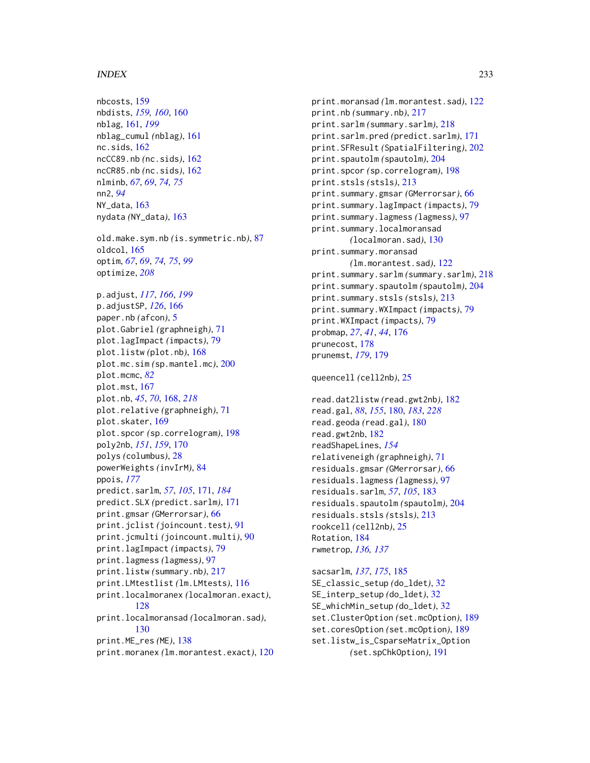#### $I<sub>N</sub>DEX$  233

nbcosts, [159](#page-158-0) nbdists, *[159,](#page-158-0) [160](#page-159-0)*, [160](#page-159-0) nblag, [161,](#page-160-0) *[199](#page-198-0)* nblag\_cumul *(*nblag*)*, [161](#page-160-0) nc.sids, [162](#page-161-0) ncCC89.nb *(*nc.sids*)*, [162](#page-161-0) ncCR85.nb *(*nc.sids*)*, [162](#page-161-0) nlminb, *[67](#page-66-0)*, *[69](#page-68-0)*, *[74,](#page-73-0) [75](#page-74-0)* nn2, *[94](#page-93-0)* NY\_data, [163](#page-162-0) nydata *(*NY\_data*)*, [163](#page-162-0) old.make.sym.nb *(*is.symmetric.nb*)*, [87](#page-86-0) oldcol, [165](#page-164-0) optim, *[67](#page-66-0)*, *[69](#page-68-0)*, *[74,](#page-73-0) [75](#page-74-0)*, *[99](#page-98-1)* optimize, *[208](#page-207-0)* p.adjust, *[117](#page-116-0)*, *[166](#page-165-0)*, *[199](#page-198-0)* p.adjustSP, *[126](#page-125-0)*, [166](#page-165-0) paper.nb *(*afcon*)*, [5](#page-4-0) plot.Gabriel *(*graphneigh*)*, [71](#page-70-1) plot.lagImpact *(*impacts*)*, [79](#page-78-0) plot.listw *(*plot.nb*)*, [168](#page-167-1) plot.mc.sim *(*sp.mantel.mc*)*, [200](#page-199-0) plot.mcmc, *[82](#page-81-0)* plot.mst, [167](#page-166-0) plot.nb, *[45](#page-44-0)*, *[70](#page-69-0)*, [168,](#page-167-1) *[218](#page-217-0)* plot.relative *(*graphneigh*)*, [71](#page-70-1) plot.skater, [169](#page-168-0) plot.spcor *(*sp.correlogram*)*, [198](#page-197-0) poly2nb, *[151](#page-150-0)*, *[159](#page-158-0)*, [170](#page-169-0) polys *(*columbus*)*, [28](#page-27-0) powerWeights *(*invIrM*)*, [84](#page-83-0) ppois, *[177](#page-176-0)* predict.sarlm, *[57](#page-56-0)*, *[105](#page-104-0)*, [171,](#page-170-0) *[184](#page-183-0)* predict.SLX *(*predict.sarlm*)*, [171](#page-170-0) print.gmsar *(*GMerrorsar*)*, [66](#page-65-0) print.jclist *(*joincount.test*)*, [91](#page-90-0) print.jcmulti *(*joincount.multi*)*, [90](#page-89-0) print.lagImpact *(*impacts*)*, [79](#page-78-0) print.lagmess *(*lagmess*)*, [97](#page-96-0) print.listw *(*summary.nb*)*, [217](#page-216-0) print.LMtestlist *(*lm.LMtests*)*, [116](#page-115-0) print.localmoranex *(*localmoran.exact*)*, [128](#page-127-0) print.localmoransad *(*localmoran.sad*)*, [130](#page-129-0) print.ME\_res *(*ME*)*, [138](#page-137-0) print.moranex *(*lm.morantest.exact*)*, [120](#page-119-0) print.moransad *(*lm.morantest.sad*)*, [122](#page-121-0) print.nb *(*summary.nb*)*, [217](#page-216-0) print.sarlm *(*summary.sarlm*)*, [218](#page-217-0) print.sarlm.pred *(*predict.sarlm*)*, [171](#page-170-0) print.SFResult *(*SpatialFiltering*)*, [202](#page-201-0) print.spautolm *(*spautolm*)*, [204](#page-203-0) print.spcor *(*sp.correlogram*)*, [198](#page-197-0) print.stsls *(*stsls*)*, [213](#page-212-0) print.summary.gmsar *(*GMerrorsar*)*, [66](#page-65-0) print.summary.lagImpact *(*impacts*)*, [79](#page-78-0) print.summary.lagmess *(*lagmess*)*, [97](#page-96-0) print.summary.localmoransad *(*localmoran.sad*)*, [130](#page-129-0) print.summary.moransad *(*lm.morantest.sad*)*, [122](#page-121-0) print.summary.sarlm *(*summary.sarlm*)*, [218](#page-217-0) print.summary.spautolm *(*spautolm*)*, [204](#page-203-0) print.summary.stsls *(*stsls*)*, [213](#page-212-0) print.summary.WXImpact *(*impacts*)*, [79](#page-78-0) print.WXImpact *(*impacts*)*, [79](#page-78-0) probmap, *[27](#page-26-0)*, *[41](#page-40-0)*, *[44](#page-43-0)*, [176](#page-175-0) prunecost, [178](#page-177-0) prunemst, *[179](#page-178-0)*, [179](#page-178-0)

queencell *(*cell2nb*)*, [25](#page-24-1)

read.dat2listw *(*read.gwt2nb*)*, [182](#page-181-0) read.gal, *[88](#page-87-0)*, *[155](#page-154-0)*, [180,](#page-179-1) *[183](#page-182-0)*, *[228](#page-227-0)* read.geoda *(*read.gal*)*, [180](#page-179-1) read.gwt2nb, [182](#page-181-0) readShapeLines, *[154](#page-153-1)* relativeneigh *(*graphneigh*)*, [71](#page-70-1) residuals.gmsar *(*GMerrorsar*)*, [66](#page-65-0) residuals.lagmess *(*lagmess*)*, [97](#page-96-0) residuals.sarlm, *[57](#page-56-0)*, *[105](#page-104-0)*, [183](#page-182-0) residuals.spautolm *(*spautolm*)*, [204](#page-203-0) residuals.stsls *(*stsls*)*, [213](#page-212-0) rookcell *(*cell2nb*)*, [25](#page-24-1) Rotation, [184](#page-183-0) rwmetrop, *[136,](#page-135-0) [137](#page-136-0)*

sacsarlm, *[137](#page-136-0)*, *[175](#page-174-0)*, [185](#page-184-0) SE\_classic\_setup *(*do\_ldet*)*, [32](#page-31-0) SE\_interp\_setup *(*do\_ldet*)*, [32](#page-31-0) SE\_whichMin\_setup *(*do\_ldet*)*, [32](#page-31-0) set.ClusterOption *(*set.mcOption*)*, [189](#page-188-0) set.coresOption *(*set.mcOption*)*, [189](#page-188-0) set.listw\_is\_CsparseMatrix\_Option *(*set.spChkOption*)*, [191](#page-190-0)